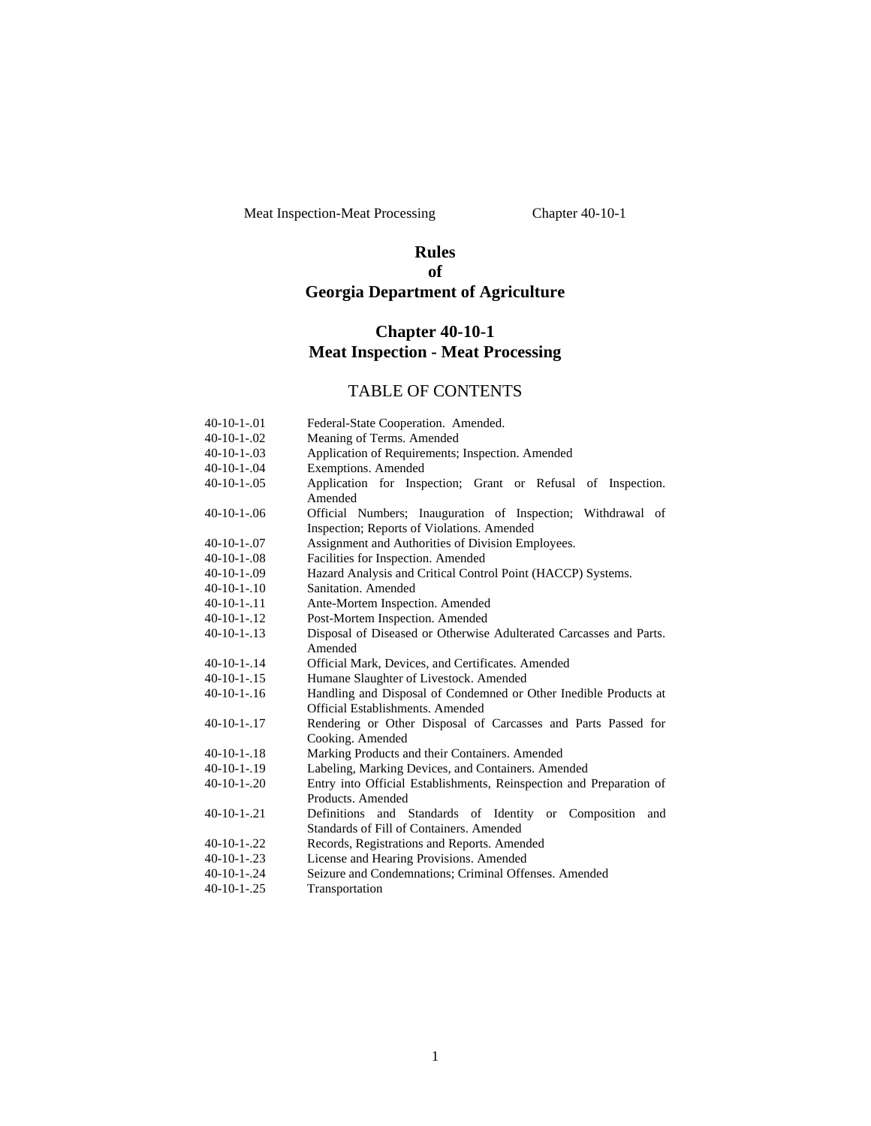Meat Inspection-Meat Processing Chapter 40-10-1

# **Rules of Georgia Department of Agriculture**

# **Chapter 40-10-1 Meat Inspection - Meat Processing**

# TABLE OF CONTENTS

| 40-10-1-.01        | Federal-State Cooperation. Amended.                                 |  |
|--------------------|---------------------------------------------------------------------|--|
| $40-10-1-02$       | Meaning of Terms. Amended                                           |  |
| 40-10-1-.03        | Application of Requirements; Inspection. Amended                    |  |
| $40-10-1-04$       | Exemptions. Amended                                                 |  |
| $40 - 10 - 1 - 05$ | Application for Inspection; Grant or Refusal of Inspection.         |  |
|                    | Amended                                                             |  |
| $40-10-1-06$       | Official Numbers; Inauguration of Inspection; Withdrawal of         |  |
|                    | Inspection; Reports of Violations. Amended                          |  |
| 40-10-1-.07        | Assignment and Authorities of Division Employees.                   |  |
| $40-10-1-08$       | Facilities for Inspection. Amended                                  |  |
| 40-10-1-.09        | Hazard Analysis and Critical Control Point (HACCP) Systems.         |  |
| 40-10-1-.10        | Sanitation, Amended                                                 |  |
| 40-10-1-.11        | Ante-Mortem Inspection. Amended                                     |  |
| 40-10-1-.12        | Post-Mortem Inspection. Amended                                     |  |
| 40-10-1-.13        | Disposal of Diseased or Otherwise Adulterated Carcasses and Parts.  |  |
|                    | Amended                                                             |  |
| 40-10-1-.14        | Official Mark, Devices, and Certificates. Amended                   |  |
| 40-10-1-.15        | Humane Slaughter of Livestock. Amended                              |  |
| 40-10-1-.16        | Handling and Disposal of Condemned or Other Inedible Products at    |  |
|                    | Official Establishments, Amended                                    |  |
| 40-10-1-.17        | Rendering or Other Disposal of Carcasses and Parts Passed for       |  |
|                    | Cooking. Amended                                                    |  |
| 40-10-1-.18        | Marking Products and their Containers. Amended                      |  |
| $40-10-1-19$       | Labeling, Marking Devices, and Containers. Amended                  |  |
| 40-10-1-.20        | Entry into Official Establishments, Reinspection and Preparation of |  |
|                    | Products, Amended                                                   |  |
| 40-10-1-.21        | Definitions and Standards of Identity or Composition<br>and         |  |
|                    | Standards of Fill of Containers. Amended                            |  |
| 40-10-1-.22        | Records, Registrations and Reports. Amended                         |  |
| $40-10-1-.23$      | License and Hearing Provisions. Amended                             |  |
| 40-10-1-.24        | Seizure and Condemnations; Criminal Offenses. Amended               |  |
| 40-10-1-.25        | Transportation                                                      |  |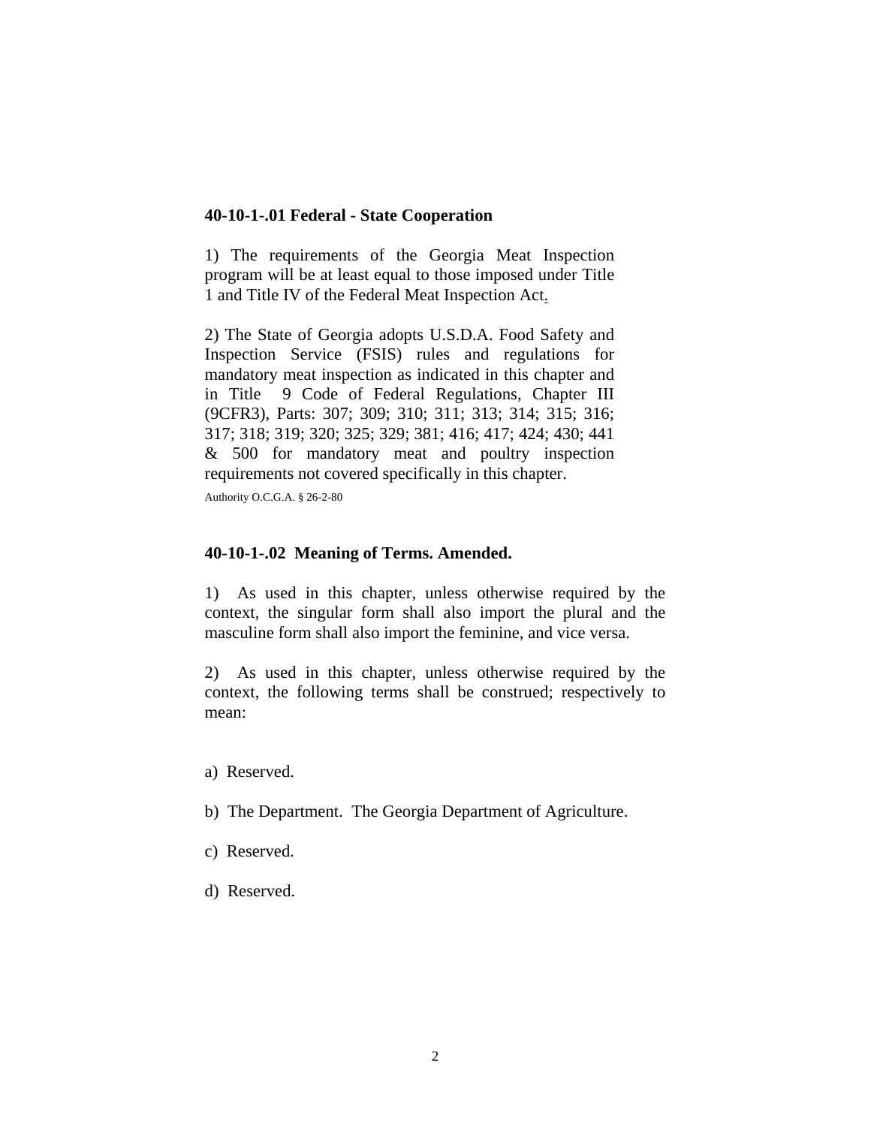#### **40-10-1-.01 Federal - State Cooperation**

1) The requirements of the Georgia Meat Inspection program will be at least equal to those imposed under Title 1 and Title IV of the Federal Meat Inspection Act.

2) The State of Georgia adopts U.S.D.A. Food Safety and Inspection Service (FSIS) rules and regulations for mandatory meat inspection as indicated in this chapter and in Title 9 Code of Federal Regulations, Chapter III (9CFR3), Parts: 307; 309; 310; 311; 313; 314; 315; 316; 317; 318; 319; 320; 325; 329; 381; 416; 417; 424; 430; 441 & 500 for mandatory meat and poultry inspection requirements not covered specifically in this chapter.

Authority O.C.G.A. § 26-2-80

#### **40-10-1-.02 Meaning of Terms. Amended.**

1) As used in this chapter, unless otherwise required by the context, the singular form shall also import the plural and the masculine form shall also import the feminine, and vice versa.

2) As used in this chapter, unless otherwise required by the context, the following terms shall be construed; respectively to mean:

- a) Reserved.
- b) The Department. The Georgia Department of Agriculture.
- c) Reserved.
- d) Reserved.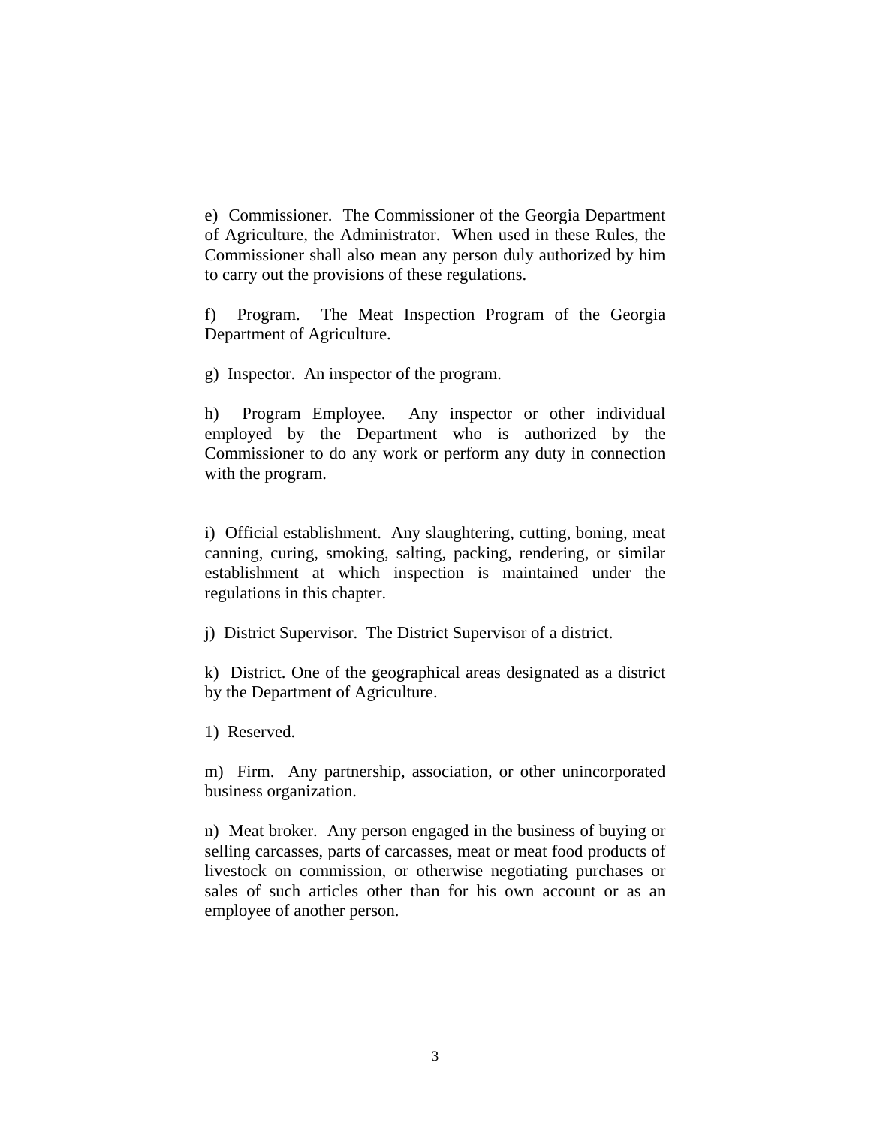e) Commissioner. The Commissioner of the Georgia Department of Agriculture, the Administrator. When used in these Rules, the Commissioner shall also mean any person duly authorized by him to carry out the provisions of these regulations.

f) Program. The Meat Inspection Program of the Georgia Department of Agriculture.

g) Inspector. An inspector of the program.

h) Program Employee. Any inspector or other individual employed by the Department who is authorized by the Commissioner to do any work or perform any duty in connection with the program.

i) Official establishment. Any slaughtering, cutting, boning, meat canning, curing, smoking, salting, packing, rendering, or similar establishment at which inspection is maintained under the regulations in this chapter.

j) District Supervisor. The District Supervisor of a district.

k) District. One of the geographical areas designated as a district by the Department of Agriculture.

1) Reserved.

m) Firm. Any partnership, association, or other unincorporated business organization.

n) Meat broker. Any person engaged in the business of buying or selling carcasses, parts of carcasses, meat or meat food products of livestock on commission, or otherwise negotiating purchases or sales of such articles other than for his own account or as an employee of another person.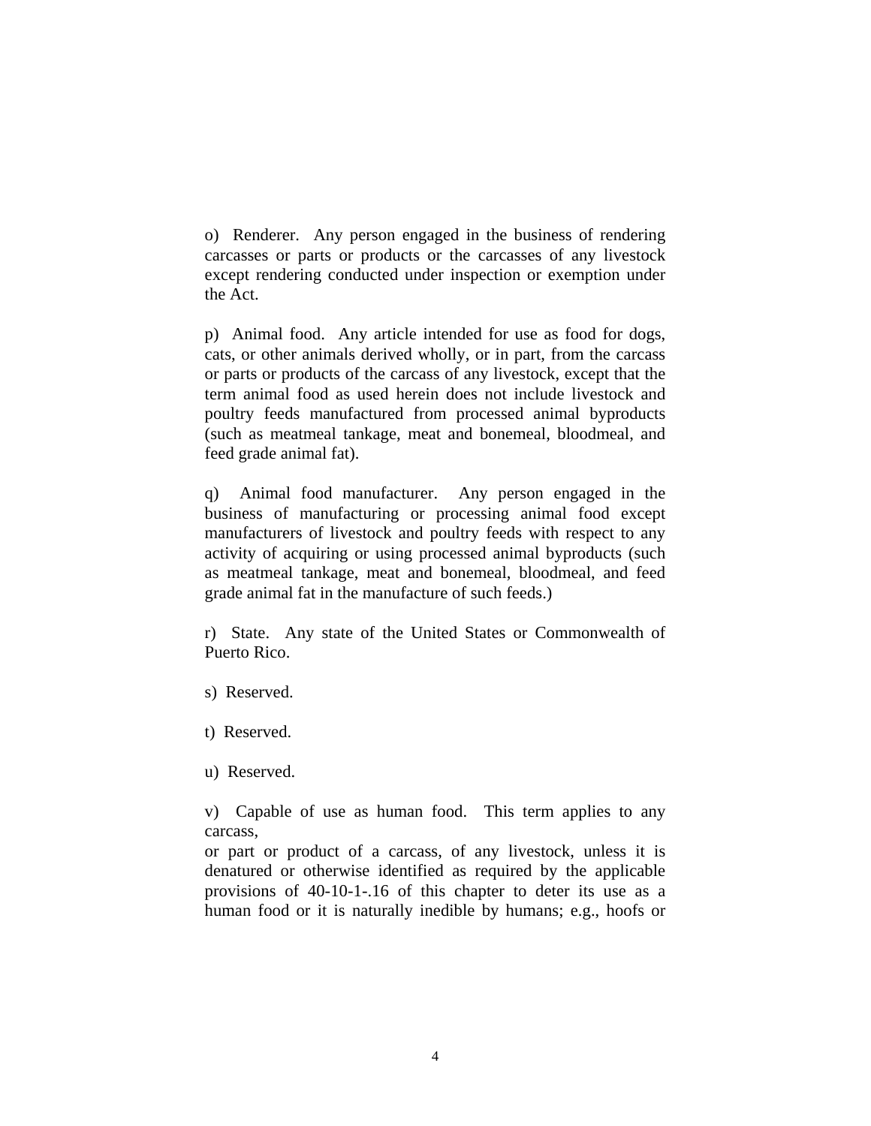o) Renderer. Any person engaged in the business of rendering carcasses or parts or products or the carcasses of any livestock except rendering conducted under inspection or exemption under the Act.

p) Animal food. Any article intended for use as food for dogs, cats, or other animals derived wholly, or in part, from the carcass or parts or products of the carcass of any livestock, except that the term animal food as used herein does not include livestock and poultry feeds manufactured from processed animal byproducts (such as meatmeal tankage, meat and bonemeal, bloodmeal, and feed grade animal fat).

q) Animal food manufacturer. Any person engaged in the business of manufacturing or processing animal food except manufacturers of livestock and poultry feeds with respect to any activity of acquiring or using processed animal byproducts (such as meatmeal tankage, meat and bonemeal, bloodmeal, and feed grade animal fat in the manufacture of such feeds.)

r) State. Any state of the United States or Commonwealth of Puerto Rico.

- s) Reserved.
- t) Reserved.
- u) Reserved.

v) Capable of use as human food. This term applies to any carcass,

or part or product of a carcass, of any livestock, unless it is denatured or otherwise identified as required by the applicable provisions of 40-10-1-.16 of this chapter to deter its use as a human food or it is naturally inedible by humans; e.g., hoofs or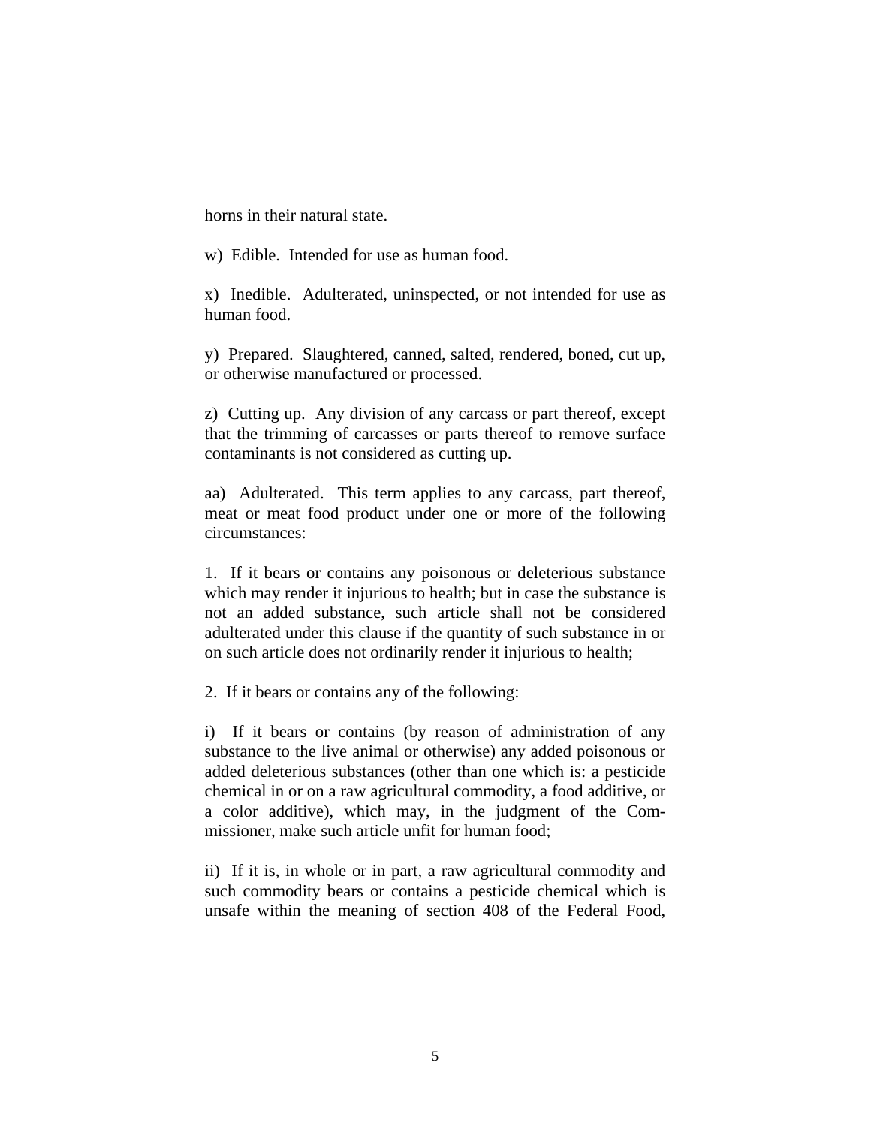horns in their natural state.

w) Edible. Intended for use as human food.

x) Inedible. Adulterated, uninspected, or not intended for use as human food.

y) Prepared. Slaughtered, canned, salted, rendered, boned, cut up, or otherwise manufactured or processed.

z) Cutting up. Any division of any carcass or part thereof, except that the trimming of carcasses or parts thereof to remove surface contaminants is not considered as cutting up.

aa) Adulterated. This term applies to any carcass, part thereof, meat or meat food product under one or more of the following circumstances:

1. If it bears or contains any poisonous or deleterious substance which may render it injurious to health; but in case the substance is not an added substance, such article shall not be considered adulterated under this clause if the quantity of such substance in or on such article does not ordinarily render it injurious to health;

2. If it bears or contains any of the following:

i) If it bears or contains (by reason of administration of any substance to the live animal or otherwise) any added poisonous or added deleterious substances (other than one which is: a pesticide chemical in or on a raw agricultural commodity, a food additive, or a color additive), which may, in the judgment of the Commissioner, make such article unfit for human food;

ii) If it is, in whole or in part, a raw agricultural commodity and such commodity bears or contains a pesticide chemical which is unsafe within the meaning of section 408 of the Federal Food,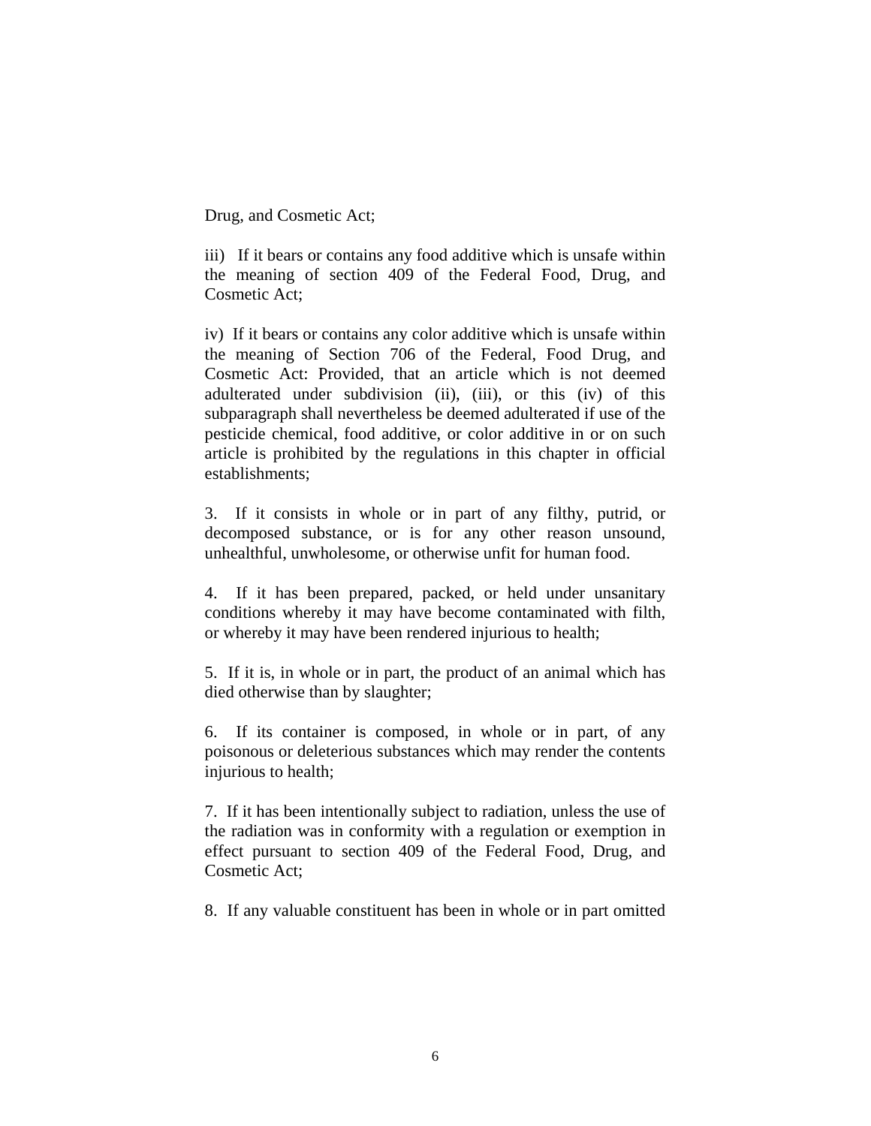Drug, and Cosmetic Act;

iii) If it bears or contains any food additive which is unsafe within the meaning of section 409 of the Federal Food, Drug, and Cosmetic Act;

iv) If it bears or contains any color additive which is unsafe within the meaning of Section 706 of the Federal, Food Drug, and Cosmetic Act: Provided, that an article which is not deemed adulterated under subdivision (ii), (iii), or this (iv) of this subparagraph shall nevertheless be deemed adulterated if use of the pesticide chemical, food additive, or color additive in or on such article is prohibited by the regulations in this chapter in official establishments;

3. If it consists in whole or in part of any filthy, putrid, or decomposed substance, or is for any other reason unsound, unhealthful, unwholesome, or otherwise unfit for human food.

4. If it has been prepared, packed, or held under unsanitary conditions whereby it may have become contaminated with filth, or whereby it may have been rendered injurious to health;

5. If it is, in whole or in part, the product of an animal which has died otherwise than by slaughter;

6. If its container is composed, in whole or in part, of any poisonous or deleterious substances which may render the contents injurious to health;

7. If it has been intentionally subject to radiation, unless the use of the radiation was in conformity with a regulation or exemption in effect pursuant to section 409 of the Federal Food, Drug, and Cosmetic Act;

8. If any valuable constituent has been in whole or in part omitted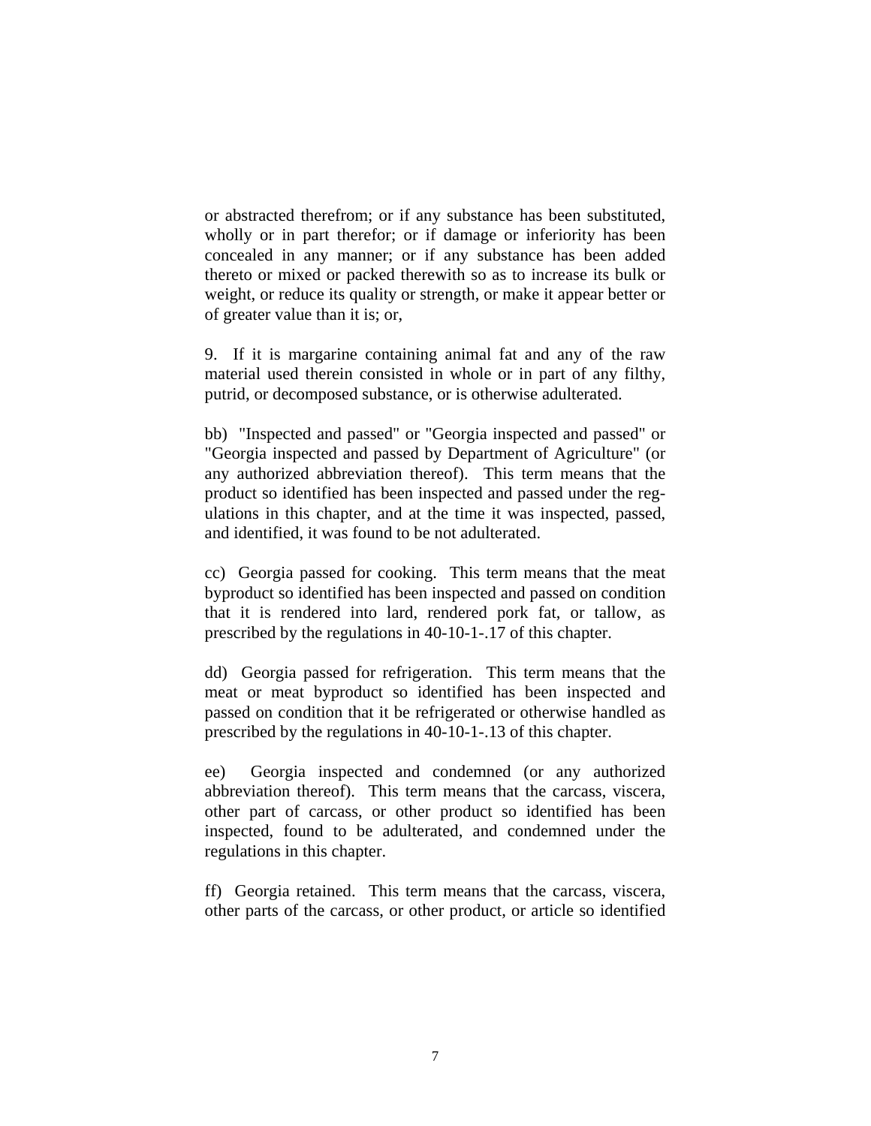or abstracted therefrom; or if any substance has been substituted, wholly or in part therefor; or if damage or inferiority has been concealed in any manner; or if any substance has been added thereto or mixed or packed therewith so as to increase its bulk or weight, or reduce its quality or strength, or make it appear better or of greater value than it is; or,

9. If it is margarine containing animal fat and any of the raw material used therein consisted in whole or in part of any filthy, putrid, or decomposed substance, or is otherwise adulterated.

bb) "Inspected and passed" or "Georgia inspected and passed" or "Georgia inspected and passed by Department of Agriculture" (or any authorized abbreviation thereof). This term means that the product so identified has been inspected and passed under the regulations in this chapter, and at the time it was inspected, passed, and identified, it was found to be not adulterated.

cc) Georgia passed for cooking. This term means that the meat byproduct so identified has been inspected and passed on condition that it is rendered into lard, rendered pork fat, or tallow, as prescribed by the regulations in 40-10-1-.17 of this chapter.

dd) Georgia passed for refrigeration. This term means that the meat or meat byproduct so identified has been inspected and passed on condition that it be refrigerated or otherwise handled as prescribed by the regulations in 40-10-1-.13 of this chapter.

ee) Georgia inspected and condemned (or any authorized abbreviation thereof). This term means that the carcass, viscera, other part of carcass, or other product so identified has been inspected, found to be adulterated, and condemned under the regulations in this chapter.

ff) Georgia retained. This term means that the carcass, viscera, other parts of the carcass, or other product, or article so identified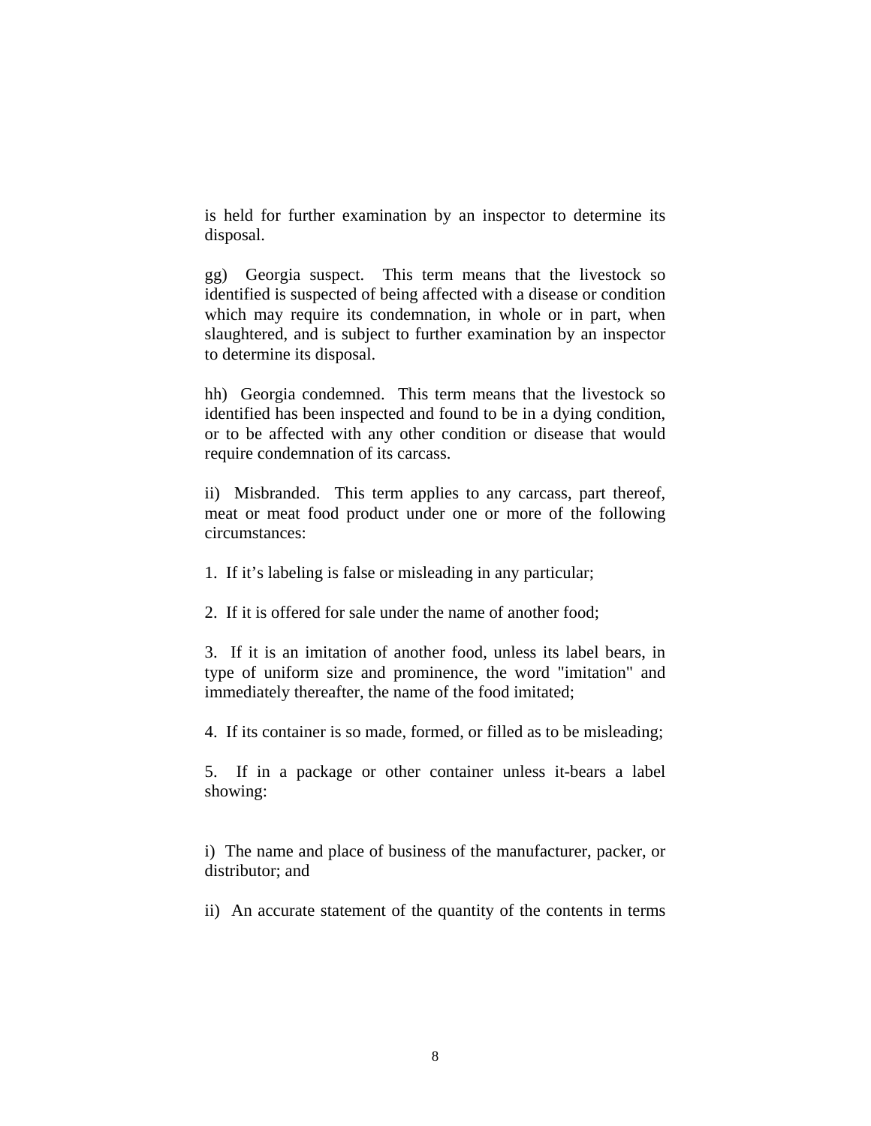is held for further examination by an inspector to determine its disposal.

gg) Georgia suspect. This term means that the livestock so identified is suspected of being affected with a disease or condition which may require its condemnation, in whole or in part, when slaughtered, and is subject to further examination by an inspector to determine its disposal.

hh) Georgia condemned. This term means that the livestock so identified has been inspected and found to be in a dying condition, or to be affected with any other condition or disease that would require condemnation of its carcass.

ii) Misbranded. This term applies to any carcass, part thereof, meat or meat food product under one or more of the following circumstances:

1. If it's labeling is false or misleading in any particular;

2. If it is offered for sale under the name of another food;

3. If it is an imitation of another food, unless its label bears, in type of uniform size and prominence, the word "imitation" and immediately thereafter, the name of the food imitated;

4. If its container is so made, formed, or filled as to be misleading;

5. If in a package or other container unless it-bears a label showing:

i) The name and place of business of the manufacturer, packer, or distributor; and

ii) An accurate statement of the quantity of the contents in terms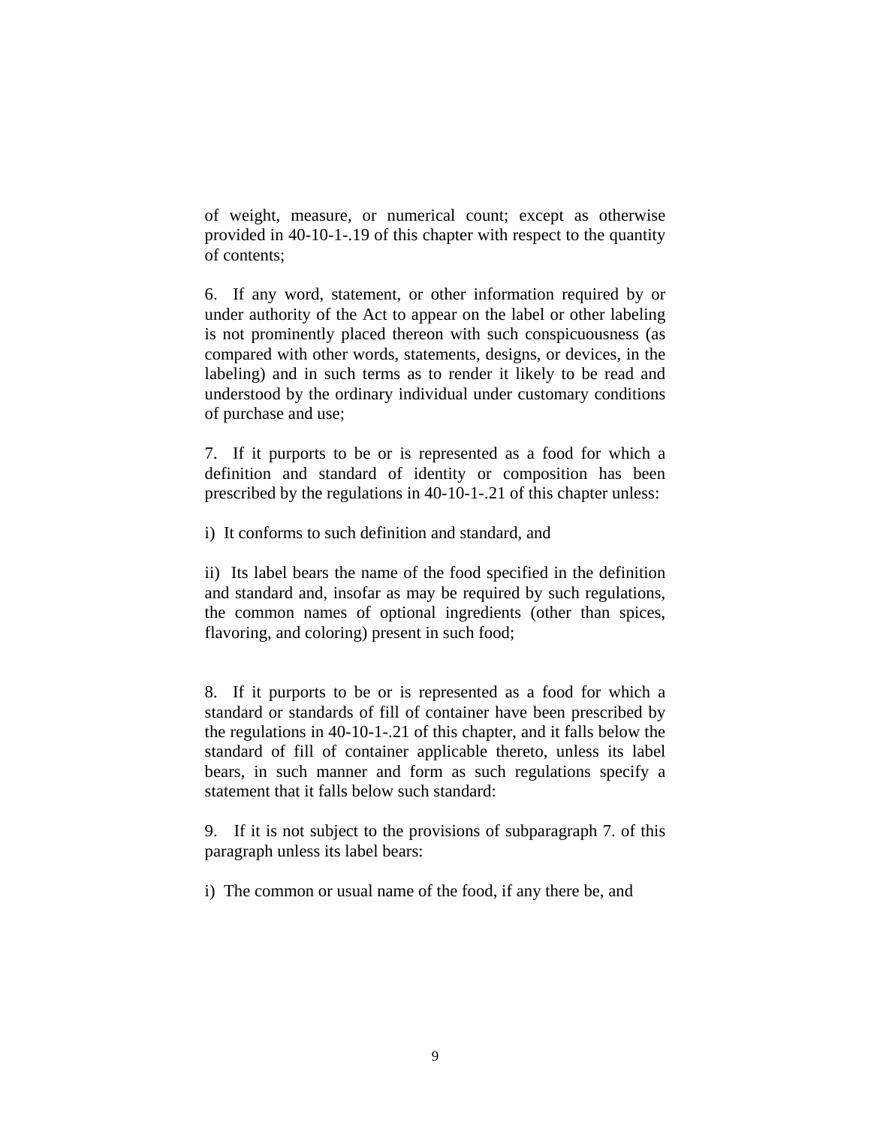of weight, measure, or numerical count; except as otherwise provided in 40-10-1-.19 of this chapter with respect to the quantity of contents;

6. If any word, statement, or other information required by or under authority of the Act to appear on the label or other labeling is not prominently placed thereon with such conspicuousness (as compared with other words, statements, designs, or devices, in the labeling) and in such terms as to render it likely to be read and understood by the ordinary individual under customary conditions of purchase and use;

7. If it purports to be or is represented as a food for which a definition and standard of identity or composition has been prescribed by the regulations in 40-10-1-.21 of this chapter unless:

i) It conforms to such definition and standard, and

ii) Its label bears the name of the food specified in the definition and standard and, insofar as may be required by such regulations, the common names of optional ingredients (other than spices, flavoring, and coloring) present in such food;

8. If it purports to be or is represented as a food for which a standard or standards of fill of container have been prescribed by the regulations in 40-10-1-.21 of this chapter, and it falls below the standard of fill of container applicable thereto, unless its label bears, in such manner and form as such regulations specify a statement that it falls below such standard:

9. If it is not subject to the provisions of subparagraph 7. of this paragraph unless its label bears:

i) The common or usual name of the food, if any there be, and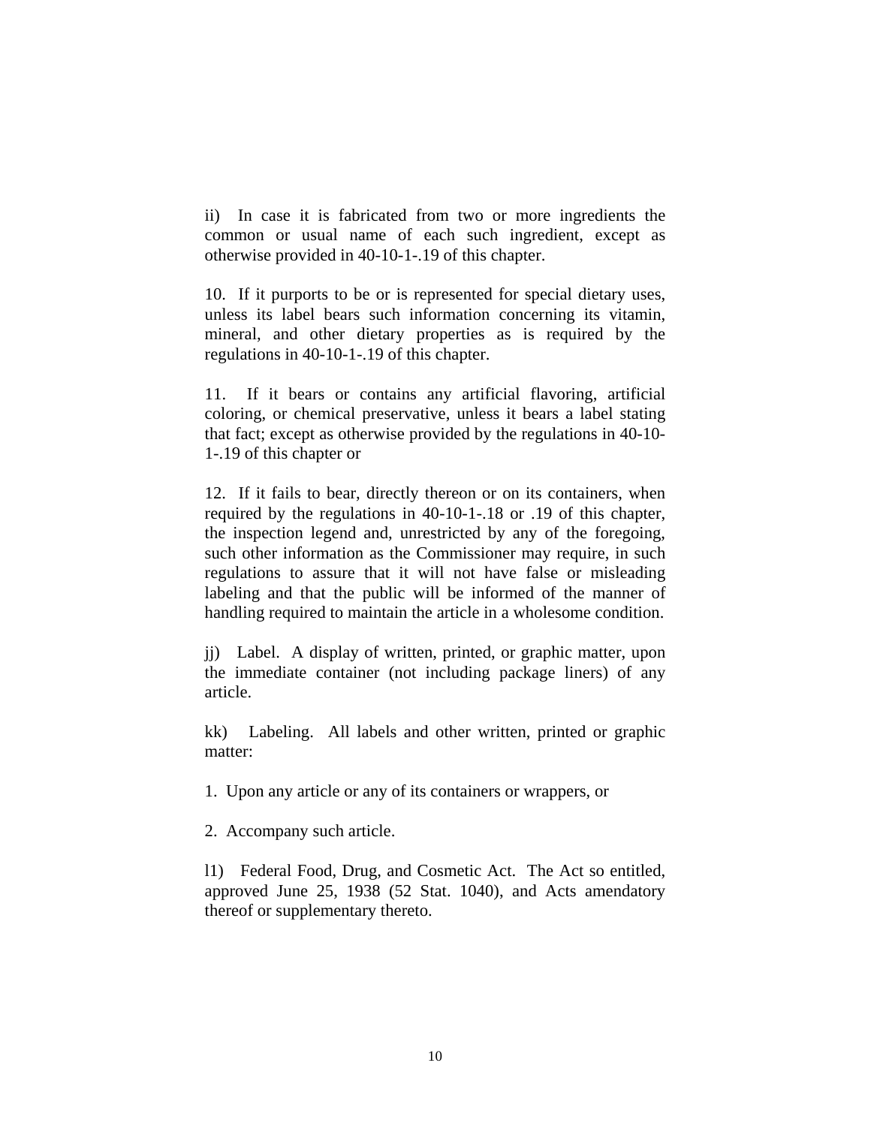ii) In case it is fabricated from two or more ingredients the common or usual name of each such ingredient, except as otherwise provided in 40-10-1-.19 of this chapter.

10. If it purports to be or is represented for special dietary uses, unless its label bears such information concerning its vitamin, mineral, and other dietary properties as is required by the regulations in 40-10-1-.19 of this chapter.

11. If it bears or contains any artificial flavoring, artificial coloring, or chemical preservative, unless it bears a label stating that fact; except as otherwise provided by the regulations in 40-10- 1-.19 of this chapter or

12. If it fails to bear, directly thereon or on its containers, when required by the regulations in 40-10-1-.18 or .19 of this chapter, the inspection legend and, unrestricted by any of the foregoing, such other information as the Commissioner may require, in such regulations to assure that it will not have false or misleading labeling and that the public will be informed of the manner of handling required to maintain the article in a wholesome condition.

jj) Label. A display of written, printed, or graphic matter, upon the immediate container (not including package liners) of any article.

kk) Labeling. All labels and other written, printed or graphic matter:

1. Upon any article or any of its containers or wrappers, or

2. Accompany such article.

l1) Federal Food, Drug, and Cosmetic Act. The Act so entitled, approved June 25, 1938 (52 Stat. 1040), and Acts amendatory thereof or supplementary thereto.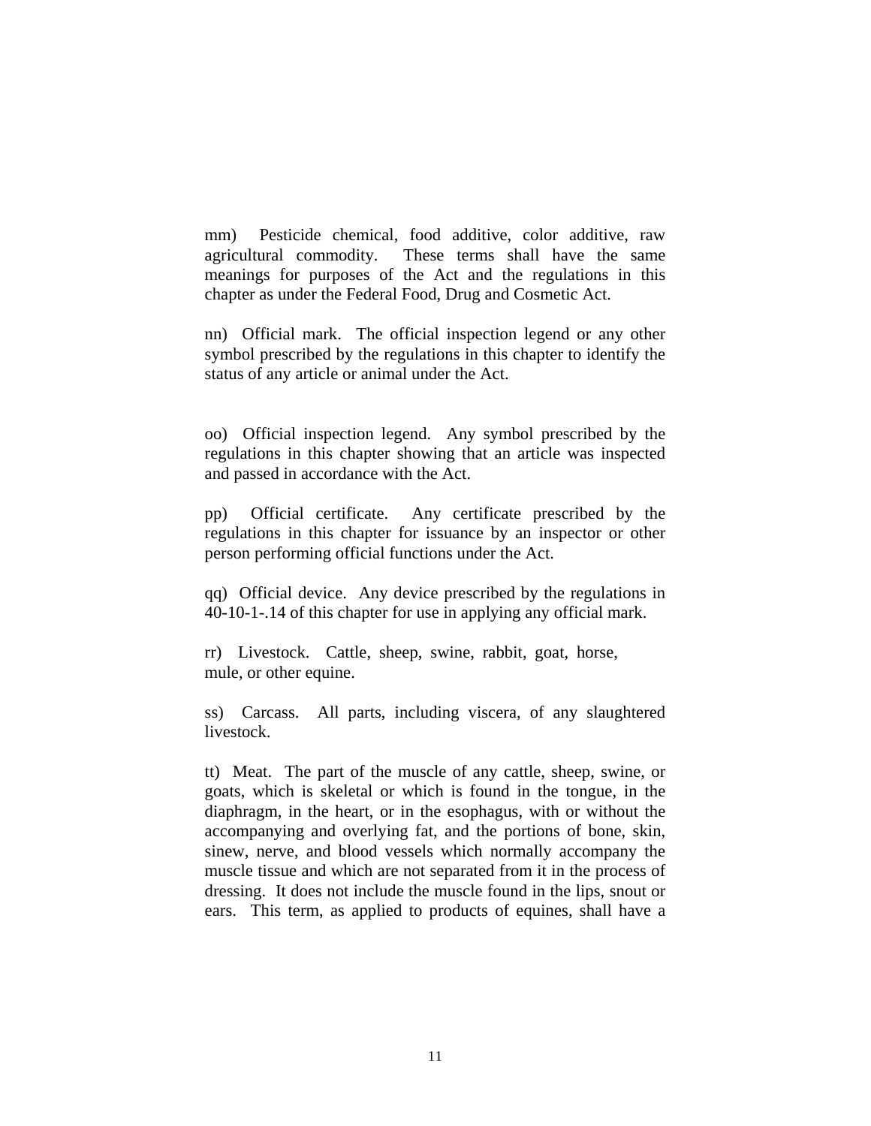mm) Pesticide chemical, food additive, color additive, raw agricultural commodity. These terms shall have the same meanings for purposes of the Act and the regulations in this chapter as under the Federal Food, Drug and Cosmetic Act.

nn) Official mark. The official inspection legend or any other symbol prescribed by the regulations in this chapter to identify the status of any article or animal under the Act.

oo) Official inspection legend. Any symbol prescribed by the regulations in this chapter showing that an article was inspected and passed in accordance with the Act.

pp) Official certificate. Any certificate prescribed by the regulations in this chapter for issuance by an inspector or other person performing official functions under the Act.

qq) Official device. Any device prescribed by the regulations in 40-10-1-.14 of this chapter for use in applying any official mark.

rr) Livestock. Cattle, sheep, swine, rabbit, goat, horse, mule, or other equine.

ss) Carcass. All parts, including viscera, of any slaughtered livestock.

tt) Meat. The part of the muscle of any cattle, sheep, swine, or goats, which is skeletal or which is found in the tongue, in the diaphragm, in the heart, or in the esophagus, with or without the accompanying and overlying fat, and the portions of bone, skin, sinew, nerve, and blood vessels which normally accompany the muscle tissue and which are not separated from it in the process of dressing. It does not include the muscle found in the lips, snout or ears. This term, as applied to products of equines, shall have a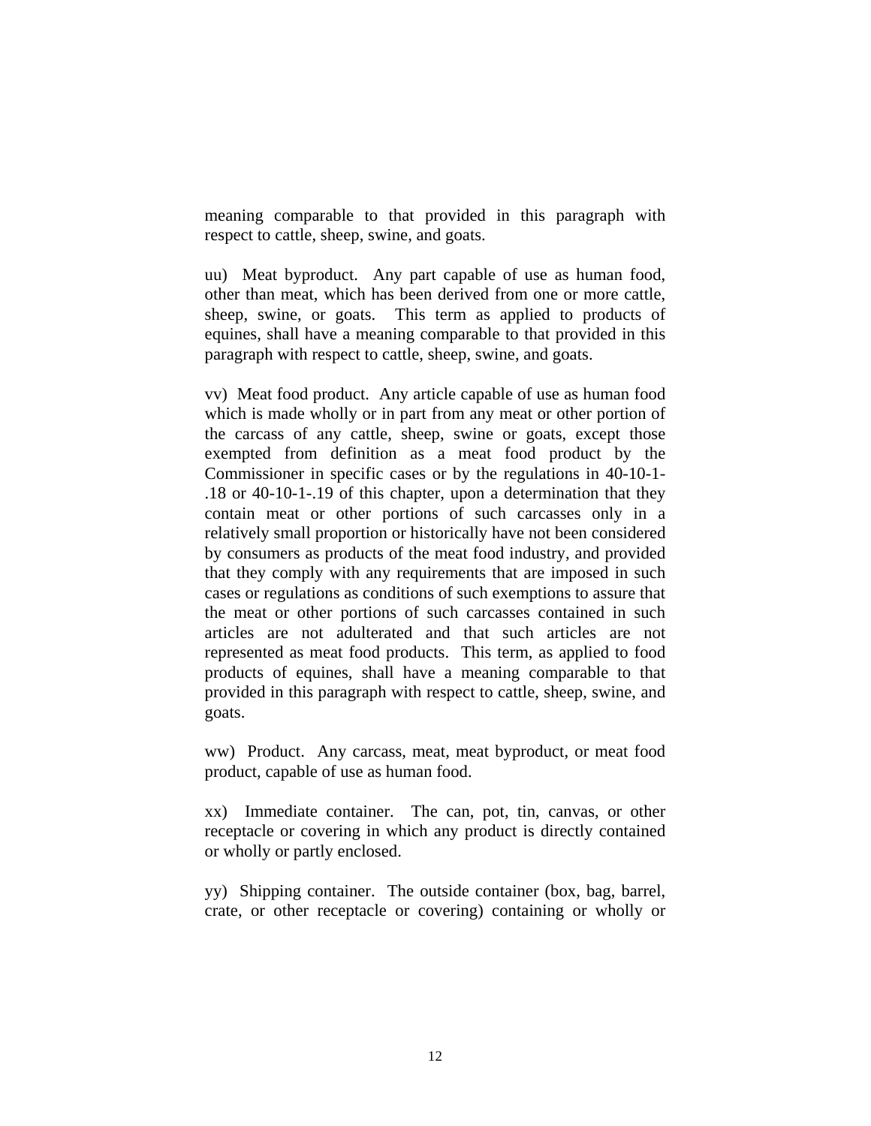meaning comparable to that provided in this paragraph with respect to cattle, sheep, swine, and goats.

uu) Meat byproduct. Any part capable of use as human food, other than meat, which has been derived from one or more cattle, sheep, swine, or goats. This term as applied to products of equines, shall have a meaning comparable to that provided in this paragraph with respect to cattle, sheep, swine, and goats.

vv) Meat food product. Any article capable of use as human food which is made wholly or in part from any meat or other portion of the carcass of any cattle, sheep, swine or goats, except those exempted from definition as a meat food product by the Commissioner in specific cases or by the regulations in 40-10-1- .18 or 40-10-1-.19 of this chapter, upon a determination that they contain meat or other portions of such carcasses only in a relatively small proportion or historically have not been considered by consumers as products of the meat food industry, and provided that they comply with any requirements that are imposed in such cases or regulations as conditions of such exemptions to assure that the meat or other portions of such carcasses contained in such articles are not adulterated and that such articles are not represented as meat food products. This term, as applied to food products of equines, shall have a meaning comparable to that provided in this paragraph with respect to cattle, sheep, swine, and goats.

ww) Product. Any carcass, meat, meat byproduct, or meat food product, capable of use as human food.

xx) Immediate container. The can, pot, tin, canvas, or other receptacle or covering in which any product is directly contained or wholly or partly enclosed.

yy) Shipping container. The outside container (box, bag, barrel, crate, or other receptacle or covering) containing or wholly or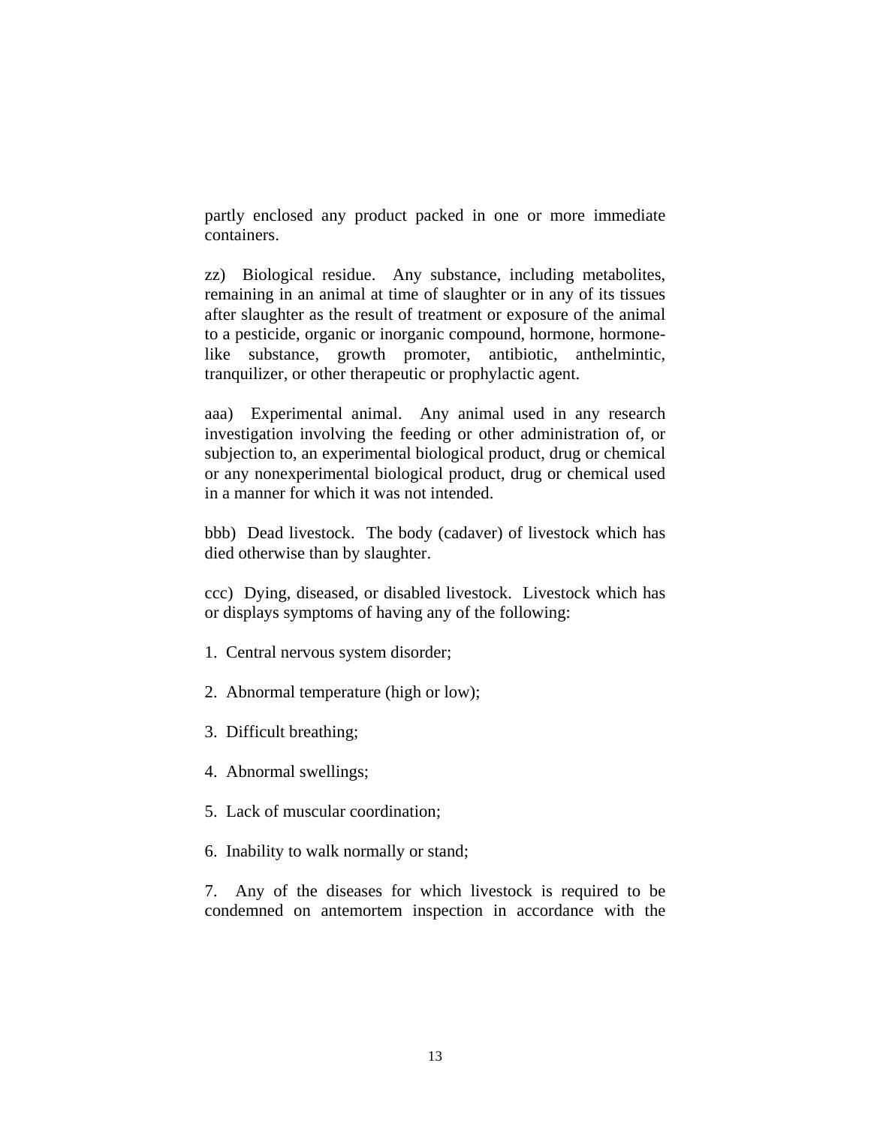partly enclosed any product packed in one or more immediate containers.

zz) Biological residue. Any substance, including metabolites, remaining in an animal at time of slaughter or in any of its tissues after slaughter as the result of treatment or exposure of the animal to a pesticide, organic or inorganic compound, hormone, hormonelike substance, growth promoter, antibiotic, anthelmintic, tranquilizer, or other therapeutic or prophylactic agent.

aaa) Experimental animal. Any animal used in any research investigation involving the feeding or other administration of, or subjection to, an experimental biological product, drug or chemical or any nonexperimental biological product, drug or chemical used in a manner for which it was not intended.

bbb) Dead livestock. The body (cadaver) of livestock which has died otherwise than by slaughter.

ccc) Dying, diseased, or disabled livestock. Livestock which has or displays symptoms of having any of the following:

- 1. Central nervous system disorder;
- 2. Abnormal temperature (high or low);
- 3. Difficult breathing;
- 4. Abnormal swellings;
- 5. Lack of muscular coordination;
- 6. Inability to walk normally or stand;

7. Any of the diseases for which livestock is required to be condemned on antemortem inspection in accordance with the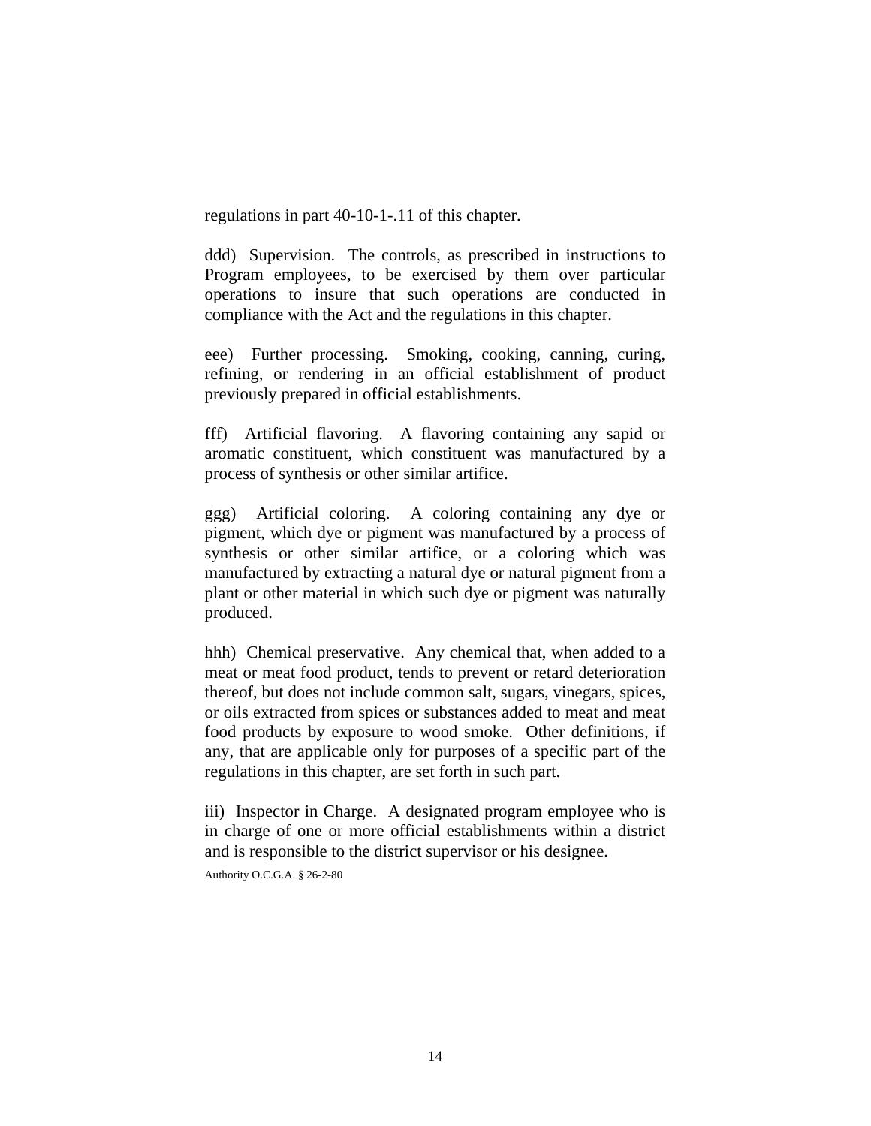regulations in part 40-10-1-.11 of this chapter.

ddd) Supervision. The controls, as prescribed in instructions to Program employees, to be exercised by them over particular operations to insure that such operations are conducted in compliance with the Act and the regulations in this chapter.

eee) Further processing. Smoking, cooking, canning, curing, refining, or rendering in an official establishment of product previously prepared in official establishments.

fff) Artificial flavoring. A flavoring containing any sapid or aromatic constituent, which constituent was manufactured by a process of synthesis or other similar artifice.

ggg) Artificial coloring. A coloring containing any dye or pigment, which dye or pigment was manufactured by a process of synthesis or other similar artifice, or a coloring which was manufactured by extracting a natural dye or natural pigment from a plant or other material in which such dye or pigment was naturally produced.

hhh) Chemical preservative. Any chemical that, when added to a meat or meat food product, tends to prevent or retard deterioration thereof, but does not include common salt, sugars, vinegars, spices, or oils extracted from spices or substances added to meat and meat food products by exposure to wood smoke. Other definitions, if any, that are applicable only for purposes of a specific part of the regulations in this chapter, are set forth in such part.

iii) Inspector in Charge. A designated program employee who is in charge of one or more official establishments within a district and is responsible to the district supervisor or his designee.

Authority O.C.G.A. § 26-2-80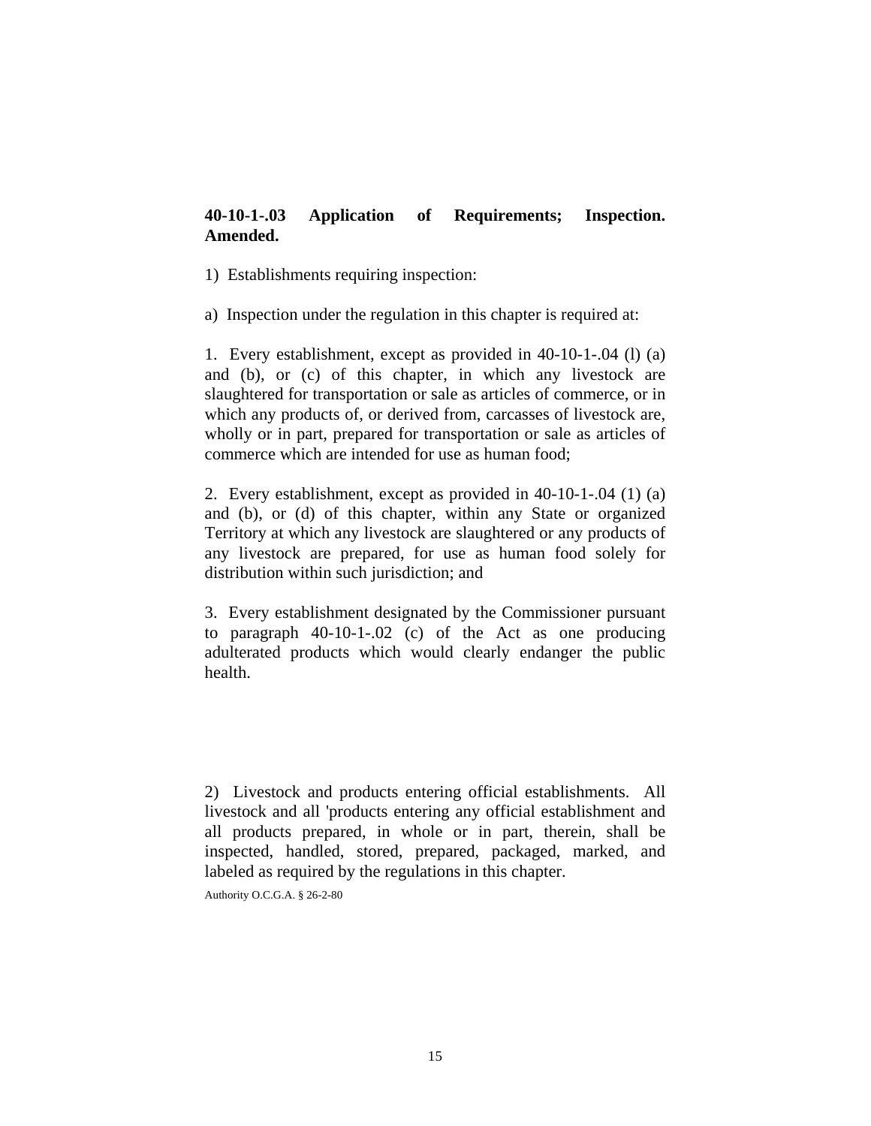# **40-10-1-.03 Application of Requirements; Inspection. Amended.**

1) Establishments requiring inspection:

a) Inspection under the regulation in this chapter is required at:

1. Every establishment, except as provided in 40-10-1-.04 (l) (a) and (b), or (c) of this chapter, in which any livestock are slaughtered for transportation or sale as articles of commerce, or in which any products of, or derived from, carcasses of livestock are, wholly or in part, prepared for transportation or sale as articles of commerce which are intended for use as human food;

2. Every establishment, except as provided in 40-10-1-.04 (1) (a) and (b), or (d) of this chapter, within any State or organized Territory at which any livestock are slaughtered or any products of any livestock are prepared, for use as human food solely for distribution within such jurisdiction; and

3. Every establishment designated by the Commissioner pursuant to paragraph 40-10-1-.02 (c) of the Act as one producing adulterated products which would clearly endanger the public health.

2) Livestock and products entering official establishments. All livestock and all 'products entering any official establishment and all products prepared, in whole or in part, therein, shall be inspected, handled, stored, prepared, packaged, marked, and labeled as required by the regulations in this chapter.

Authority O.C.G.A. § 26-2-80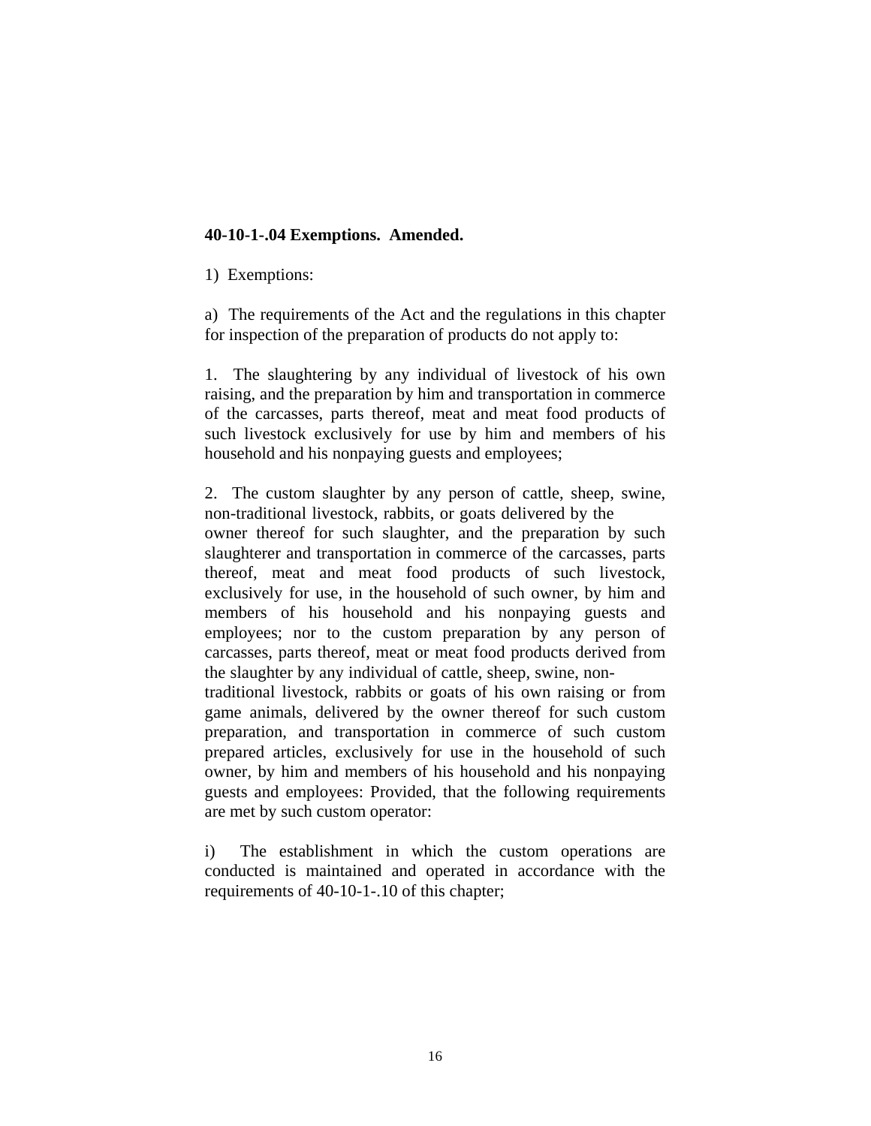### **40-10-1-.04 Exemptions. Amended.**

1) Exemptions:

a) The requirements of the Act and the regulations in this chapter for inspection of the preparation of products do not apply to:

1. The slaughtering by any individual of livestock of his own raising, and the preparation by him and transportation in commerce of the carcasses, parts thereof, meat and meat food products of such livestock exclusively for use by him and members of his household and his nonpaying guests and employees;

2. The custom slaughter by any person of cattle, sheep, swine, non-traditional livestock, rabbits, or goats delivered by the

owner thereof for such slaughter, and the preparation by such slaughterer and transportation in commerce of the carcasses, parts thereof, meat and meat food products of such livestock, exclusively for use, in the household of such owner, by him and members of his household and his nonpaying guests and employees; nor to the custom preparation by any person of carcasses, parts thereof, meat or meat food products derived from the slaughter by any individual of cattle, sheep, swine, non-

traditional livestock, rabbits or goats of his own raising or from game animals, delivered by the owner thereof for such custom preparation, and transportation in commerce of such custom prepared articles, exclusively for use in the household of such owner, by him and members of his household and his nonpaying guests and employees: Provided, that the following requirements are met by such custom operator:

i) The establishment in which the custom operations are conducted is maintained and operated in accordance with the requirements of 40-10-1-.10 of this chapter;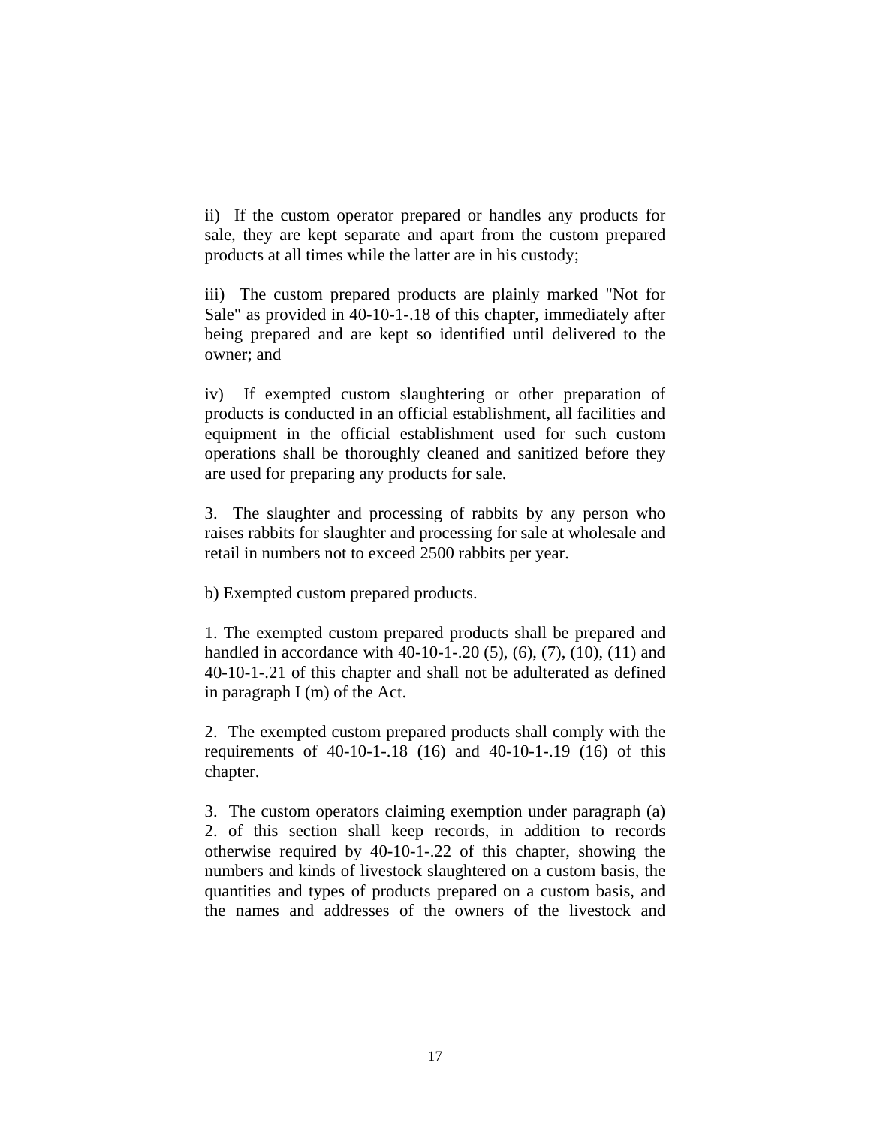ii) If the custom operator prepared or handles any products for sale, they are kept separate and apart from the custom prepared products at all times while the latter are in his custody;

iii) The custom prepared products are plainly marked "Not for Sale" as provided in 40-10-1-.18 of this chapter, immediately after being prepared and are kept so identified until delivered to the owner; and

iv) If exempted custom slaughtering or other preparation of products is conducted in an official establishment, all facilities and equipment in the official establishment used for such custom operations shall be thoroughly cleaned and sanitized before they are used for preparing any products for sale.

3. The slaughter and processing of rabbits by any person who raises rabbits for slaughter and processing for sale at wholesale and retail in numbers not to exceed 2500 rabbits per year.

b) Exempted custom prepared products.

1. The exempted custom prepared products shall be prepared and handled in accordance with 40-10-1-.20 (5), (6), (7), (10), (11) and 40-10-1-.21 of this chapter and shall not be adulterated as defined in paragraph I (m) of the Act.

2. The exempted custom prepared products shall comply with the requirements of 40-10-1-.18 (16) and 40-10-1-.19 (16) of this chapter.

3. The custom operators claiming exemption under paragraph (a) 2. of this section shall keep records, in addition to records otherwise required by 40-10-1-.22 of this chapter, showing the numbers and kinds of livestock slaughtered on a custom basis, the quantities and types of products prepared on a custom basis, and the names and addresses of the owners of the livestock and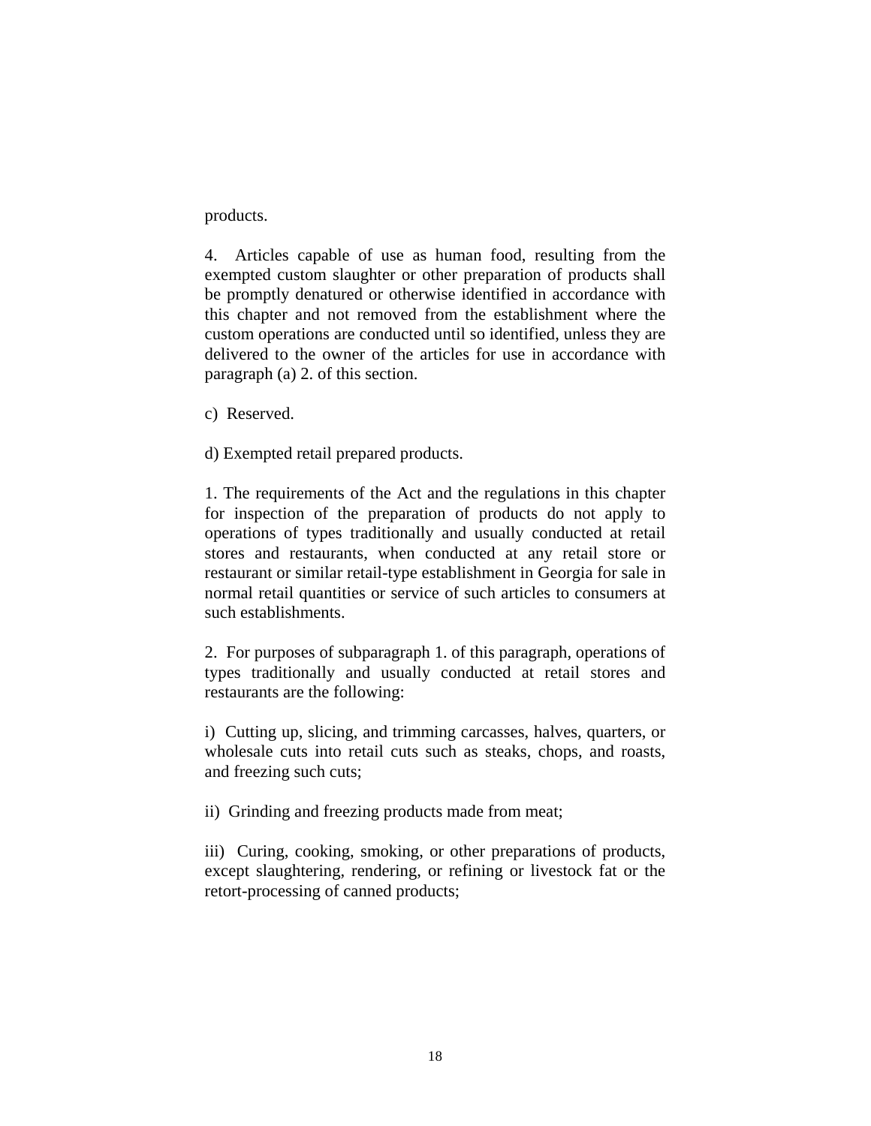products.

4. Articles capable of use as human food, resulting from the exempted custom slaughter or other preparation of products shall be promptly denatured or otherwise identified in accordance with this chapter and not removed from the establishment where the custom operations are conducted until so identified, unless they are delivered to the owner of the articles for use in accordance with paragraph (a) 2. of this section.

c) Reserved.

d) Exempted retail prepared products.

1. The requirements of the Act and the regulations in this chapter for inspection of the preparation of products do not apply to operations of types traditionally and usually conducted at retail stores and restaurants, when conducted at any retail store or restaurant or similar retail-type establishment in Georgia for sale in normal retail quantities or service of such articles to consumers at such establishments.

2. For purposes of subparagraph 1. of this paragraph, operations of types traditionally and usually conducted at retail stores and restaurants are the following:

i) Cutting up, slicing, and trimming carcasses, halves, quarters, or wholesale cuts into retail cuts such as steaks, chops, and roasts, and freezing such cuts;

ii) Grinding and freezing products made from meat;

iii) Curing, cooking, smoking, or other preparations of products, except slaughtering, rendering, or refining or livestock fat or the retort-processing of canned products;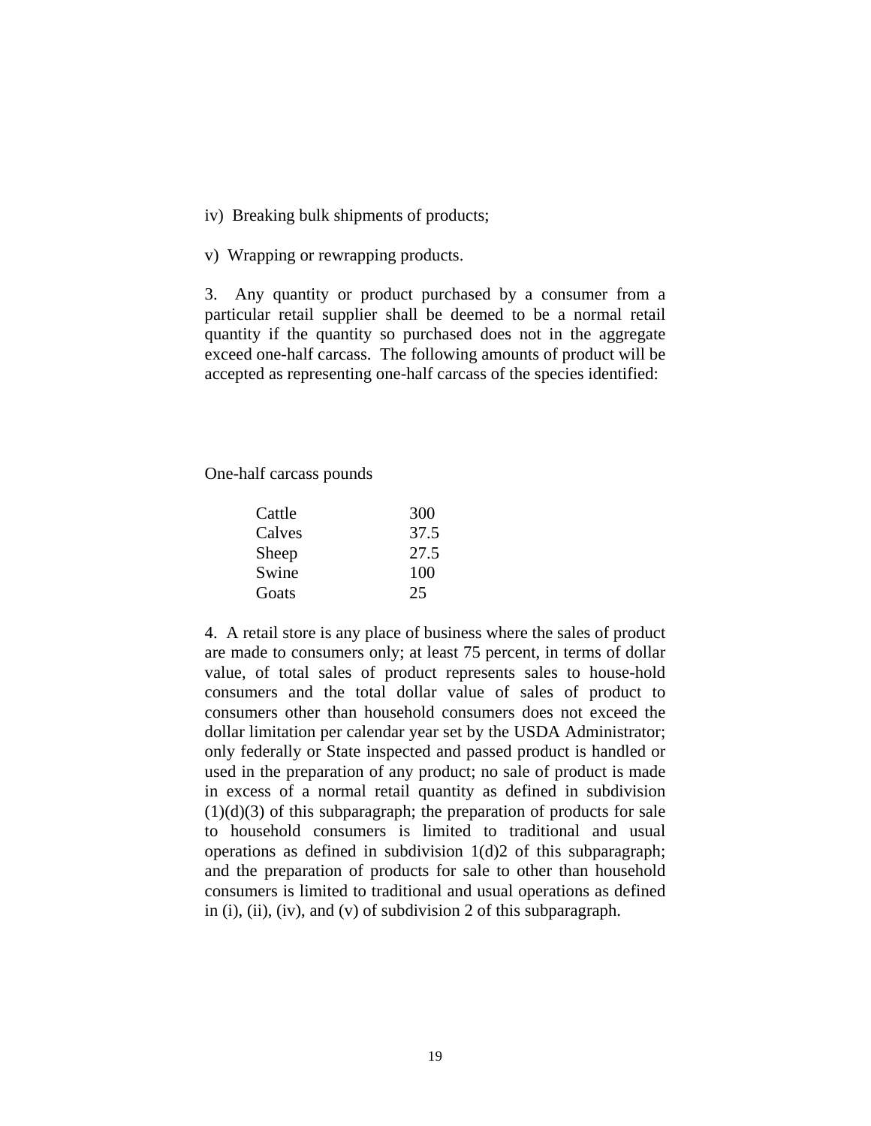iv) Breaking bulk shipments of products;

v) Wrapping or rewrapping products.

3. Any quantity or product purchased by a consumer from a particular retail supplier shall be deemed to be a normal retail quantity if the quantity so purchased does not in the aggregate exceed one-half carcass. The following amounts of product will be accepted as representing one-half carcass of the species identified:

One-half carcass pounds

| Cattle | 300  |
|--------|------|
| Calves | 37.5 |
| Sheep  | 27.5 |
| Swine  | 100  |
| Goats  | 25   |

4. A retail store is any place of business where the sales of product are made to consumers only; at least 75 percent, in terms of dollar value, of total sales of product represents sales to house-hold consumers and the total dollar value of sales of product to consumers other than household consumers does not exceed the dollar limitation per calendar year set by the USDA Administrator; only federally or State inspected and passed product is handled or used in the preparation of any product; no sale of product is made in excess of a normal retail quantity as defined in subdivision  $(1)(d)(3)$  of this subparagraph; the preparation of products for sale to household consumers is limited to traditional and usual operations as defined in subdivision 1(d)2 of this subparagraph; and the preparation of products for sale to other than household consumers is limited to traditional and usual operations as defined in (i), (ii), (iv), and (v) of subdivision 2 of this subparagraph.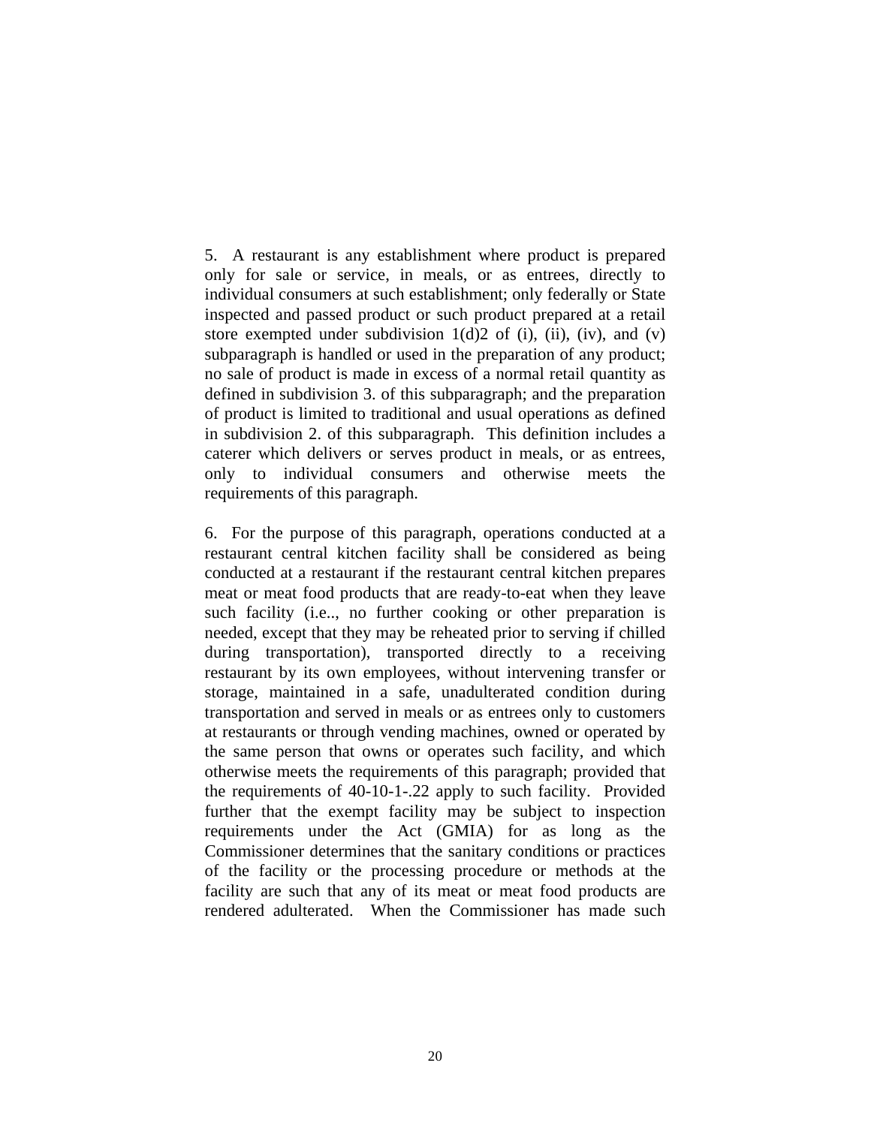5. A restaurant is any establishment where product is prepared only for sale or service, in meals, or as entrees, directly to individual consumers at such establishment; only federally or State inspected and passed product or such product prepared at a retail store exempted under subdivision  $1(d)2$  of (i), (ii), (iv), and (v) subparagraph is handled or used in the preparation of any product; no sale of product is made in excess of a normal retail quantity as defined in subdivision 3. of this subparagraph; and the preparation of product is limited to traditional and usual operations as defined in subdivision 2. of this subparagraph. This definition includes a caterer which delivers or serves product in meals, or as entrees, only to individual consumers and otherwise meets the requirements of this paragraph.

6. For the purpose of this paragraph, operations conducted at a restaurant central kitchen facility shall be considered as being conducted at a restaurant if the restaurant central kitchen prepares meat or meat food products that are ready-to-eat when they leave such facility (i.e.., no further cooking or other preparation is needed, except that they may be reheated prior to serving if chilled during transportation), transported directly to a receiving restaurant by its own employees, without intervening transfer or storage, maintained in a safe, unadulterated condition during transportation and served in meals or as entrees only to customers at restaurants or through vending machines, owned or operated by the same person that owns or operates such facility, and which otherwise meets the requirements of this paragraph; provided that the requirements of 40-10-1-.22 apply to such facility. Provided further that the exempt facility may be subject to inspection requirements under the Act (GMIA) for as long as the Commissioner determines that the sanitary conditions or practices of the facility or the processing procedure or methods at the facility are such that any of its meat or meat food products are rendered adulterated. When the Commissioner has made such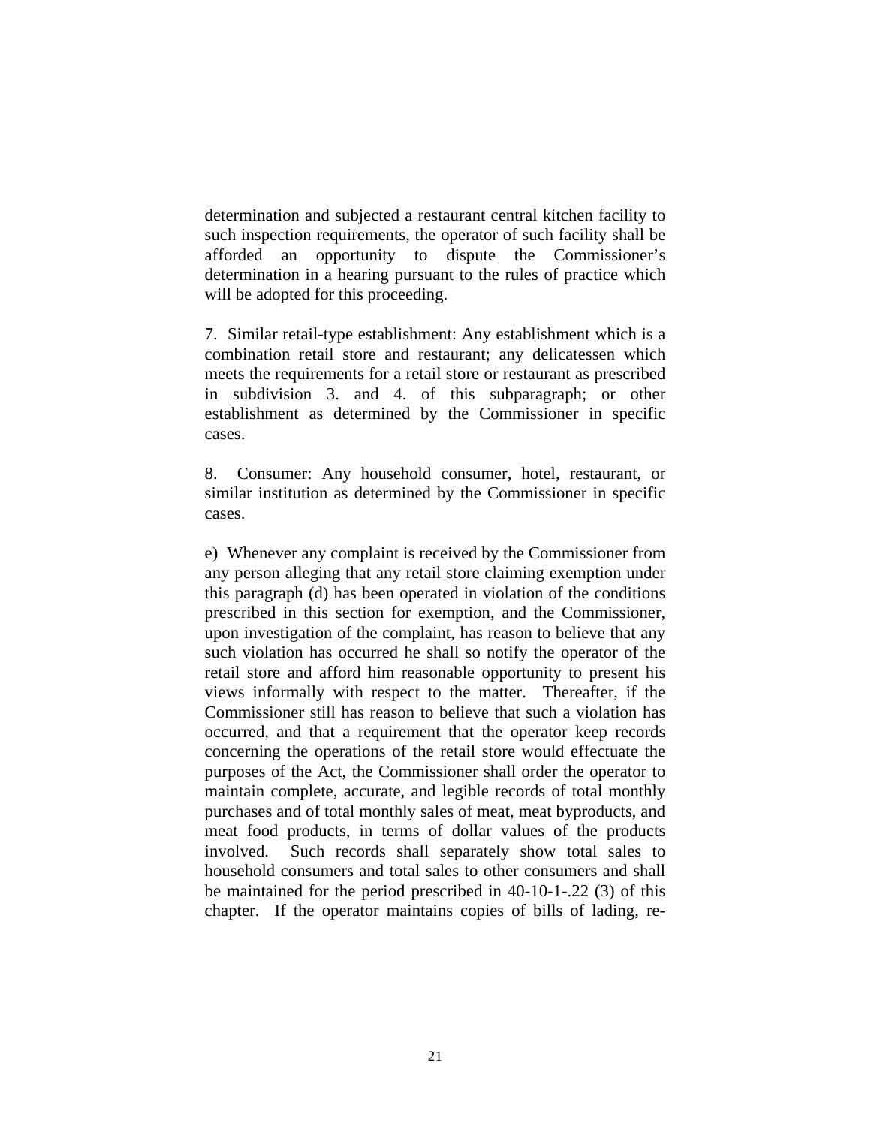determination and subjected a restaurant central kitchen facility to such inspection requirements, the operator of such facility shall be afforded an opportunity to dispute the Commissioner's determination in a hearing pursuant to the rules of practice which will be adopted for this proceeding.

7. Similar retail-type establishment: Any establishment which is a combination retail store and restaurant; any delicatessen which meets the requirements for a retail store or restaurant as prescribed in subdivision 3. and 4. of this subparagraph; or other establishment as determined by the Commissioner in specific cases.

8. Consumer: Any household consumer, hotel, restaurant, or similar institution as determined by the Commissioner in specific cases.

e) Whenever any complaint is received by the Commissioner from any person alleging that any retail store claiming exemption under this paragraph (d) has been operated in violation of the conditions prescribed in this section for exemption, and the Commissioner, upon investigation of the complaint, has reason to believe that any such violation has occurred he shall so notify the operator of the retail store and afford him reasonable opportunity to present his views informally with respect to the matter. Thereafter, if the Commissioner still has reason to believe that such a violation has occurred, and that a requirement that the operator keep records concerning the operations of the retail store would effectuate the purposes of the Act, the Commissioner shall order the operator to maintain complete, accurate, and legible records of total monthly purchases and of total monthly sales of meat, meat byproducts, and meat food products, in terms of dollar values of the products involved. Such records shall separately show total sales to household consumers and total sales to other consumers and shall be maintained for the period prescribed in 40-10-1-.22 (3) of this chapter. If the operator maintains copies of bills of lading, re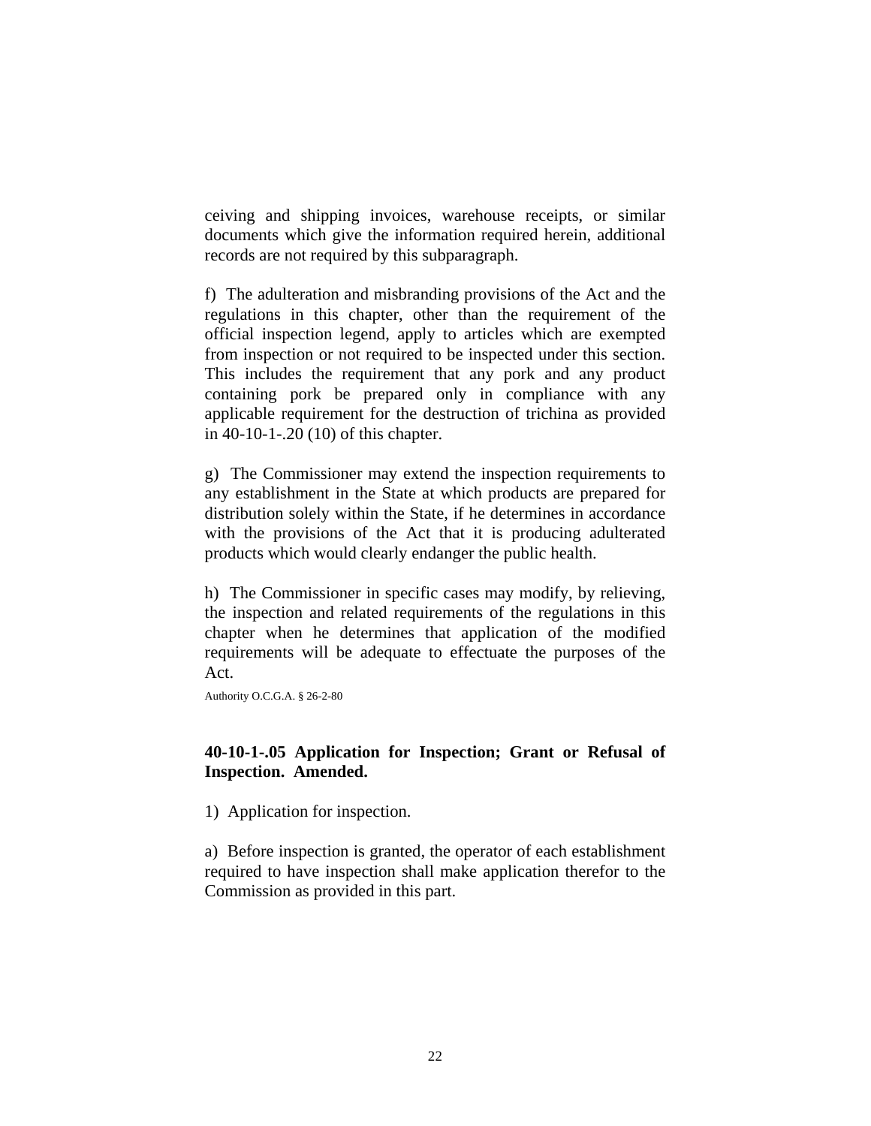ceiving and shipping invoices, warehouse receipts, or similar documents which give the information required herein, additional records are not required by this subparagraph.

f) The adulteration and misbranding provisions of the Act and the regulations in this chapter, other than the requirement of the official inspection legend, apply to articles which are exempted from inspection or not required to be inspected under this section. This includes the requirement that any pork and any product containing pork be prepared only in compliance with any applicable requirement for the destruction of trichina as provided in 40-10-1-.20 (10) of this chapter.

g) The Commissioner may extend the inspection requirements to any establishment in the State at which products are prepared for distribution solely within the State, if he determines in accordance with the provisions of the Act that it is producing adulterated products which would clearly endanger the public health.

h) The Commissioner in specific cases may modify, by relieving, the inspection and related requirements of the regulations in this chapter when he determines that application of the modified requirements will be adequate to effectuate the purposes of the Act.

Authority O.C.G.A. § 26-2-80

### **40-10-1-.05 Application for Inspection; Grant or Refusal of Inspection. Amended.**

1) Application for inspection.

a) Before inspection is granted, the operator of each establishment required to have inspection shall make application therefor to the Commission as provided in this part.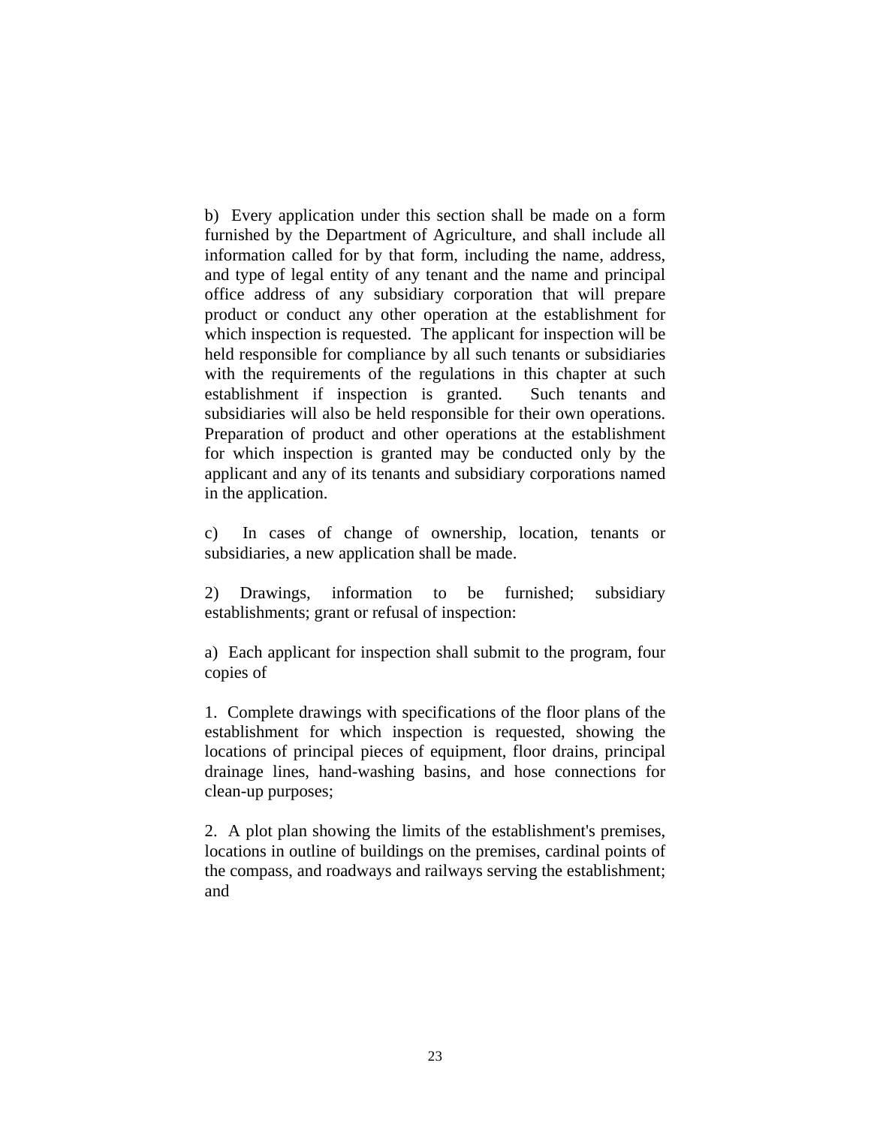b) Every application under this section shall be made on a form furnished by the Department of Agriculture, and shall include all information called for by that form, including the name, address, and type of legal entity of any tenant and the name and principal office address of any subsidiary corporation that will prepare product or conduct any other operation at the establishment for which inspection is requested. The applicant for inspection will be held responsible for compliance by all such tenants or subsidiaries with the requirements of the regulations in this chapter at such establishment if inspection is granted. Such tenants and subsidiaries will also be held responsible for their own operations. Preparation of product and other operations at the establishment for which inspection is granted may be conducted only by the applicant and any of its tenants and subsidiary corporations named in the application.

c) In cases of change of ownership, location, tenants or subsidiaries, a new application shall be made.

2) Drawings, information to be furnished; subsidiary establishments; grant or refusal of inspection:

a) Each applicant for inspection shall submit to the program, four copies of

1. Complete drawings with specifications of the floor plans of the establishment for which inspection is requested, showing the locations of principal pieces of equipment, floor drains, principal drainage lines, hand-washing basins, and hose connections for clean-up purposes;

2. A plot plan showing the limits of the establishment's premises, locations in outline of buildings on the premises, cardinal points of the compass, and roadways and railways serving the establishment; and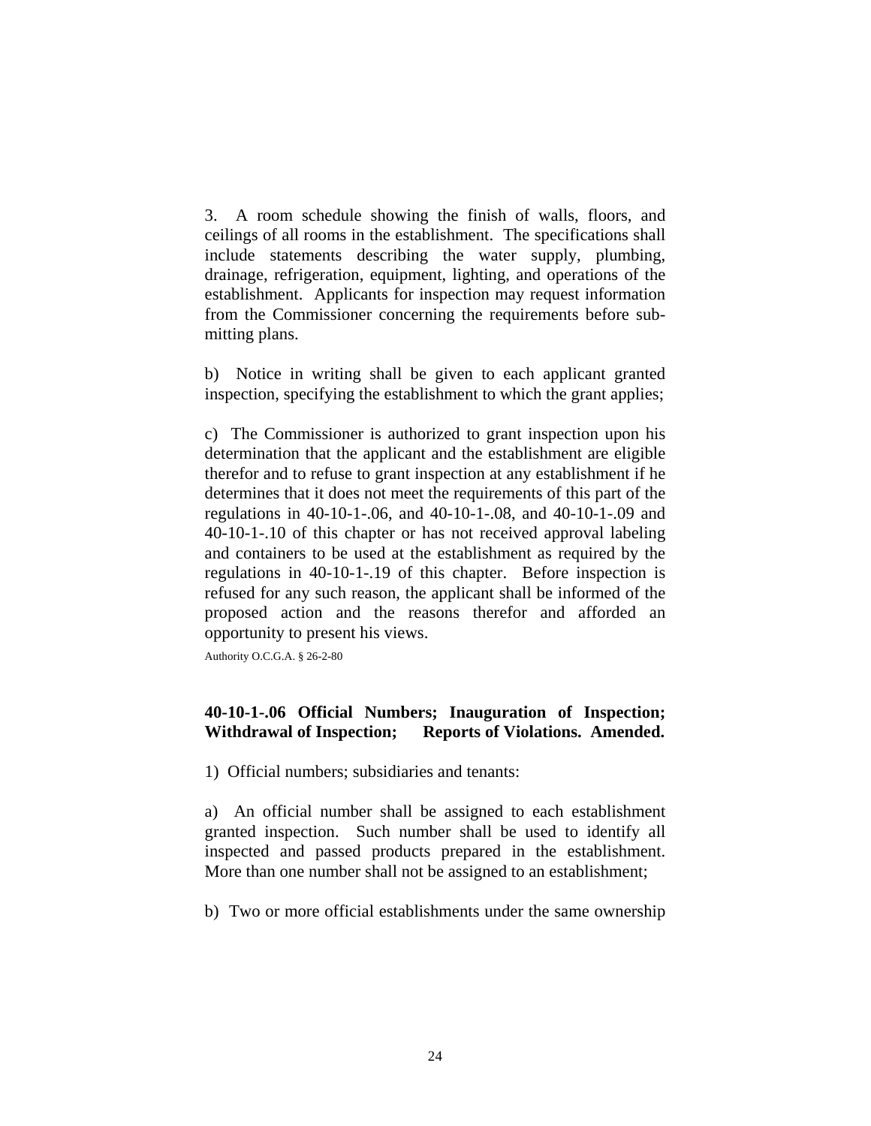3. A room schedule showing the finish of walls, floors, and ceilings of all rooms in the establishment. The specifications shall include statements describing the water supply, plumbing, drainage, refrigeration, equipment, lighting, and operations of the establishment. Applicants for inspection may request information from the Commissioner concerning the requirements before submitting plans.

b) Notice in writing shall be given to each applicant granted inspection, specifying the establishment to which the grant applies;

c) The Commissioner is authorized to grant inspection upon his determination that the applicant and the establishment are eligible therefor and to refuse to grant inspection at any establishment if he determines that it does not meet the requirements of this part of the regulations in 40-10-1-.06, and 40-10-1-.08, and 40-10-1-.09 and 40-10-1-.10 of this chapter or has not received approval labeling and containers to be used at the establishment as required by the regulations in 40-10-1-.19 of this chapter. Before inspection is refused for any such reason, the applicant shall be informed of the proposed action and the reasons therefor and afforded an opportunity to present his views.

Authority O.C.G.A. § 26-2-80

# **40-10-1-.06 Official Numbers; Inauguration of Inspection; Withdrawal of Inspection; Reports of Violations. Amended.**

1) Official numbers; subsidiaries and tenants:

a) An official number shall be assigned to each establishment granted inspection. Such number shall be used to identify all inspected and passed products prepared in the establishment. More than one number shall not be assigned to an establishment;

b) Two or more official establishments under the same ownership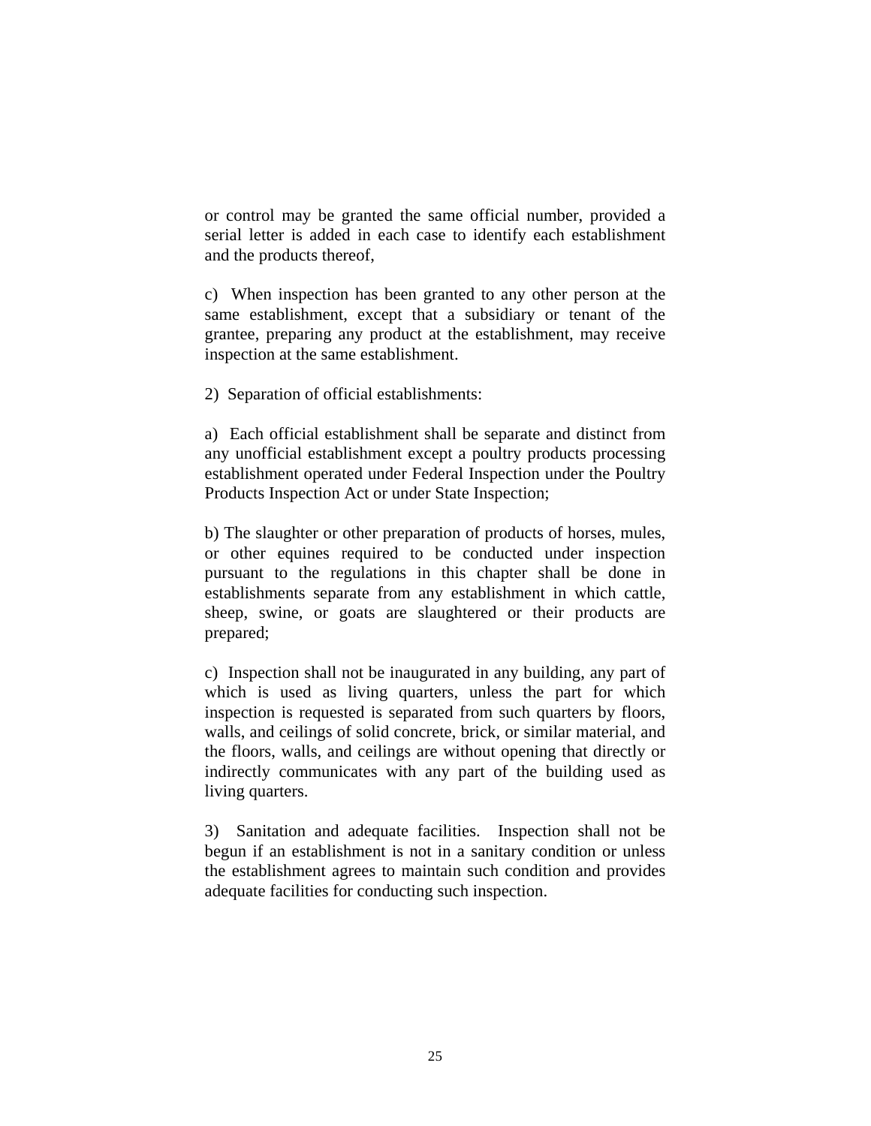or control may be granted the same official number, provided a serial letter is added in each case to identify each establishment and the products thereof,

c) When inspection has been granted to any other person at the same establishment, except that a subsidiary or tenant of the grantee, preparing any product at the establishment, may receive inspection at the same establishment.

2) Separation of official establishments:

a) Each official establishment shall be separate and distinct from any unofficial establishment except a poultry products processing establishment operated under Federal Inspection under the Poultry Products Inspection Act or under State Inspection;

b) The slaughter or other preparation of products of horses, mules, or other equines required to be conducted under inspection pursuant to the regulations in this chapter shall be done in establishments separate from any establishment in which cattle, sheep, swine, or goats are slaughtered or their products are prepared;

c) Inspection shall not be inaugurated in any building, any part of which is used as living quarters, unless the part for which inspection is requested is separated from such quarters by floors, walls, and ceilings of solid concrete, brick, or similar material, and the floors, walls, and ceilings are without opening that directly or indirectly communicates with any part of the building used as living quarters.

3) Sanitation and adequate facilities. Inspection shall not be begun if an establishment is not in a sanitary condition or unless the establishment agrees to maintain such condition and provides adequate facilities for conducting such inspection.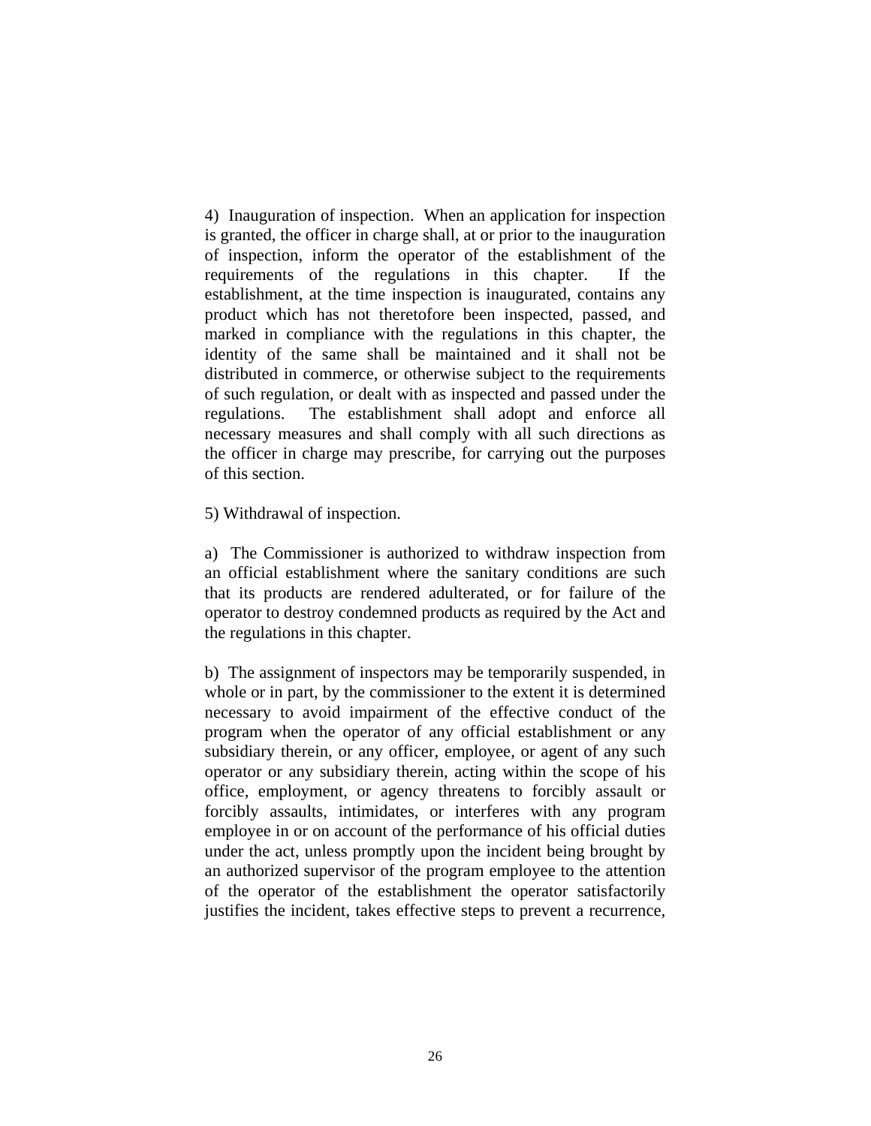4) Inauguration of inspection. When an application for inspection is granted, the officer in charge shall, at or prior to the inauguration of inspection, inform the operator of the establishment of the requirements of the regulations in this chapter. If the establishment, at the time inspection is inaugurated, contains any product which has not theretofore been inspected, passed, and marked in compliance with the regulations in this chapter, the identity of the same shall be maintained and it shall not be distributed in commerce, or otherwise subject to the requirements of such regulation, or dealt with as inspected and passed under the regulations. The establishment shall adopt and enforce all necessary measures and shall comply with all such directions as the officer in charge may prescribe, for carrying out the purposes of this section.

5) Withdrawal of inspection.

a) The Commissioner is authorized to withdraw inspection from an official establishment where the sanitary conditions are such that its products are rendered adulterated, or for failure of the operator to destroy condemned products as required by the Act and the regulations in this chapter.

b) The assignment of inspectors may be temporarily suspended, in whole or in part, by the commissioner to the extent it is determined necessary to avoid impairment of the effective conduct of the program when the operator of any official establishment or any subsidiary therein, or any officer, employee, or agent of any such operator or any subsidiary therein, acting within the scope of his office, employment, or agency threatens to forcibly assault or forcibly assaults, intimidates, or interferes with any program employee in or on account of the performance of his official duties under the act, unless promptly upon the incident being brought by an authorized supervisor of the program employee to the attention of the operator of the establishment the operator satisfactorily justifies the incident, takes effective steps to prevent a recurrence,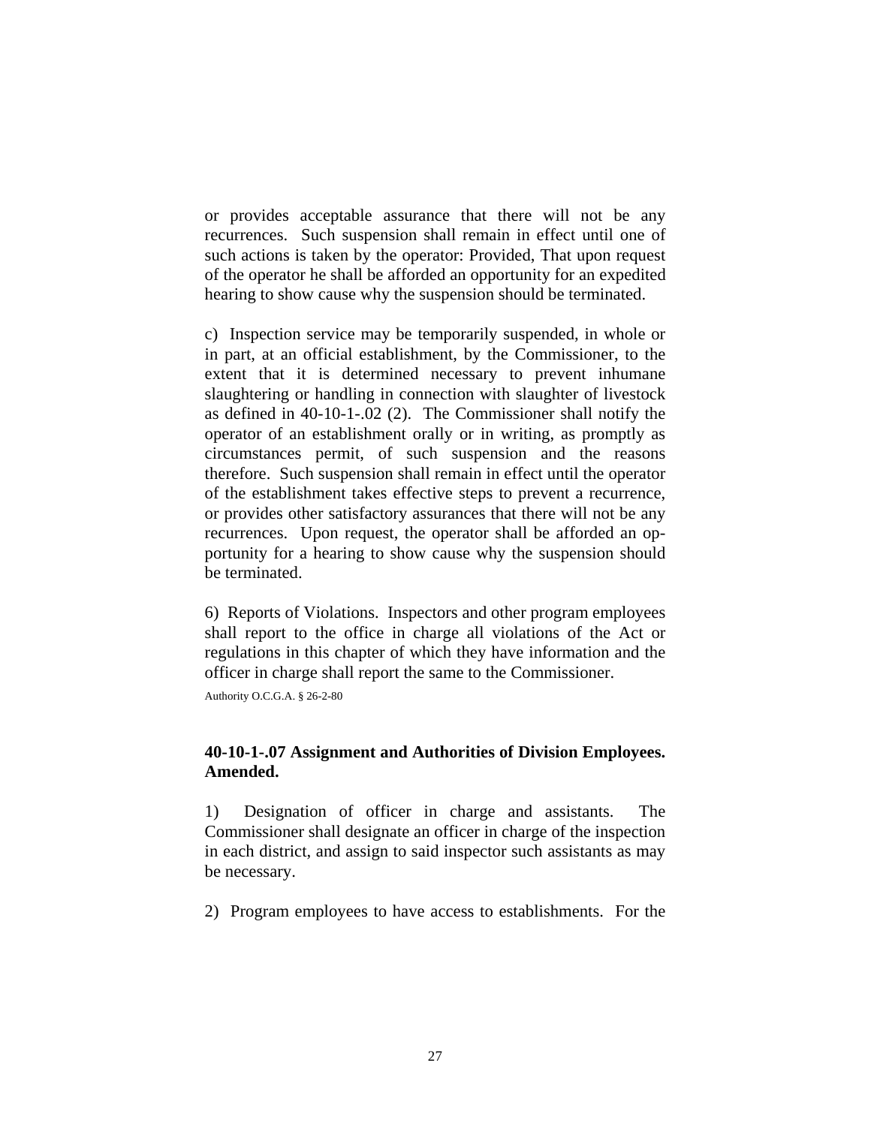or provides acceptable assurance that there will not be any recurrences. Such suspension shall remain in effect until one of such actions is taken by the operator: Provided, That upon request of the operator he shall be afforded an opportunity for an expedited hearing to show cause why the suspension should be terminated.

c) Inspection service may be temporarily suspended, in whole or in part, at an official establishment, by the Commissioner, to the extent that it is determined necessary to prevent inhumane slaughtering or handling in connection with slaughter of livestock as defined in 40-10-1-.02 (2). The Commissioner shall notify the operator of an establishment orally or in writing, as promptly as circumstances permit, of such suspension and the reasons therefore. Such suspension shall remain in effect until the operator of the establishment takes effective steps to prevent a recurrence, or provides other satisfactory assurances that there will not be any recurrences. Upon request, the operator shall be afforded an opportunity for a hearing to show cause why the suspension should be terminated.

6) Reports of Violations. Inspectors and other program employees shall report to the office in charge all violations of the Act or regulations in this chapter of which they have information and the officer in charge shall report the same to the Commissioner.

Authority O.C.G.A. § 26-2-80

### **40-10-1-.07 Assignment and Authorities of Division Employees. Amended.**

1) Designation of officer in charge and assistants. The Commissioner shall designate an officer in charge of the inspection in each district, and assign to said inspector such assistants as may be necessary.

2) Program employees to have access to establishments. For the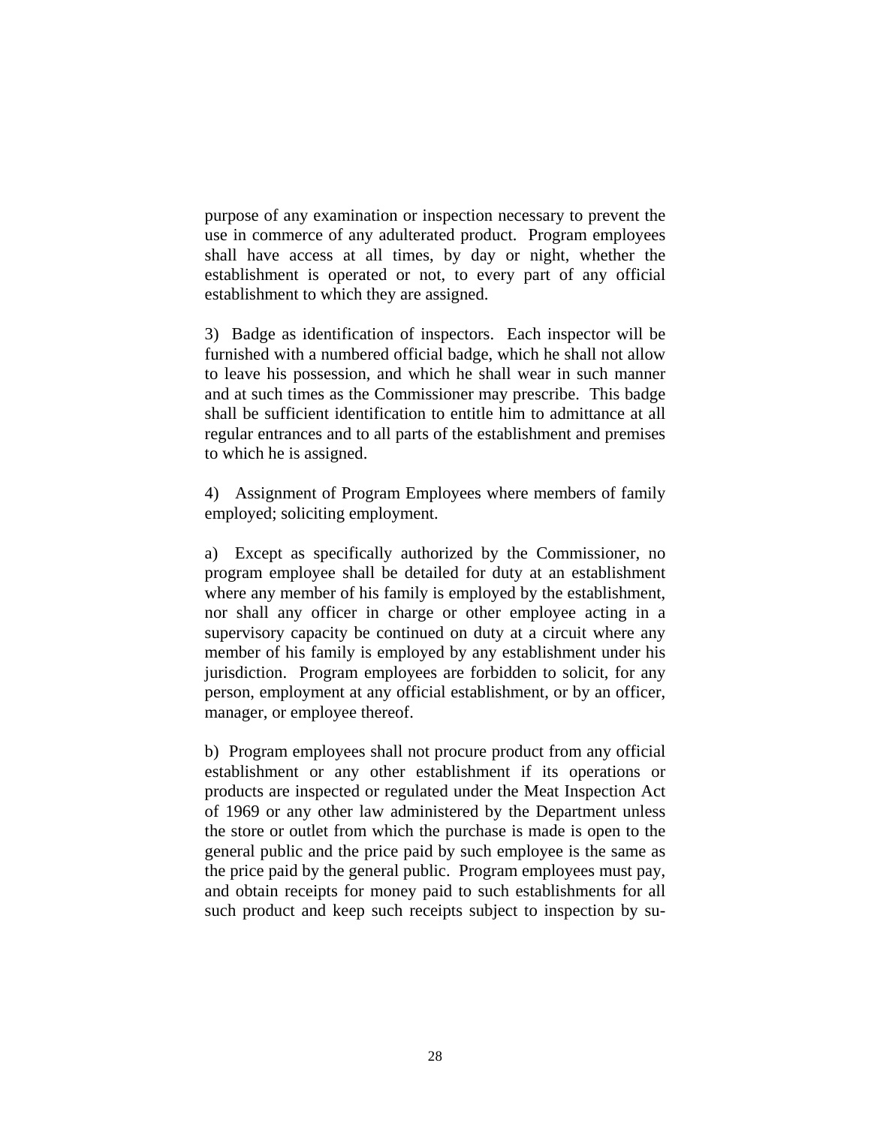purpose of any examination or inspection necessary to prevent the use in commerce of any adulterated product. Program employees shall have access at all times, by day or night, whether the establishment is operated or not, to every part of any official establishment to which they are assigned.

3) Badge as identification of inspectors. Each inspector will be furnished with a numbered official badge, which he shall not allow to leave his possession, and which he shall wear in such manner and at such times as the Commissioner may prescribe. This badge shall be sufficient identification to entitle him to admittance at all regular entrances and to all parts of the establishment and premises to which he is assigned.

4) Assignment of Program Employees where members of family employed; soliciting employment.

a) Except as specifically authorized by the Commissioner, no program employee shall be detailed for duty at an establishment where any member of his family is employed by the establishment, nor shall any officer in charge or other employee acting in a supervisory capacity be continued on duty at a circuit where any member of his family is employed by any establishment under his jurisdiction. Program employees are forbidden to solicit, for any person, employment at any official establishment, or by an officer, manager, or employee thereof.

b) Program employees shall not procure product from any official establishment or any other establishment if its operations or products are inspected or regulated under the Meat Inspection Act of 1969 or any other law administered by the Department unless the store or outlet from which the purchase is made is open to the general public and the price paid by such employee is the same as the price paid by the general public. Program employees must pay, and obtain receipts for money paid to such establishments for all such product and keep such receipts subject to inspection by su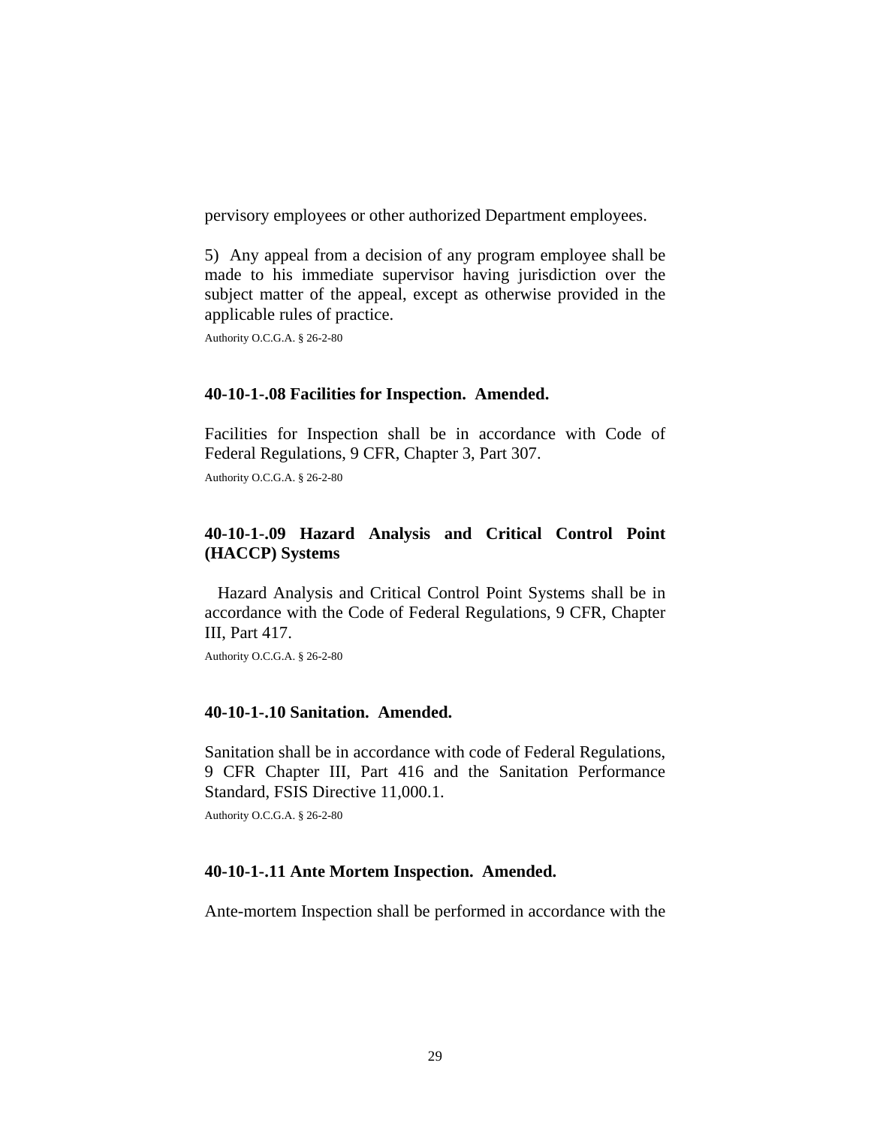pervisory employees or other authorized Department employees.

5) Any appeal from a decision of any program employee shall be made to his immediate supervisor having jurisdiction over the subject matter of the appeal, except as otherwise provided in the applicable rules of practice.

Authority O.C.G.A. § 26-2-80

#### **40-10-1-.08 Facilities for Inspection. Amended.**

Facilities for Inspection shall be in accordance with Code of Federal Regulations, 9 CFR, Chapter 3, Part 307.

Authority O.C.G.A. § 26-2-80

### **40-10-1-.09 Hazard Analysis and Critical Control Point (HACCP) Systems**

 Hazard Analysis and Critical Control Point Systems shall be in accordance with the Code of Federal Regulations, 9 CFR, Chapter III, Part 417.

Authority O.C.G.A. § 26-2-80

#### **40-10-1-.10 Sanitation. Amended.**

Sanitation shall be in accordance with code of Federal Regulations, 9 CFR Chapter III, Part 416 and the Sanitation Performance Standard, FSIS Directive 11,000.1.

Authority O.C.G.A. § 26-2-80

#### **40-10-1-.11 Ante Mortem Inspection. Amended.**

Ante-mortem Inspection shall be performed in accordance with the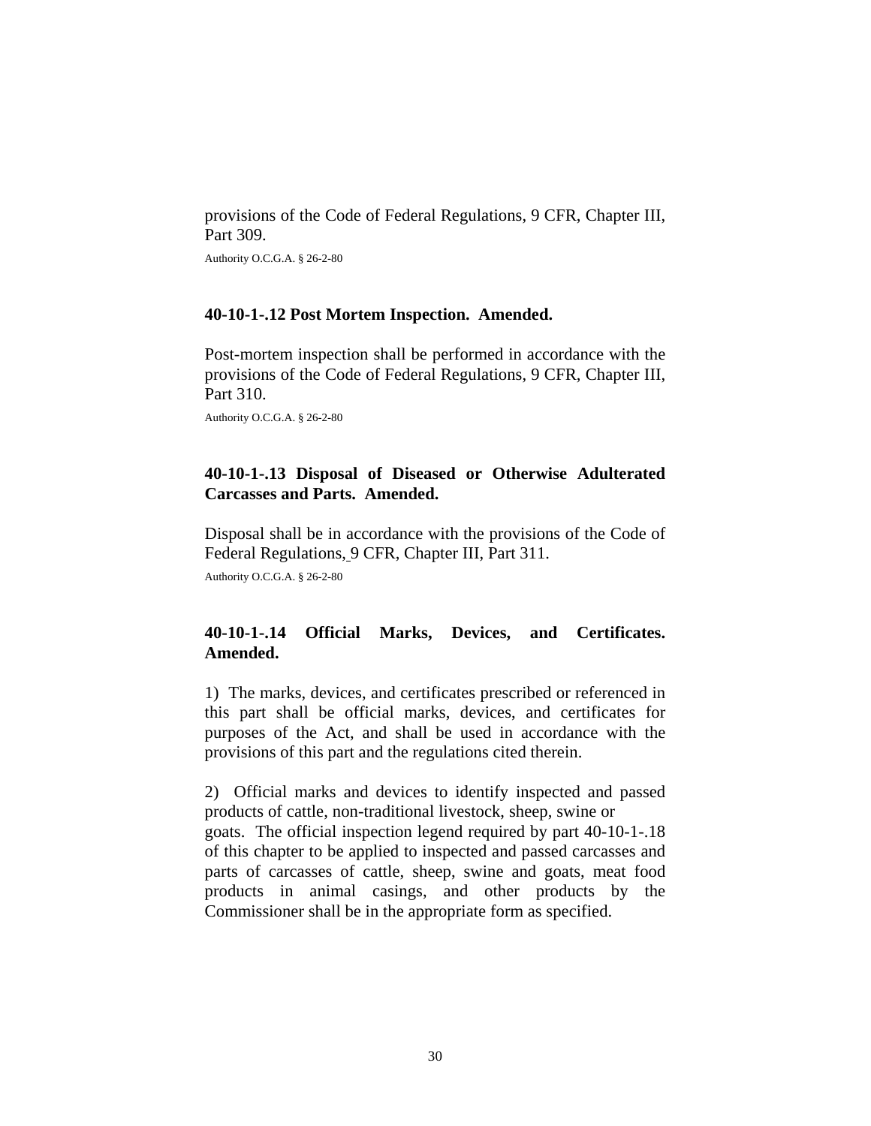provisions of the Code of Federal Regulations, 9 CFR, Chapter III, Part 309.

Authority O.C.G.A. § 26-2-80

#### **40-10-1-.12 Post Mortem Inspection. Amended.**

Post-mortem inspection shall be performed in accordance with the provisions of the Code of Federal Regulations, 9 CFR, Chapter III, Part 310.

Authority O.C.G.A. § 26-2-80

### **40-10-1-.13 Disposal of Diseased or Otherwise Adulterated Carcasses and Parts. Amended.**

Disposal shall be in accordance with the provisions of the Code of Federal Regulations, 9 CFR, Chapter III, Part 311.

Authority O.C.G.A. § 26-2-80

# **40-10-1-.14 Official Marks, Devices, and Certificates. Amended.**

1) The marks, devices, and certificates prescribed or referenced in this part shall be official marks, devices, and certificates for purposes of the Act, and shall be used in accordance with the provisions of this part and the regulations cited therein.

2) Official marks and devices to identify inspected and passed products of cattle, non-traditional livestock, sheep, swine or goats. The official inspection legend required by part 40-10-1-.18 of this chapter to be applied to inspected and passed carcasses and parts of carcasses of cattle, sheep, swine and goats, meat food products in animal casings, and other products by the Commissioner shall be in the appropriate form as specified.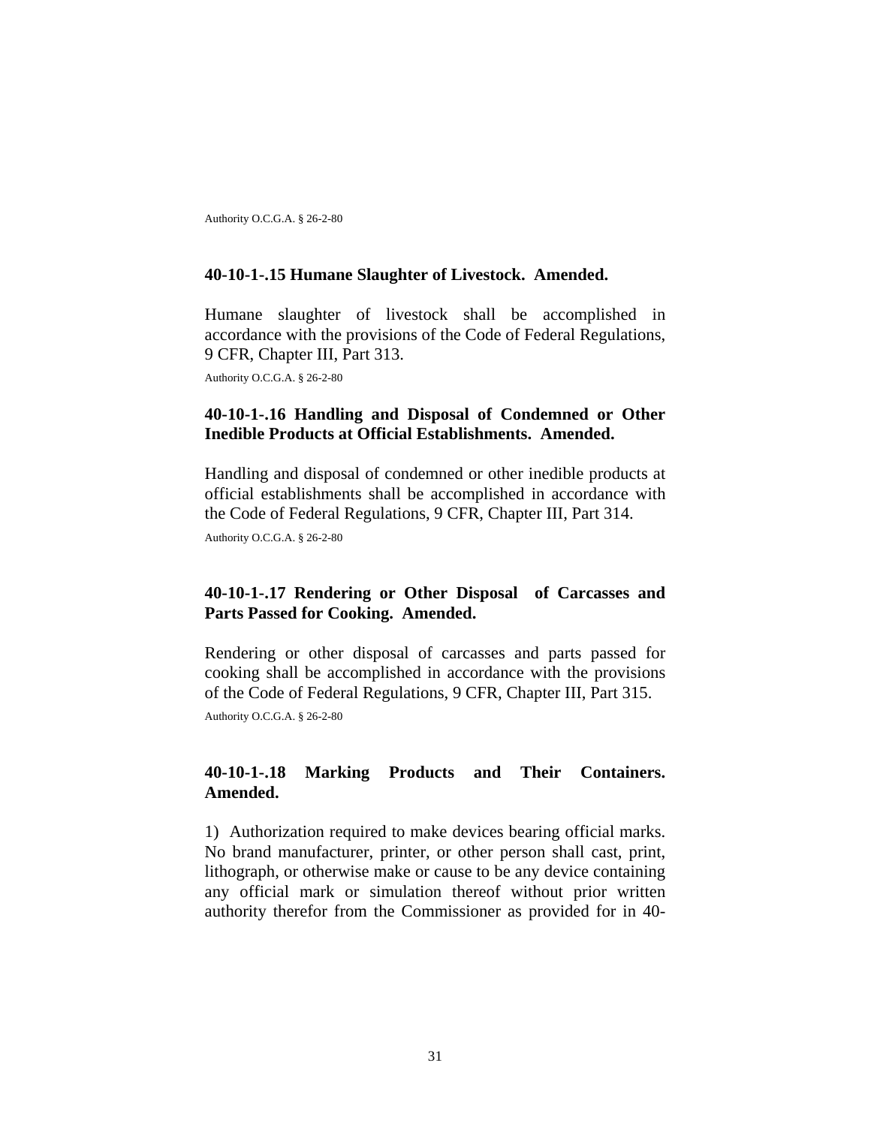Authority O.C.G.A. § 26-2-80

#### **40-10-1-.15 Humane Slaughter of Livestock. Amended.**

Humane slaughter of livestock shall be accomplished in accordance with the provisions of the Code of Federal Regulations, 9 CFR, Chapter III, Part 313.

Authority O.C.G.A. § 26-2-80

### **40-10-1-.16 Handling and Disposal of Condemned or Other Inedible Products at Official Establishments. Amended.**

Handling and disposal of condemned or other inedible products at official establishments shall be accomplished in accordance with the Code of Federal Regulations, 9 CFR, Chapter III, Part 314.

Authority O.C.G.A. § 26-2-80

### **40-10-1-.17 Rendering or Other Disposal of Carcasses and Parts Passed for Cooking. Amended.**

Rendering or other disposal of carcasses and parts passed for cooking shall be accomplished in accordance with the provisions of the Code of Federal Regulations, 9 CFR, Chapter III, Part 315.

Authority O.C.G.A. § 26-2-80

### **40-10-1-.18 Marking Products and Their Containers. Amended.**

1) Authorization required to make devices bearing official marks. No brand manufacturer, printer, or other person shall cast, print, lithograph, or otherwise make or cause to be any device containing any official mark or simulation thereof without prior written authority therefor from the Commissioner as provided for in 40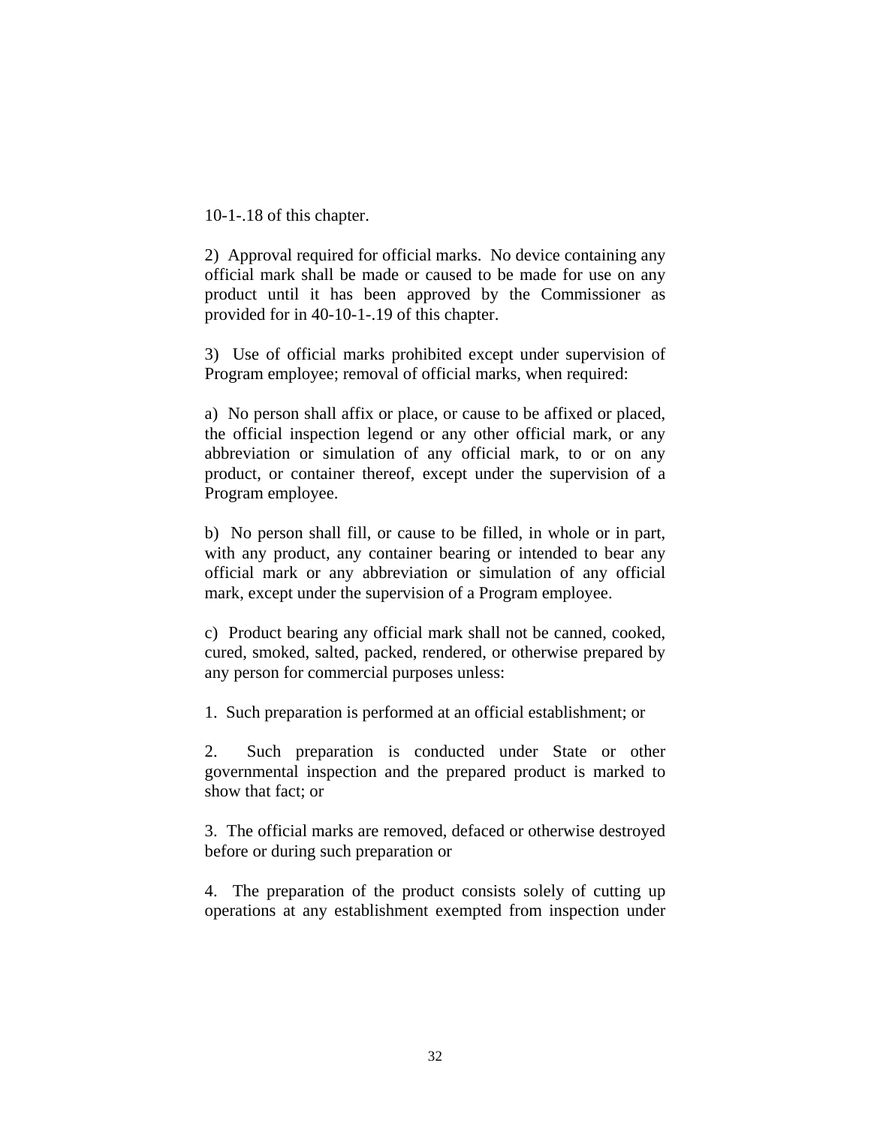10-1-.18 of this chapter.

2) Approval required for official marks. No device containing any official mark shall be made or caused to be made for use on any product until it has been approved by the Commissioner as provided for in 40-10-1-.19 of this chapter.

3) Use of official marks prohibited except under supervision of Program employee; removal of official marks, when required:

a) No person shall affix or place, or cause to be affixed or placed, the official inspection legend or any other official mark, or any abbreviation or simulation of any official mark, to or on any product, or container thereof, except under the supervision of a Program employee.

b) No person shall fill, or cause to be filled, in whole or in part, with any product, any container bearing or intended to bear any official mark or any abbreviation or simulation of any official mark, except under the supervision of a Program employee.

c) Product bearing any official mark shall not be canned, cooked, cured, smoked, salted, packed, rendered, or otherwise prepared by any person for commercial purposes unless:

1. Such preparation is performed at an official establishment; or

2. Such preparation is conducted under State or other governmental inspection and the prepared product is marked to show that fact; or

3. The official marks are removed, defaced or otherwise destroyed before or during such preparation or

4. The preparation of the product consists solely of cutting up operations at any establishment exempted from inspection under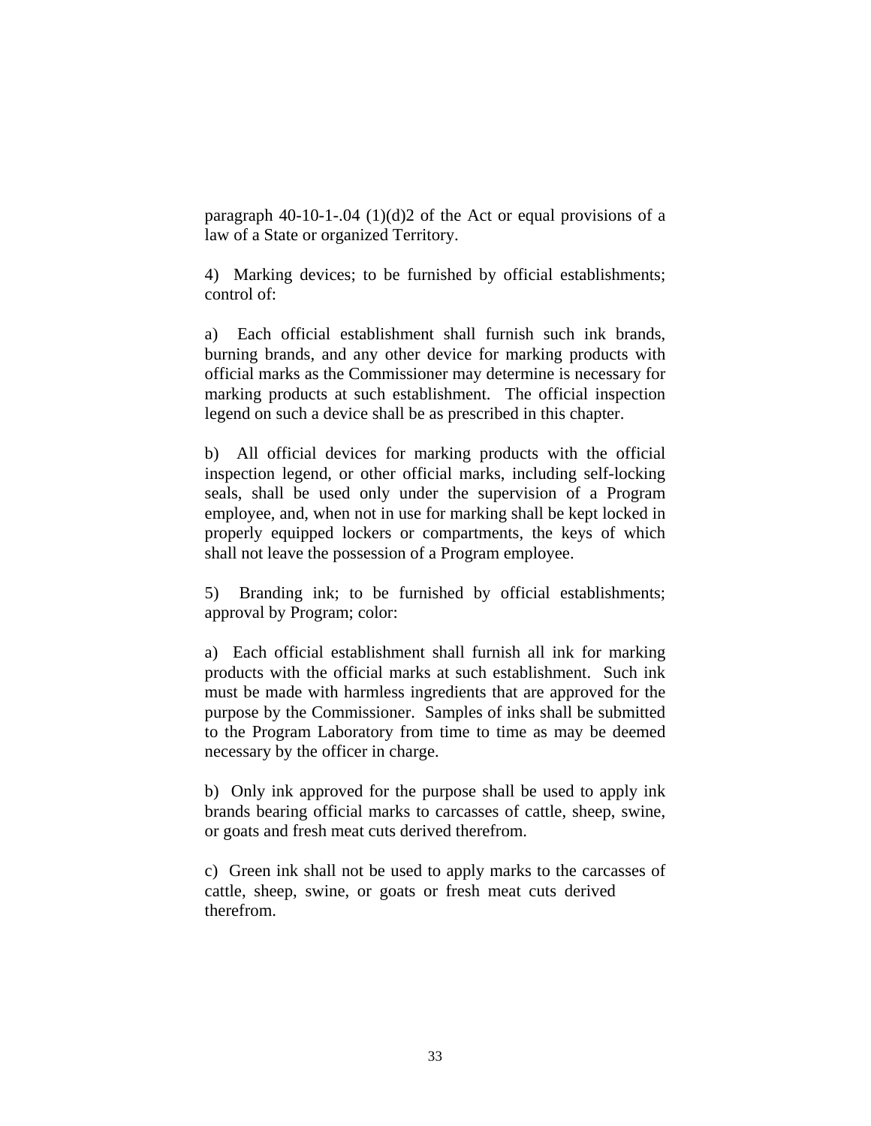paragraph 40-10-1-.04  $(1)(d)2$  of the Act or equal provisions of a law of a State or organized Territory.

4) Marking devices; to be furnished by official establishments; control of:

a) Each official establishment shall furnish such ink brands, burning brands, and any other device for marking products with official marks as the Commissioner may determine is necessary for marking products at such establishment. The official inspection legend on such a device shall be as prescribed in this chapter.

b) All official devices for marking products with the official inspection legend, or other official marks, including self-locking seals, shall be used only under the supervision of a Program employee, and, when not in use for marking shall be kept locked in properly equipped lockers or compartments, the keys of which shall not leave the possession of a Program employee.

5) Branding ink; to be furnished by official establishments; approval by Program; color:

a) Each official establishment shall furnish all ink for marking products with the official marks at such establishment. Such ink must be made with harmless ingredients that are approved for the purpose by the Commissioner. Samples of inks shall be submitted to the Program Laboratory from time to time as may be deemed necessary by the officer in charge.

b) Only ink approved for the purpose shall be used to apply ink brands bearing official marks to carcasses of cattle, sheep, swine, or goats and fresh meat cuts derived therefrom.

c) Green ink shall not be used to apply marks to the carcasses of cattle, sheep, swine, or goats or fresh meat cuts derived therefrom.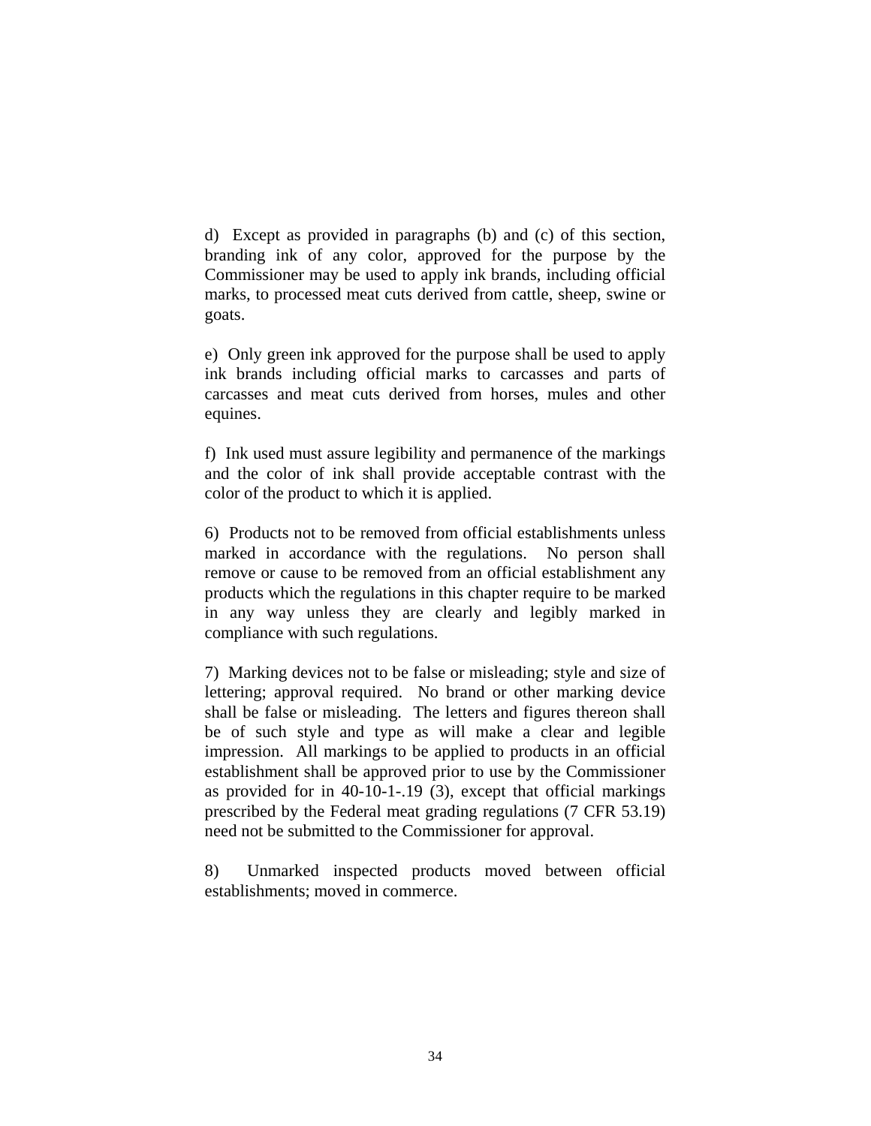d) Except as provided in paragraphs (b) and (c) of this section, branding ink of any color, approved for the purpose by the Commissioner may be used to apply ink brands, including official marks, to processed meat cuts derived from cattle, sheep, swine or goats.

e) Only green ink approved for the purpose shall be used to apply ink brands including official marks to carcasses and parts of carcasses and meat cuts derived from horses, mules and other equines.

f) Ink used must assure legibility and permanence of the markings and the color of ink shall provide acceptable contrast with the color of the product to which it is applied.

6) Products not to be removed from official establishments unless marked in accordance with the regulations. No person shall remove or cause to be removed from an official establishment any products which the regulations in this chapter require to be marked in any way unless they are clearly and legibly marked in compliance with such regulations.

7) Marking devices not to be false or misleading; style and size of lettering; approval required. No brand or other marking device shall be false or misleading. The letters and figures thereon shall be of such style and type as will make a clear and legible impression. All markings to be applied to products in an official establishment shall be approved prior to use by the Commissioner as provided for in 40-10-1-.19 (3), except that official markings prescribed by the Federal meat grading regulations (7 CFR 53.19) need not be submitted to the Commissioner for approval.

8) Unmarked inspected products moved between official establishments; moved in commerce.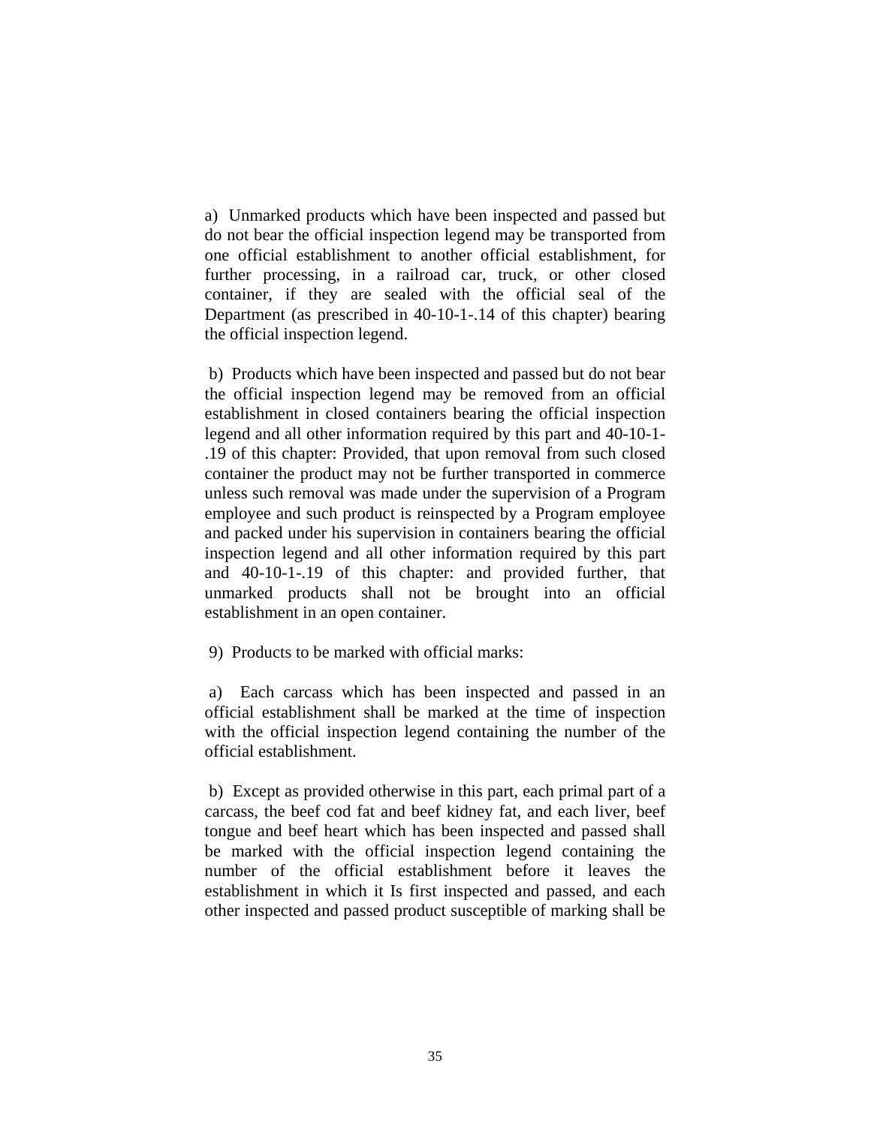a) Unmarked products which have been inspected and passed but do not bear the official inspection legend may be transported from one official establishment to another official establishment, for further processing, in a railroad car, truck, or other closed container, if they are sealed with the official seal of the Department (as prescribed in 40-10-1-.14 of this chapter) bearing the official inspection legend.

 b) Products which have been inspected and passed but do not bear the official inspection legend may be removed from an official establishment in closed containers bearing the official inspection legend and all other information required by this part and 40-10-1- .19 of this chapter: Provided, that upon removal from such closed container the product may not be further transported in commerce unless such removal was made under the supervision of a Program employee and such product is reinspected by a Program employee and packed under his supervision in containers bearing the official inspection legend and all other information required by this part and 40-10-1-.19 of this chapter: and provided further, that unmarked products shall not be brought into an official establishment in an open container.

9) Products to be marked with official marks:

 a) Each carcass which has been inspected and passed in an official establishment shall be marked at the time of inspection with the official inspection legend containing the number of the official establishment.

 b) Except as provided otherwise in this part, each primal part of a carcass, the beef cod fat and beef kidney fat, and each liver, beef tongue and beef heart which has been inspected and passed shall be marked with the official inspection legend containing the number of the official establishment before it leaves the establishment in which it Is first inspected and passed, and each other inspected and passed product susceptible of marking shall be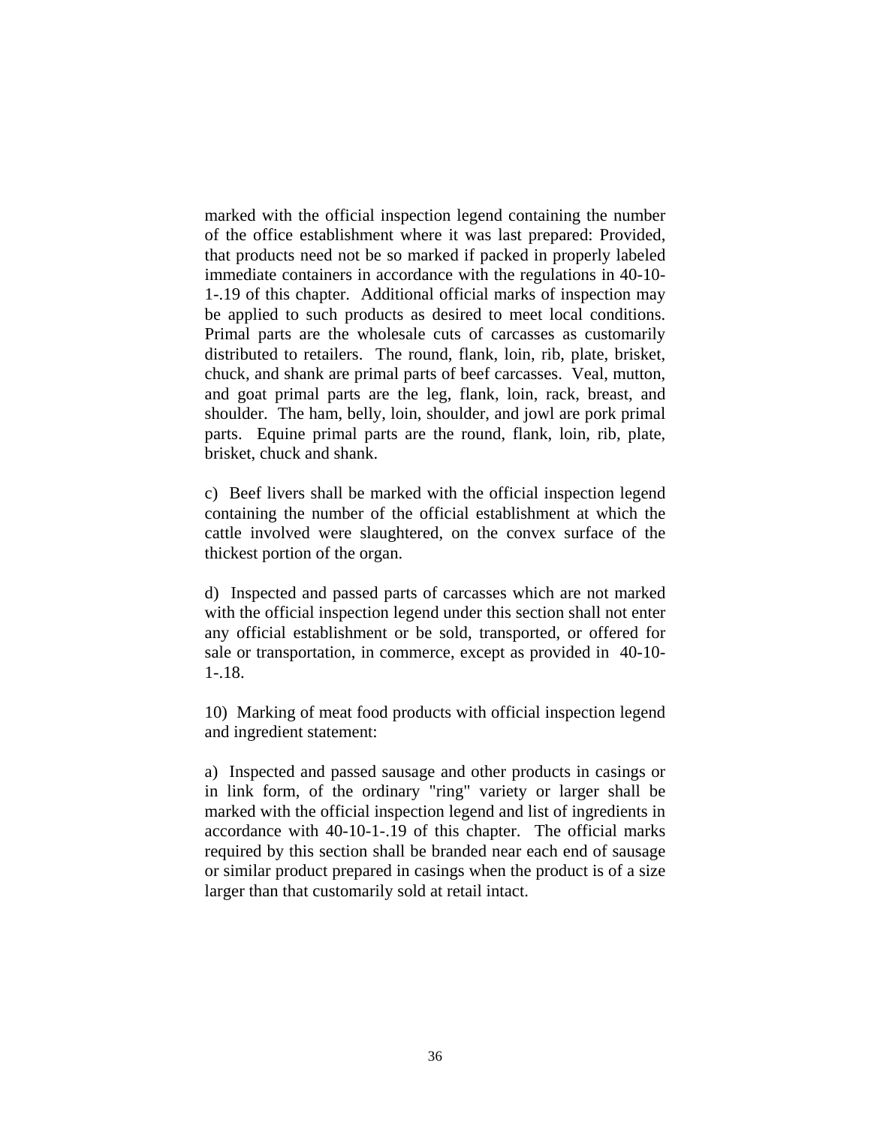marked with the official inspection legend containing the number of the office establishment where it was last prepared: Provided, that products need not be so marked if packed in properly labeled immediate containers in accordance with the regulations in 40-10- 1-.19 of this chapter. Additional official marks of inspection may be applied to such products as desired to meet local conditions. Primal parts are the wholesale cuts of carcasses as customarily distributed to retailers. The round, flank, loin, rib, plate, brisket, chuck, and shank are primal parts of beef carcasses. Veal, mutton, and goat primal parts are the leg, flank, loin, rack, breast, and shoulder. The ham, belly, loin, shoulder, and jowl are pork primal parts. Equine primal parts are the round, flank, loin, rib, plate, brisket, chuck and shank.

c) Beef livers shall be marked with the official inspection legend containing the number of the official establishment at which the cattle involved were slaughtered, on the convex surface of the thickest portion of the organ.

d) Inspected and passed parts of carcasses which are not marked with the official inspection legend under this section shall not enter any official establishment or be sold, transported, or offered for sale or transportation, in commerce, except as provided in 40-10- 1-.18.

10) Marking of meat food products with official inspection legend and ingredient statement:

a) Inspected and passed sausage and other products in casings or in link form, of the ordinary "ring" variety or larger shall be marked with the official inspection legend and list of ingredients in accordance with 40-10-1-.19 of this chapter. The official marks required by this section shall be branded near each end of sausage or similar product prepared in casings when the product is of a size larger than that customarily sold at retail intact.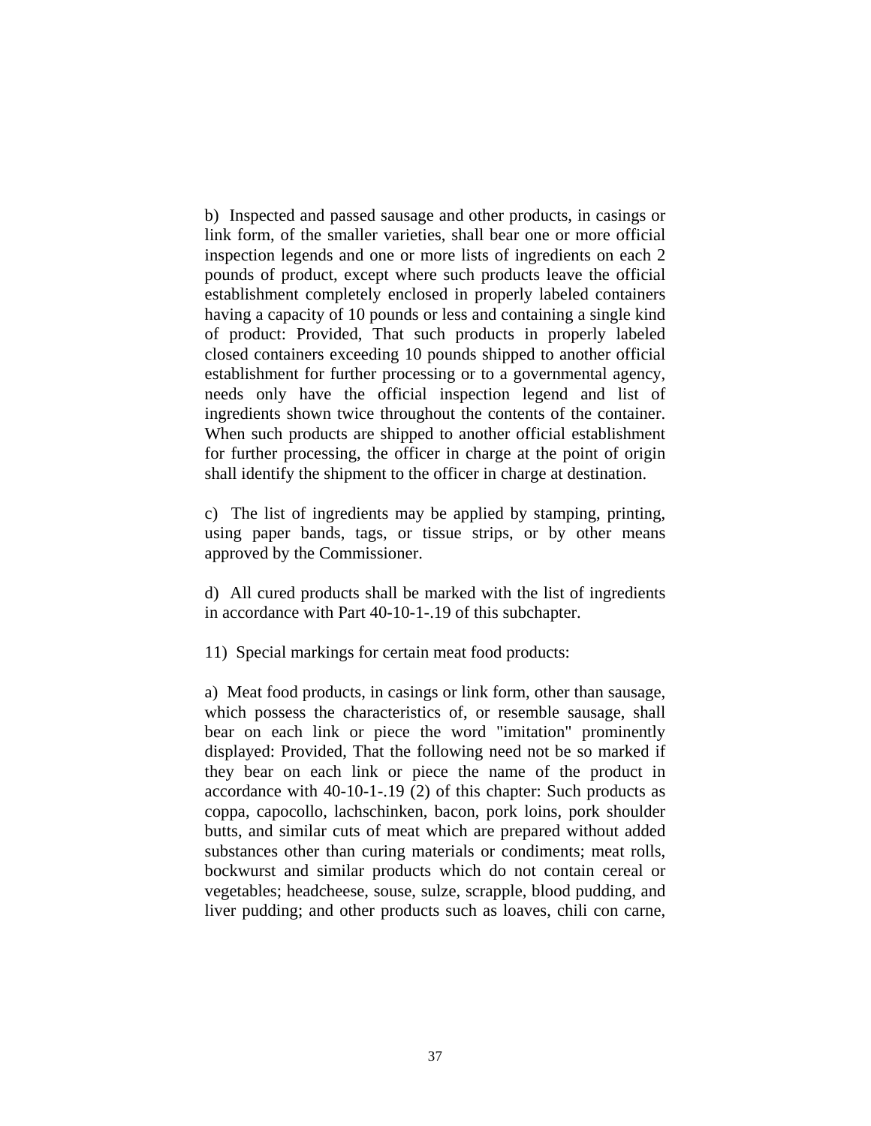b) Inspected and passed sausage and other products, in casings or link form, of the smaller varieties, shall bear one or more official inspection legends and one or more lists of ingredients on each 2 pounds of product, except where such products leave the official establishment completely enclosed in properly labeled containers having a capacity of 10 pounds or less and containing a single kind of product: Provided, That such products in properly labeled closed containers exceeding 10 pounds shipped to another official establishment for further processing or to a governmental agency, needs only have the official inspection legend and list of ingredients shown twice throughout the contents of the container. When such products are shipped to another official establishment for further processing, the officer in charge at the point of origin shall identify the shipment to the officer in charge at destination.

c) The list of ingredients may be applied by stamping, printing, using paper bands, tags, or tissue strips, or by other means approved by the Commissioner.

d) All cured products shall be marked with the list of ingredients in accordance with Part 40-10-1-.19 of this subchapter.

11) Special markings for certain meat food products:

a) Meat food products, in casings or link form, other than sausage, which possess the characteristics of, or resemble sausage, shall bear on each link or piece the word "imitation" prominently displayed: Provided, That the following need not be so marked if they bear on each link or piece the name of the product in accordance with 40-10-1-.19 (2) of this chapter: Such products as coppa, capocollo, lachschinken, bacon, pork loins, pork shoulder butts, and similar cuts of meat which are prepared without added substances other than curing materials or condiments; meat rolls, bockwurst and similar products which do not contain cereal or vegetables; headcheese, souse, sulze, scrapple, blood pudding, and liver pudding; and other products such as loaves, chili con carne,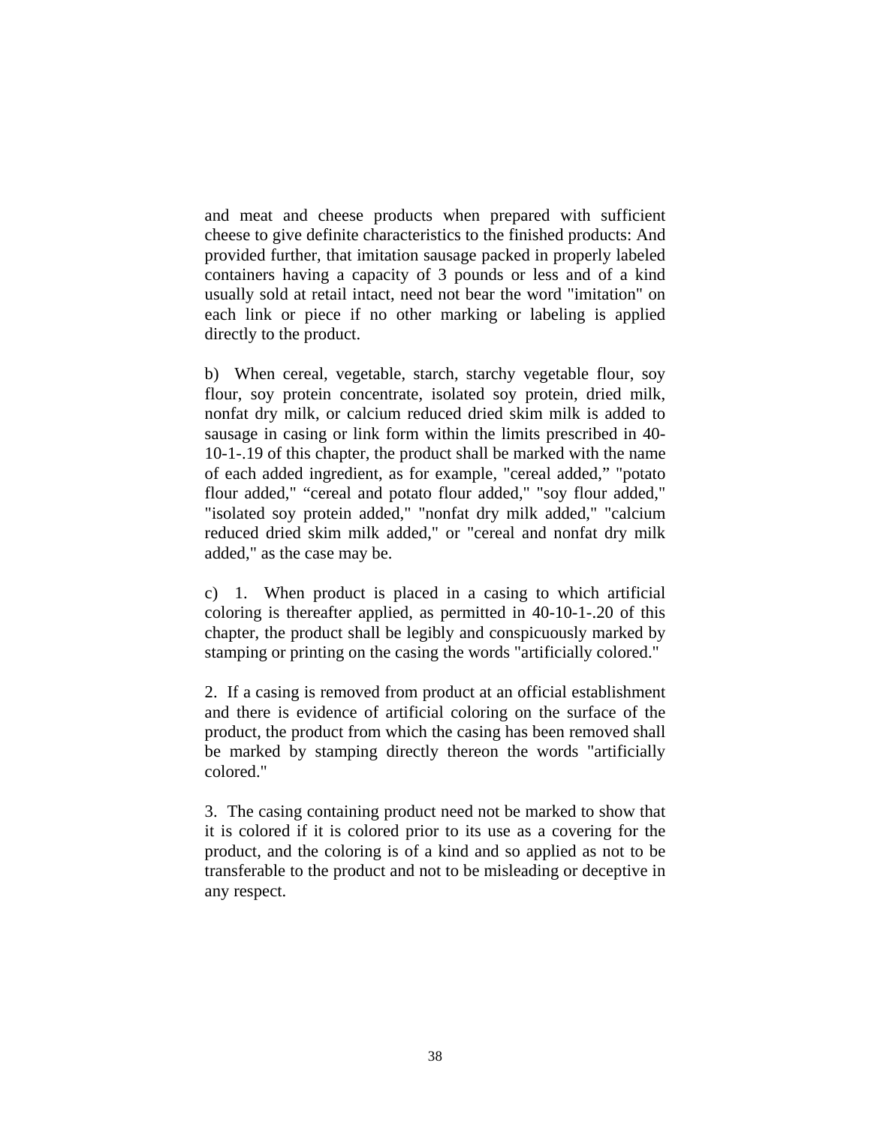and meat and cheese products when prepared with sufficient cheese to give definite characteristics to the finished products: And provided further, that imitation sausage packed in properly labeled containers having a capacity of 3 pounds or less and of a kind usually sold at retail intact, need not bear the word "imitation" on each link or piece if no other marking or labeling is applied directly to the product.

b) When cereal, vegetable, starch, starchy vegetable flour, soy flour, soy protein concentrate, isolated soy protein, dried milk, nonfat dry milk, or calcium reduced dried skim milk is added to sausage in casing or link form within the limits prescribed in 40- 10-1-.19 of this chapter, the product shall be marked with the name of each added ingredient, as for example, "cereal added," "potato flour added," "cereal and potato flour added," "soy flour added," "isolated soy protein added," "nonfat dry milk added," "calcium reduced dried skim milk added," or "cereal and nonfat dry milk added," as the case may be.

c) 1. When product is placed in a casing to which artificial coloring is thereafter applied, as permitted in 40-10-1-.20 of this chapter, the product shall be legibly and conspicuously marked by stamping or printing on the casing the words "artificially colored."

2. If a casing is removed from product at an official establishment and there is evidence of artificial coloring on the surface of the product, the product from which the casing has been removed shall be marked by stamping directly thereon the words "artificially colored."

3. The casing containing product need not be marked to show that it is colored if it is colored prior to its use as a covering for the product, and the coloring is of a kind and so applied as not to be transferable to the product and not to be misleading or deceptive in any respect.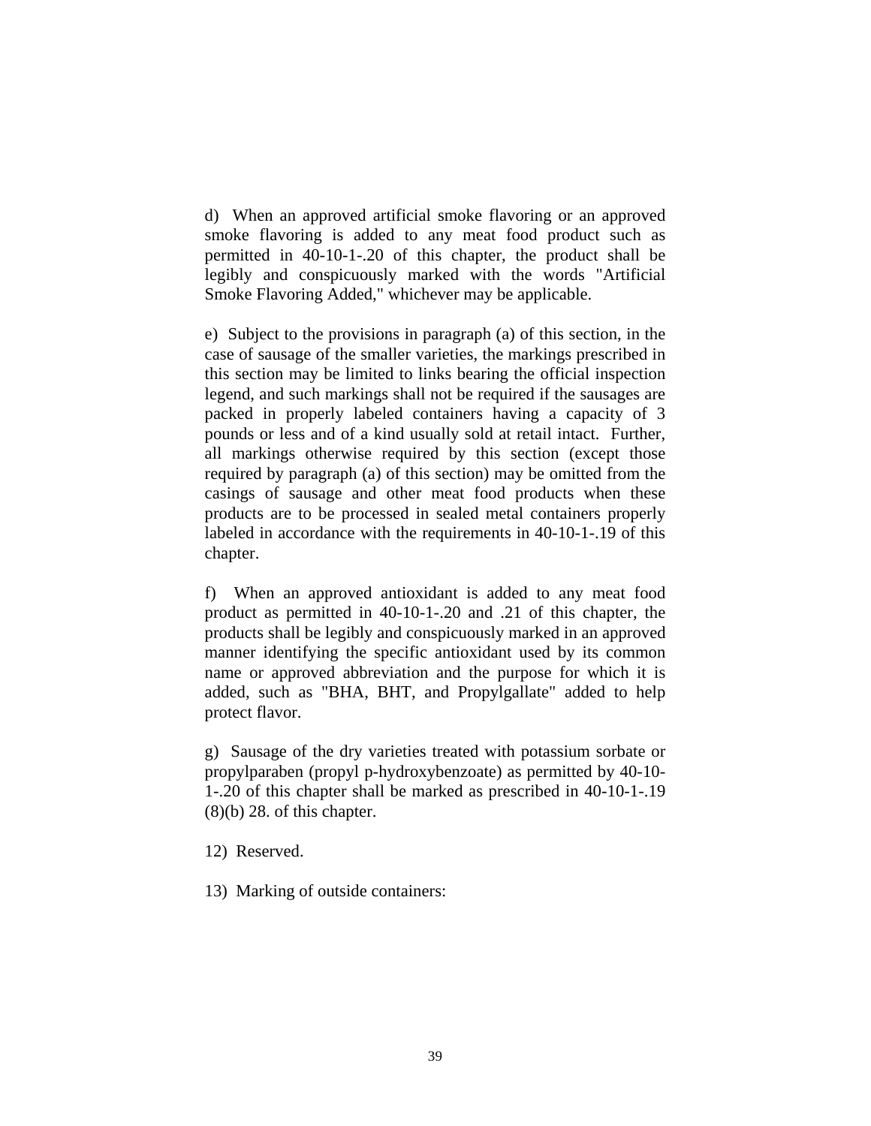d) When an approved artificial smoke flavoring or an approved smoke flavoring is added to any meat food product such as permitted in 40-10-1-.20 of this chapter, the product shall be legibly and conspicuously marked with the words "Artificial Smoke Flavoring Added," whichever may be applicable.

e) Subject to the provisions in paragraph (a) of this section, in the case of sausage of the smaller varieties, the markings prescribed in this section may be limited to links bearing the official inspection legend, and such markings shall not be required if the sausages are packed in properly labeled containers having a capacity of 3 pounds or less and of a kind usually sold at retail intact. Further, all markings otherwise required by this section (except those required by paragraph (a) of this section) may be omitted from the casings of sausage and other meat food products when these products are to be processed in sealed metal containers properly labeled in accordance with the requirements in 40-10-1-.19 of this chapter.

f) When an approved antioxidant is added to any meat food product as permitted in 40-10-1-.20 and .21 of this chapter, the products shall be legibly and conspicuously marked in an approved manner identifying the specific antioxidant used by its common name or approved abbreviation and the purpose for which it is added, such as "BHA, BHT, and Propylgallate" added to help protect flavor.

g) Sausage of the dry varieties treated with potassium sorbate or propylparaben (propyl p-hydroxybenzoate) as permitted by 40-10- 1-.20 of this chapter shall be marked as prescribed in 40-10-1-.19  $(8)(b)$  28. of this chapter.

- 12) Reserved.
- 13) Marking of outside containers: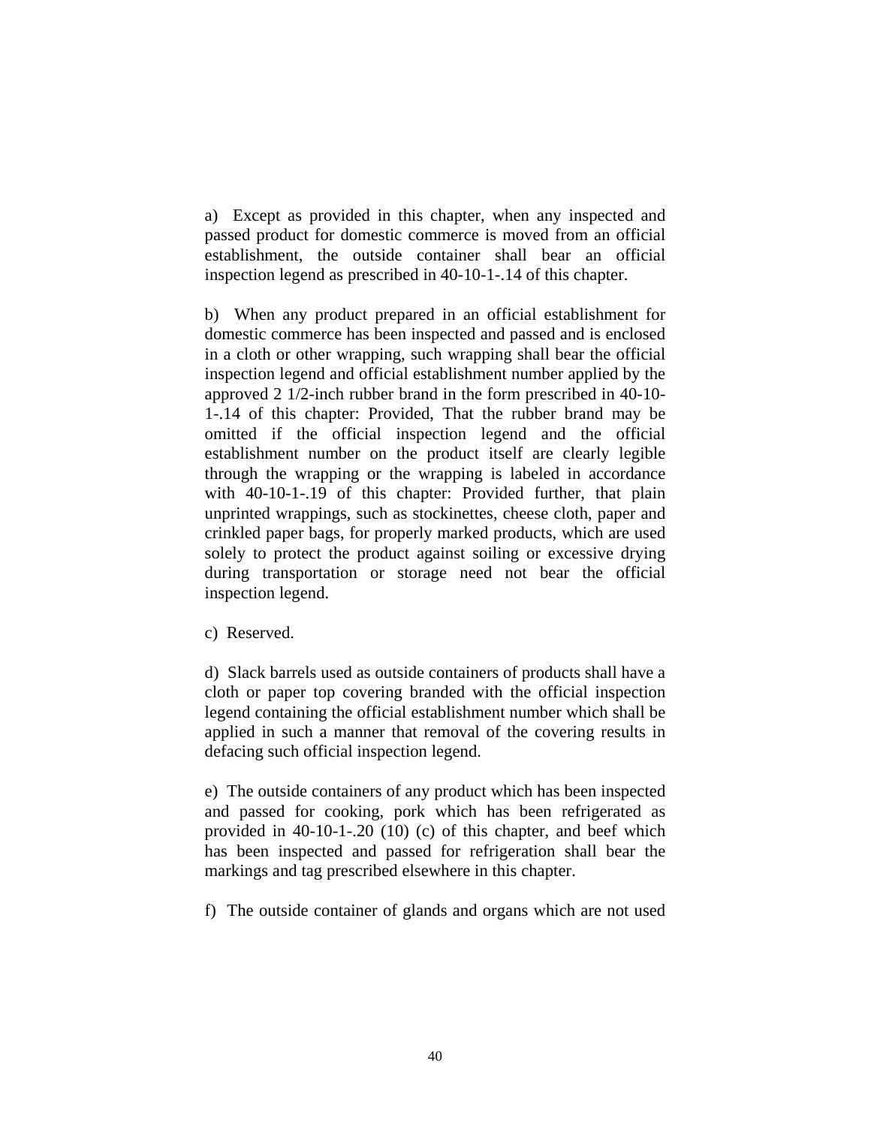a) Except as provided in this chapter, when any inspected and passed product for domestic commerce is moved from an official establishment, the outside container shall bear an official inspection legend as prescribed in 40-10-1-.14 of this chapter.

b) When any product prepared in an official establishment for domestic commerce has been inspected and passed and is enclosed in a cloth or other wrapping, such wrapping shall bear the official inspection legend and official establishment number applied by the approved 2 1/2-inch rubber brand in the form prescribed in 40-10- 1-.14 of this chapter: Provided, That the rubber brand may be omitted if the official inspection legend and the official establishment number on the product itself are clearly legible through the wrapping or the wrapping is labeled in accordance with 40-10-1-.19 of this chapter: Provided further, that plain unprinted wrappings, such as stockinettes, cheese cloth, paper and crinkled paper bags, for properly marked products, which are used solely to protect the product against soiling or excessive drying during transportation or storage need not bear the official inspection legend.

c) Reserved.

d) Slack barrels used as outside containers of products shall have a cloth or paper top covering branded with the official inspection legend containing the official establishment number which shall be applied in such a manner that removal of the covering results in defacing such official inspection legend.

e) The outside containers of any product which has been inspected and passed for cooking, pork which has been refrigerated as provided in 40-10-1-.20 (10) (c) of this chapter, and beef which has been inspected and passed for refrigeration shall bear the markings and tag prescribed elsewhere in this chapter.

f) The outside container of glands and organs which are not used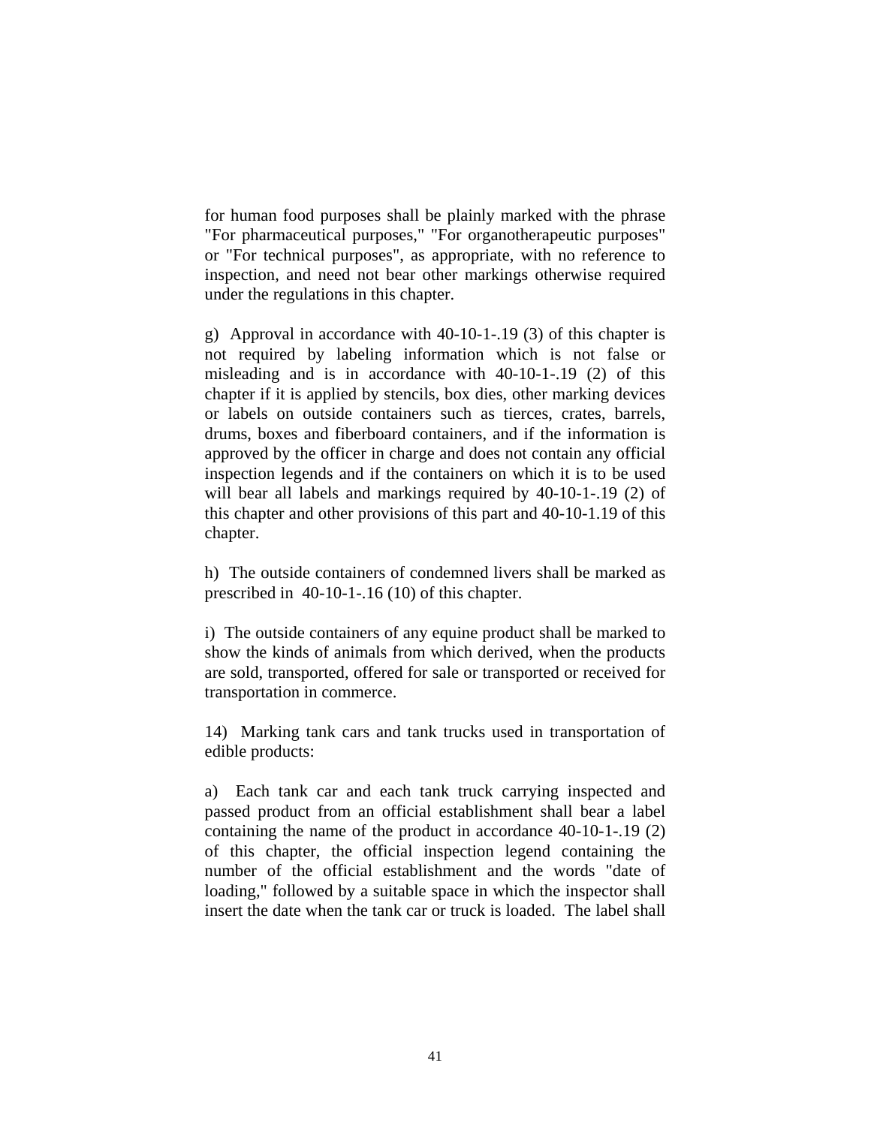for human food purposes shall be plainly marked with the phrase "For pharmaceutical purposes," "For organotherapeutic purposes" or "For technical purposes", as appropriate, with no reference to inspection, and need not bear other markings otherwise required under the regulations in this chapter.

g) Approval in accordance with 40-10-1-.19 (3) of this chapter is not required by labeling information which is not false or misleading and is in accordance with 40-10-1-.19 (2) of this chapter if it is applied by stencils, box dies, other marking devices or labels on outside containers such as tierces, crates, barrels, drums, boxes and fiberboard containers, and if the information is approved by the officer in charge and does not contain any official inspection legends and if the containers on which it is to be used will bear all labels and markings required by 40-10-1-.19 (2) of this chapter and other provisions of this part and 40-10-1.19 of this chapter.

h) The outside containers of condemned livers shall be marked as prescribed in 40-10-1-.16 (10) of this chapter.

i) The outside containers of any equine product shall be marked to show the kinds of animals from which derived, when the products are sold, transported, offered for sale or transported or received for transportation in commerce.

14) Marking tank cars and tank trucks used in transportation of edible products:

a) Each tank car and each tank truck carrying inspected and passed product from an official establishment shall bear a label containing the name of the product in accordance 40-10-1-.19 (2) of this chapter, the official inspection legend containing the number of the official establishment and the words "date of loading," followed by a suitable space in which the inspector shall insert the date when the tank car or truck is loaded. The label shall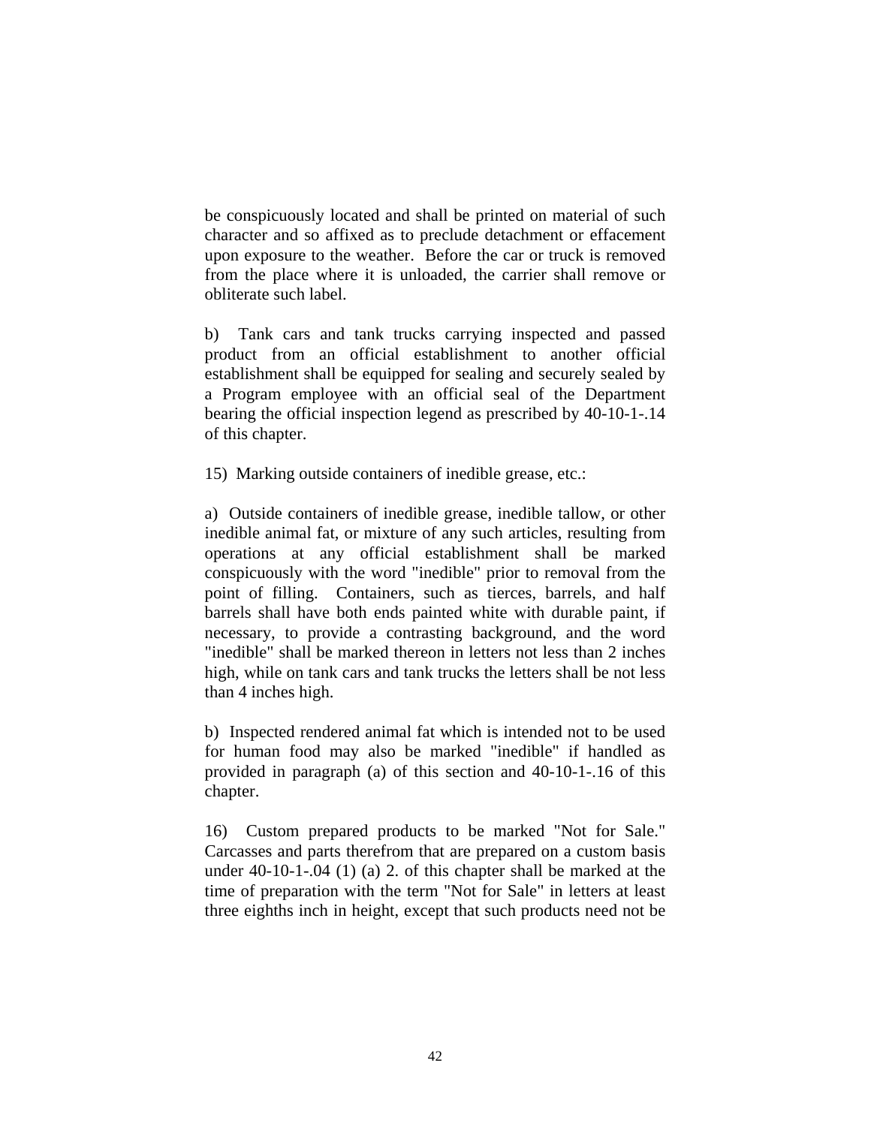be conspicuously located and shall be printed on material of such character and so affixed as to preclude detachment or effacement upon exposure to the weather. Before the car or truck is removed from the place where it is unloaded, the carrier shall remove or obliterate such label.

b) Tank cars and tank trucks carrying inspected and passed product from an official establishment to another official establishment shall be equipped for sealing and securely sealed by a Program employee with an official seal of the Department bearing the official inspection legend as prescribed by 40-10-1-.14 of this chapter.

15) Marking outside containers of inedible grease, etc.:

a) Outside containers of inedible grease, inedible tallow, or other inedible animal fat, or mixture of any such articles, resulting from operations at any official establishment shall be marked conspicuously with the word "inedible" prior to removal from the point of filling. Containers, such as tierces, barrels, and half barrels shall have both ends painted white with durable paint, if necessary, to provide a contrasting background, and the word "inedible" shall be marked thereon in letters not less than 2 inches high, while on tank cars and tank trucks the letters shall be not less than 4 inches high.

b) Inspected rendered animal fat which is intended not to be used for human food may also be marked "inedible" if handled as provided in paragraph (a) of this section and 40-10-1-.16 of this chapter.

16) Custom prepared products to be marked "Not for Sale." Carcasses and parts therefrom that are prepared on a custom basis under 40-10-1-.04 (1) (a) 2. of this chapter shall be marked at the time of preparation with the term "Not for Sale" in letters at least three eighths inch in height, except that such products need not be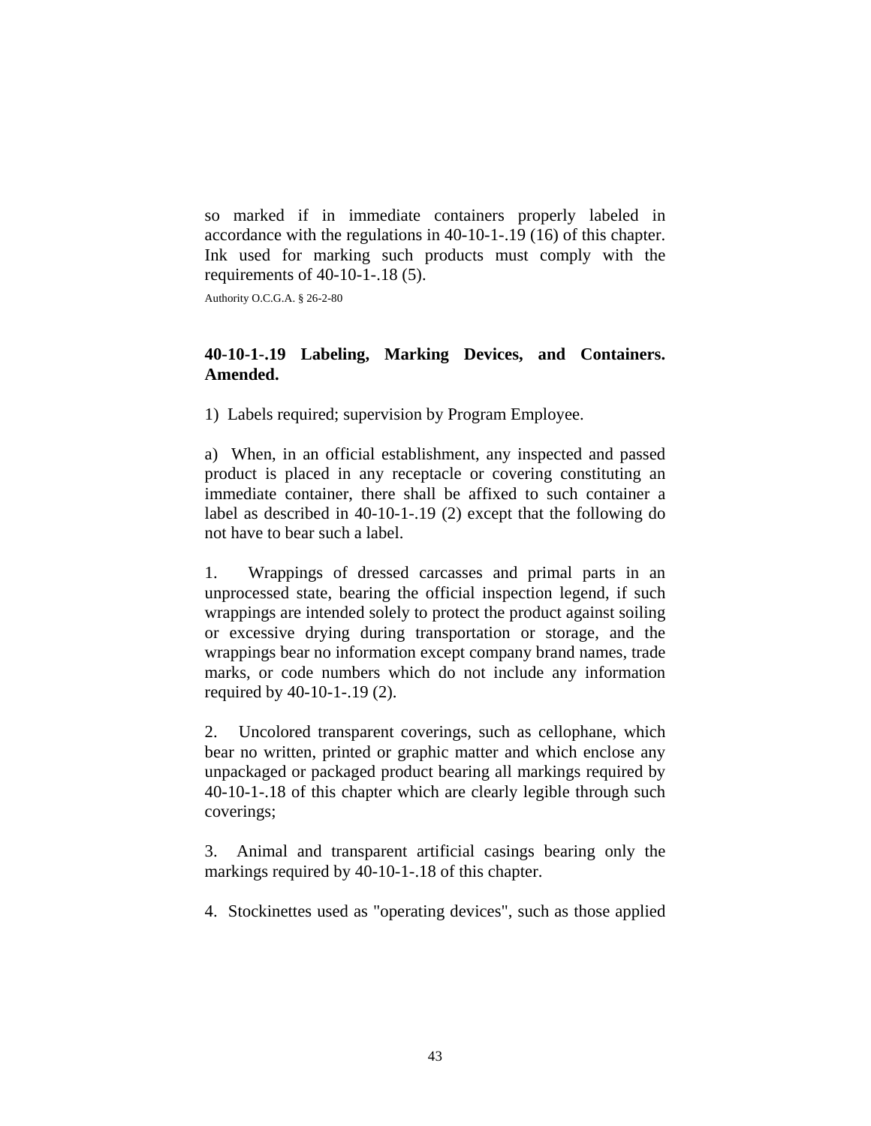so marked if in immediate containers properly labeled in accordance with the regulations in 40-10-1-.19 (16) of this chapter. Ink used for marking such products must comply with the requirements of 40-10-1-.18 (5).

Authority O.C.G.A. § 26-2-80

## **40-10-1-.19 Labeling, Marking Devices, and Containers. Amended.**

1) Labels required; supervision by Program Employee.

a) When, in an official establishment, any inspected and passed product is placed in any receptacle or covering constituting an immediate container, there shall be affixed to such container a label as described in 40-10-1-.19 (2) except that the following do not have to bear such a label.

1. Wrappings of dressed carcasses and primal parts in an unprocessed state, bearing the official inspection legend, if such wrappings are intended solely to protect the product against soiling or excessive drying during transportation or storage, and the wrappings bear no information except company brand names, trade marks, or code numbers which do not include any information required by 40-10-1-.19 (2).

2. Uncolored transparent coverings, such as cellophane, which bear no written, printed or graphic matter and which enclose any unpackaged or packaged product bearing all markings required by 40-10-1-.18 of this chapter which are clearly legible through such coverings;

3. Animal and transparent artificial casings bearing only the markings required by 40-10-1-.18 of this chapter.

4. Stockinettes used as "operating devices", such as those applied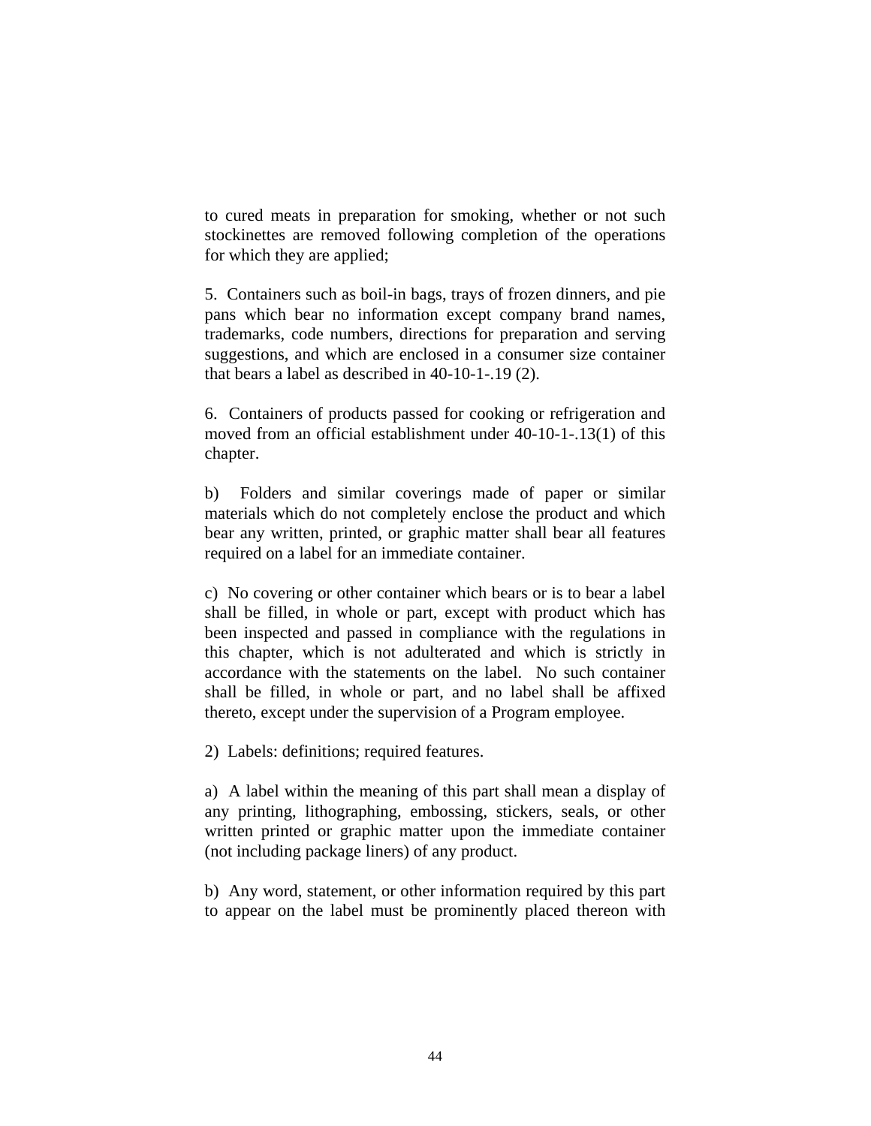to cured meats in preparation for smoking, whether or not such stockinettes are removed following completion of the operations for which they are applied;

5. Containers such as boil-in bags, trays of frozen dinners, and pie pans which bear no information except company brand names, trademarks, code numbers, directions for preparation and serving suggestions, and which are enclosed in a consumer size container that bears a label as described in 40-10-1-.19 (2).

6. Containers of products passed for cooking or refrigeration and moved from an official establishment under 40-10-1-.13(1) of this chapter.

b) Folders and similar coverings made of paper or similar materials which do not completely enclose the product and which bear any written, printed, or graphic matter shall bear all features required on a label for an immediate container.

c) No covering or other container which bears or is to bear a label shall be filled, in whole or part, except with product which has been inspected and passed in compliance with the regulations in this chapter, which is not adulterated and which is strictly in accordance with the statements on the label. No such container shall be filled, in whole or part, and no label shall be affixed thereto, except under the supervision of a Program employee.

2) Labels: definitions; required features.

a) A label within the meaning of this part shall mean a display of any printing, lithographing, embossing, stickers, seals, or other written printed or graphic matter upon the immediate container (not including package liners) of any product.

b) Any word, statement, or other information required by this part to appear on the label must be prominently placed thereon with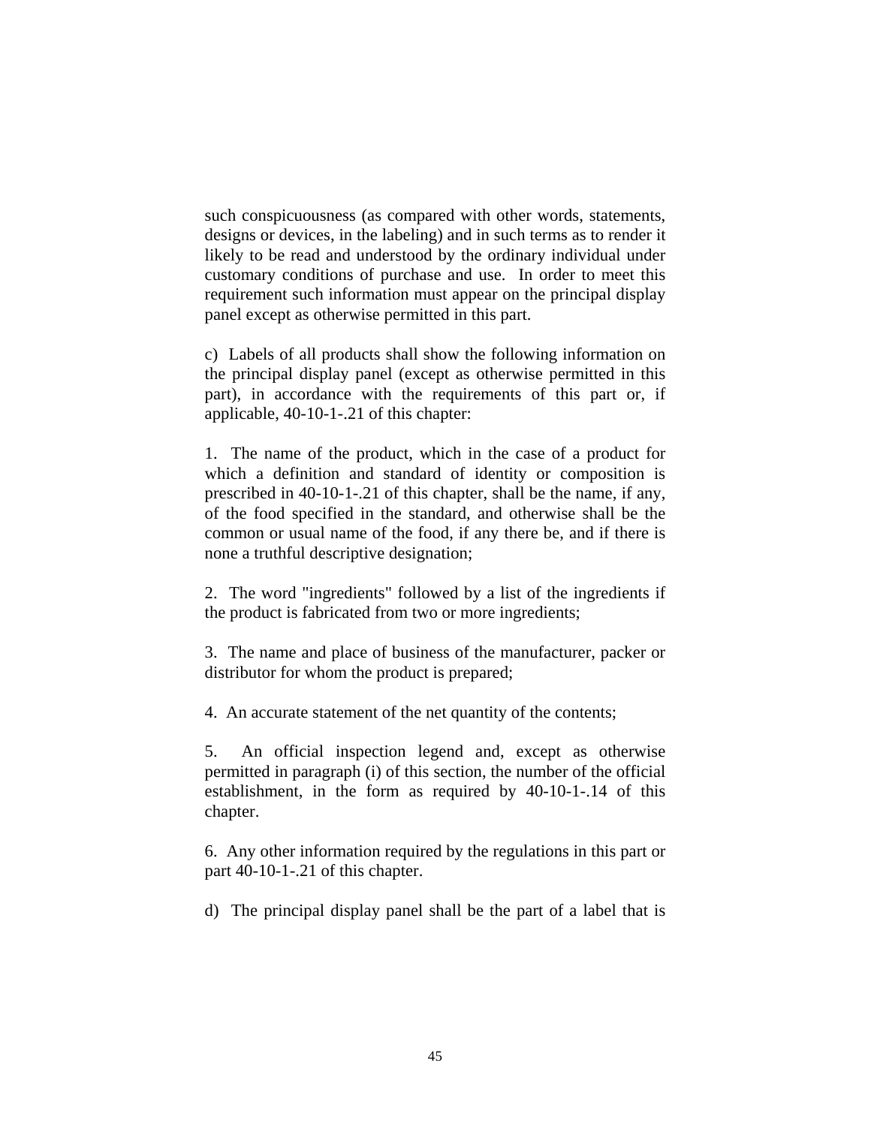such conspicuousness (as compared with other words, statements, designs or devices, in the labeling) and in such terms as to render it likely to be read and understood by the ordinary individual under customary conditions of purchase and use. In order to meet this requirement such information must appear on the principal display panel except as otherwise permitted in this part.

c) Labels of all products shall show the following information on the principal display panel (except as otherwise permitted in this part), in accordance with the requirements of this part or, if applicable, 40-10-1-.21 of this chapter:

1. The name of the product, which in the case of a product for which a definition and standard of identity or composition is prescribed in 40-10-1-.21 of this chapter, shall be the name, if any, of the food specified in the standard, and otherwise shall be the common or usual name of the food, if any there be, and if there is none a truthful descriptive designation;

2. The word "ingredients" followed by a list of the ingredients if the product is fabricated from two or more ingredients;

3. The name and place of business of the manufacturer, packer or distributor for whom the product is prepared;

4. An accurate statement of the net quantity of the contents;

5. An official inspection legend and, except as otherwise permitted in paragraph (i) of this section, the number of the official establishment, in the form as required by 40-10-1-.14 of this chapter.

6. Any other information required by the regulations in this part or part 40-10-1-.21 of this chapter.

d) The principal display panel shall be the part of a label that is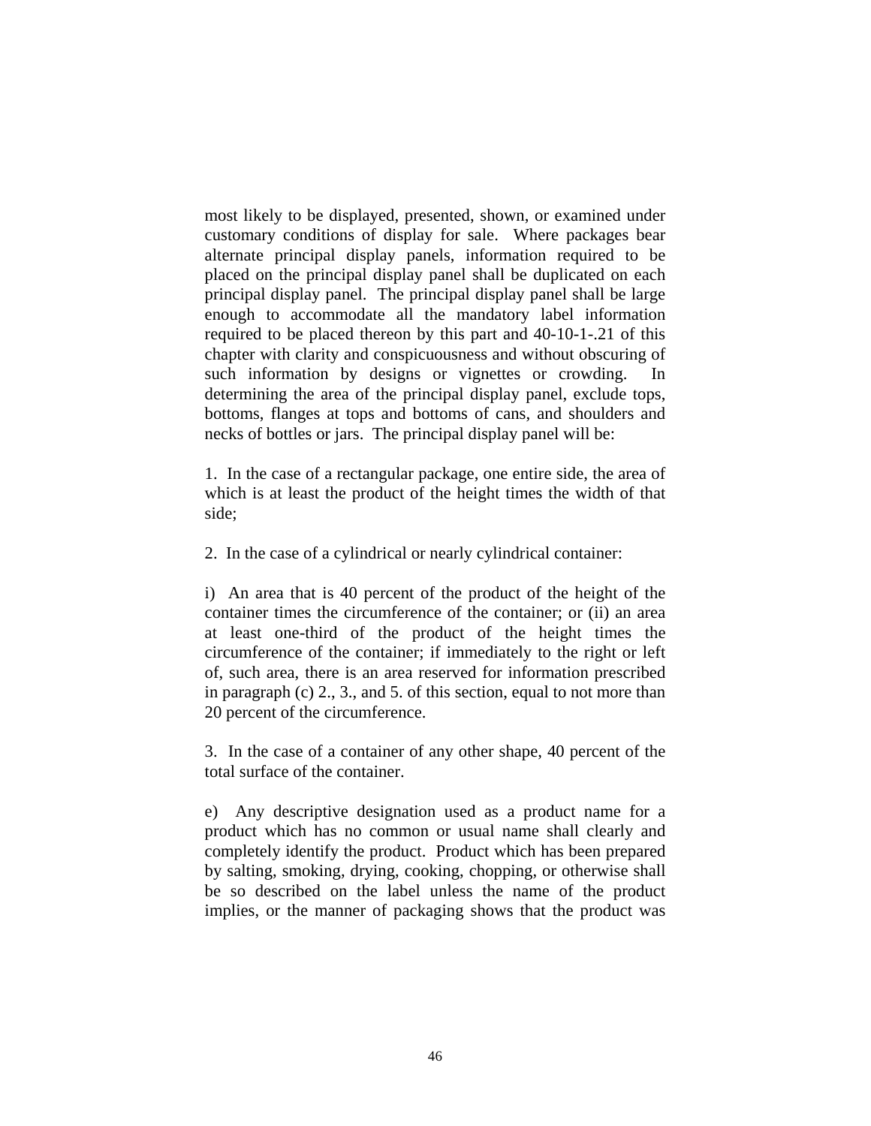most likely to be displayed, presented, shown, or examined under customary conditions of display for sale. Where packages bear alternate principal display panels, information required to be placed on the principal display panel shall be duplicated on each principal display panel. The principal display panel shall be large enough to accommodate all the mandatory label information required to be placed thereon by this part and 40-10-1-.21 of this chapter with clarity and conspicuousness and without obscuring of such information by designs or vignettes or crowding. In determining the area of the principal display panel, exclude tops, bottoms, flanges at tops and bottoms of cans, and shoulders and necks of bottles or jars. The principal display panel will be:

1. In the case of a rectangular package, one entire side, the area of which is at least the product of the height times the width of that side;

2. In the case of a cylindrical or nearly cylindrical container:

i) An area that is 40 percent of the product of the height of the container times the circumference of the container; or (ii) an area at least one-third of the product of the height times the circumference of the container; if immediately to the right or left of, such area, there is an area reserved for information prescribed in paragraph (c) 2., 3., and 5. of this section, equal to not more than 20 percent of the circumference.

3. In the case of a container of any other shape, 40 percent of the total surface of the container.

e) Any descriptive designation used as a product name for a product which has no common or usual name shall clearly and completely identify the product. Product which has been prepared by salting, smoking, drying, cooking, chopping, or otherwise shall be so described on the label unless the name of the product implies, or the manner of packaging shows that the product was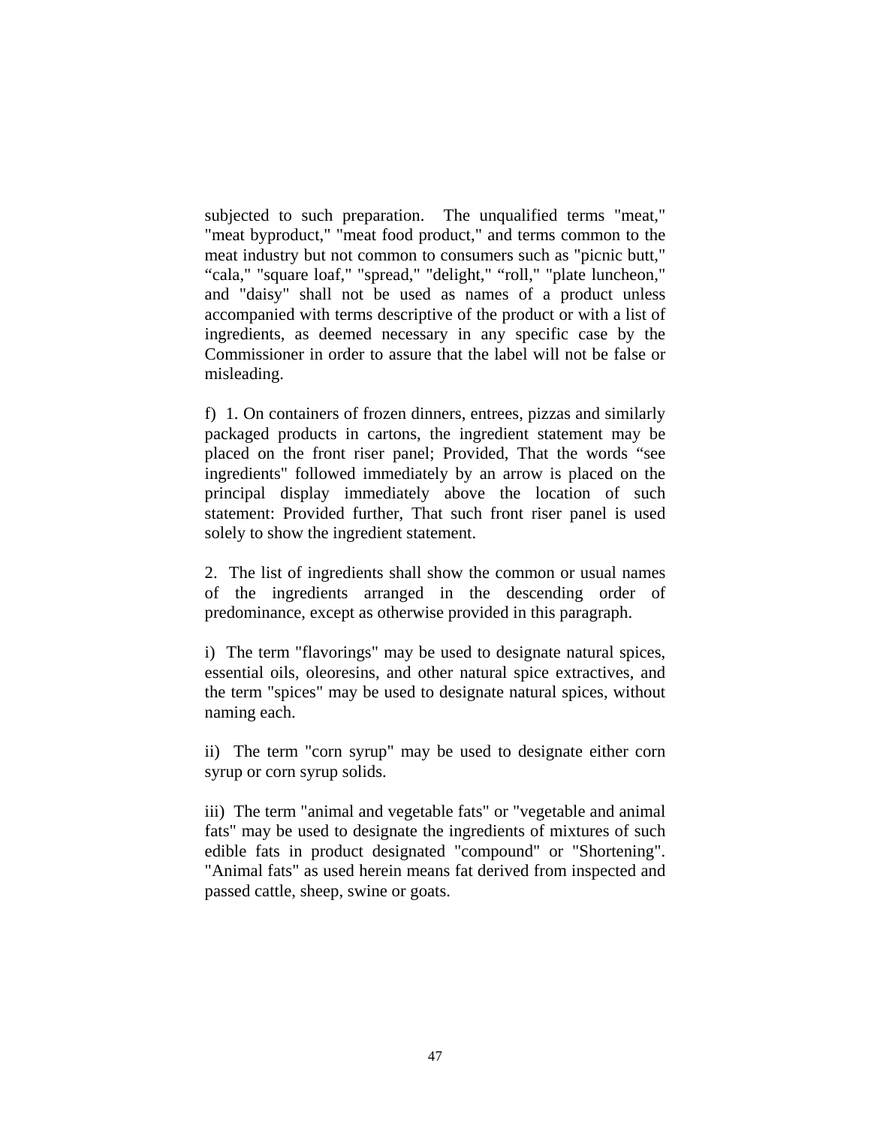subjected to such preparation. The unqualified terms "meat," "meat byproduct," "meat food product," and terms common to the meat industry but not common to consumers such as "picnic butt," "cala," "square loaf," "spread," "delight," "roll," "plate luncheon," and "daisy" shall not be used as names of a product unless accompanied with terms descriptive of the product or with a list of ingredients, as deemed necessary in any specific case by the Commissioner in order to assure that the label will not be false or misleading.

f) 1. On containers of frozen dinners, entrees, pizzas and similarly packaged products in cartons, the ingredient statement may be placed on the front riser panel; Provided, That the words "see ingredients" followed immediately by an arrow is placed on the principal display immediately above the location of such statement: Provided further, That such front riser panel is used solely to show the ingredient statement.

2. The list of ingredients shall show the common or usual names of the ingredients arranged in the descending order of predominance, except as otherwise provided in this paragraph.

i) The term "flavorings" may be used to designate natural spices, essential oils, oleoresins, and other natural spice extractives, and the term "spices" may be used to designate natural spices, without naming each.

ii) The term "corn syrup" may be used to designate either corn syrup or corn syrup solids.

iii) The term "animal and vegetable fats" or "vegetable and animal fats" may be used to designate the ingredients of mixtures of such edible fats in product designated "compound" or "Shortening". "Animal fats" as used herein means fat derived from inspected and passed cattle, sheep, swine or goats.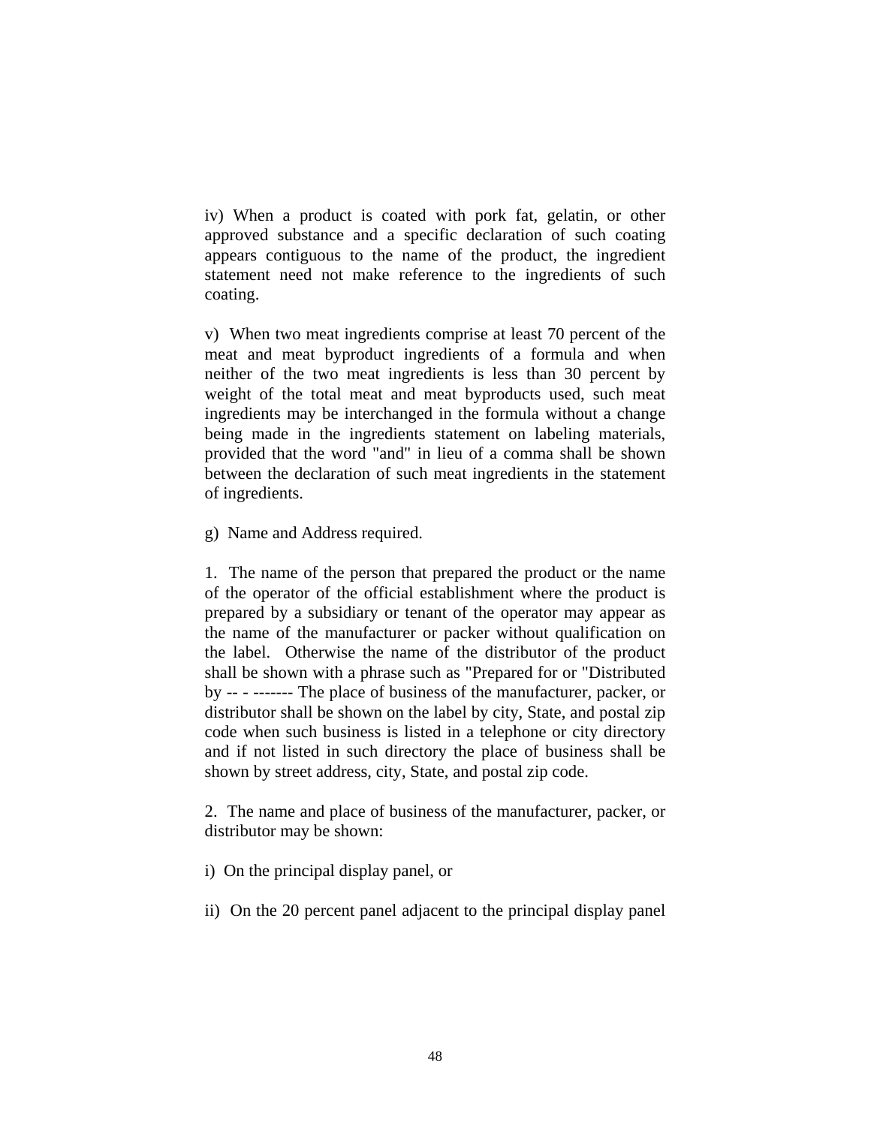iv) When a product is coated with pork fat, gelatin, or other approved substance and a specific declaration of such coating appears contiguous to the name of the product, the ingredient statement need not make reference to the ingredients of such coating.

v) When two meat ingredients comprise at least 70 percent of the meat and meat byproduct ingredients of a formula and when neither of the two meat ingredients is less than 30 percent by weight of the total meat and meat byproducts used, such meat ingredients may be interchanged in the formula without a change being made in the ingredients statement on labeling materials, provided that the word "and" in lieu of a comma shall be shown between the declaration of such meat ingredients in the statement of ingredients.

g) Name and Address required.

1. The name of the person that prepared the product or the name of the operator of the official establishment where the product is prepared by a subsidiary or tenant of the operator may appear as the name of the manufacturer or packer without qualification on the label. Otherwise the name of the distributor of the product shall be shown with a phrase such as "Prepared for or "Distributed by -- - ------- The place of business of the manufacturer, packer, or distributor shall be shown on the label by city, State, and postal zip code when such business is listed in a telephone or city directory and if not listed in such directory the place of business shall be shown by street address, city, State, and postal zip code.

2. The name and place of business of the manufacturer, packer, or distributor may be shown:

i) On the principal display panel, or

ii) On the 20 percent panel adjacent to the principal display panel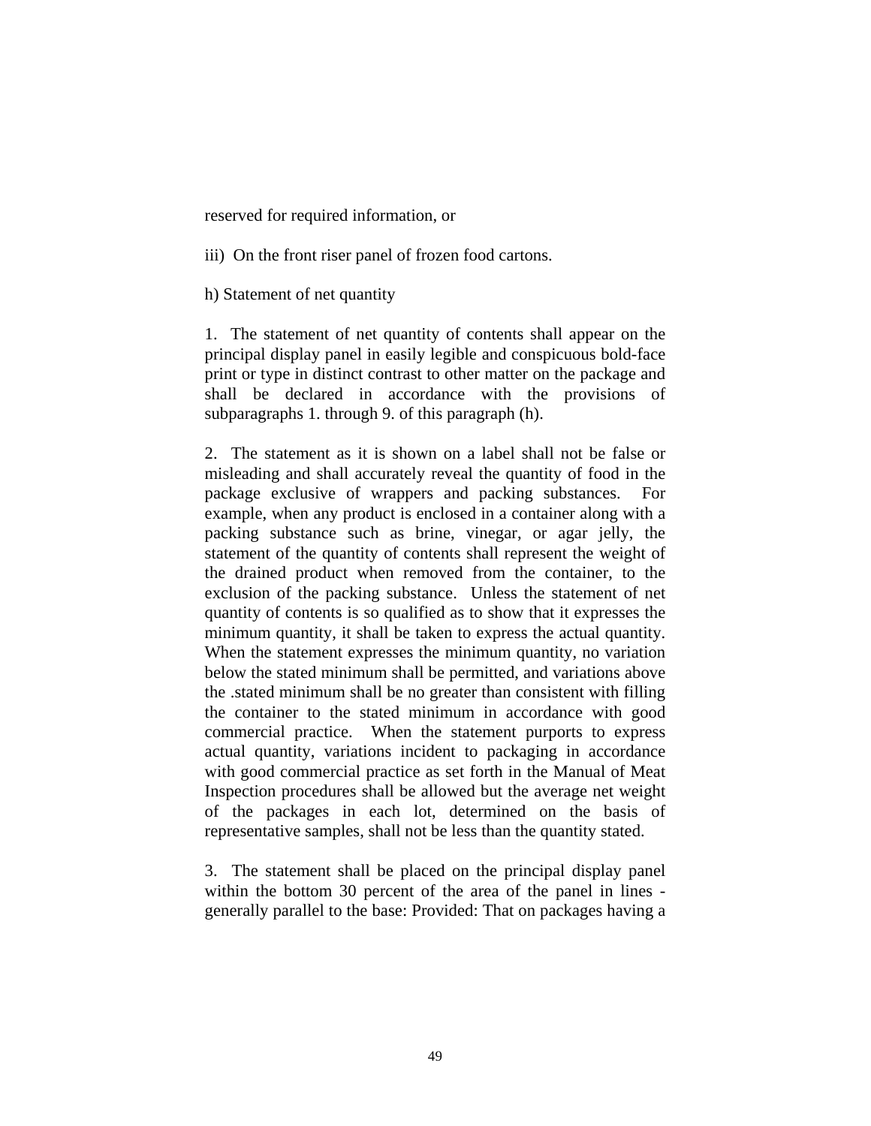reserved for required information, or

iii) On the front riser panel of frozen food cartons.

h) Statement of net quantity

1. The statement of net quantity of contents shall appear on the principal display panel in easily legible and conspicuous bold-face print or type in distinct contrast to other matter on the package and shall be declared in accordance with the provisions of subparagraphs 1. through 9. of this paragraph (h).

2. The statement as it is shown on a label shall not be false or misleading and shall accurately reveal the quantity of food in the package exclusive of wrappers and packing substances. For example, when any product is enclosed in a container along with a packing substance such as brine, vinegar, or agar jelly, the statement of the quantity of contents shall represent the weight of the drained product when removed from the container, to the exclusion of the packing substance. Unless the statement of net quantity of contents is so qualified as to show that it expresses the minimum quantity, it shall be taken to express the actual quantity. When the statement expresses the minimum quantity, no variation below the stated minimum shall be permitted, and variations above the .stated minimum shall be no greater than consistent with filling the container to the stated minimum in accordance with good commercial practice. When the statement purports to express actual quantity, variations incident to packaging in accordance with good commercial practice as set forth in the Manual of Meat Inspection procedures shall be allowed but the average net weight of the packages in each lot, determined on the basis of representative samples, shall not be less than the quantity stated.

3. The statement shall be placed on the principal display panel within the bottom 30 percent of the area of the panel in lines generally parallel to the base: Provided: That on packages having a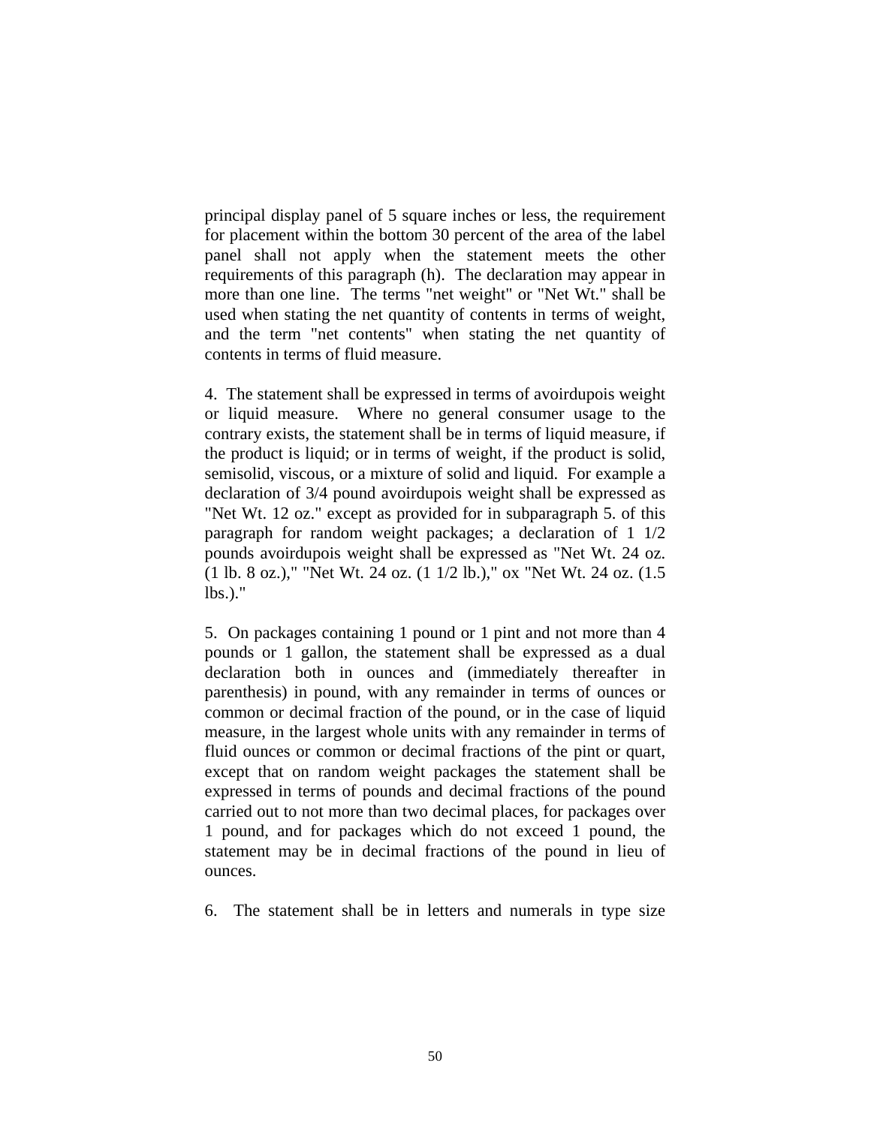principal display panel of 5 square inches or less, the requirement for placement within the bottom 30 percent of the area of the label panel shall not apply when the statement meets the other requirements of this paragraph (h). The declaration may appear in more than one line. The terms "net weight" or "Net Wt." shall be used when stating the net quantity of contents in terms of weight, and the term "net contents" when stating the net quantity of contents in terms of fluid measure.

4. The statement shall be expressed in terms of avoirdupois weight or liquid measure. Where no general consumer usage to the contrary exists, the statement shall be in terms of liquid measure, if the product is liquid; or in terms of weight, if the product is solid, semisolid, viscous, or a mixture of solid and liquid. For example a declaration of 3/4 pound avoirdupois weight shall be expressed as "Net Wt. 12 oz." except as provided for in subparagraph 5. of this paragraph for random weight packages; a declaration of 1 1/2 pounds avoirdupois weight shall be expressed as "Net Wt. 24 oz. (1 lb. 8 oz.)," "Net Wt. 24 oz. (1 1/2 lb.)," ox "Net Wt. 24 oz. (1.5 lbs.)."

5. On packages containing 1 pound or 1 pint and not more than 4 pounds or 1 gallon, the statement shall be expressed as a dual declaration both in ounces and (immediately thereafter in parenthesis) in pound, with any remainder in terms of ounces or common or decimal fraction of the pound, or in the case of liquid measure, in the largest whole units with any remainder in terms of fluid ounces or common or decimal fractions of the pint or quart, except that on random weight packages the statement shall be expressed in terms of pounds and decimal fractions of the pound carried out to not more than two decimal places, for packages over 1 pound, and for packages which do not exceed 1 pound, the statement may be in decimal fractions of the pound in lieu of ounces.

6. The statement shall be in letters and numerals in type size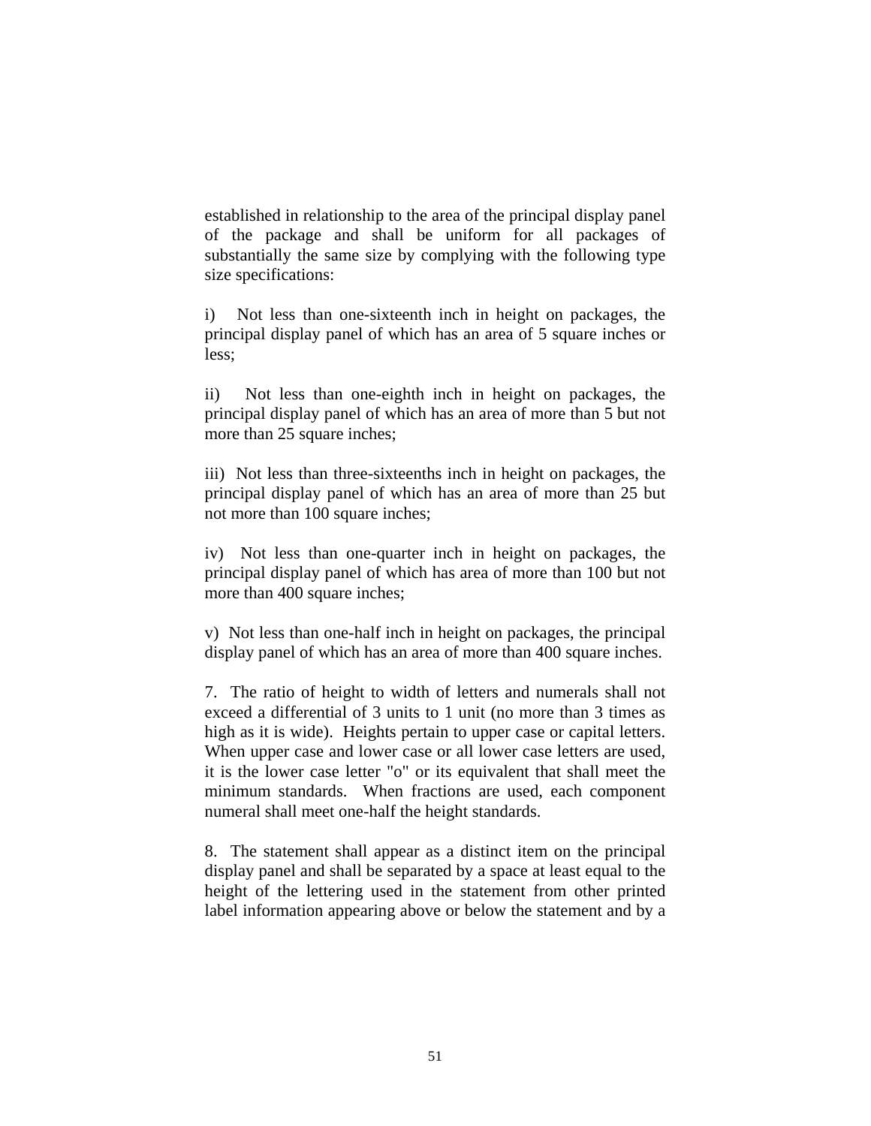established in relationship to the area of the principal display panel of the package and shall be uniform for all packages of substantially the same size by complying with the following type size specifications:

i) Not less than one-sixteenth inch in height on packages, the principal display panel of which has an area of 5 square inches or less;

ii) Not less than one-eighth inch in height on packages, the principal display panel of which has an area of more than 5 but not more than 25 square inches;

iii) Not less than three-sixteenths inch in height on packages, the principal display panel of which has an area of more than 25 but not more than 100 square inches;

iv) Not less than one-quarter inch in height on packages, the principal display panel of which has area of more than 100 but not more than 400 square inches;

v) Not less than one-half inch in height on packages, the principal display panel of which has an area of more than 400 square inches.

7. The ratio of height to width of letters and numerals shall not exceed a differential of 3 units to 1 unit (no more than 3 times as high as it is wide). Heights pertain to upper case or capital letters. When upper case and lower case or all lower case letters are used, it is the lower case letter "o" or its equivalent that shall meet the minimum standards. When fractions are used, each component numeral shall meet one-half the height standards.

8. The statement shall appear as a distinct item on the principal display panel and shall be separated by a space at least equal to the height of the lettering used in the statement from other printed label information appearing above or below the statement and by a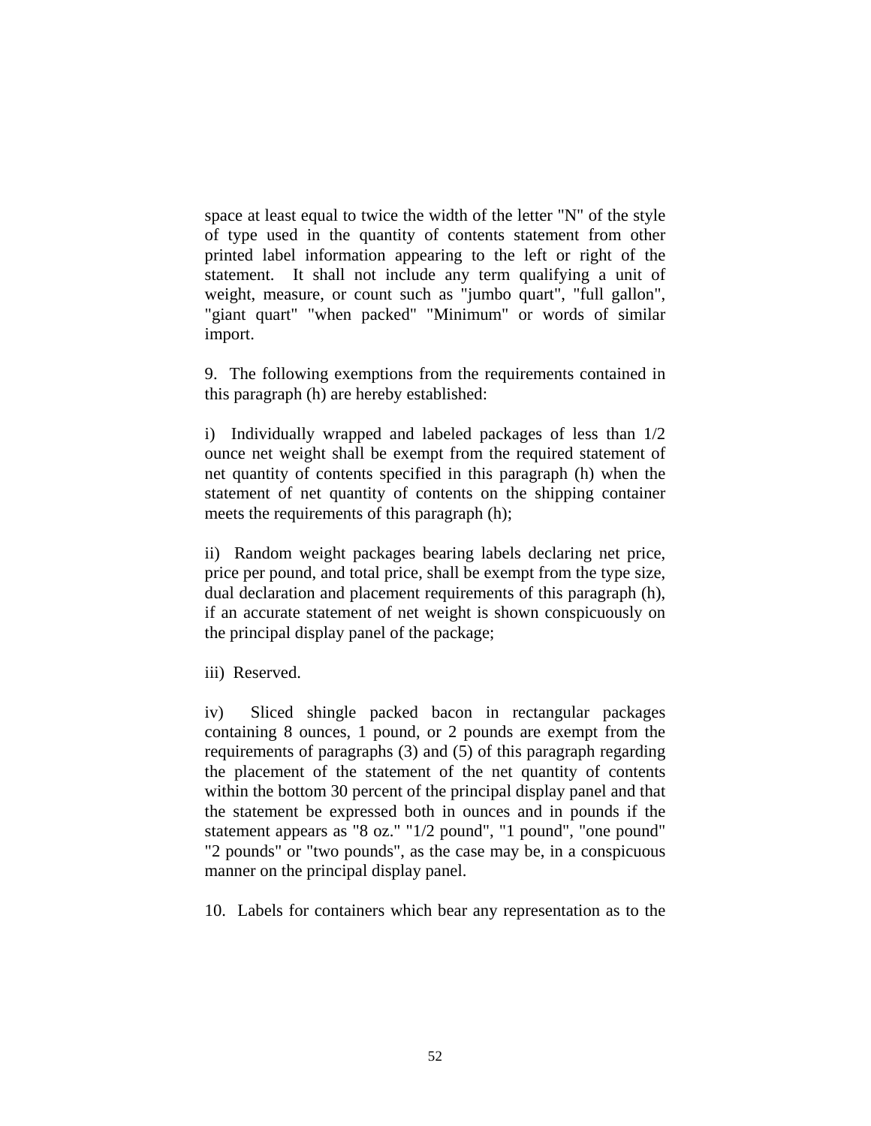space at least equal to twice the width of the letter "N" of the style of type used in the quantity of contents statement from other printed label information appearing to the left or right of the statement. It shall not include any term qualifying a unit of weight, measure, or count such as "jumbo quart", "full gallon", "giant quart" "when packed" "Minimum" or words of similar import.

9. The following exemptions from the requirements contained in this paragraph (h) are hereby established:

i) Individually wrapped and labeled packages of less than 1/2 ounce net weight shall be exempt from the required statement of net quantity of contents specified in this paragraph (h) when the statement of net quantity of contents on the shipping container meets the requirements of this paragraph (h);

ii) Random weight packages bearing labels declaring net price, price per pound, and total price, shall be exempt from the type size, dual declaration and placement requirements of this paragraph (h), if an accurate statement of net weight is shown conspicuously on the principal display panel of the package;

iii) Reserved.

iv) Sliced shingle packed bacon in rectangular packages containing 8 ounces, 1 pound, or 2 pounds are exempt from the requirements of paragraphs (3) and (5) of this paragraph regarding the placement of the statement of the net quantity of contents within the bottom 30 percent of the principal display panel and that the statement be expressed both in ounces and in pounds if the statement appears as "8 oz." "1/2 pound", "1 pound", "one pound" "2 pounds" or "two pounds", as the case may be, in a conspicuous manner on the principal display panel.

10. Labels for containers which bear any representation as to the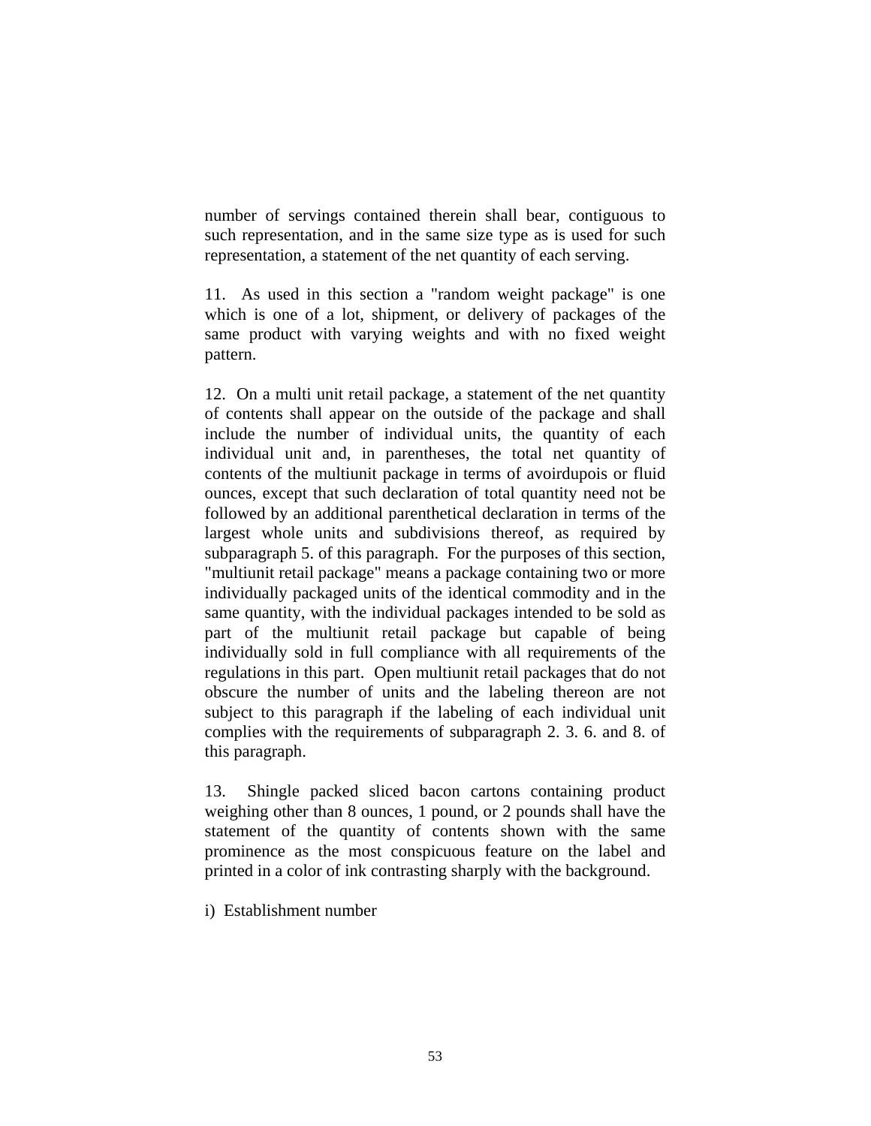number of servings contained therein shall bear, contiguous to such representation, and in the same size type as is used for such representation, a statement of the net quantity of each serving.

11. As used in this section a "random weight package" is one which is one of a lot, shipment, or delivery of packages of the same product with varying weights and with no fixed weight pattern.

12. On a multi unit retail package, a statement of the net quantity of contents shall appear on the outside of the package and shall include the number of individual units, the quantity of each individual unit and, in parentheses, the total net quantity of contents of the multiunit package in terms of avoirdupois or fluid ounces, except that such declaration of total quantity need not be followed by an additional parenthetical declaration in terms of the largest whole units and subdivisions thereof, as required by subparagraph 5. of this paragraph. For the purposes of this section, "multiunit retail package" means a package containing two or more individually packaged units of the identical commodity and in the same quantity, with the individual packages intended to be sold as part of the multiunit retail package but capable of being individually sold in full compliance with all requirements of the regulations in this part. Open multiunit retail packages that do not obscure the number of units and the labeling thereon are not subject to this paragraph if the labeling of each individual unit complies with the requirements of subparagraph 2. 3. 6. and 8. of this paragraph.

13. Shingle packed sliced bacon cartons containing product weighing other than 8 ounces, 1 pound, or 2 pounds shall have the statement of the quantity of contents shown with the same prominence as the most conspicuous feature on the label and printed in a color of ink contrasting sharply with the background.

i) Establishment number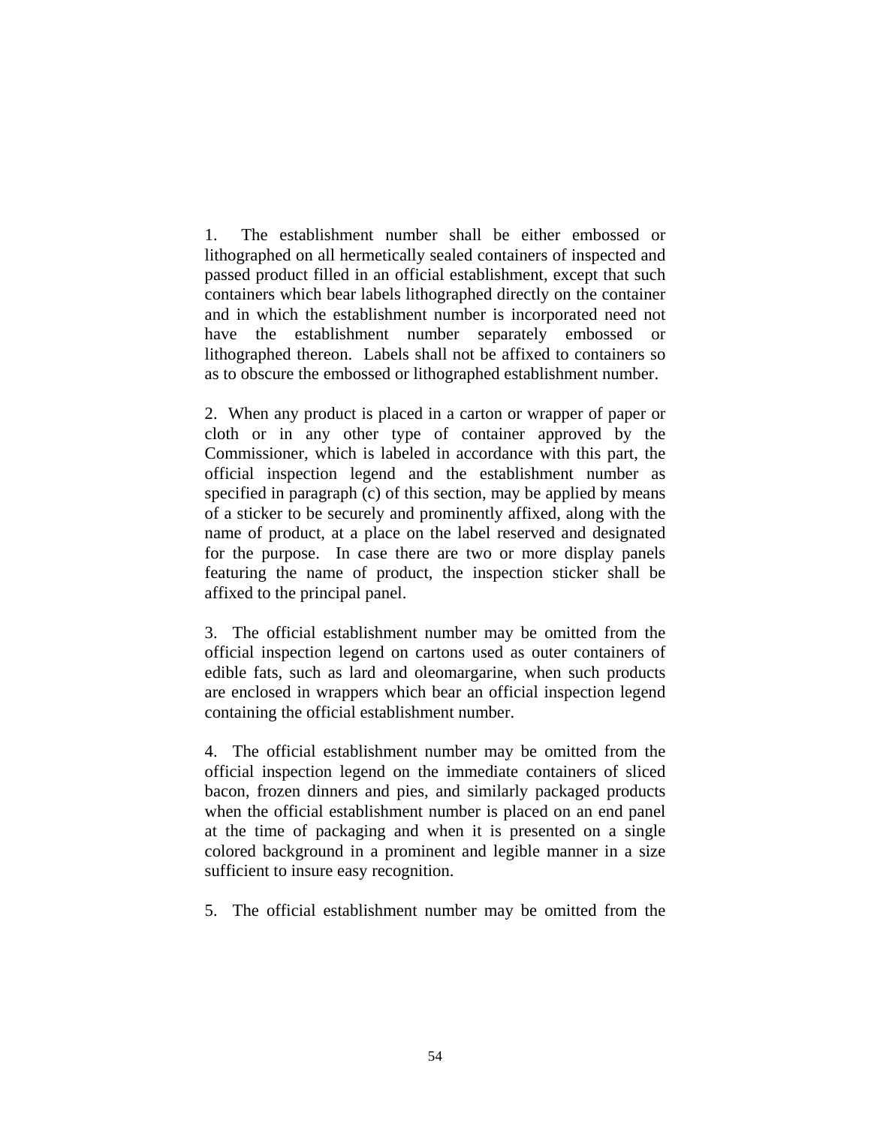1. The establishment number shall be either embossed or lithographed on all hermetically sealed containers of inspected and passed product filled in an official establishment, except that such containers which bear labels lithographed directly on the container and in which the establishment number is incorporated need not have the establishment number separately embossed or lithographed thereon. Labels shall not be affixed to containers so as to obscure the embossed or lithographed establishment number.

2. When any product is placed in a carton or wrapper of paper or cloth or in any other type of container approved by the Commissioner, which is labeled in accordance with this part, the official inspection legend and the establishment number as specified in paragraph (c) of this section, may be applied by means of a sticker to be securely and prominently affixed, along with the name of product, at a place on the label reserved and designated for the purpose. In case there are two or more display panels featuring the name of product, the inspection sticker shall be affixed to the principal panel.

3. The official establishment number may be omitted from the official inspection legend on cartons used as outer containers of edible fats, such as lard and oleomargarine, when such products are enclosed in wrappers which bear an official inspection legend containing the official establishment number.

4. The official establishment number may be omitted from the official inspection legend on the immediate containers of sliced bacon, frozen dinners and pies, and similarly packaged products when the official establishment number is placed on an end panel at the time of packaging and when it is presented on a single colored background in a prominent and legible manner in a size sufficient to insure easy recognition.

5. The official establishment number may be omitted from the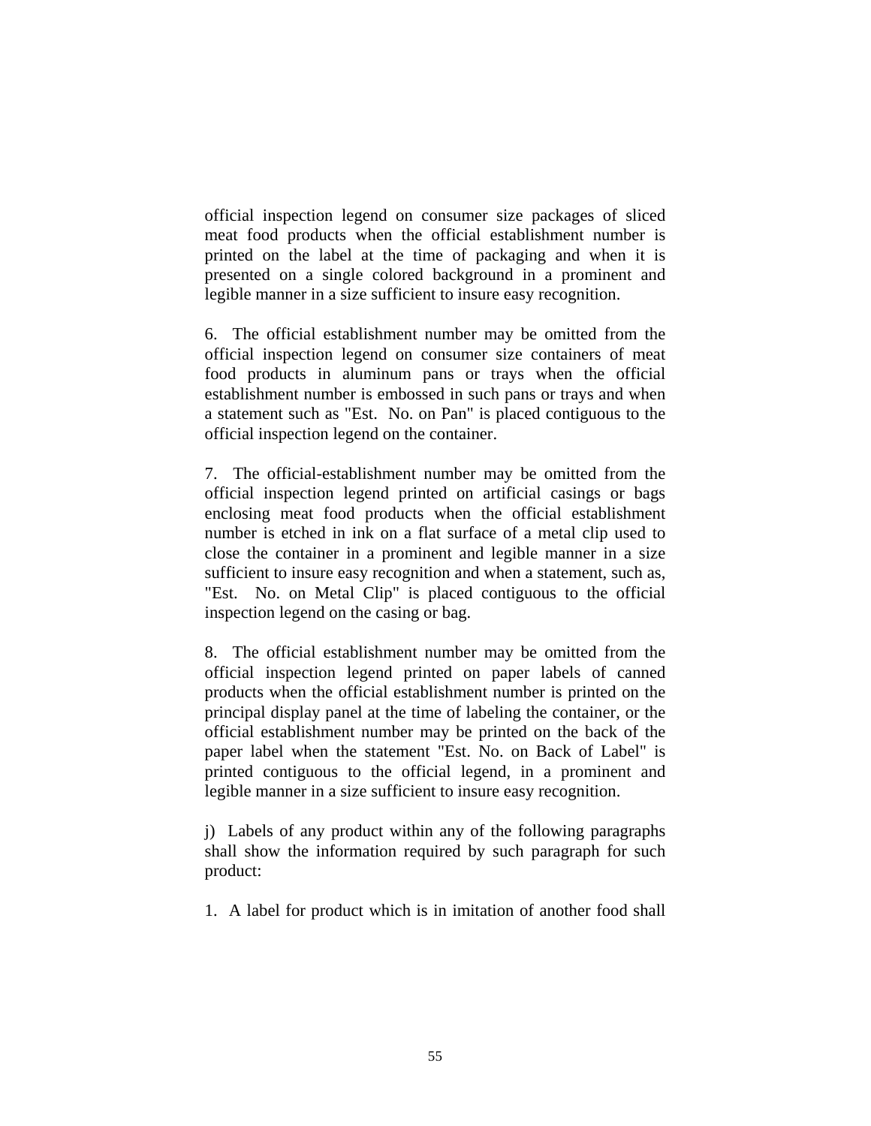official inspection legend on consumer size packages of sliced meat food products when the official establishment number is printed on the label at the time of packaging and when it is presented on a single colored background in a prominent and legible manner in a size sufficient to insure easy recognition.

6. The official establishment number may be omitted from the official inspection legend on consumer size containers of meat food products in aluminum pans or trays when the official establishment number is embossed in such pans or trays and when a statement such as "Est. No. on Pan" is placed contiguous to the official inspection legend on the container.

7. The official-establishment number may be omitted from the official inspection legend printed on artificial casings or bags enclosing meat food products when the official establishment number is etched in ink on a flat surface of a metal clip used to close the container in a prominent and legible manner in a size sufficient to insure easy recognition and when a statement, such as, "Est. No. on Metal Clip" is placed contiguous to the official inspection legend on the casing or bag.

8. The official establishment number may be omitted from the official inspection legend printed on paper labels of canned products when the official establishment number is printed on the principal display panel at the time of labeling the container, or the official establishment number may be printed on the back of the paper label when the statement "Est. No. on Back of Label" is printed contiguous to the official legend, in a prominent and legible manner in a size sufficient to insure easy recognition.

j) Labels of any product within any of the following paragraphs shall show the information required by such paragraph for such product:

1. A label for product which is in imitation of another food shall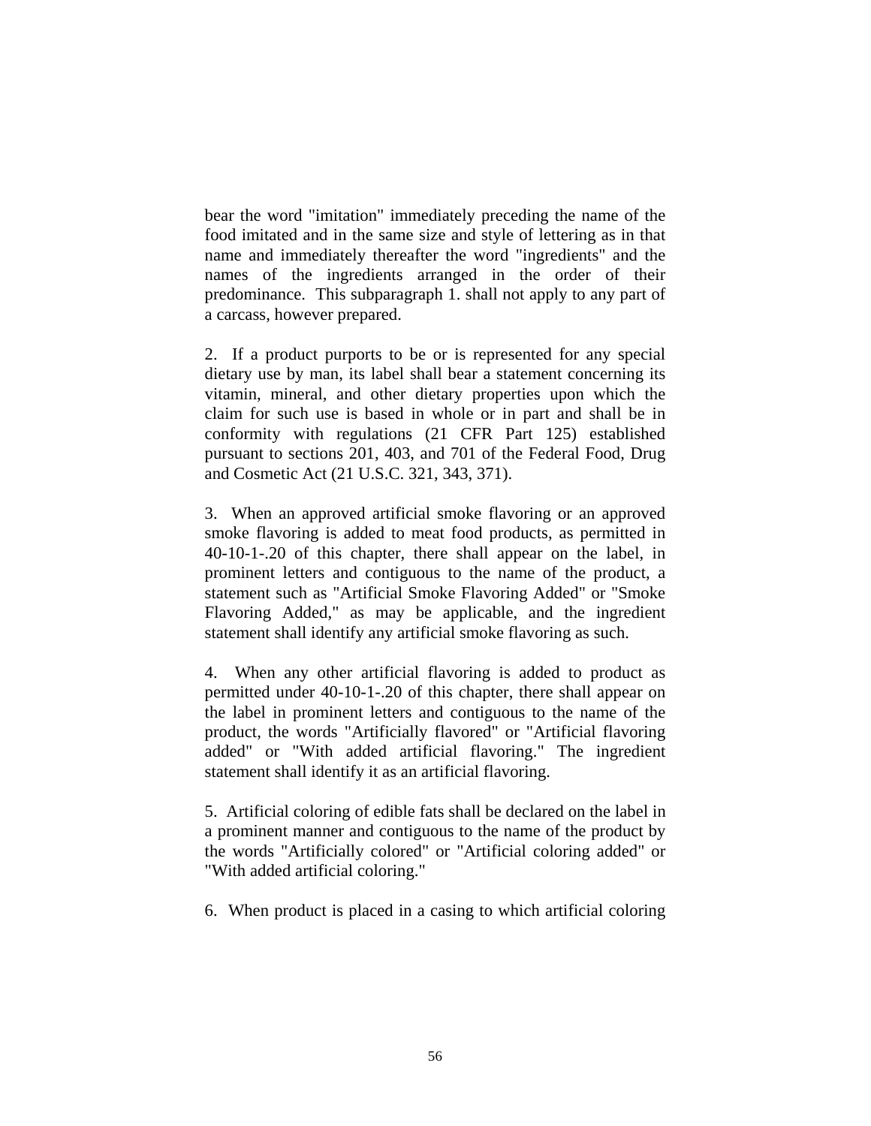bear the word "imitation" immediately preceding the name of the food imitated and in the same size and style of lettering as in that name and immediately thereafter the word "ingredients" and the names of the ingredients arranged in the order of their predominance. This subparagraph 1. shall not apply to any part of a carcass, however prepared.

2. If a product purports to be or is represented for any special dietary use by man, its label shall bear a statement concerning its vitamin, mineral, and other dietary properties upon which the claim for such use is based in whole or in part and shall be in conformity with regulations (21 CFR Part 125) established pursuant to sections 201, 403, and 701 of the Federal Food, Drug and Cosmetic Act (21 U.S.C. 321, 343, 371).

3. When an approved artificial smoke flavoring or an approved smoke flavoring is added to meat food products, as permitted in 40-10-1-.20 of this chapter, there shall appear on the label, in prominent letters and contiguous to the name of the product, a statement such as "Artificial Smoke Flavoring Added" or "Smoke Flavoring Added," as may be applicable, and the ingredient statement shall identify any artificial smoke flavoring as such.

4. When any other artificial flavoring is added to product as permitted under 40-10-1-.20 of this chapter, there shall appear on the label in prominent letters and contiguous to the name of the product, the words "Artificially flavored" or "Artificial flavoring added" or "With added artificial flavoring." The ingredient statement shall identify it as an artificial flavoring.

5. Artificial coloring of edible fats shall be declared on the label in a prominent manner and contiguous to the name of the product by the words "Artificially colored" or "Artificial coloring added" or "With added artificial coloring."

6. When product is placed in a casing to which artificial coloring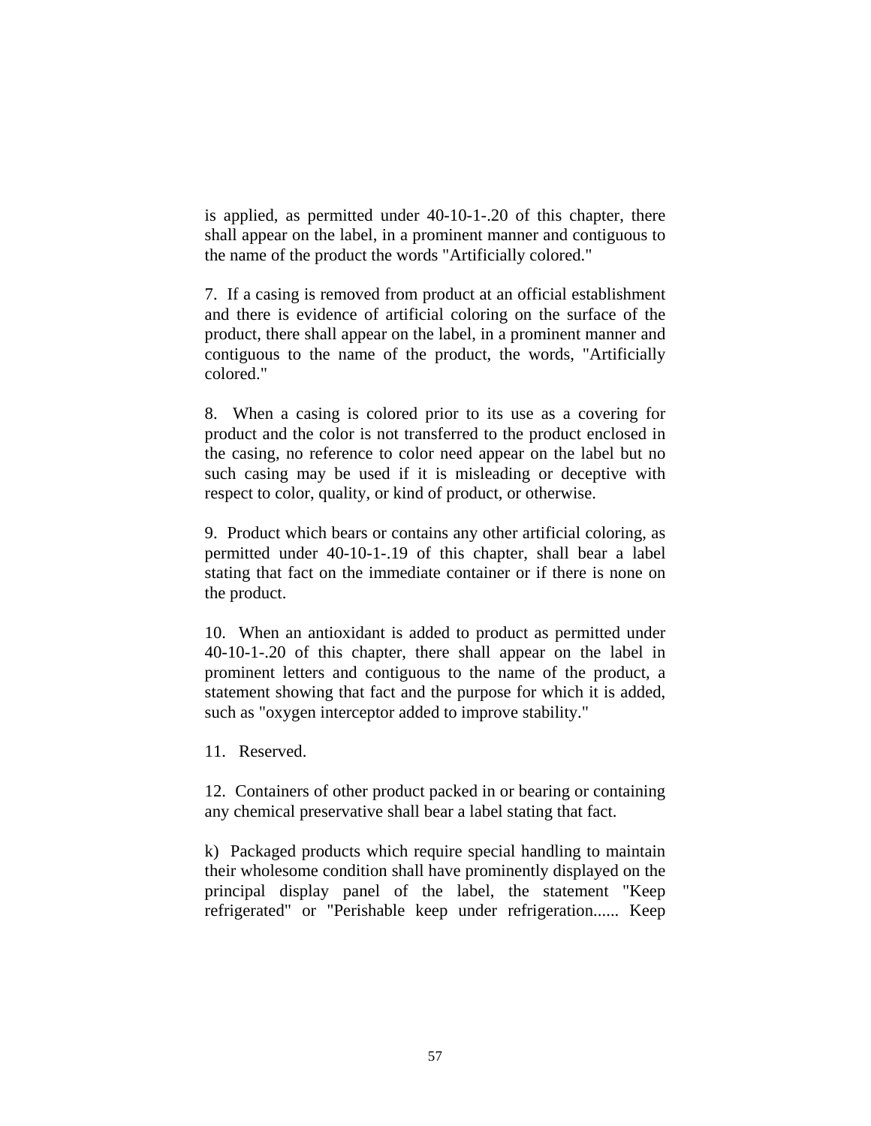is applied, as permitted under 40-10-1-.20 of this chapter, there shall appear on the label, in a prominent manner and contiguous to the name of the product the words "Artificially colored."

7. If a casing is removed from product at an official establishment and there is evidence of artificial coloring on the surface of the product, there shall appear on the label, in a prominent manner and contiguous to the name of the product, the words, "Artificially colored."

8. When a casing is colored prior to its use as a covering for product and the color is not transferred to the product enclosed in the casing, no reference to color need appear on the label but no such casing may be used if it is misleading or deceptive with respect to color, quality, or kind of product, or otherwise.

9. Product which bears or contains any other artificial coloring, as permitted under 40-10-1-.19 of this chapter, shall bear a label stating that fact on the immediate container or if there is none on the product.

10. When an antioxidant is added to product as permitted under 40-10-1-.20 of this chapter, there shall appear on the label in prominent letters and contiguous to the name of the product, a statement showing that fact and the purpose for which it is added, such as "oxygen interceptor added to improve stability."

11. Reserved.

12. Containers of other product packed in or bearing or containing any chemical preservative shall bear a label stating that fact.

k) Packaged products which require special handling to maintain their wholesome condition shall have prominently displayed on the principal display panel of the label, the statement "Keep refrigerated" or "Perishable keep under refrigeration...... Keep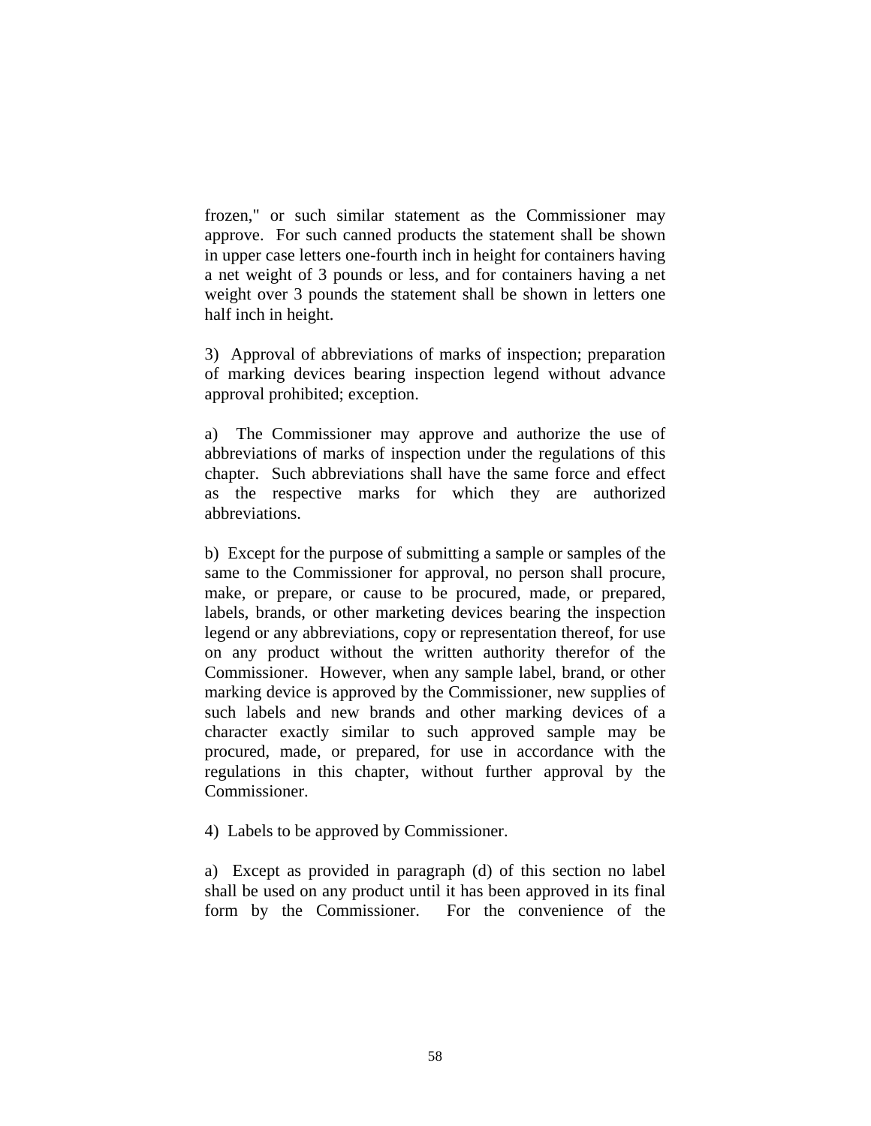frozen," or such similar statement as the Commissioner may approve. For such canned products the statement shall be shown in upper case letters one-fourth inch in height for containers having a net weight of 3 pounds or less, and for containers having a net weight over 3 pounds the statement shall be shown in letters one half inch in height.

3) Approval of abbreviations of marks of inspection; preparation of marking devices bearing inspection legend without advance approval prohibited; exception.

a) The Commissioner may approve and authorize the use of abbreviations of marks of inspection under the regulations of this chapter. Such abbreviations shall have the same force and effect as the respective marks for which they are authorized abbreviations.

b) Except for the purpose of submitting a sample or samples of the same to the Commissioner for approval, no person shall procure, make, or prepare, or cause to be procured, made, or prepared, labels, brands, or other marketing devices bearing the inspection legend or any abbreviations, copy or representation thereof, for use on any product without the written authority therefor of the Commissioner. However, when any sample label, brand, or other marking device is approved by the Commissioner, new supplies of such labels and new brands and other marking devices of a character exactly similar to such approved sample may be procured, made, or prepared, for use in accordance with the regulations in this chapter, without further approval by the Commissioner.

4) Labels to be approved by Commissioner.

a) Except as provided in paragraph (d) of this section no label shall be used on any product until it has been approved in its final form by the Commissioner. For the convenience of the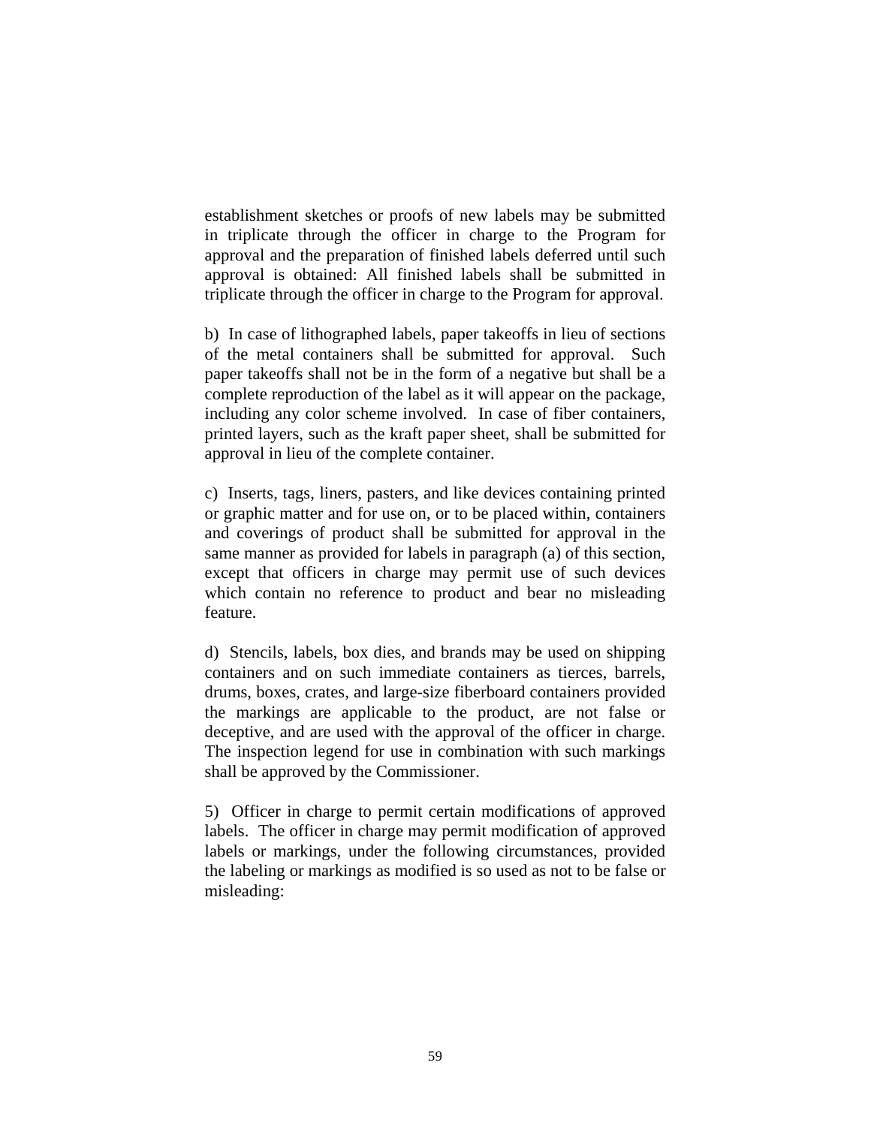establishment sketches or proofs of new labels may be submitted in triplicate through the officer in charge to the Program for approval and the preparation of finished labels deferred until such approval is obtained: All finished labels shall be submitted in triplicate through the officer in charge to the Program for approval.

b) In case of lithographed labels, paper takeoffs in lieu of sections of the metal containers shall be submitted for approval. Such paper takeoffs shall not be in the form of a negative but shall be a complete reproduction of the label as it will appear on the package, including any color scheme involved. In case of fiber containers, printed layers, such as the kraft paper sheet, shall be submitted for approval in lieu of the complete container.

c) Inserts, tags, liners, pasters, and like devices containing printed or graphic matter and for use on, or to be placed within, containers and coverings of product shall be submitted for approval in the same manner as provided for labels in paragraph (a) of this section, except that officers in charge may permit use of such devices which contain no reference to product and bear no misleading feature.

d) Stencils, labels, box dies, and brands may be used on shipping containers and on such immediate containers as tierces, barrels, drums, boxes, crates, and large-size fiberboard containers provided the markings are applicable to the product, are not false or deceptive, and are used with the approval of the officer in charge. The inspection legend for use in combination with such markings shall be approved by the Commissioner.

5) Officer in charge to permit certain modifications of approved labels. The officer in charge may permit modification of approved labels or markings, under the following circumstances, provided the labeling or markings as modified is so used as not to be false or misleading: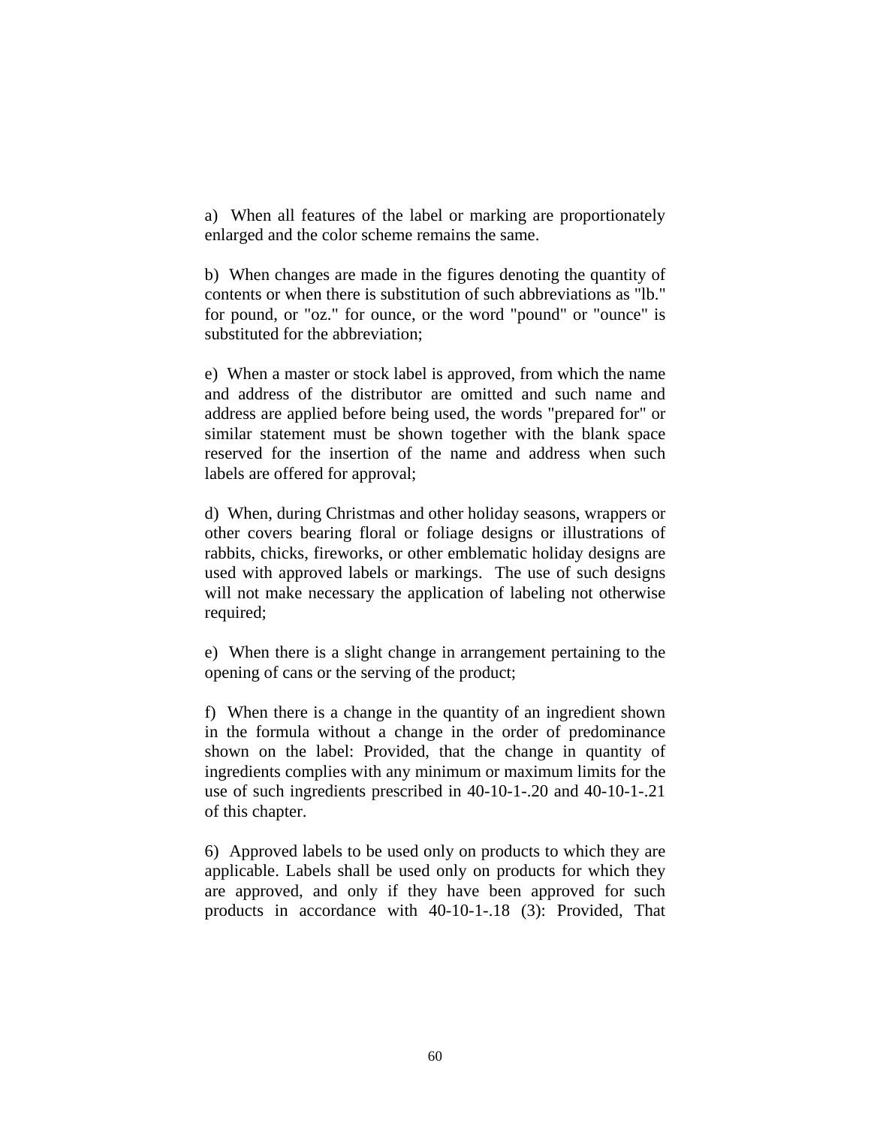a) When all features of the label or marking are proportionately enlarged and the color scheme remains the same.

b) When changes are made in the figures denoting the quantity of contents or when there is substitution of such abbreviations as "lb." for pound, or "oz." for ounce, or the word "pound" or "ounce" is substituted for the abbreviation;

e) When a master or stock label is approved, from which the name and address of the distributor are omitted and such name and address are applied before being used, the words "prepared for" or similar statement must be shown together with the blank space reserved for the insertion of the name and address when such labels are offered for approval;

d) When, during Christmas and other holiday seasons, wrappers or other covers bearing floral or foliage designs or illustrations of rabbits, chicks, fireworks, or other emblematic holiday designs are used with approved labels or markings. The use of such designs will not make necessary the application of labeling not otherwise required;

e) When there is a slight change in arrangement pertaining to the opening of cans or the serving of the product;

f) When there is a change in the quantity of an ingredient shown in the formula without a change in the order of predominance shown on the label: Provided, that the change in quantity of ingredients complies with any minimum or maximum limits for the use of such ingredients prescribed in 40-10-1-.20 and 40-10-1-.21 of this chapter.

6) Approved labels to be used only on products to which they are applicable. Labels shall be used only on products for which they are approved, and only if they have been approved for such products in accordance with 40-10-1-.18 (3): Provided, That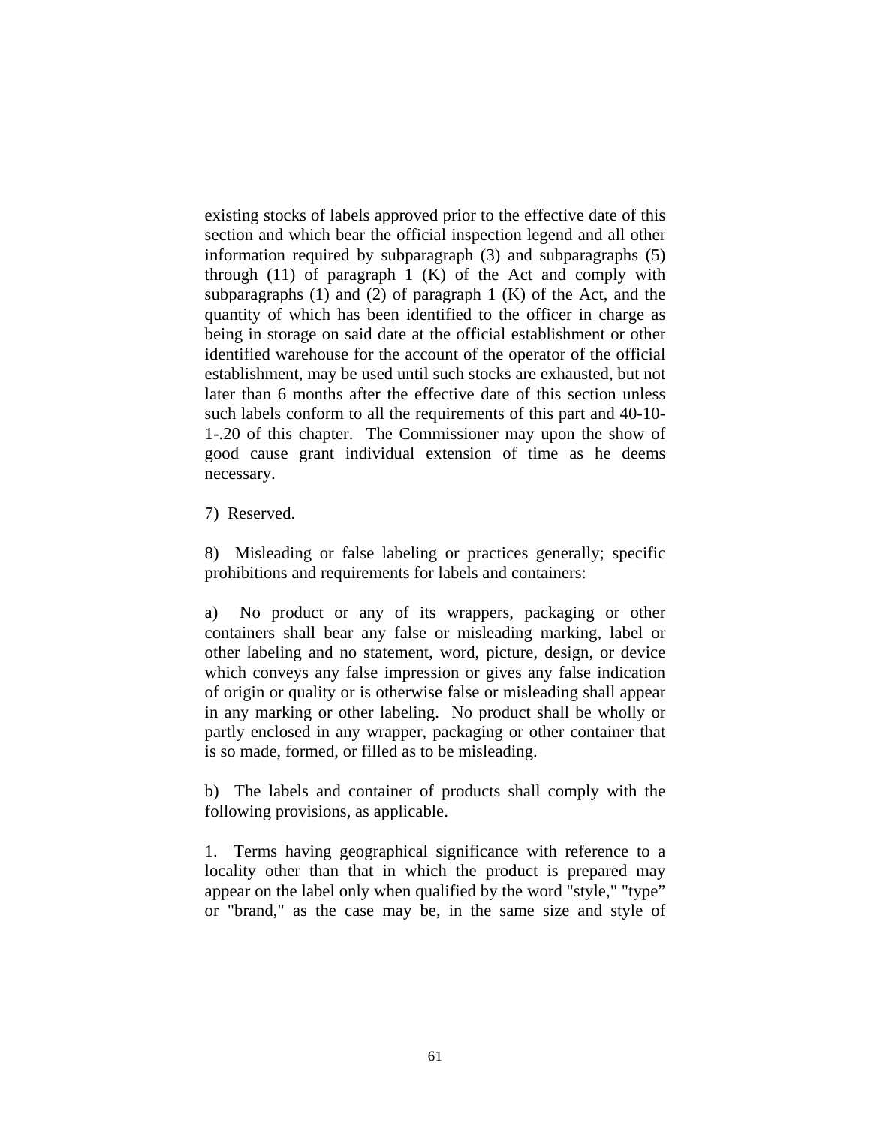existing stocks of labels approved prior to the effective date of this section and which bear the official inspection legend and all other information required by subparagraph (3) and subparagraphs (5) through  $(11)$  of paragraph 1  $(K)$  of the Act and comply with subparagraphs  $(1)$  and  $(2)$  of paragraph  $1$   $(K)$  of the Act, and the quantity of which has been identified to the officer in charge as being in storage on said date at the official establishment or other identified warehouse for the account of the operator of the official establishment, may be used until such stocks are exhausted, but not later than 6 months after the effective date of this section unless such labels conform to all the requirements of this part and 40-10- 1-.20 of this chapter. The Commissioner may upon the show of good cause grant individual extension of time as he deems necessary.

7) Reserved.

8) Misleading or false labeling or practices generally; specific prohibitions and requirements for labels and containers:

a) No product or any of its wrappers, packaging or other containers shall bear any false or misleading marking, label or other labeling and no statement, word, picture, design, or device which conveys any false impression or gives any false indication of origin or quality or is otherwise false or misleading shall appear in any marking or other labeling. No product shall be wholly or partly enclosed in any wrapper, packaging or other container that is so made, formed, or filled as to be misleading.

b) The labels and container of products shall comply with the following provisions, as applicable.

1. Terms having geographical significance with reference to a locality other than that in which the product is prepared may appear on the label only when qualified by the word "style," "type" or "brand," as the case may be, in the same size and style of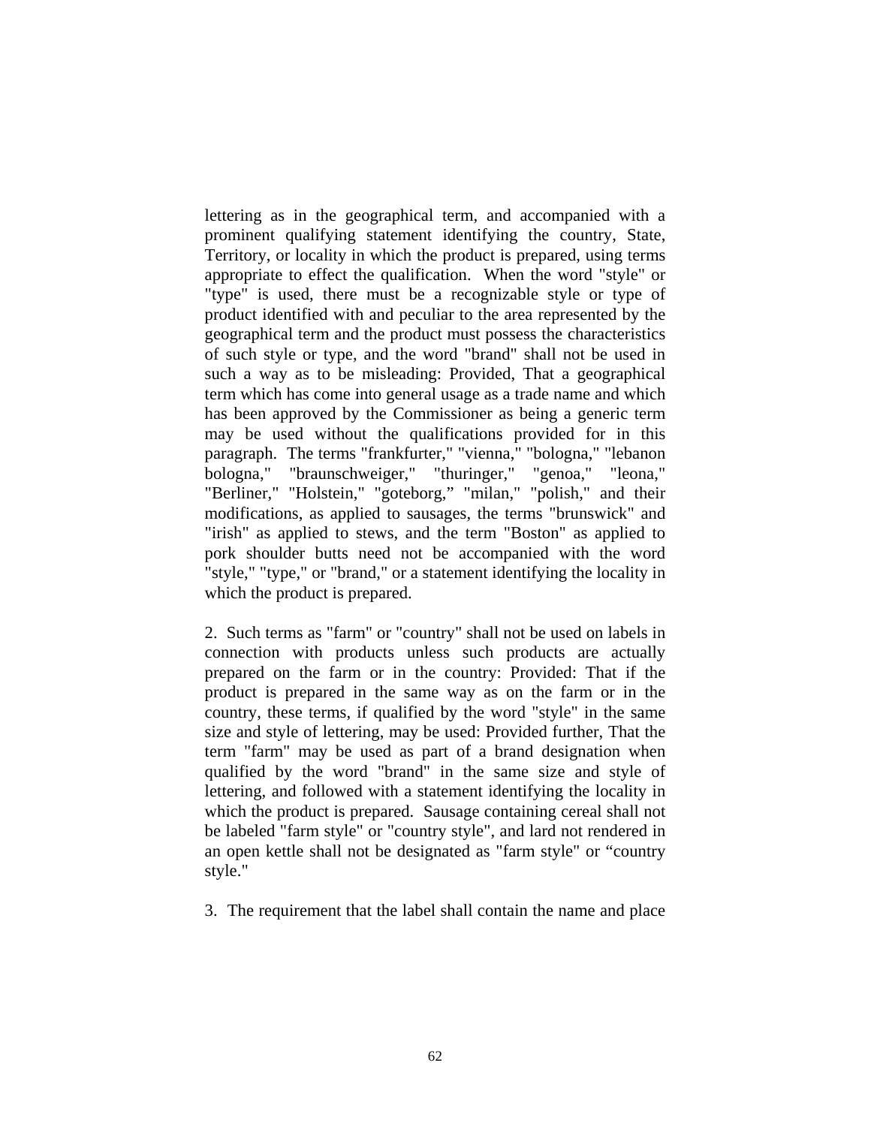lettering as in the geographical term, and accompanied with a prominent qualifying statement identifying the country, State, Territory, or locality in which the product is prepared, using terms appropriate to effect the qualification. When the word "style" or "type" is used, there must be a recognizable style or type of product identified with and peculiar to the area represented by the geographical term and the product must possess the characteristics of such style or type, and the word "brand" shall not be used in such a way as to be misleading: Provided, That a geographical term which has come into general usage as a trade name and which has been approved by the Commissioner as being a generic term may be used without the qualifications provided for in this paragraph. The terms "frankfurter," "vienna," "bologna," "lebanon bologna," "braunschweiger," "thuringer," "genoa," "leona," "Berliner," "Holstein," "goteborg," "milan," "polish," and their modifications, as applied to sausages, the terms "brunswick" and "irish" as applied to stews, and the term "Boston" as applied to pork shoulder butts need not be accompanied with the word "style," "type," or "brand," or a statement identifying the locality in which the product is prepared.

2. Such terms as "farm" or "country" shall not be used on labels in connection with products unless such products are actually prepared on the farm or in the country: Provided: That if the product is prepared in the same way as on the farm or in the country, these terms, if qualified by the word "style" in the same size and style of lettering, may be used: Provided further, That the term "farm" may be used as part of a brand designation when qualified by the word "brand" in the same size and style of lettering, and followed with a statement identifying the locality in which the product is prepared. Sausage containing cereal shall not be labeled "farm style" or "country style", and lard not rendered in an open kettle shall not be designated as "farm style" or "country style."

3. The requirement that the label shall contain the name and place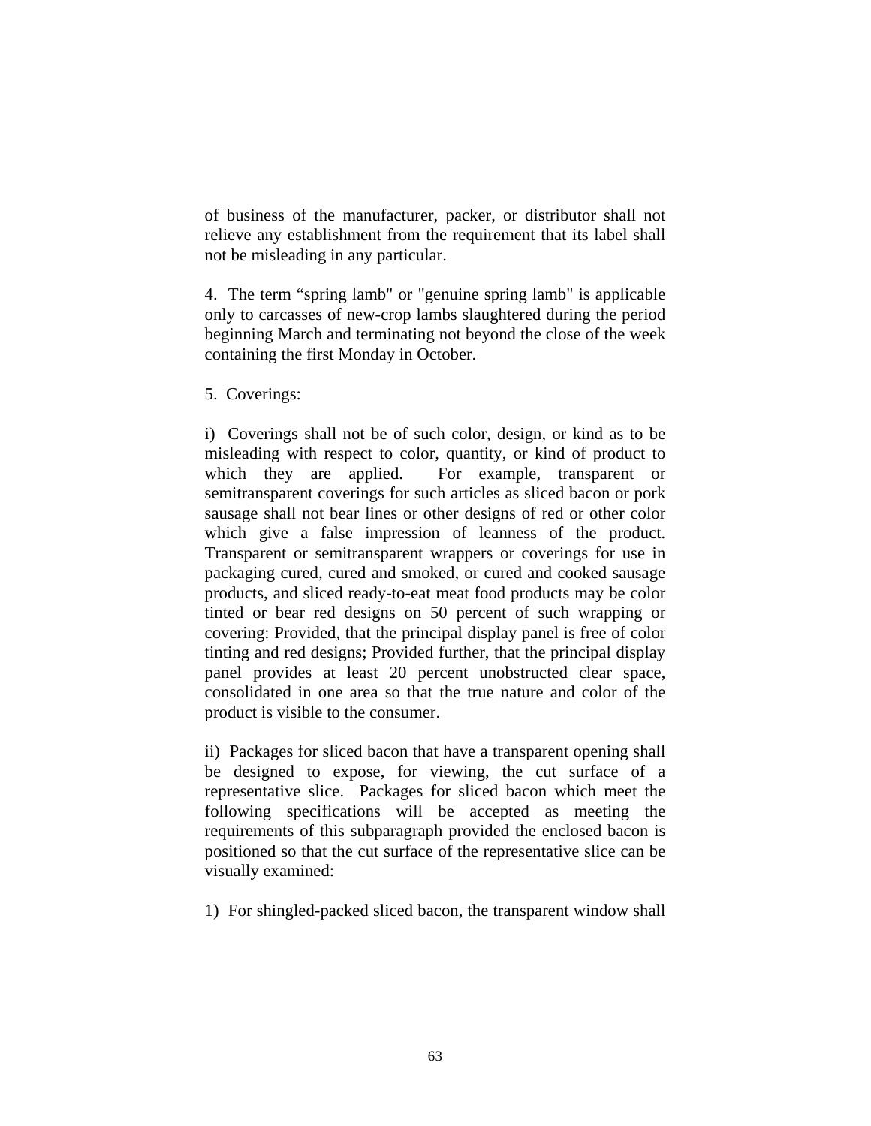of business of the manufacturer, packer, or distributor shall not relieve any establishment from the requirement that its label shall not be misleading in any particular.

4. The term "spring lamb" or "genuine spring lamb" is applicable only to carcasses of new-crop lambs slaughtered during the period beginning March and terminating not beyond the close of the week containing the first Monday in October.

5. Coverings:

i) Coverings shall not be of such color, design, or kind as to be misleading with respect to color, quantity, or kind of product to which they are applied. For example, transparent or semitransparent coverings for such articles as sliced bacon or pork sausage shall not bear lines or other designs of red or other color which give a false impression of leanness of the product. Transparent or semitransparent wrappers or coverings for use in packaging cured, cured and smoked, or cured and cooked sausage products, and sliced ready-to-eat meat food products may be color tinted or bear red designs on 50 percent of such wrapping or covering: Provided, that the principal display panel is free of color tinting and red designs; Provided further, that the principal display panel provides at least 20 percent unobstructed clear space, consolidated in one area so that the true nature and color of the product is visible to the consumer.

ii) Packages for sliced bacon that have a transparent opening shall be designed to expose, for viewing, the cut surface of a representative slice. Packages for sliced bacon which meet the following specifications will be accepted as meeting the requirements of this subparagraph provided the enclosed bacon is positioned so that the cut surface of the representative slice can be visually examined:

1) For shingled-packed sliced bacon, the transparent window shall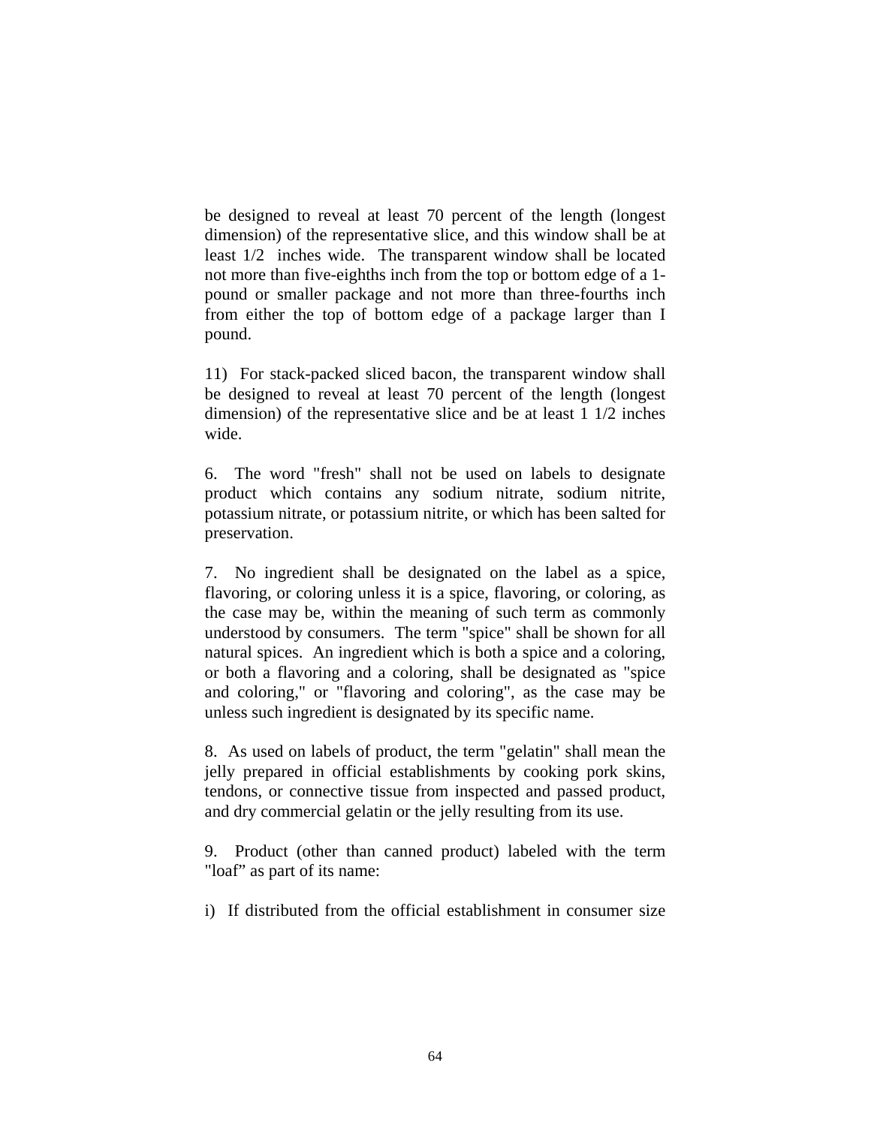be designed to reveal at least 70 percent of the length (longest dimension) of the representative slice, and this window shall be at least 1/2 inches wide. The transparent window shall be located not more than five-eighths inch from the top or bottom edge of a 1 pound or smaller package and not more than three-fourths inch from either the top of bottom edge of a package larger than I pound.

11) For stack-packed sliced bacon, the transparent window shall be designed to reveal at least 70 percent of the length (longest dimension) of the representative slice and be at least 1 1/2 inches wide.

6. The word "fresh" shall not be used on labels to designate product which contains any sodium nitrate, sodium nitrite, potassium nitrate, or potassium nitrite, or which has been salted for preservation.

7. No ingredient shall be designated on the label as a spice, flavoring, or coloring unless it is a spice, flavoring, or coloring, as the case may be, within the meaning of such term as commonly understood by consumers. The term "spice" shall be shown for all natural spices. An ingredient which is both a spice and a coloring, or both a flavoring and a coloring, shall be designated as "spice and coloring," or "flavoring and coloring", as the case may be unless such ingredient is designated by its specific name.

8. As used on labels of product, the term "gelatin" shall mean the jelly prepared in official establishments by cooking pork skins, tendons, or connective tissue from inspected and passed product, and dry commercial gelatin or the jelly resulting from its use.

9. Product (other than canned product) labeled with the term "loaf" as part of its name:

i) If distributed from the official establishment in consumer size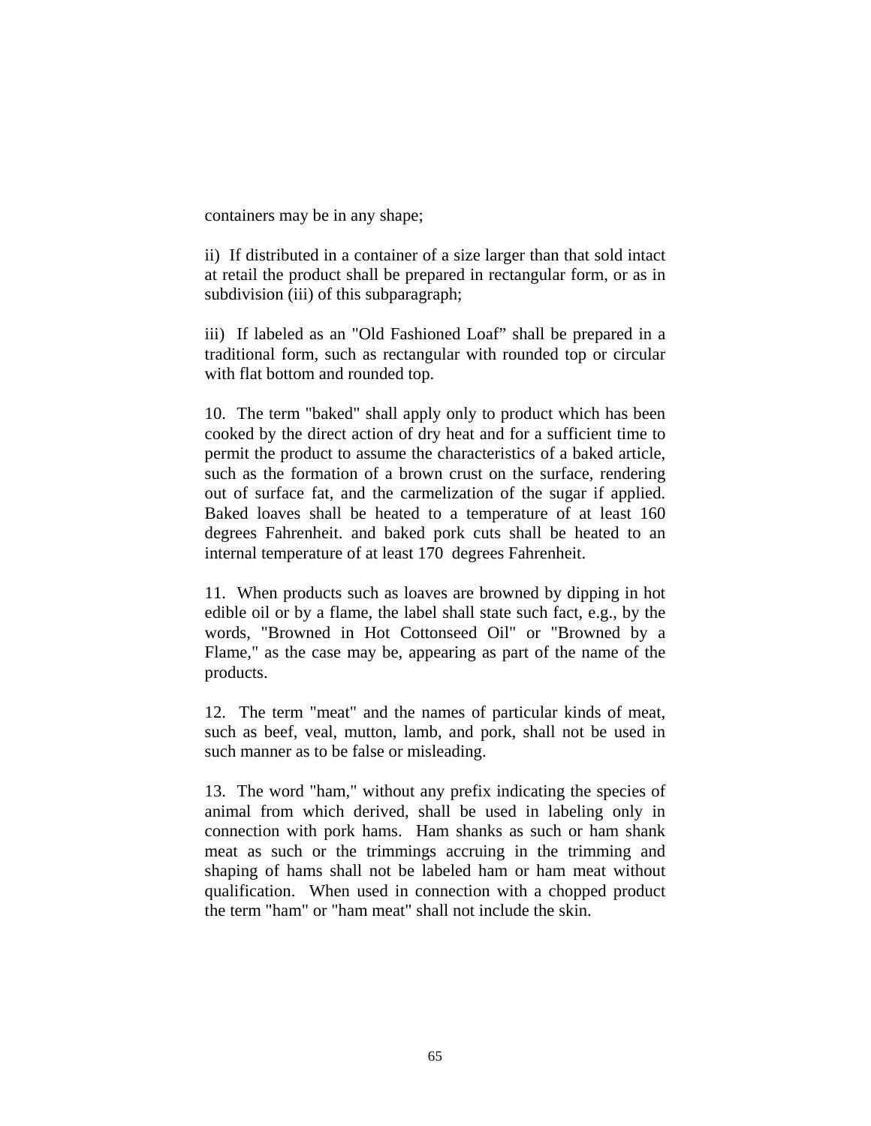containers may be in any shape;

ii) If distributed in a container of a size larger than that sold intact at retail the product shall be prepared in rectangular form, or as in subdivision (iii) of this subparagraph;

iii) If labeled as an "Old Fashioned Loaf" shall be prepared in a traditional form, such as rectangular with rounded top or circular with flat bottom and rounded top.

10. The term "baked" shall apply only to product which has been cooked by the direct action of dry heat and for a sufficient time to permit the product to assume the characteristics of a baked article, such as the formation of a brown crust on the surface, rendering out of surface fat, and the carmelization of the sugar if applied. Baked loaves shall be heated to a temperature of at least 160 degrees Fahrenheit. and baked pork cuts shall be heated to an internal temperature of at least 170 degrees Fahrenheit.

11. When products such as loaves are browned by dipping in hot edible oil or by a flame, the label shall state such fact, e.g., by the words, "Browned in Hot Cottonseed Oil" or "Browned by a Flame," as the case may be, appearing as part of the name of the products.

12. The term "meat" and the names of particular kinds of meat, such as beef, veal, mutton, lamb, and pork, shall not be used in such manner as to be false or misleading.

13. The word "ham," without any prefix indicating the species of animal from which derived, shall be used in labeling only in connection with pork hams. Ham shanks as such or ham shank meat as such or the trimmings accruing in the trimming and shaping of hams shall not be labeled ham or ham meat without qualification. When used in connection with a chopped product the term "ham" or "ham meat" shall not include the skin.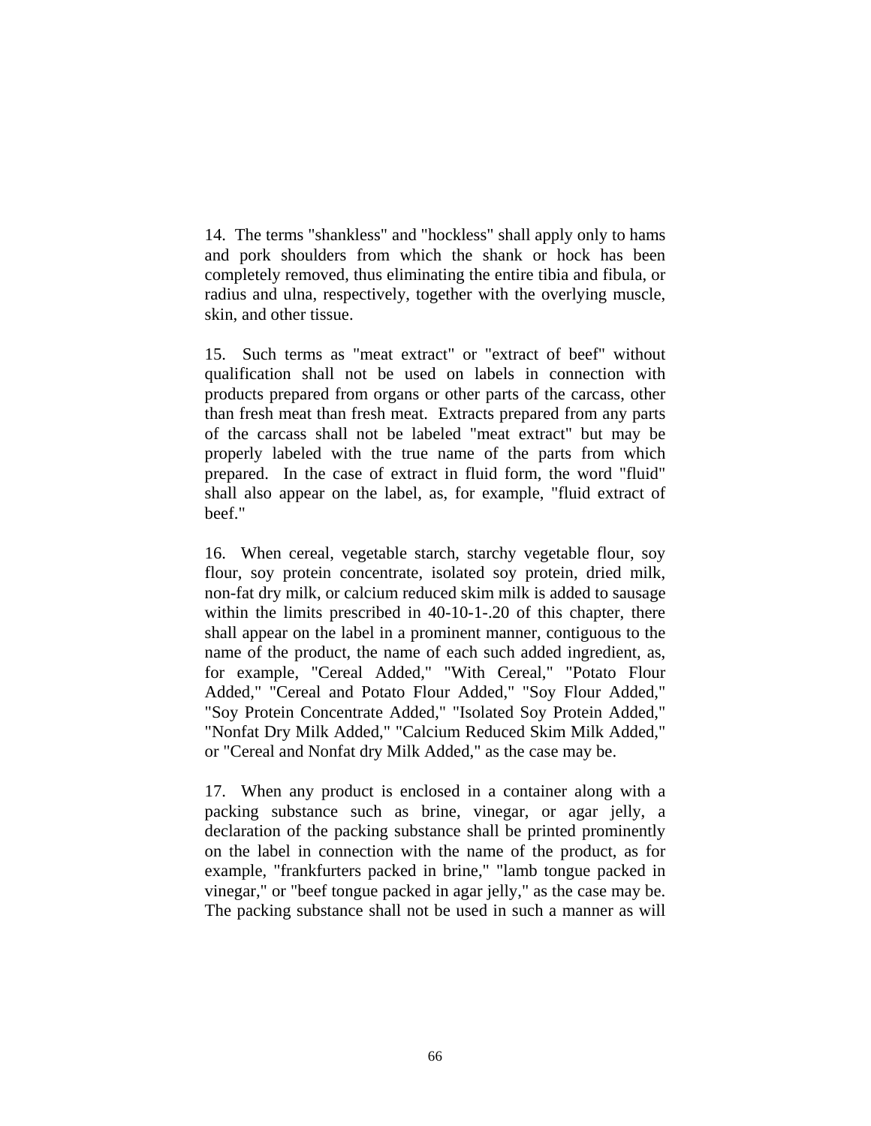14. The terms "shankless" and "hockless" shall apply only to hams and pork shoulders from which the shank or hock has been completely removed, thus eliminating the entire tibia and fibula, or radius and ulna, respectively, together with the overlying muscle, skin, and other tissue.

15. Such terms as "meat extract" or "extract of beef" without qualification shall not be used on labels in connection with products prepared from organs or other parts of the carcass, other than fresh meat than fresh meat. Extracts prepared from any parts of the carcass shall not be labeled "meat extract" but may be properly labeled with the true name of the parts from which prepared. In the case of extract in fluid form, the word "fluid" shall also appear on the label, as, for example, "fluid extract of beef."

16. When cereal, vegetable starch, starchy vegetable flour, soy flour, soy protein concentrate, isolated soy protein, dried milk, non-fat dry milk, or calcium reduced skim milk is added to sausage within the limits prescribed in 40-10-1-.20 of this chapter, there shall appear on the label in a prominent manner, contiguous to the name of the product, the name of each such added ingredient, as, for example, "Cereal Added," "With Cereal," "Potato Flour Added," "Cereal and Potato Flour Added," "Soy Flour Added," "Soy Protein Concentrate Added," "Isolated Soy Protein Added," "Nonfat Dry Milk Added," "Calcium Reduced Skim Milk Added," or "Cereal and Nonfat dry Milk Added," as the case may be.

17. When any product is enclosed in a container along with a packing substance such as brine, vinegar, or agar jelly, a declaration of the packing substance shall be printed prominently on the label in connection with the name of the product, as for example, "frankfurters packed in brine," "lamb tongue packed in vinegar," or "beef tongue packed in agar jelly," as the case may be. The packing substance shall not be used in such a manner as will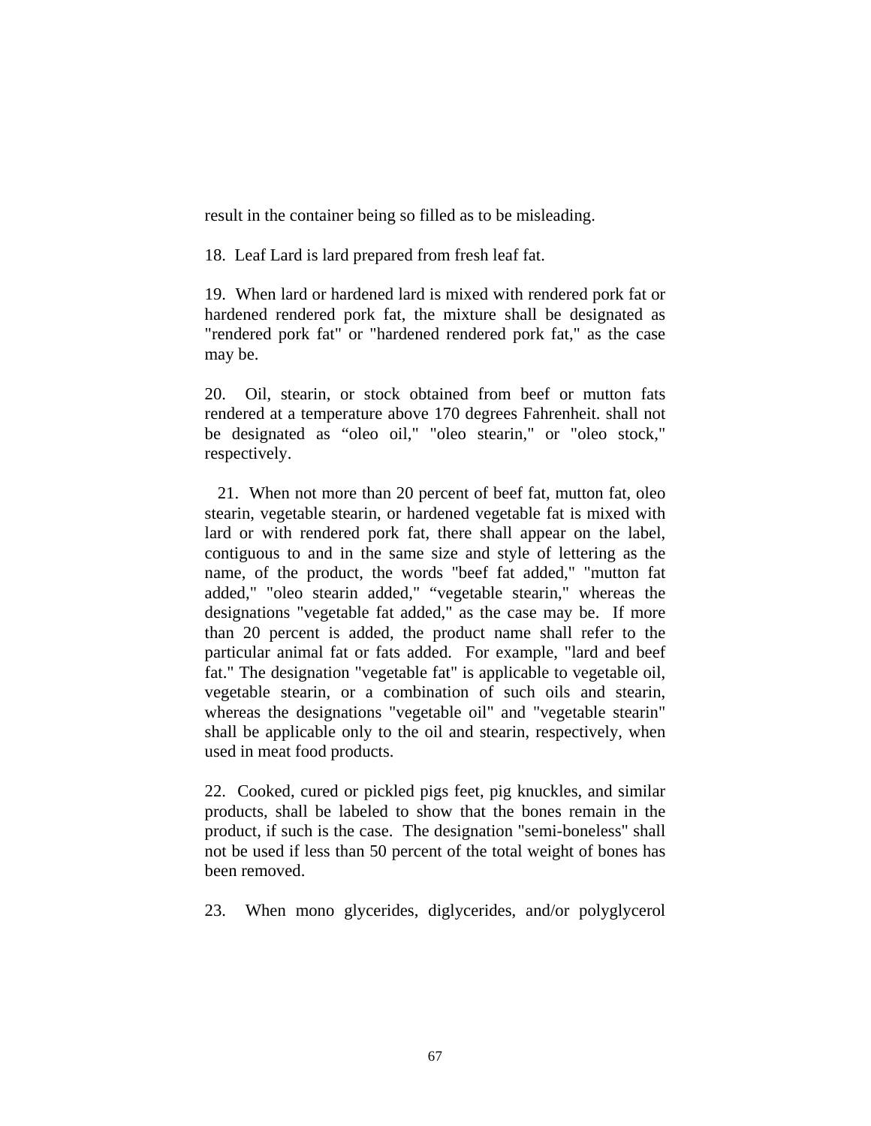result in the container being so filled as to be misleading.

18. Leaf Lard is lard prepared from fresh leaf fat.

19. When lard or hardened lard is mixed with rendered pork fat or hardened rendered pork fat, the mixture shall be designated as "rendered pork fat" or "hardened rendered pork fat," as the case may be.

20. Oil, stearin, or stock obtained from beef or mutton fats rendered at a temperature above 170 degrees Fahrenheit. shall not be designated as "oleo oil," "oleo stearin," or "oleo stock," respectively.

 21. When not more than 20 percent of beef fat, mutton fat, oleo stearin, vegetable stearin, or hardened vegetable fat is mixed with lard or with rendered pork fat, there shall appear on the label, contiguous to and in the same size and style of lettering as the name, of the product, the words "beef fat added," "mutton fat added," "oleo stearin added," "vegetable stearin," whereas the designations "vegetable fat added," as the case may be. If more than 20 percent is added, the product name shall refer to the particular animal fat or fats added. For example, "lard and beef fat." The designation "vegetable fat" is applicable to vegetable oil, vegetable stearin, or a combination of such oils and stearin, whereas the designations "vegetable oil" and "vegetable stearin" shall be applicable only to the oil and stearin, respectively, when used in meat food products.

22. Cooked, cured or pickled pigs feet, pig knuckles, and similar products, shall be labeled to show that the bones remain in the product, if such is the case. The designation "semi-boneless" shall not be used if less than 50 percent of the total weight of bones has been removed.

23. When mono glycerides, diglycerides, and/or polyglycerol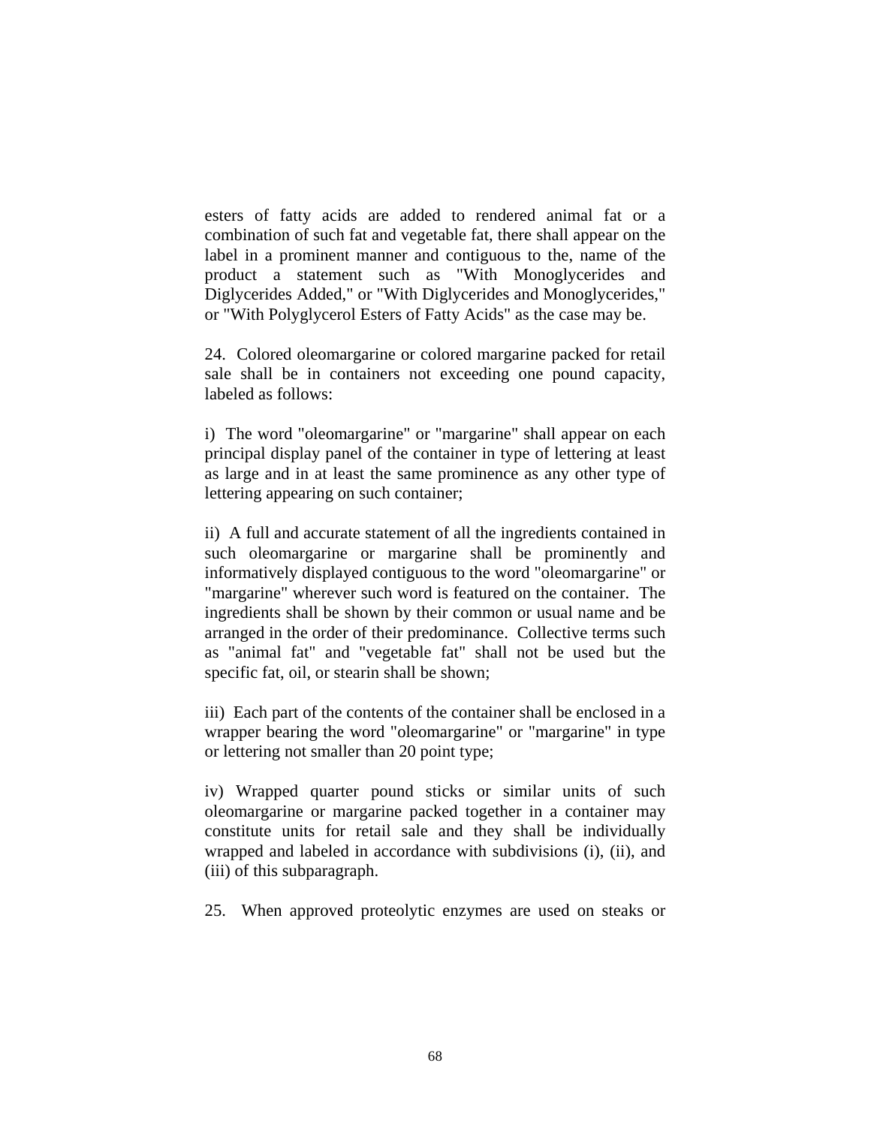esters of fatty acids are added to rendered animal fat or a combination of such fat and vegetable fat, there shall appear on the label in a prominent manner and contiguous to the, name of the product a statement such as "With Monoglycerides and Diglycerides Added," or "With Diglycerides and Monoglycerides," or "With Polyglycerol Esters of Fatty Acids" as the case may be.

24. Colored oleomargarine or colored margarine packed for retail sale shall be in containers not exceeding one pound capacity, labeled as follows:

i) The word "oleomargarine" or "margarine" shall appear on each principal display panel of the container in type of lettering at least as large and in at least the same prominence as any other type of lettering appearing on such container;

ii) A full and accurate statement of all the ingredients contained in such oleomargarine or margarine shall be prominently and informatively displayed contiguous to the word "oleomargarine" or "margarine" wherever such word is featured on the container. The ingredients shall be shown by their common or usual name and be arranged in the order of their predominance. Collective terms such as "animal fat" and "vegetable fat" shall not be used but the specific fat, oil, or stearin shall be shown;

iii) Each part of the contents of the container shall be enclosed in a wrapper bearing the word "oleomargarine" or "margarine" in type or lettering not smaller than 20 point type;

iv) Wrapped quarter pound sticks or similar units of such oleomargarine or margarine packed together in a container may constitute units for retail sale and they shall be individually wrapped and labeled in accordance with subdivisions (i), (ii), and (iii) of this subparagraph.

25. When approved proteolytic enzymes are used on steaks or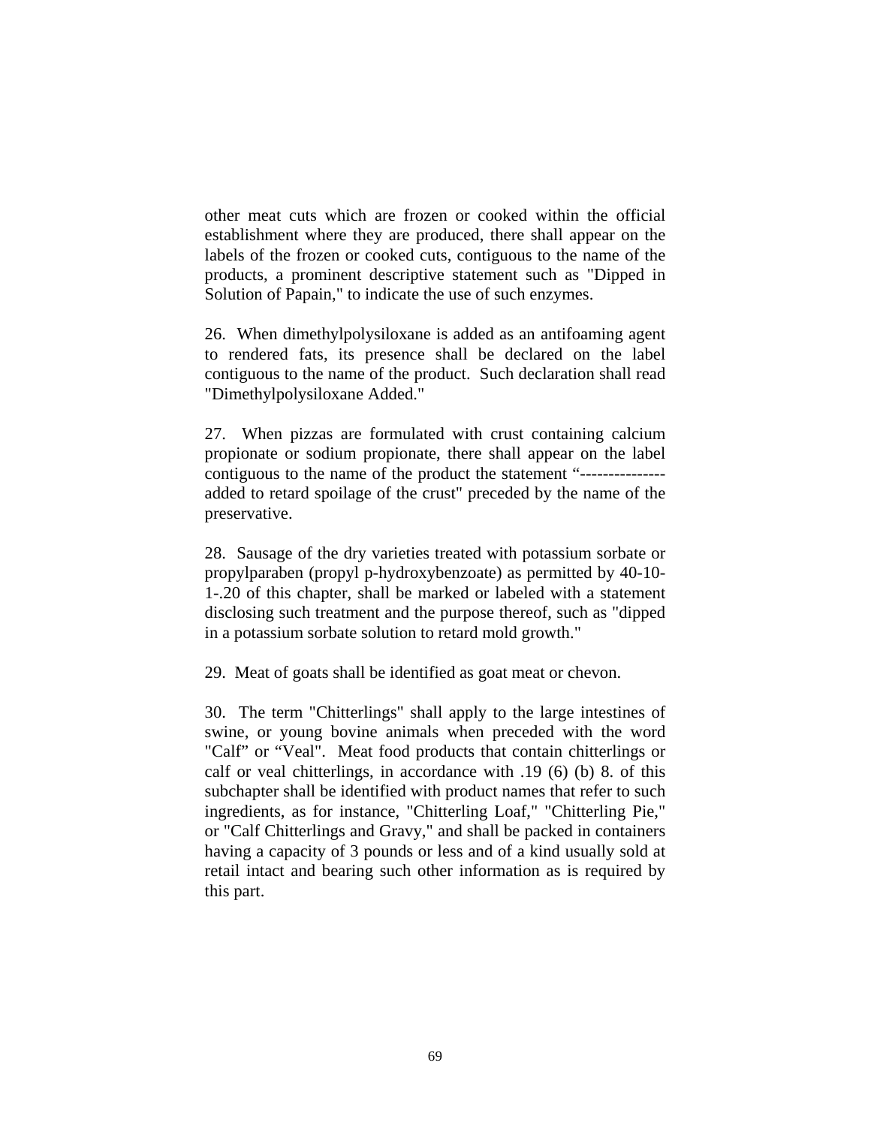other meat cuts which are frozen or cooked within the official establishment where they are produced, there shall appear on the labels of the frozen or cooked cuts, contiguous to the name of the products, a prominent descriptive statement such as "Dipped in Solution of Papain," to indicate the use of such enzymes.

26. When dimethylpolysiloxane is added as an antifoaming agent to rendered fats, its presence shall be declared on the label contiguous to the name of the product. Such declaration shall read "Dimethylpolysiloxane Added."

27. When pizzas are formulated with crust containing calcium propionate or sodium propionate, there shall appear on the label contiguous to the name of the product the statement "-------------- added to retard spoilage of the crust" preceded by the name of the preservative.

28. Sausage of the dry varieties treated with potassium sorbate or propylparaben (propyl p-hydroxybenzoate) as permitted by 40-10- 1-.20 of this chapter, shall be marked or labeled with a statement disclosing such treatment and the purpose thereof, such as "dipped in a potassium sorbate solution to retard mold growth."

29. Meat of goats shall be identified as goat meat or chevon.

30. The term "Chitterlings" shall apply to the large intestines of swine, or young bovine animals when preceded with the word "Calf" or "Veal". Meat food products that contain chitterlings or calf or veal chitterlings, in accordance with .19 (6) (b) 8. of this subchapter shall be identified with product names that refer to such ingredients, as for instance, "Chitterling Loaf," "Chitterling Pie," or "Calf Chitterlings and Gravy," and shall be packed in containers having a capacity of 3 pounds or less and of a kind usually sold at retail intact and bearing such other information as is required by this part.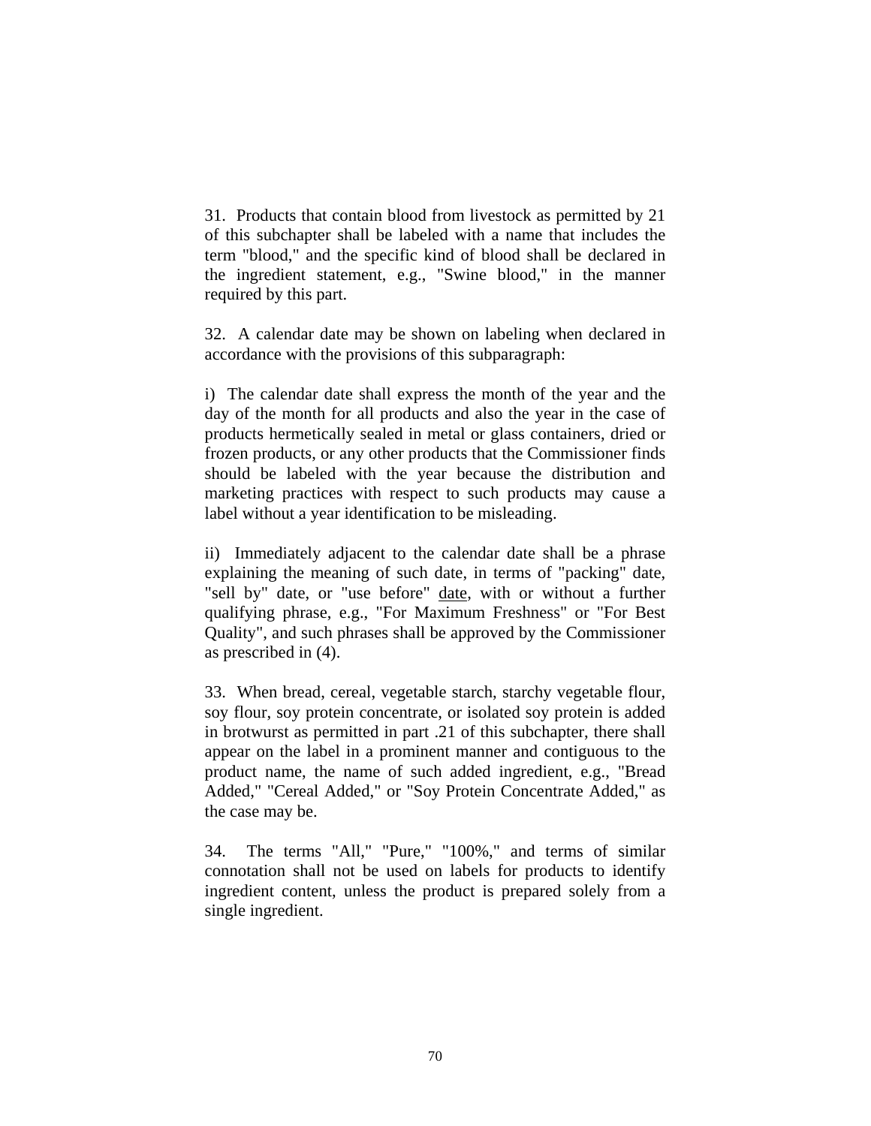31. Products that contain blood from livestock as permitted by 21 of this subchapter shall be labeled with a name that includes the term "blood," and the specific kind of blood shall be declared in the ingredient statement, e.g., "Swine blood," in the manner required by this part.

32. A calendar date may be shown on labeling when declared in accordance with the provisions of this subparagraph:

i) The calendar date shall express the month of the year and the day of the month for all products and also the year in the case of products hermetically sealed in metal or glass containers, dried or frozen products, or any other products that the Commissioner finds should be labeled with the year because the distribution and marketing practices with respect to such products may cause a label without a year identification to be misleading.

ii) Immediately adjacent to the calendar date shall be a phrase explaining the meaning of such date, in terms of "packing" date, "sell by" date, or "use before" date, with or without a further qualifying phrase, e.g., "For Maximum Freshness" or "For Best Quality", and such phrases shall be approved by the Commissioner as prescribed in (4).

33. When bread, cereal, vegetable starch, starchy vegetable flour, soy flour, soy protein concentrate, or isolated soy protein is added in brotwurst as permitted in part .21 of this subchapter, there shall appear on the label in a prominent manner and contiguous to the product name, the name of such added ingredient, e.g., "Bread Added," "Cereal Added," or "Soy Protein Concentrate Added," as the case may be.

34. The terms "All," "Pure," "100%," and terms of similar connotation shall not be used on labels for products to identify ingredient content, unless the product is prepared solely from a single ingredient.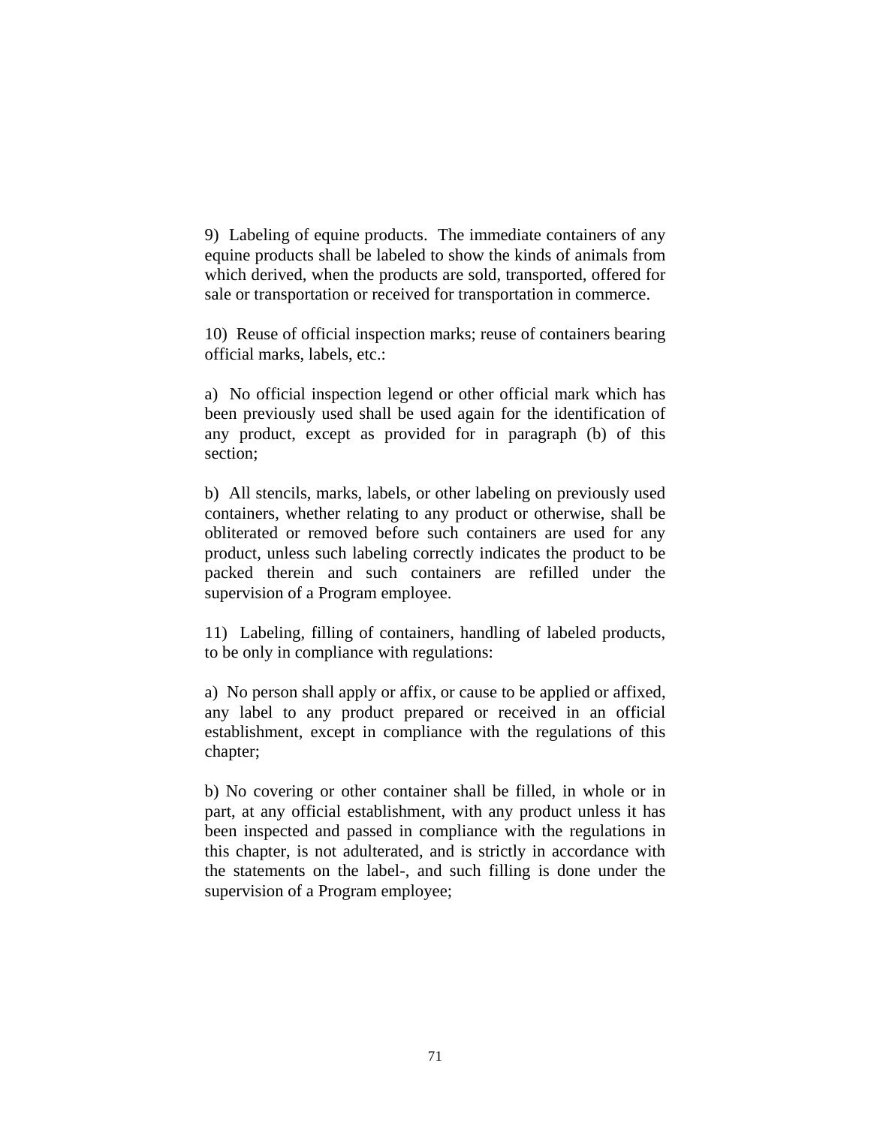9) Labeling of equine products. The immediate containers of any equine products shall be labeled to show the kinds of animals from which derived, when the products are sold, transported, offered for sale or transportation or received for transportation in commerce.

10) Reuse of official inspection marks; reuse of containers bearing official marks, labels, etc.:

a) No official inspection legend or other official mark which has been previously used shall be used again for the identification of any product, except as provided for in paragraph (b) of this section;

b) All stencils, marks, labels, or other labeling on previously used containers, whether relating to any product or otherwise, shall be obliterated or removed before such containers are used for any product, unless such labeling correctly indicates the product to be packed therein and such containers are refilled under the supervision of a Program employee.

11) Labeling, filling of containers, handling of labeled products, to be only in compliance with regulations:

a) No person shall apply or affix, or cause to be applied or affixed, any label to any product prepared or received in an official establishment, except in compliance with the regulations of this chapter;

b) No covering or other container shall be filled, in whole or in part, at any official establishment, with any product unless it has been inspected and passed in compliance with the regulations in this chapter, is not adulterated, and is strictly in accordance with the statements on the label-, and such filling is done under the supervision of a Program employee;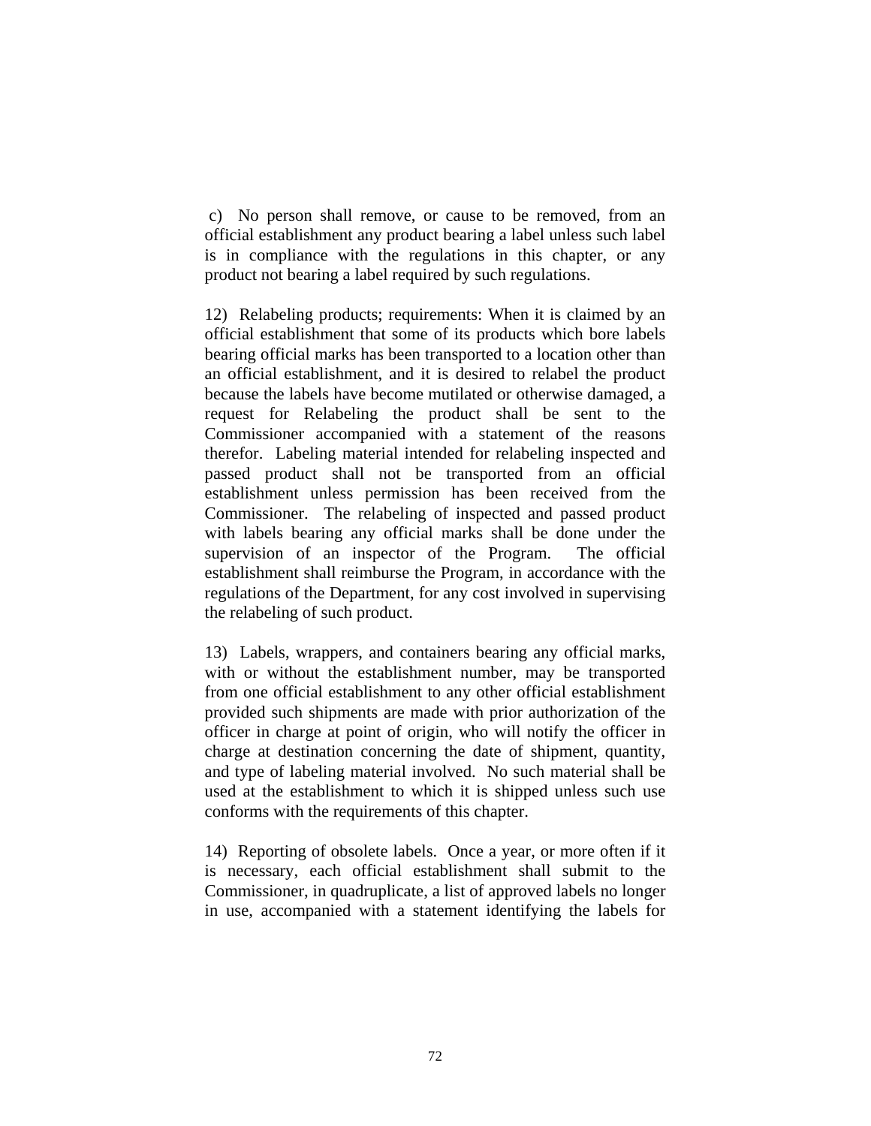c) No person shall remove, or cause to be removed, from an official establishment any product bearing a label unless such label is in compliance with the regulations in this chapter, or any product not bearing a label required by such regulations.

12) Relabeling products; requirements: When it is claimed by an official establishment that some of its products which bore labels bearing official marks has been transported to a location other than an official establishment, and it is desired to relabel the product because the labels have become mutilated or otherwise damaged, a request for Relabeling the product shall be sent to the Commissioner accompanied with a statement of the reasons therefor. Labeling material intended for relabeling inspected and passed product shall not be transported from an official establishment unless permission has been received from the Commissioner. The relabeling of inspected and passed product with labels bearing any official marks shall be done under the supervision of an inspector of the Program. The official establishment shall reimburse the Program, in accordance with the regulations of the Department, for any cost involved in supervising the relabeling of such product.

13) Labels, wrappers, and containers bearing any official marks, with or without the establishment number, may be transported from one official establishment to any other official establishment provided such shipments are made with prior authorization of the officer in charge at point of origin, who will notify the officer in charge at destination concerning the date of shipment, quantity, and type of labeling material involved. No such material shall be used at the establishment to which it is shipped unless such use conforms with the requirements of this chapter.

14) Reporting of obsolete labels. Once a year, or more often if it is necessary, each official establishment shall submit to the Commissioner, in quadruplicate, a list of approved labels no longer in use, accompanied with a statement identifying the labels for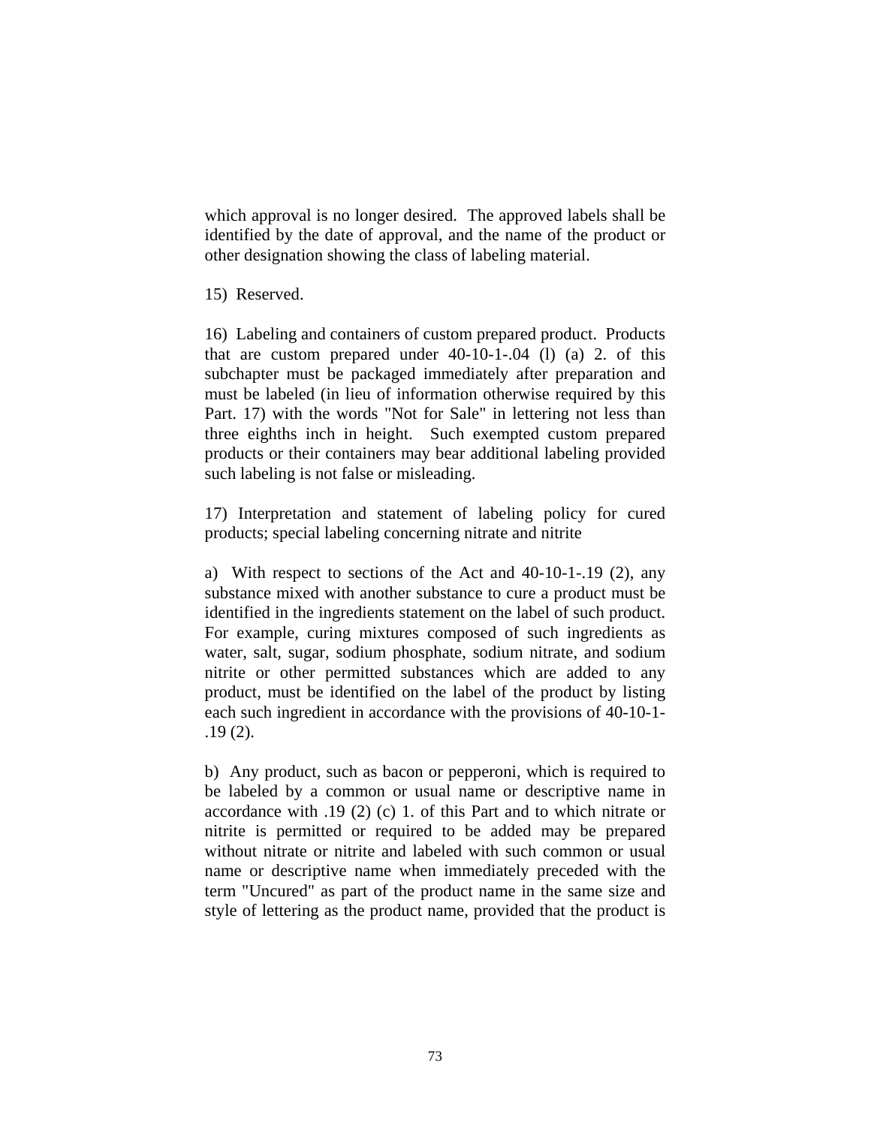which approval is no longer desired. The approved labels shall be identified by the date of approval, and the name of the product or other designation showing the class of labeling material.

15) Reserved.

16) Labeling and containers of custom prepared product. Products that are custom prepared under 40-10-1-.04 (l) (a) 2. of this subchapter must be packaged immediately after preparation and must be labeled (in lieu of information otherwise required by this Part. 17) with the words "Not for Sale" in lettering not less than three eighths inch in height. Such exempted custom prepared products or their containers may bear additional labeling provided such labeling is not false or misleading.

17) Interpretation and statement of labeling policy for cured products; special labeling concerning nitrate and nitrite

a) With respect to sections of the Act and 40-10-1-.19 (2), any substance mixed with another substance to cure a product must be identified in the ingredients statement on the label of such product. For example, curing mixtures composed of such ingredients as water, salt, sugar, sodium phosphate, sodium nitrate, and sodium nitrite or other permitted substances which are added to any product, must be identified on the label of the product by listing each such ingredient in accordance with the provisions of 40-10-1- .19 (2).

b) Any product, such as bacon or pepperoni, which is required to be labeled by a common or usual name or descriptive name in accordance with .19 (2) (c) 1. of this Part and to which nitrate or nitrite is permitted or required to be added may be prepared without nitrate or nitrite and labeled with such common or usual name or descriptive name when immediately preceded with the term "Uncured" as part of the product name in the same size and style of lettering as the product name, provided that the product is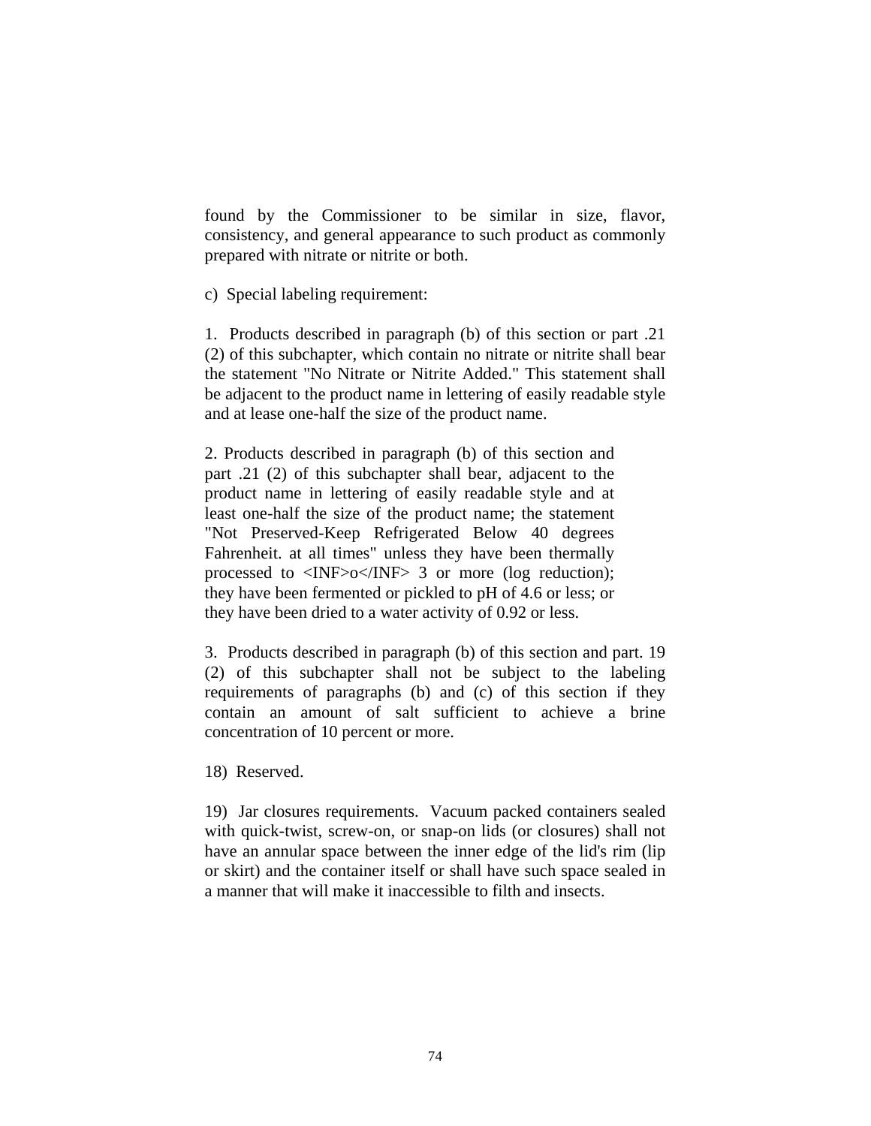found by the Commissioner to be similar in size, flavor, consistency, and general appearance to such product as commonly prepared with nitrate or nitrite or both.

c) Special labeling requirement:

1. Products described in paragraph (b) of this section or part .21 (2) of this subchapter, which contain no nitrate or nitrite shall bear the statement "No Nitrate or Nitrite Added." This statement shall be adjacent to the product name in lettering of easily readable style and at lease one-half the size of the product name.

2. Products described in paragraph (b) of this section and part .21 (2) of this subchapter shall bear, adjacent to the product name in lettering of easily readable style and at least one-half the size of the product name; the statement "Not Preserved-Keep Refrigerated Below 40 degrees Fahrenheit. at all times" unless they have been thermally processed to  $\langle NF \rangle o \langle NF \rangle$  3 or more (log reduction); they have been fermented or pickled to pH of 4.6 or less; or they have been dried to a water activity of 0.92 or less.

3. Products described in paragraph (b) of this section and part. 19 (2) of this subchapter shall not be subject to the labeling requirements of paragraphs (b) and (c) of this section if they contain an amount of salt sufficient to achieve a brine concentration of 10 percent or more.

18) Reserved.

19) Jar closures requirements. Vacuum packed containers sealed with quick-twist, screw-on, or snap-on lids (or closures) shall not have an annular space between the inner edge of the lid's rim (lip or skirt) and the container itself or shall have such space sealed in a manner that will make it inaccessible to filth and insects.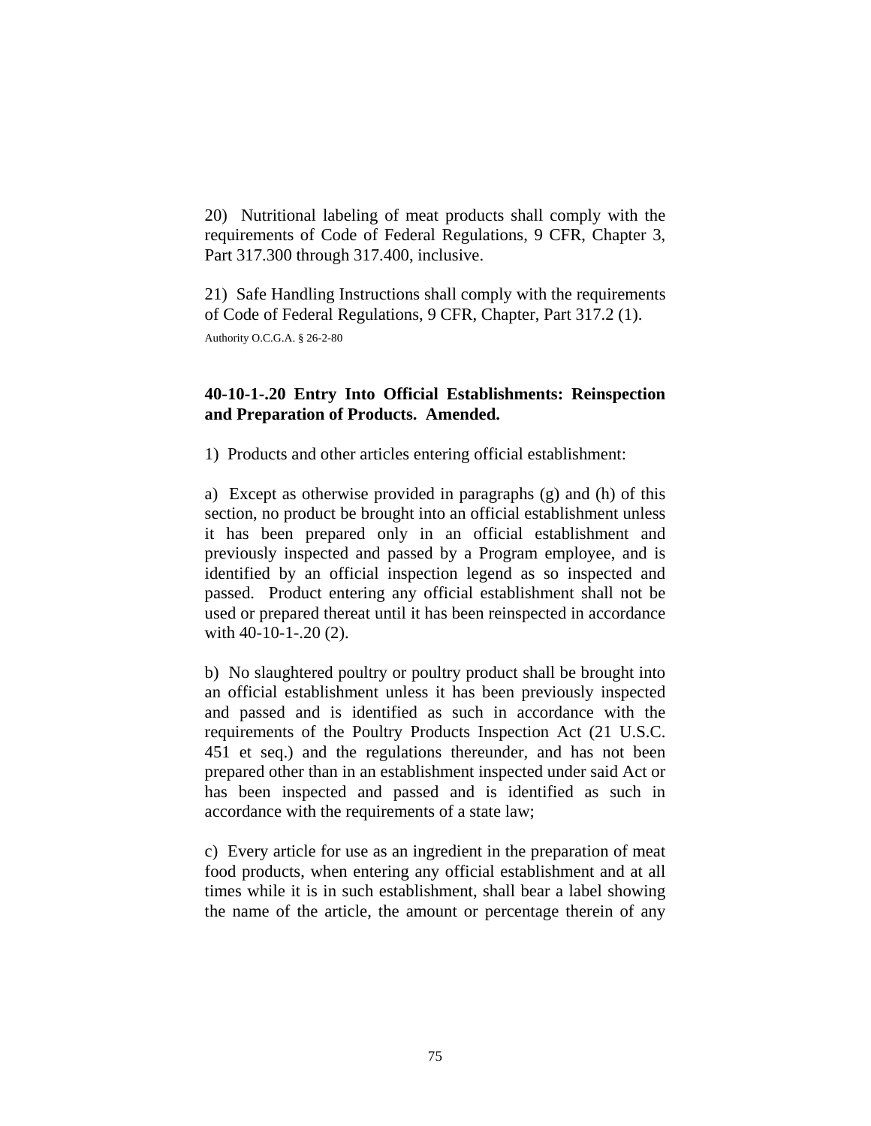20) Nutritional labeling of meat products shall comply with the requirements of Code of Federal Regulations, 9 CFR, Chapter 3, Part 317.300 through 317.400, inclusive.

21) Safe Handling Instructions shall comply with the requirements of Code of Federal Regulations, 9 CFR, Chapter, Part 317.2 (1).

Authority O.C.G.A. § 26-2-80

## **40-10-1-.20 Entry Into Official Establishments: Reinspection and Preparation of Products. Amended.**

1) Products and other articles entering official establishment:

a) Except as otherwise provided in paragraphs (g) and (h) of this section, no product be brought into an official establishment unless it has been prepared only in an official establishment and previously inspected and passed by a Program employee, and is identified by an official inspection legend as so inspected and passed. Product entering any official establishment shall not be used or prepared thereat until it has been reinspected in accordance with 40-10-1-.20 (2).

b) No slaughtered poultry or poultry product shall be brought into an official establishment unless it has been previously inspected and passed and is identified as such in accordance with the requirements of the Poultry Products Inspection Act (21 U.S.C. 451 et seq.) and the regulations thereunder, and has not been prepared other than in an establishment inspected under said Act or has been inspected and passed and is identified as such in accordance with the requirements of a state law;

c) Every article for use as an ingredient in the preparation of meat food products, when entering any official establishment and at all times while it is in such establishment, shall bear a label showing the name of the article, the amount or percentage therein of any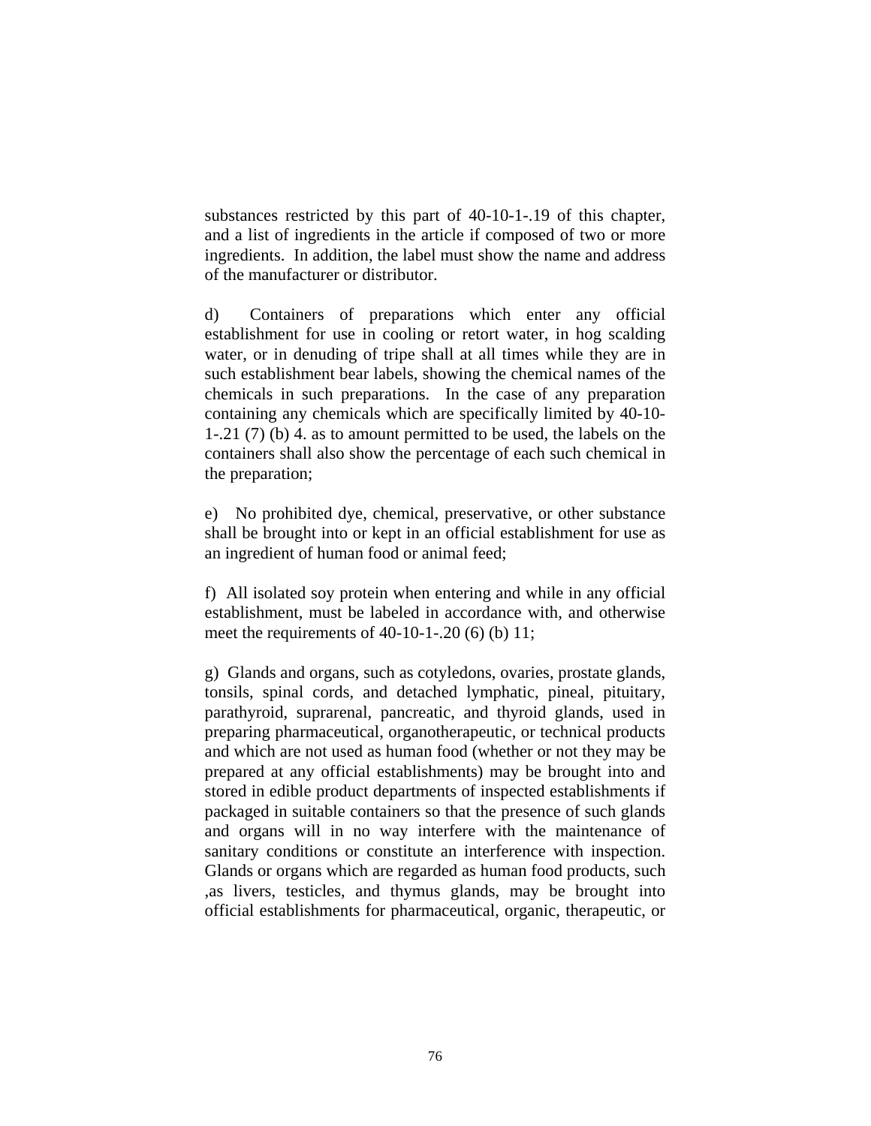substances restricted by this part of 40-10-1-.19 of this chapter, and a list of ingredients in the article if composed of two or more ingredients. In addition, the label must show the name and address of the manufacturer or distributor.

d) Containers of preparations which enter any official establishment for use in cooling or retort water, in hog scalding water, or in denuding of tripe shall at all times while they are in such establishment bear labels, showing the chemical names of the chemicals in such preparations. In the case of any preparation containing any chemicals which are specifically limited by 40-10- 1-.21 (7) (b) 4. as to amount permitted to be used, the labels on the containers shall also show the percentage of each such chemical in the preparation;

e) No prohibited dye, chemical, preservative, or other substance shall be brought into or kept in an official establishment for use as an ingredient of human food or animal feed;

f) All isolated soy protein when entering and while in any official establishment, must be labeled in accordance with, and otherwise meet the requirements of  $40-10-1-0.20$  (6) (b) 11;

g) Glands and organs, such as cotyledons, ovaries, prostate glands, tonsils, spinal cords, and detached lymphatic, pineal, pituitary, parathyroid, suprarenal, pancreatic, and thyroid glands, used in preparing pharmaceutical, organotherapeutic, or technical products and which are not used as human food (whether or not they may be prepared at any official establishments) may be brought into and stored in edible product departments of inspected establishments if packaged in suitable containers so that the presence of such glands and organs will in no way interfere with the maintenance of sanitary conditions or constitute an interference with inspection. Glands or organs which are regarded as human food products, such ,as livers, testicles, and thymus glands, may be brought into official establishments for pharmaceutical, organic, therapeutic, or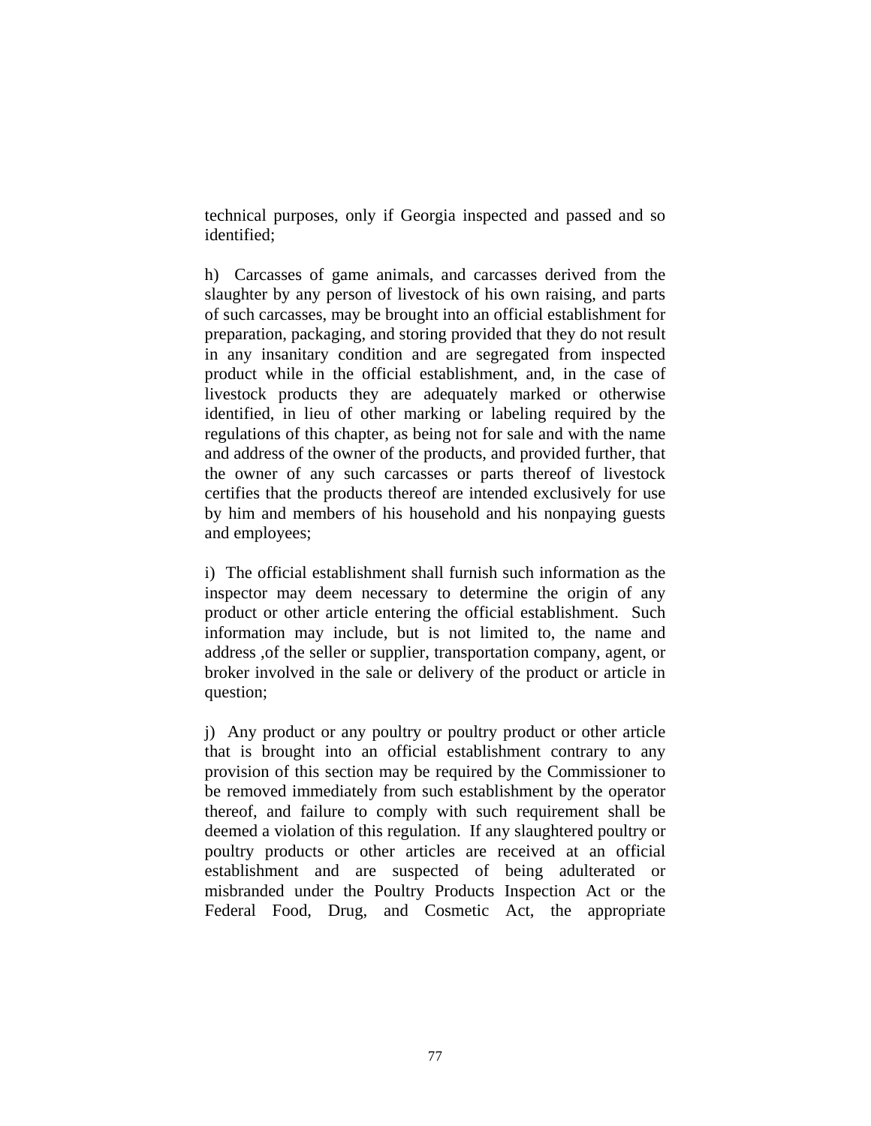technical purposes, only if Georgia inspected and passed and so identified;

h) Carcasses of game animals, and carcasses derived from the slaughter by any person of livestock of his own raising, and parts of such carcasses, may be brought into an official establishment for preparation, packaging, and storing provided that they do not result in any insanitary condition and are segregated from inspected product while in the official establishment, and, in the case of livestock products they are adequately marked or otherwise identified, in lieu of other marking or labeling required by the regulations of this chapter, as being not for sale and with the name and address of the owner of the products, and provided further, that the owner of any such carcasses or parts thereof of livestock certifies that the products thereof are intended exclusively for use by him and members of his household and his nonpaying guests and employees;

i) The official establishment shall furnish such information as the inspector may deem necessary to determine the origin of any product or other article entering the official establishment. Such information may include, but is not limited to, the name and address ,of the seller or supplier, transportation company, agent, or broker involved in the sale or delivery of the product or article in question;

j) Any product or any poultry or poultry product or other article that is brought into an official establishment contrary to any provision of this section may be required by the Commissioner to be removed immediately from such establishment by the operator thereof, and failure to comply with such requirement shall be deemed a violation of this regulation. If any slaughtered poultry or poultry products or other articles are received at an official establishment and are suspected of being adulterated or misbranded under the Poultry Products Inspection Act or the Federal Food, Drug, and Cosmetic Act, the appropriate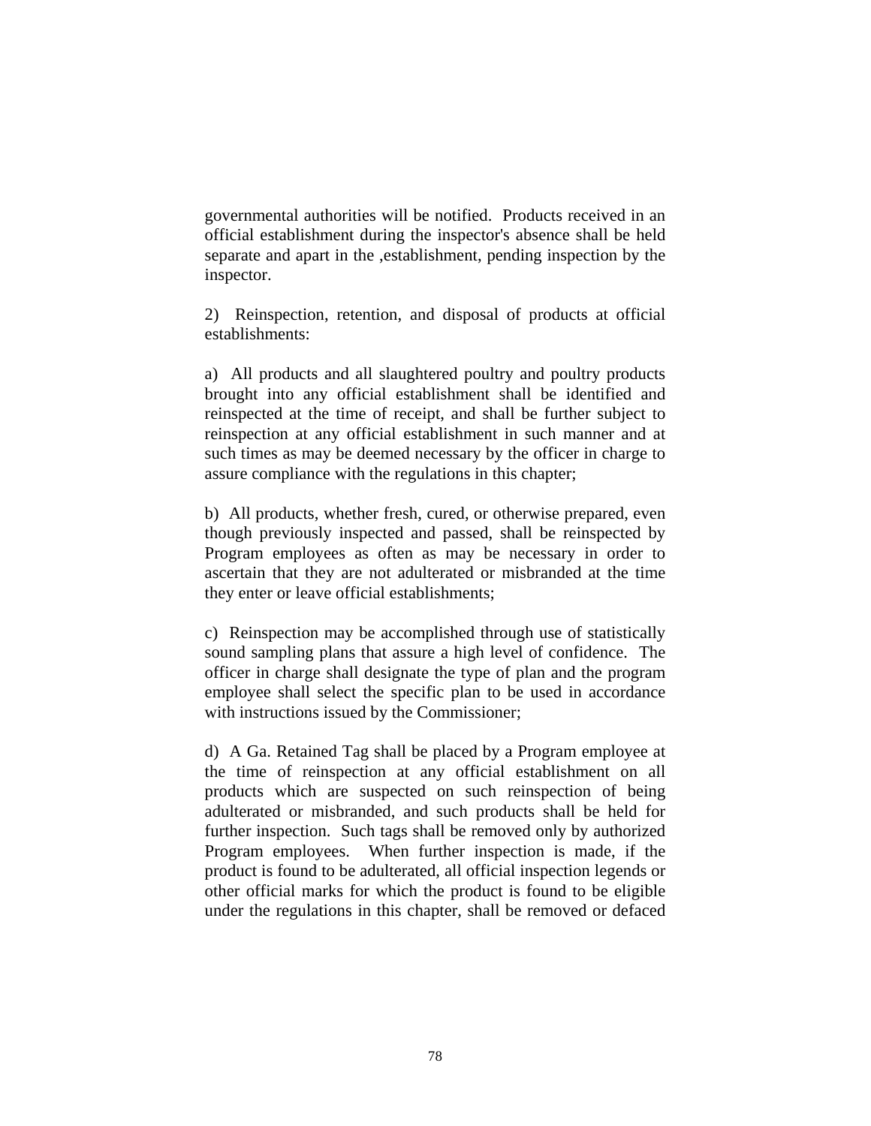governmental authorities will be notified. Products received in an official establishment during the inspector's absence shall be held separate and apart in the ,establishment, pending inspection by the inspector.

2) Reinspection, retention, and disposal of products at official establishments:

a) All products and all slaughtered poultry and poultry products brought into any official establishment shall be identified and reinspected at the time of receipt, and shall be further subject to reinspection at any official establishment in such manner and at such times as may be deemed necessary by the officer in charge to assure compliance with the regulations in this chapter;

b) All products, whether fresh, cured, or otherwise prepared, even though previously inspected and passed, shall be reinspected by Program employees as often as may be necessary in order to ascertain that they are not adulterated or misbranded at the time they enter or leave official establishments;

c) Reinspection may be accomplished through use of statistically sound sampling plans that assure a high level of confidence. The officer in charge shall designate the type of plan and the program employee shall select the specific plan to be used in accordance with instructions issued by the Commissioner;

d) A Ga. Retained Tag shall be placed by a Program employee at the time of reinspection at any official establishment on all products which are suspected on such reinspection of being adulterated or misbranded, and such products shall be held for further inspection. Such tags shall be removed only by authorized Program employees. When further inspection is made, if the product is found to be adulterated, all official inspection legends or other official marks for which the product is found to be eligible under the regulations in this chapter, shall be removed or defaced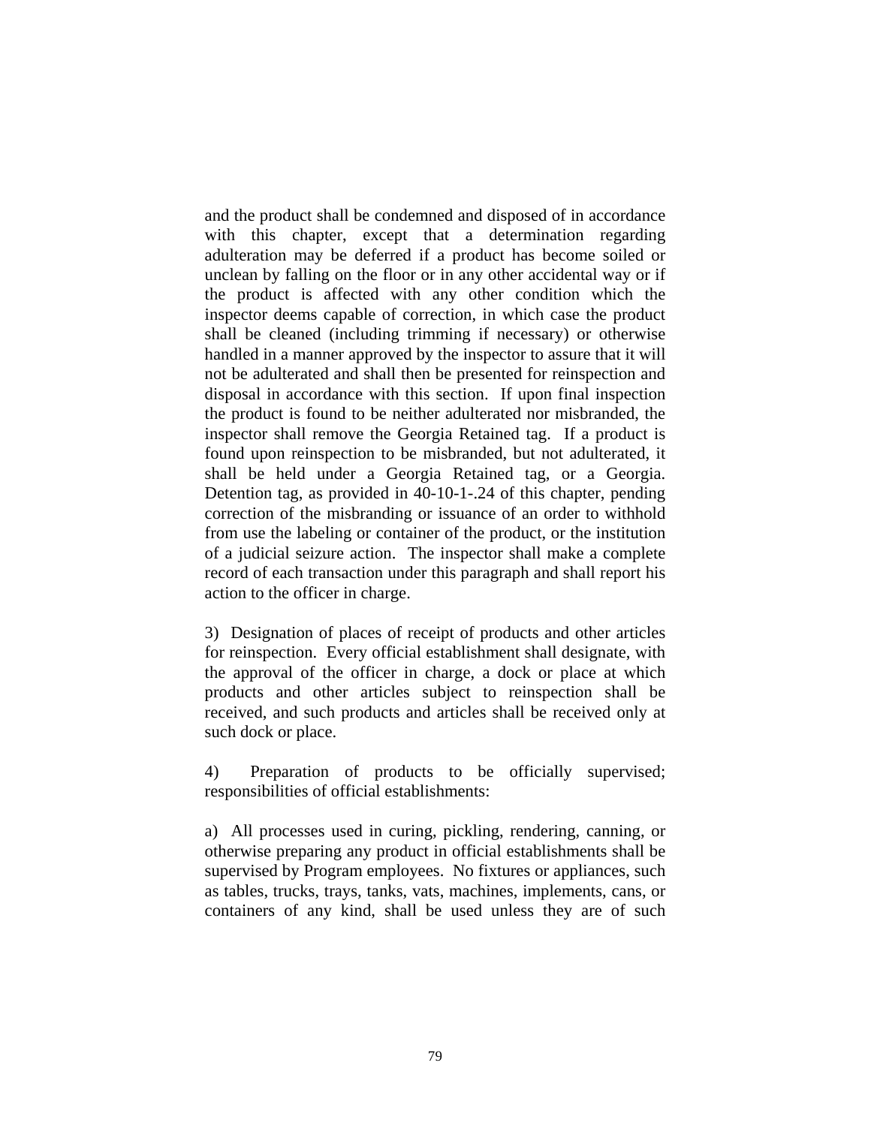and the product shall be condemned and disposed of in accordance with this chapter, except that a determination regarding adulteration may be deferred if a product has become soiled or unclean by falling on the floor or in any other accidental way or if the product is affected with any other condition which the inspector deems capable of correction, in which case the product shall be cleaned (including trimming if necessary) or otherwise handled in a manner approved by the inspector to assure that it will not be adulterated and shall then be presented for reinspection and disposal in accordance with this section. If upon final inspection the product is found to be neither adulterated nor misbranded, the inspector shall remove the Georgia Retained tag. If a product is found upon reinspection to be misbranded, but not adulterated, it shall be held under a Georgia Retained tag, or a Georgia. Detention tag, as provided in 40-10-1-.24 of this chapter, pending correction of the misbranding or issuance of an order to withhold from use the labeling or container of the product, or the institution of a judicial seizure action. The inspector shall make a complete record of each transaction under this paragraph and shall report his action to the officer in charge.

3) Designation of places of receipt of products and other articles for reinspection. Every official establishment shall designate, with the approval of the officer in charge, a dock or place at which products and other articles subject to reinspection shall be received, and such products and articles shall be received only at such dock or place.

4) Preparation of products to be officially supervised; responsibilities of official establishments:

a) All processes used in curing, pickling, rendering, canning, or otherwise preparing any product in official establishments shall be supervised by Program employees. No fixtures or appliances, such as tables, trucks, trays, tanks, vats, machines, implements, cans, or containers of any kind, shall be used unless they are of such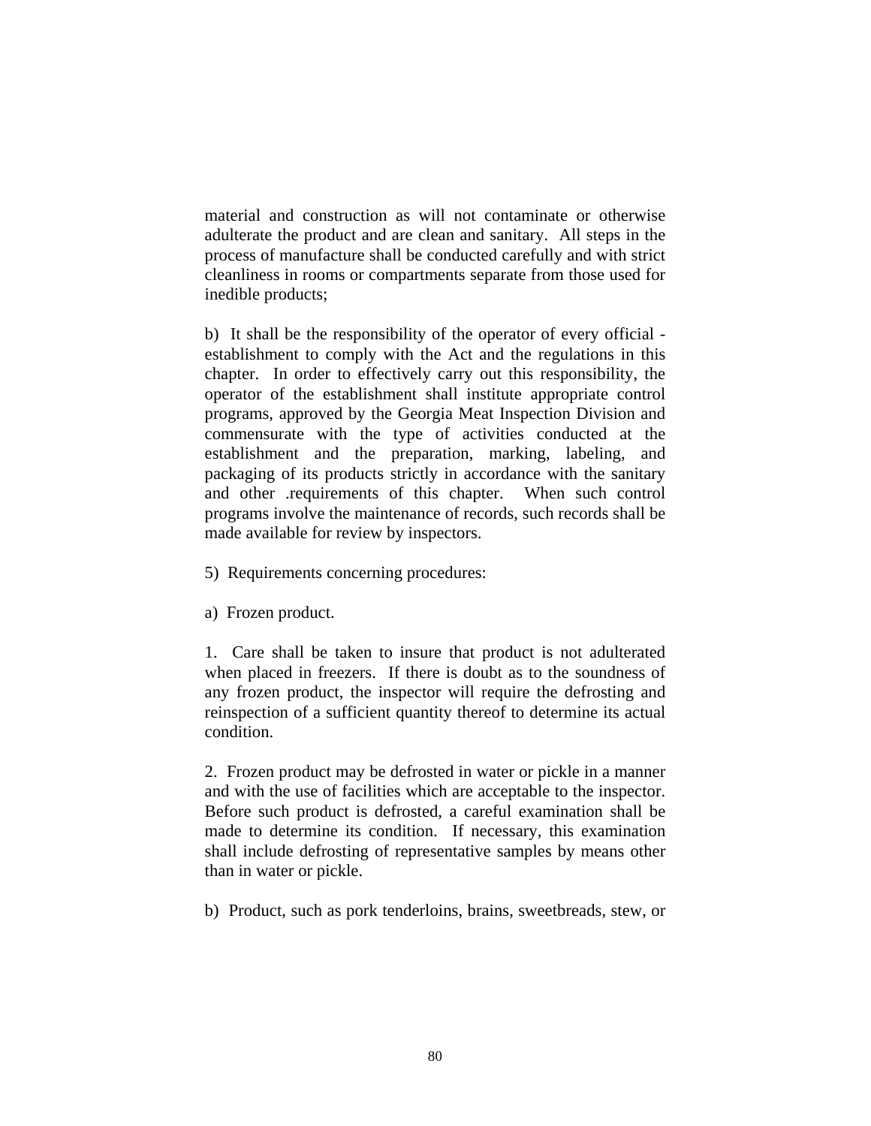material and construction as will not contaminate or otherwise adulterate the product and are clean and sanitary. All steps in the process of manufacture shall be conducted carefully and with strict cleanliness in rooms or compartments separate from those used for inedible products;

b) It shall be the responsibility of the operator of every official establishment to comply with the Act and the regulations in this chapter. In order to effectively carry out this responsibility, the operator of the establishment shall institute appropriate control programs, approved by the Georgia Meat Inspection Division and commensurate with the type of activities conducted at the establishment and the preparation, marking, labeling, and packaging of its products strictly in accordance with the sanitary and other .requirements of this chapter. When such control programs involve the maintenance of records, such records shall be made available for review by inspectors.

- 5) Requirements concerning procedures:
- a) Frozen product.

1. Care shall be taken to insure that product is not adulterated when placed in freezers. If there is doubt as to the soundness of any frozen product, the inspector will require the defrosting and reinspection of a sufficient quantity thereof to determine its actual condition.

2. Frozen product may be defrosted in water or pickle in a manner and with the use of facilities which are acceptable to the inspector. Before such product is defrosted, a careful examination shall be made to determine its condition. If necessary, this examination shall include defrosting of representative samples by means other than in water or pickle.

b) Product, such as pork tenderloins, brains, sweetbreads, stew, or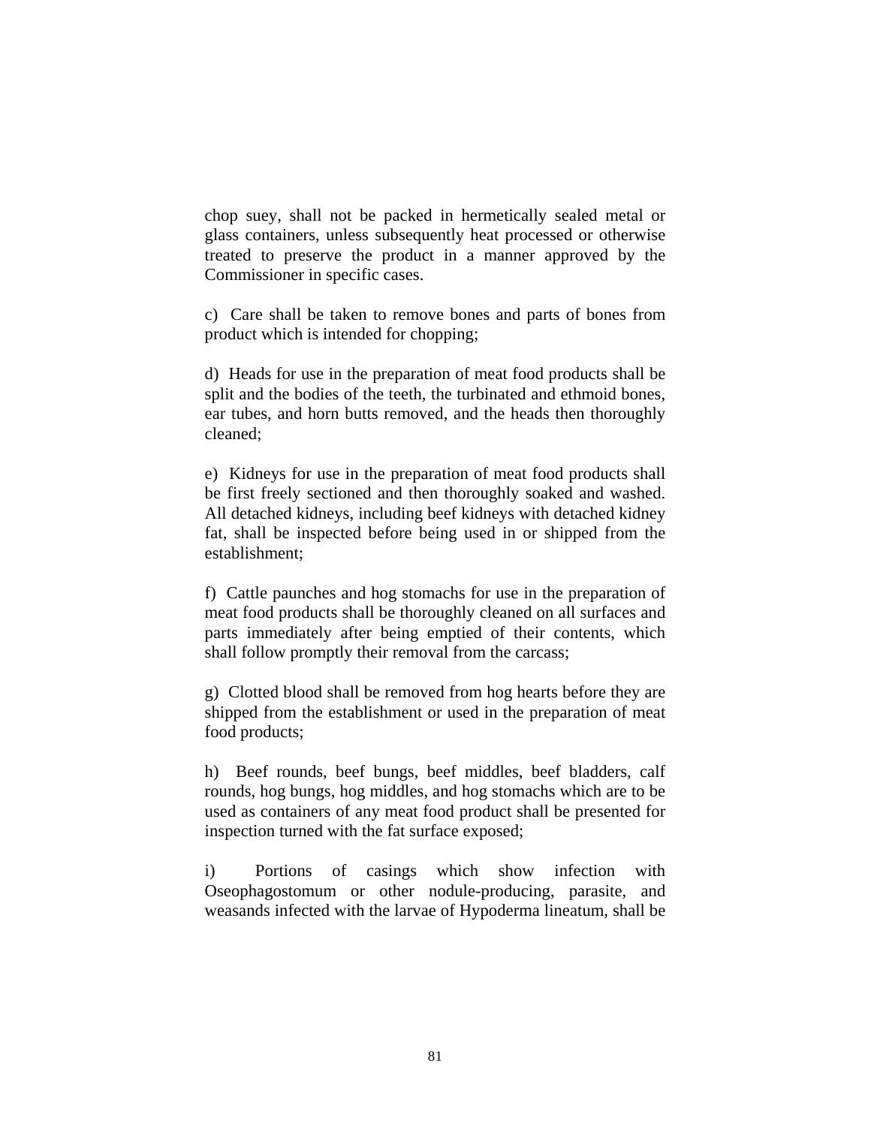chop suey, shall not be packed in hermetically sealed metal or glass containers, unless subsequently heat processed or otherwise treated to preserve the product in a manner approved by the Commissioner in specific cases.

c) Care shall be taken to remove bones and parts of bones from product which is intended for chopping;

d) Heads for use in the preparation of meat food products shall be split and the bodies of the teeth, the turbinated and ethmoid bones, ear tubes, and horn butts removed, and the heads then thoroughly cleaned;

e) Kidneys for use in the preparation of meat food products shall be first freely sectioned and then thoroughly soaked and washed. All detached kidneys, including beef kidneys with detached kidney fat, shall be inspected before being used in or shipped from the establishment;

f) Cattle paunches and hog stomachs for use in the preparation of meat food products shall be thoroughly cleaned on all surfaces and parts immediately after being emptied of their contents, which shall follow promptly their removal from the carcass;

g) Clotted blood shall be removed from hog hearts before they are shipped from the establishment or used in the preparation of meat food products;

h) Beef rounds, beef bungs, beef middles, beef bladders, calf rounds, hog bungs, hog middles, and hog stomachs which are to be used as containers of any meat food product shall be presented for inspection turned with the fat surface exposed;

i) Portions of casings which show infection with Oseophagostomum or other nodule-producing, parasite, and weasands infected with the larvae of Hypoderma lineatum, shall be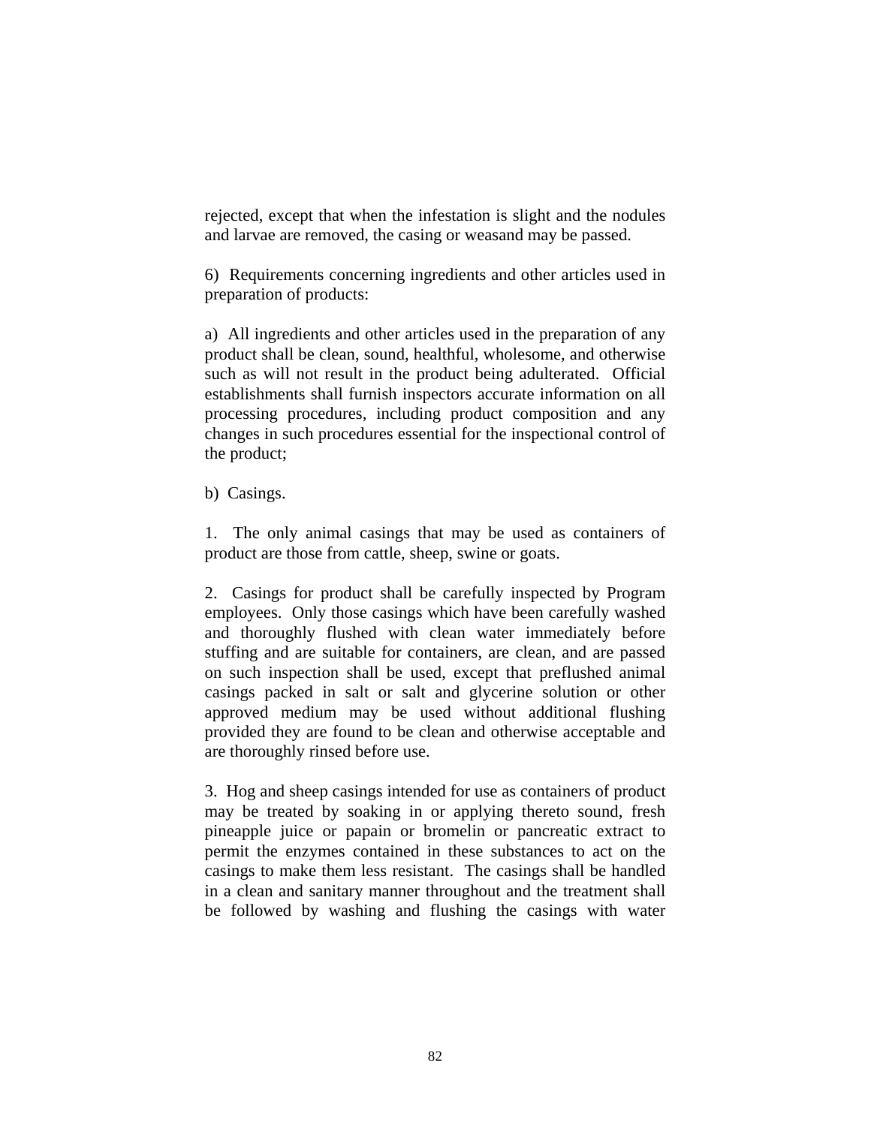rejected, except that when the infestation is slight and the nodules and larvae are removed, the casing or weasand may be passed.

6) Requirements concerning ingredients and other articles used in preparation of products:

a) All ingredients and other articles used in the preparation of any product shall be clean, sound, healthful, wholesome, and otherwise such as will not result in the product being adulterated. Official establishments shall furnish inspectors accurate information on all processing procedures, including product composition and any changes in such procedures essential for the inspectional control of the product;

b) Casings.

1. The only animal casings that may be used as containers of product are those from cattle, sheep, swine or goats.

2. Casings for product shall be carefully inspected by Program employees. Only those casings which have been carefully washed and thoroughly flushed with clean water immediately before stuffing and are suitable for containers, are clean, and are passed on such inspection shall be used, except that preflushed animal casings packed in salt or salt and glycerine solution or other approved medium may be used without additional flushing provided they are found to be clean and otherwise acceptable and are thoroughly rinsed before use.

3. Hog and sheep casings intended for use as containers of product may be treated by soaking in or applying thereto sound, fresh pineapple juice or papain or bromelin or pancreatic extract to permit the enzymes contained in these substances to act on the casings to make them less resistant. The casings shall be handled in a clean and sanitary manner throughout and the treatment shall be followed by washing and flushing the casings with water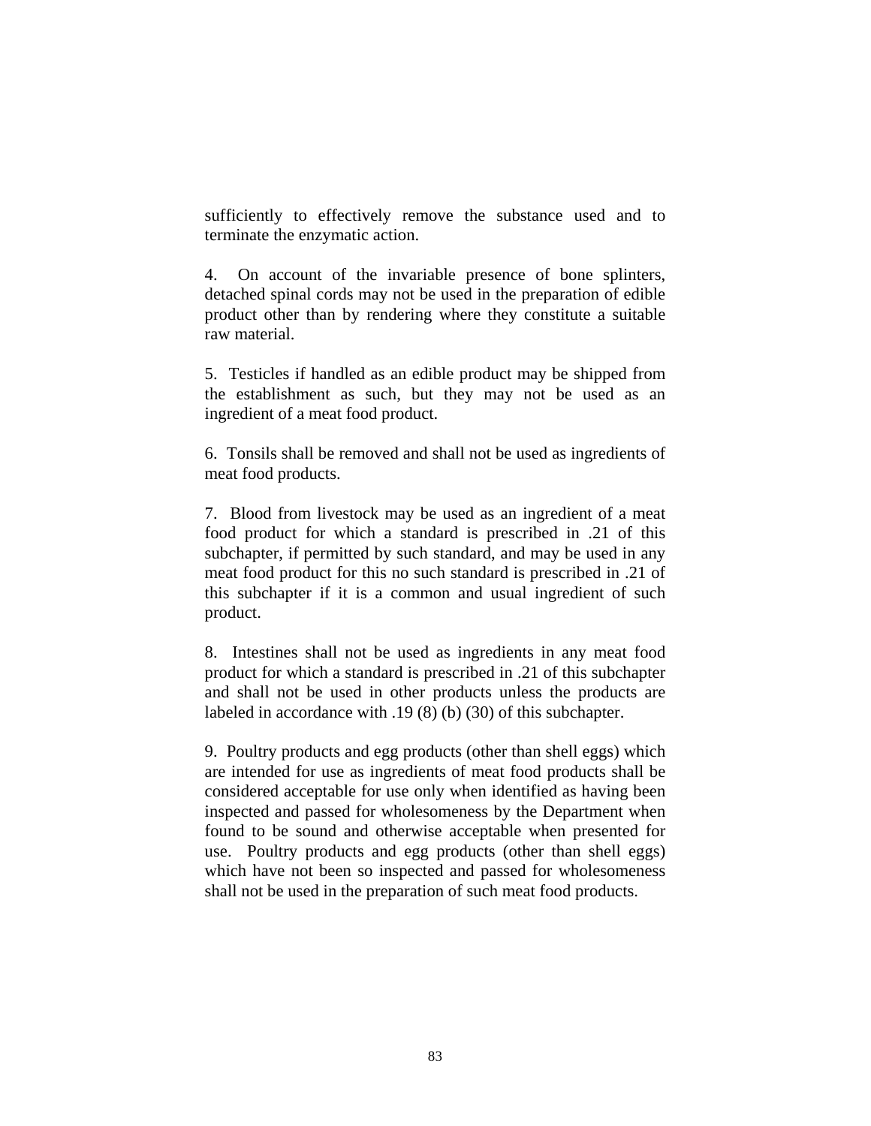sufficiently to effectively remove the substance used and to terminate the enzymatic action.

4. On account of the invariable presence of bone splinters, detached spinal cords may not be used in the preparation of edible product other than by rendering where they constitute a suitable raw material.

5. Testicles if handled as an edible product may be shipped from the establishment as such, but they may not be used as an ingredient of a meat food product.

6. Tonsils shall be removed and shall not be used as ingredients of meat food products.

7. Blood from livestock may be used as an ingredient of a meat food product for which a standard is prescribed in .21 of this subchapter, if permitted by such standard, and may be used in any meat food product for this no such standard is prescribed in .21 of this subchapter if it is a common and usual ingredient of such product.

8. Intestines shall not be used as ingredients in any meat food product for which a standard is prescribed in .21 of this subchapter and shall not be used in other products unless the products are labeled in accordance with .19 (8) (b) (30) of this subchapter.

9. Poultry products and egg products (other than shell eggs) which are intended for use as ingredients of meat food products shall be considered acceptable for use only when identified as having been inspected and passed for wholesomeness by the Department when found to be sound and otherwise acceptable when presented for use. Poultry products and egg products (other than shell eggs) which have not been so inspected and passed for wholesomeness shall not be used in the preparation of such meat food products.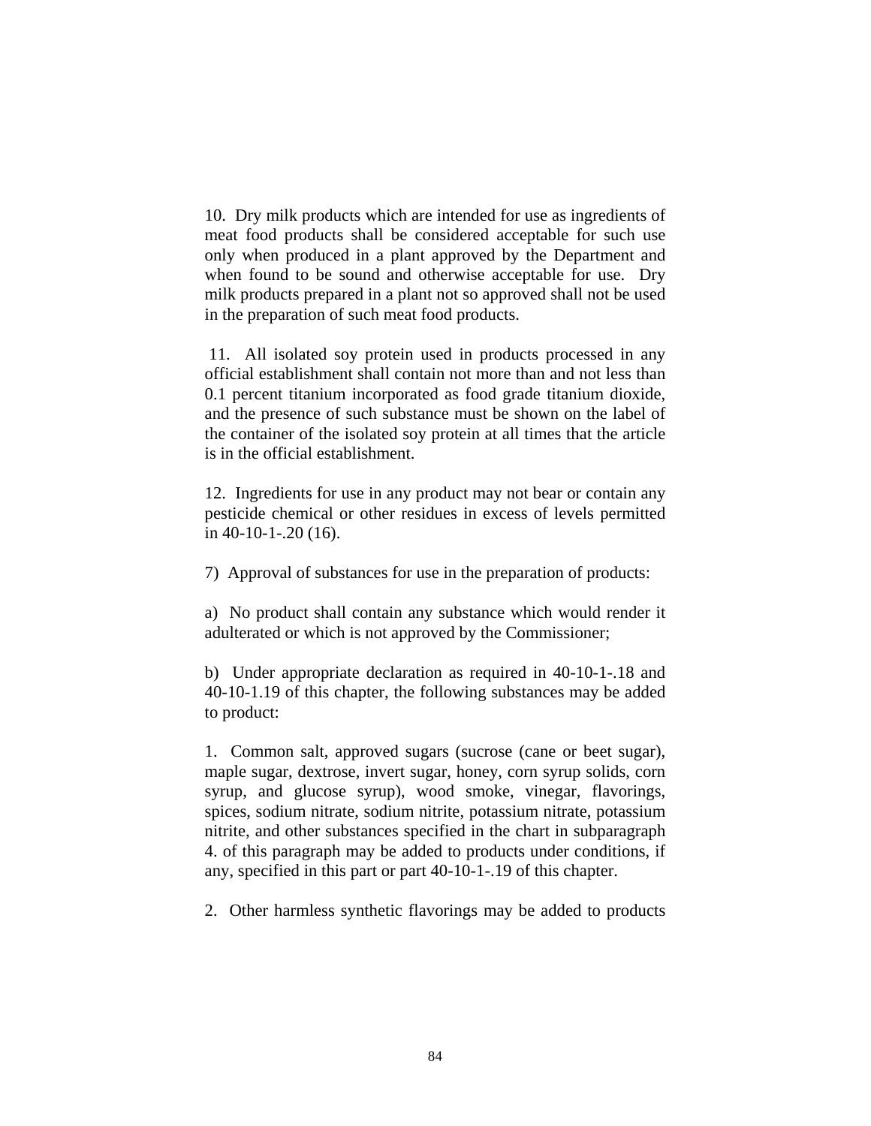10. Dry milk products which are intended for use as ingredients of meat food products shall be considered acceptable for such use only when produced in a plant approved by the Department and when found to be sound and otherwise acceptable for use. Dry milk products prepared in a plant not so approved shall not be used in the preparation of such meat food products.

 11. All isolated soy protein used in products processed in any official establishment shall contain not more than and not less than 0.1 percent titanium incorporated as food grade titanium dioxide, and the presence of such substance must be shown on the label of the container of the isolated soy protein at all times that the article is in the official establishment.

12. Ingredients for use in any product may not bear or contain any pesticide chemical or other residues in excess of levels permitted in 40-10-1-.20 (16).

7) Approval of substances for use in the preparation of products:

a) No product shall contain any substance which would render it adulterated or which is not approved by the Commissioner;

b) Under appropriate declaration as required in 40-10-1-.18 and 40-10-1.19 of this chapter, the following substances may be added to product:

1. Common salt, approved sugars (sucrose (cane or beet sugar), maple sugar, dextrose, invert sugar, honey, corn syrup solids, corn syrup, and glucose syrup), wood smoke, vinegar, flavorings, spices, sodium nitrate, sodium nitrite, potassium nitrate, potassium nitrite, and other substances specified in the chart in subparagraph 4. of this paragraph may be added to products under conditions, if any, specified in this part or part 40-10-1-.19 of this chapter.

2. Other harmless synthetic flavorings may be added to products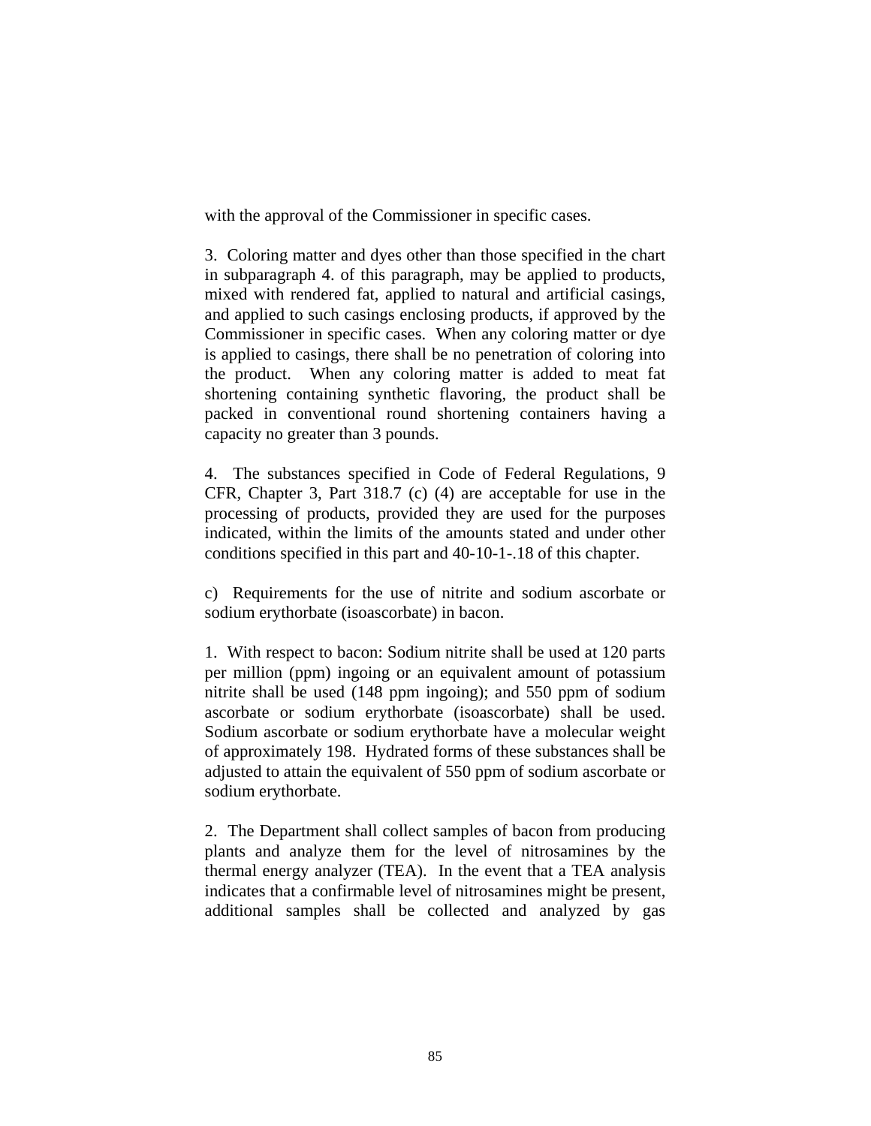with the approval of the Commissioner in specific cases.

3. Coloring matter and dyes other than those specified in the chart in subparagraph 4. of this paragraph, may be applied to products, mixed with rendered fat, applied to natural and artificial casings, and applied to such casings enclosing products, if approved by the Commissioner in specific cases. When any coloring matter or dye is applied to casings, there shall be no penetration of coloring into the product. When any coloring matter is added to meat fat shortening containing synthetic flavoring, the product shall be packed in conventional round shortening containers having a capacity no greater than 3 pounds.

4. The substances specified in Code of Federal Regulations, 9 CFR, Chapter 3, Part 318.7 (c) (4) are acceptable for use in the processing of products, provided they are used for the purposes indicated, within the limits of the amounts stated and under other conditions specified in this part and 40-10-1-.18 of this chapter.

c) Requirements for the use of nitrite and sodium ascorbate or sodium erythorbate (isoascorbate) in bacon.

1. With respect to bacon: Sodium nitrite shall be used at 120 parts per million (ppm) ingoing or an equivalent amount of potassium nitrite shall be used (148 ppm ingoing); and 550 ppm of sodium ascorbate or sodium erythorbate (isoascorbate) shall be used. Sodium ascorbate or sodium erythorbate have a molecular weight of approximately 198. Hydrated forms of these substances shall be adjusted to attain the equivalent of 550 ppm of sodium ascorbate or sodium erythorbate.

2. The Department shall collect samples of bacon from producing plants and analyze them for the level of nitrosamines by the thermal energy analyzer (TEA). In the event that a TEA analysis indicates that a confirmable level of nitrosamines might be present, additional samples shall be collected and analyzed by gas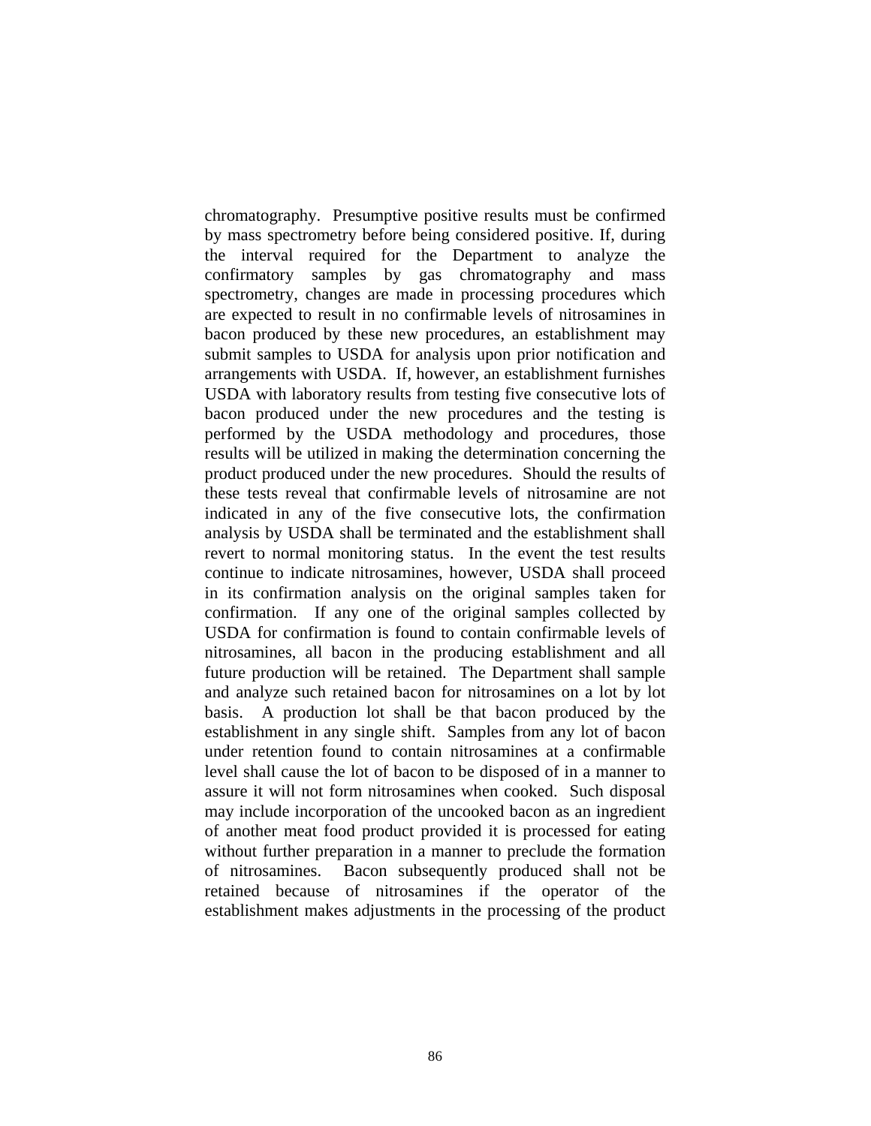chromatography. Presumptive positive results must be confirmed by mass spectrometry before being considered positive. If, during the interval required for the Department to analyze the confirmatory samples by gas chromatography and mass spectrometry, changes are made in processing procedures which are expected to result in no confirmable levels of nitrosamines in bacon produced by these new procedures, an establishment may submit samples to USDA for analysis upon prior notification and arrangements with USDA. If, however, an establishment furnishes USDA with laboratory results from testing five consecutive lots of bacon produced under the new procedures and the testing is performed by the USDA methodology and procedures, those results will be utilized in making the determination concerning the product produced under the new procedures. Should the results of these tests reveal that confirmable levels of nitrosamine are not indicated in any of the five consecutive lots, the confirmation analysis by USDA shall be terminated and the establishment shall revert to normal monitoring status. In the event the test results continue to indicate nitrosamines, however, USDA shall proceed in its confirmation analysis on the original samples taken for confirmation. If any one of the original samples collected by USDA for confirmation is found to contain confirmable levels of nitrosamines, all bacon in the producing establishment and all future production will be retained. The Department shall sample and analyze such retained bacon for nitrosamines on a lot by lot basis. A production lot shall be that bacon produced by the establishment in any single shift. Samples from any lot of bacon under retention found to contain nitrosamines at a confirmable level shall cause the lot of bacon to be disposed of in a manner to assure it will not form nitrosamines when cooked. Such disposal may include incorporation of the uncooked bacon as an ingredient of another meat food product provided it is processed for eating without further preparation in a manner to preclude the formation of nitrosamines. Bacon subsequently produced shall not be retained because of nitrosamines if the operator of the establishment makes adjustments in the processing of the product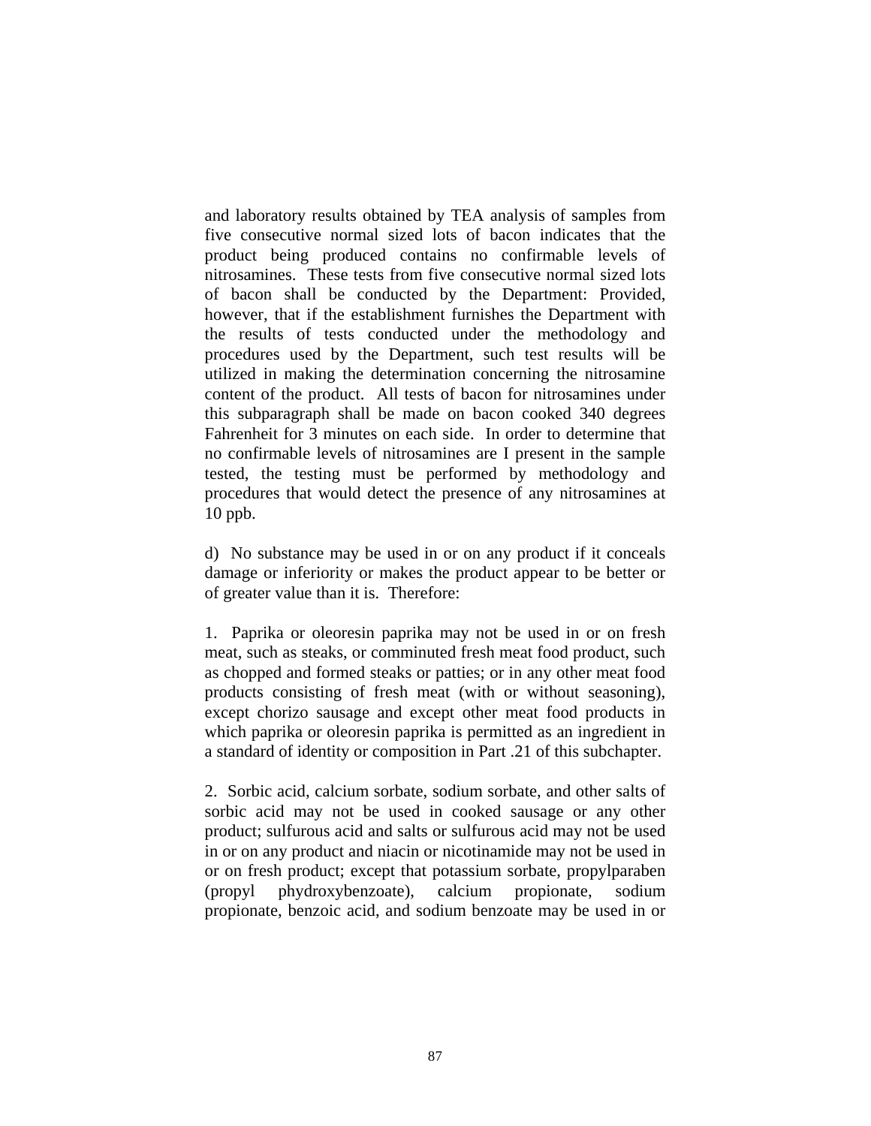and laboratory results obtained by TEA analysis of samples from five consecutive normal sized lots of bacon indicates that the product being produced contains no confirmable levels of nitrosamines. These tests from five consecutive normal sized lots of bacon shall be conducted by the Department: Provided, however, that if the establishment furnishes the Department with the results of tests conducted under the methodology and procedures used by the Department, such test results will be utilized in making the determination concerning the nitrosamine content of the product. All tests of bacon for nitrosamines under this subparagraph shall be made on bacon cooked 340 degrees Fahrenheit for 3 minutes on each side. In order to determine that no confirmable levels of nitrosamines are I present in the sample tested, the testing must be performed by methodology and procedures that would detect the presence of any nitrosamines at 10 ppb.

d) No substance may be used in or on any product if it conceals damage or inferiority or makes the product appear to be better or of greater value than it is. Therefore:

1. Paprika or oleoresin paprika may not be used in or on fresh meat, such as steaks, or comminuted fresh meat food product, such as chopped and formed steaks or patties; or in any other meat food products consisting of fresh meat (with or without seasoning), except chorizo sausage and except other meat food products in which paprika or oleoresin paprika is permitted as an ingredient in a standard of identity or composition in Part .21 of this subchapter.

2. Sorbic acid, calcium sorbate, sodium sorbate, and other salts of sorbic acid may not be used in cooked sausage or any other product; sulfurous acid and salts or sulfurous acid may not be used in or on any product and niacin or nicotinamide may not be used in or on fresh product; except that potassium sorbate, propylparaben (propyl phydroxybenzoate), calcium propionate, sodium propionate, benzoic acid, and sodium benzoate may be used in or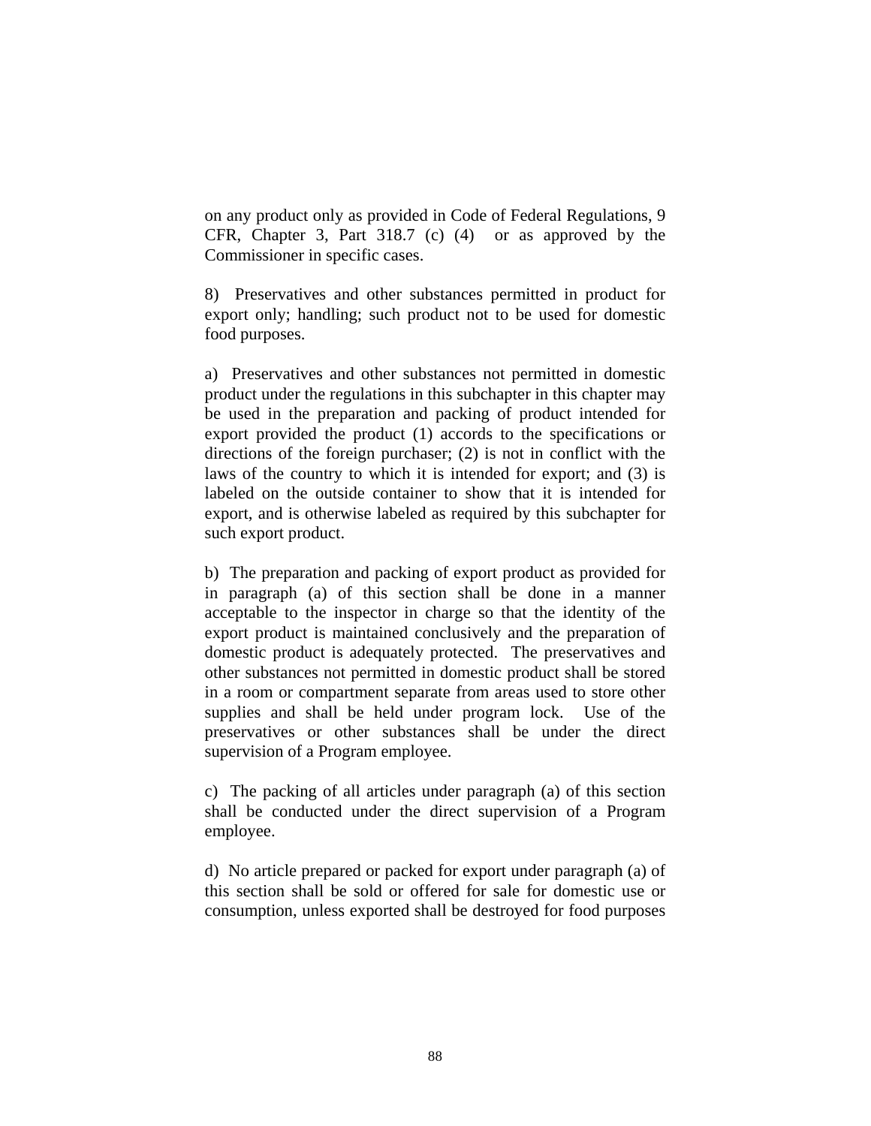on any product only as provided in Code of Federal Regulations, 9 CFR, Chapter 3, Part 318.7 (c) (4) or as approved by the Commissioner in specific cases.

8) Preservatives and other substances permitted in product for export only; handling; such product not to be used for domestic food purposes.

a) Preservatives and other substances not permitted in domestic product under the regulations in this subchapter in this chapter may be used in the preparation and packing of product intended for export provided the product (1) accords to the specifications or directions of the foreign purchaser; (2) is not in conflict with the laws of the country to which it is intended for export; and (3) is labeled on the outside container to show that it is intended for export, and is otherwise labeled as required by this subchapter for such export product.

b) The preparation and packing of export product as provided for in paragraph (a) of this section shall be done in a manner acceptable to the inspector in charge so that the identity of the export product is maintained conclusively and the preparation of domestic product is adequately protected. The preservatives and other substances not permitted in domestic product shall be stored in a room or compartment separate from areas used to store other supplies and shall be held under program lock. Use of the preservatives or other substances shall be under the direct supervision of a Program employee.

c) The packing of all articles under paragraph (a) of this section shall be conducted under the direct supervision of a Program employee.

d) No article prepared or packed for export under paragraph (a) of this section shall be sold or offered for sale for domestic use or consumption, unless exported shall be destroyed for food purposes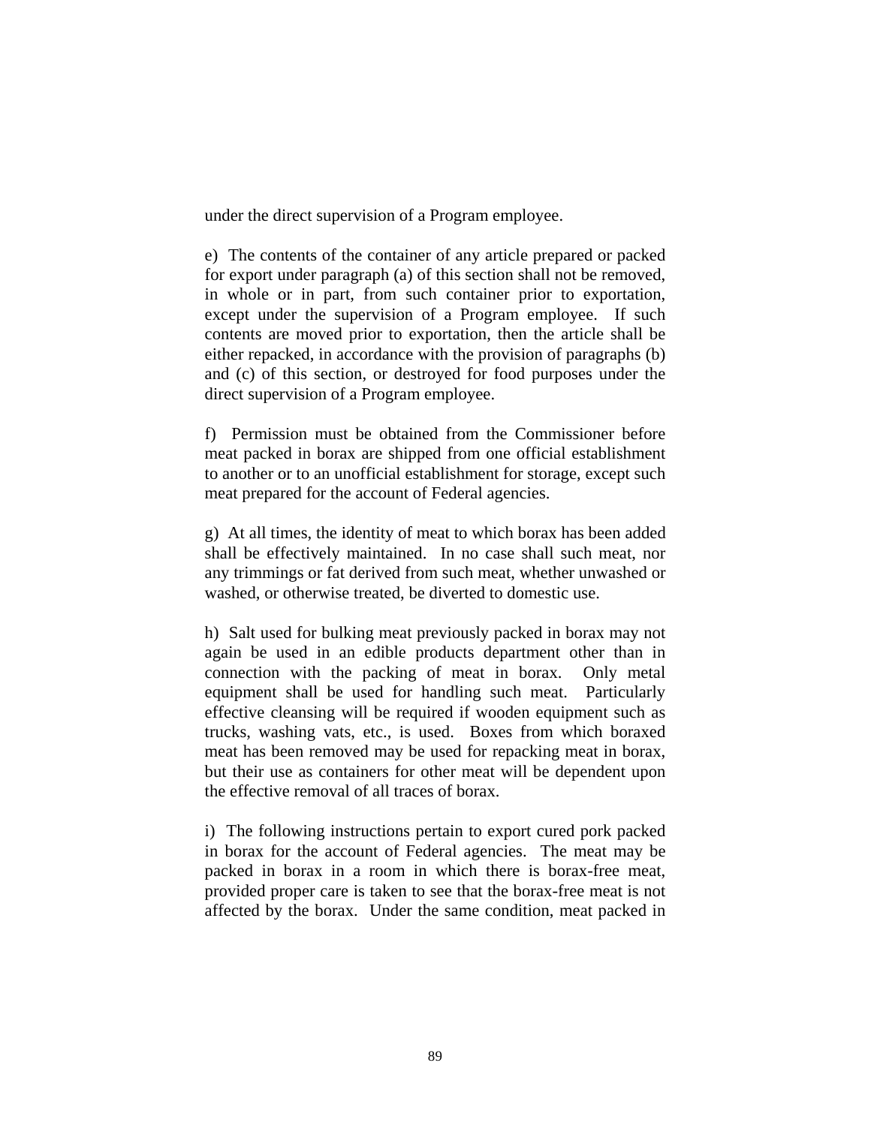under the direct supervision of a Program employee.

e) The contents of the container of any article prepared or packed for export under paragraph (a) of this section shall not be removed, in whole or in part, from such container prior to exportation, except under the supervision of a Program employee. If such contents are moved prior to exportation, then the article shall be either repacked, in accordance with the provision of paragraphs (b) and (c) of this section, or destroyed for food purposes under the direct supervision of a Program employee.

f) Permission must be obtained from the Commissioner before meat packed in borax are shipped from one official establishment to another or to an unofficial establishment for storage, except such meat prepared for the account of Federal agencies.

g) At all times, the identity of meat to which borax has been added shall be effectively maintained. In no case shall such meat, nor any trimmings or fat derived from such meat, whether unwashed or washed, or otherwise treated, be diverted to domestic use.

h) Salt used for bulking meat previously packed in borax may not again be used in an edible products department other than in connection with the packing of meat in borax. Only metal equipment shall be used for handling such meat. Particularly effective cleansing will be required if wooden equipment such as trucks, washing vats, etc., is used. Boxes from which boraxed meat has been removed may be used for repacking meat in borax, but their use as containers for other meat will be dependent upon the effective removal of all traces of borax.

i) The following instructions pertain to export cured pork packed in borax for the account of Federal agencies. The meat may be packed in borax in a room in which there is borax-free meat, provided proper care is taken to see that the borax-free meat is not affected by the borax. Under the same condition, meat packed in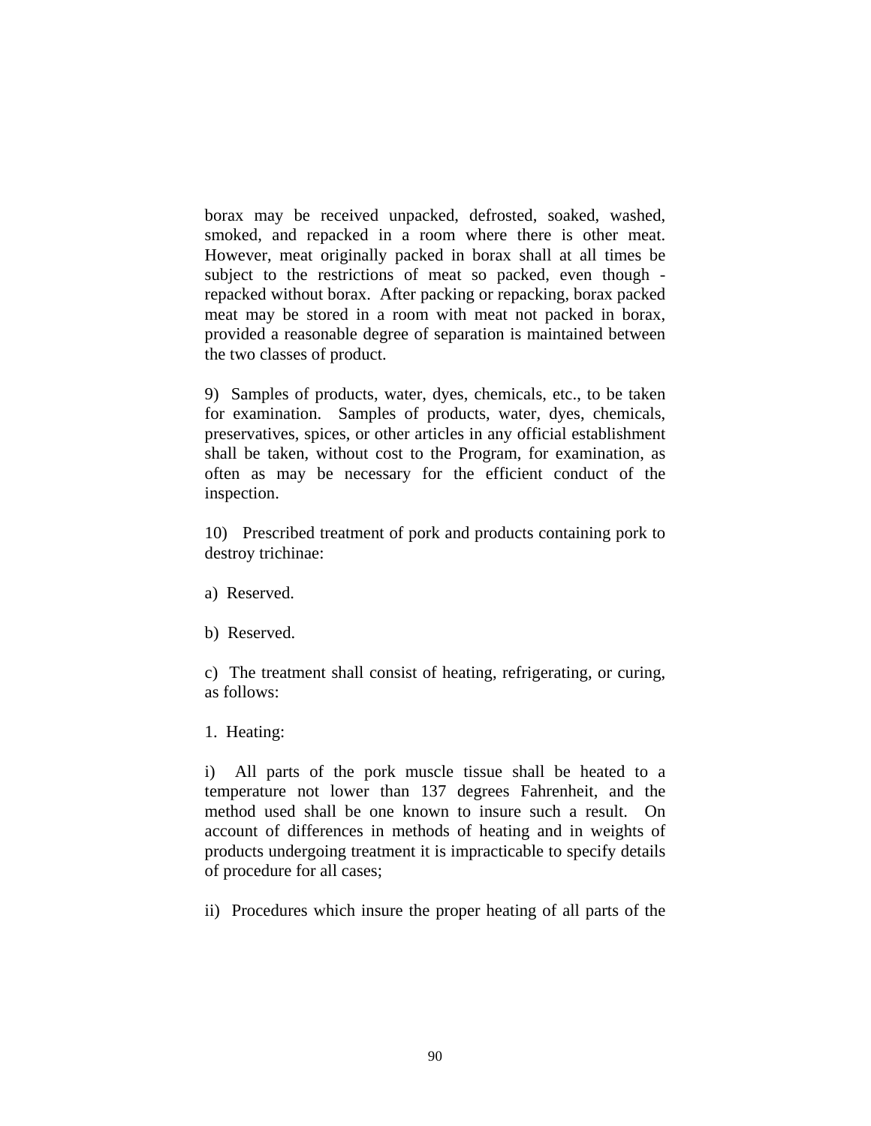borax may be received unpacked, defrosted, soaked, washed, smoked, and repacked in a room where there is other meat. However, meat originally packed in borax shall at all times be subject to the restrictions of meat so packed, even though repacked without borax. After packing or repacking, borax packed meat may be stored in a room with meat not packed in borax, provided a reasonable degree of separation is maintained between the two classes of product.

9) Samples of products, water, dyes, chemicals, etc., to be taken for examination. Samples of products, water, dyes, chemicals, preservatives, spices, or other articles in any official establishment shall be taken, without cost to the Program, for examination, as often as may be necessary for the efficient conduct of the inspection.

10) Prescribed treatment of pork and products containing pork to destroy trichinae:

- a) Reserved.
- b) Reserved.

c) The treatment shall consist of heating, refrigerating, or curing, as follows:

1. Heating:

i) All parts of the pork muscle tissue shall be heated to a temperature not lower than 137 degrees Fahrenheit, and the method used shall be one known to insure such a result. On account of differences in methods of heating and in weights of products undergoing treatment it is impracticable to specify details of procedure for all cases;

ii) Procedures which insure the proper heating of all parts of the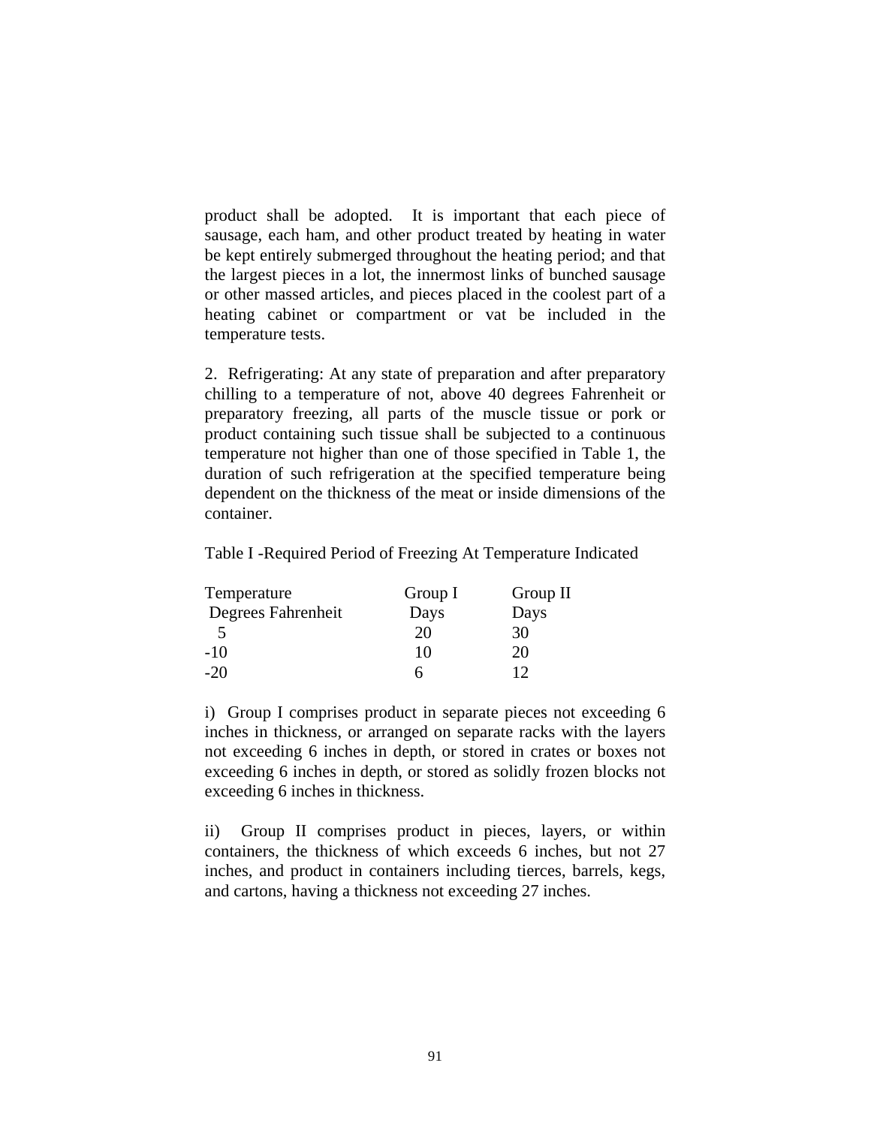product shall be adopted. It is important that each piece of sausage, each ham, and other product treated by heating in water be kept entirely submerged throughout the heating period; and that the largest pieces in a lot, the innermost links of bunched sausage or other massed articles, and pieces placed in the coolest part of a heating cabinet or compartment or vat be included in the temperature tests.

2. Refrigerating: At any state of preparation and after preparatory chilling to a temperature of not, above 40 degrees Fahrenheit or preparatory freezing, all parts of the muscle tissue or pork or product containing such tissue shall be subjected to a continuous temperature not higher than one of those specified in Table 1, the duration of such refrigeration at the specified temperature being dependent on the thickness of the meat or inside dimensions of the container.

Table I -Required Period of Freezing At Temperature Indicated

| Group I | Group II |
|---------|----------|
| Days    | Days     |
| 20      | 30       |
| 10      | 20       |
|         | 12       |
|         |          |

i) Group I comprises product in separate pieces not exceeding 6 inches in thickness, or arranged on separate racks with the layers not exceeding 6 inches in depth, or stored in crates or boxes not exceeding 6 inches in depth, or stored as solidly frozen blocks not exceeding 6 inches in thickness.

ii) Group II comprises product in pieces, layers, or within containers, the thickness of which exceeds 6 inches, but not 27 inches, and product in containers including tierces, barrels, kegs, and cartons, having a thickness not exceeding 27 inches.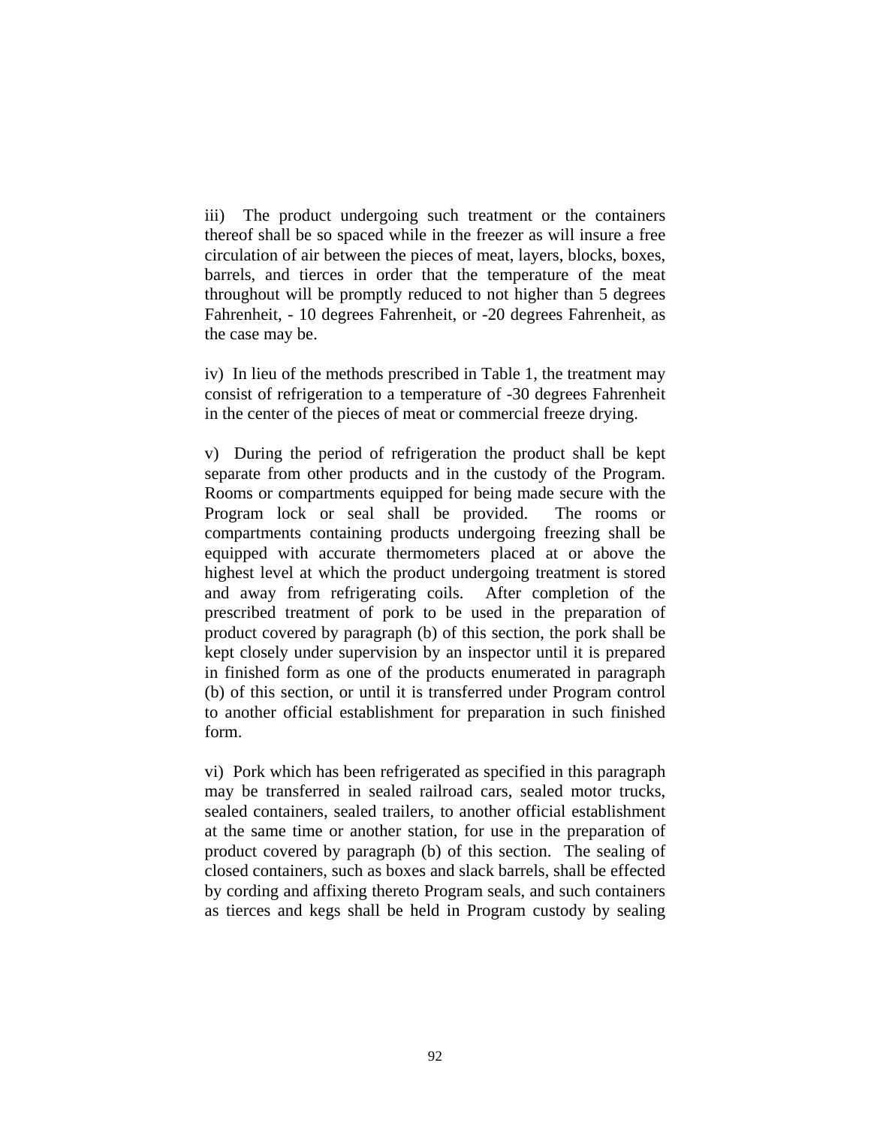iii) The product undergoing such treatment or the containers thereof shall be so spaced while in the freezer as will insure a free circulation of air between the pieces of meat, layers, blocks, boxes, barrels, and tierces in order that the temperature of the meat throughout will be promptly reduced to not higher than 5 degrees Fahrenheit, - 10 degrees Fahrenheit, or -20 degrees Fahrenheit, as the case may be.

iv) In lieu of the methods prescribed in Table 1, the treatment may consist of refrigeration to a temperature of -30 degrees Fahrenheit in the center of the pieces of meat or commercial freeze drying.

v) During the period of refrigeration the product shall be kept separate from other products and in the custody of the Program. Rooms or compartments equipped for being made secure with the Program lock or seal shall be provided. The rooms or compartments containing products undergoing freezing shall be equipped with accurate thermometers placed at or above the highest level at which the product undergoing treatment is stored and away from refrigerating coils. After completion of the prescribed treatment of pork to be used in the preparation of product covered by paragraph (b) of this section, the pork shall be kept closely under supervision by an inspector until it is prepared in finished form as one of the products enumerated in paragraph (b) of this section, or until it is transferred under Program control to another official establishment for preparation in such finished form.

vi) Pork which has been refrigerated as specified in this paragraph may be transferred in sealed railroad cars, sealed motor trucks, sealed containers, sealed trailers, to another official establishment at the same time or another station, for use in the preparation of product covered by paragraph (b) of this section. The sealing of closed containers, such as boxes and slack barrels, shall be effected by cording and affixing thereto Program seals, and such containers as tierces and kegs shall be held in Program custody by sealing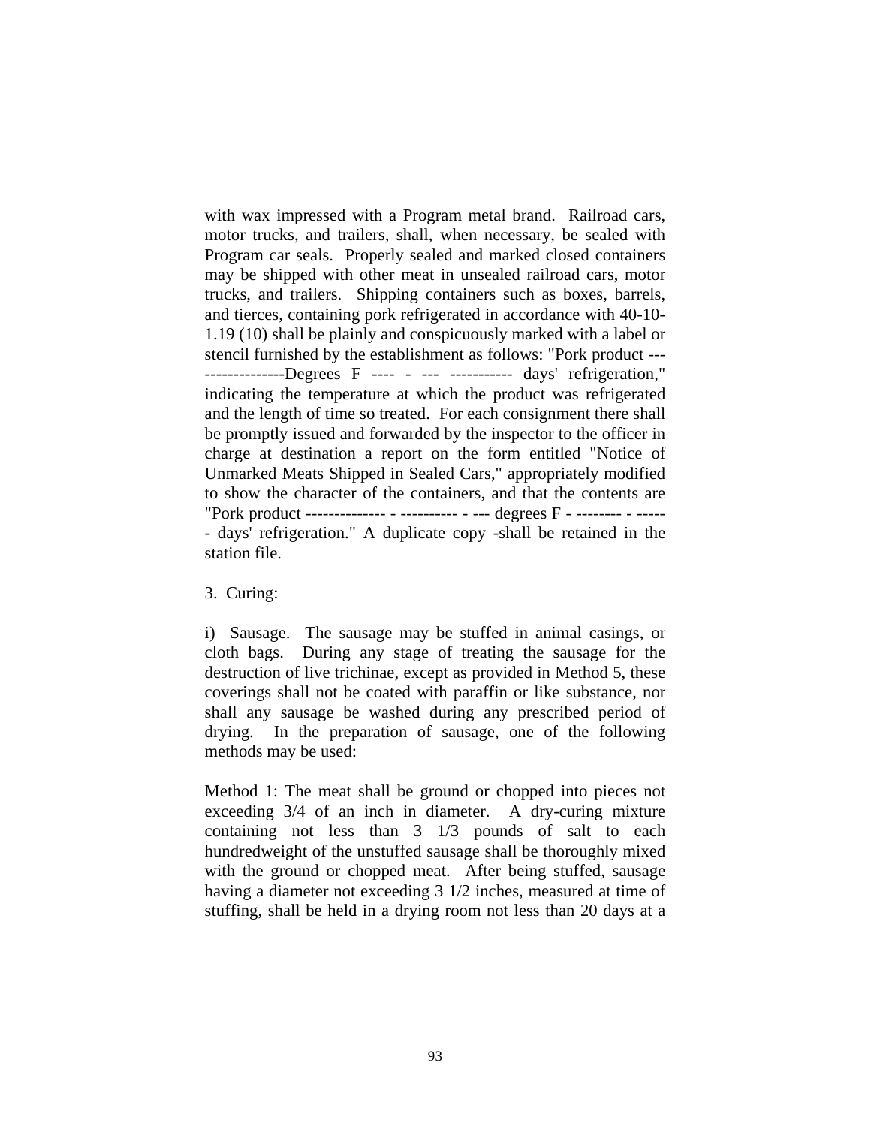with wax impressed with a Program metal brand. Railroad cars, motor trucks, and trailers, shall, when necessary, be sealed with Program car seals. Properly sealed and marked closed containers may be shipped with other meat in unsealed railroad cars, motor trucks, and trailers. Shipping containers such as boxes, barrels, and tierces, containing pork refrigerated in accordance with 40-10- 1.19 (10) shall be plainly and conspicuously marked with a label or stencil furnished by the establishment as follows: "Pork product --- --------------Degrees F ---- - --- ----------- days' refrigeration," indicating the temperature at which the product was refrigerated and the length of time so treated. For each consignment there shall be promptly issued and forwarded by the inspector to the officer in charge at destination a report on the form entitled "Notice of Unmarked Meats Shipped in Sealed Cars," appropriately modified to show the character of the containers, and that the contents are "Pork product -------------- - ---------- - --- degrees F - -------- - ----- - days' refrigeration." A duplicate copy -shall be retained in the station file.

## 3. Curing:

i) Sausage. The sausage may be stuffed in animal casings, or cloth bags. During any stage of treating the sausage for the destruction of live trichinae, except as provided in Method 5, these coverings shall not be coated with paraffin or like substance, nor shall any sausage be washed during any prescribed period of drying. In the preparation of sausage, one of the following methods may be used:

Method 1: The meat shall be ground or chopped into pieces not exceeding 3/4 of an inch in diameter. A dry-curing mixture containing not less than 3 1/3 pounds of salt to each hundredweight of the unstuffed sausage shall be thoroughly mixed with the ground or chopped meat. After being stuffed, sausage having a diameter not exceeding 3 1/2 inches, measured at time of stuffing, shall be held in a drying room not less than 20 days at a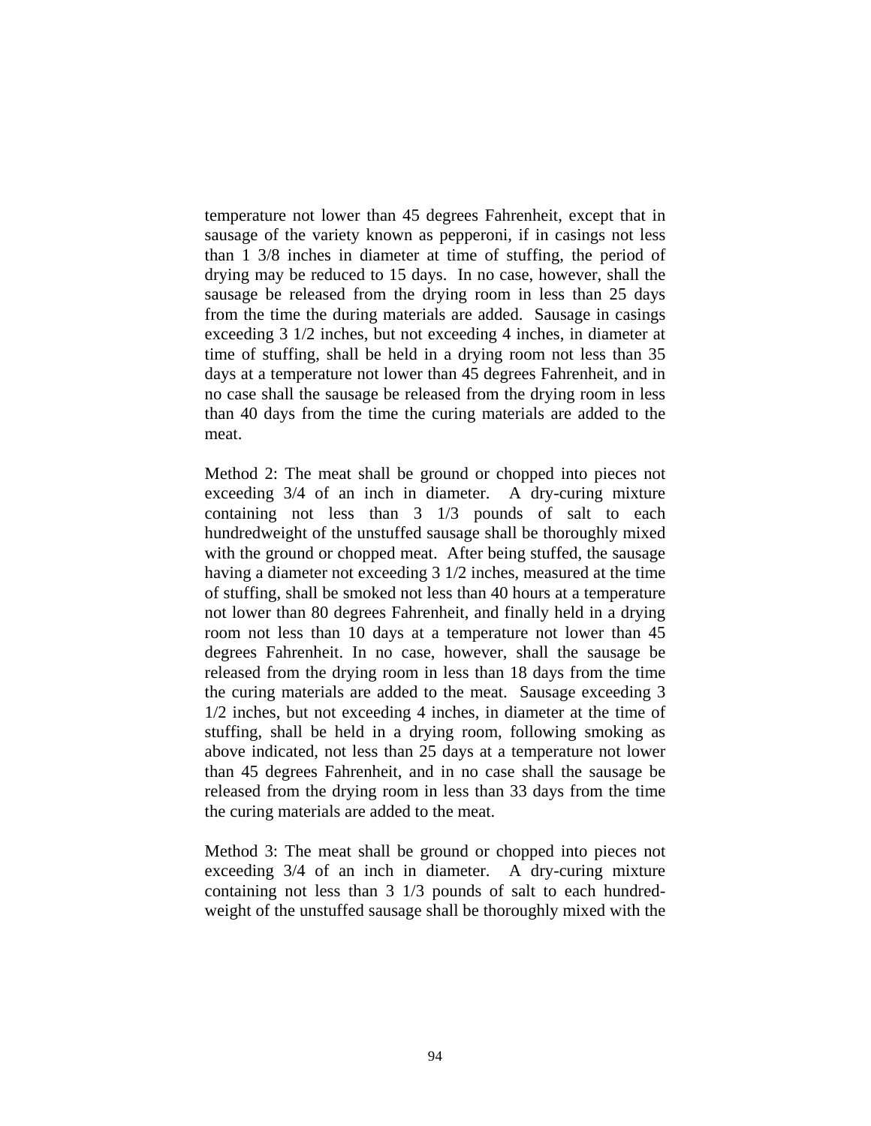temperature not lower than 45 degrees Fahrenheit, except that in sausage of the variety known as pepperoni, if in casings not less than 1 3/8 inches in diameter at time of stuffing, the period of drying may be reduced to 15 days. In no case, however, shall the sausage be released from the drying room in less than 25 days from the time the during materials are added. Sausage in casings exceeding 3 1/2 inches, but not exceeding 4 inches, in diameter at time of stuffing, shall be held in a drying room not less than 35 days at a temperature not lower than 45 degrees Fahrenheit, and in no case shall the sausage be released from the drying room in less than 40 days from the time the curing materials are added to the meat.

Method 2: The meat shall be ground or chopped into pieces not exceeding 3/4 of an inch in diameter. A dry-curing mixture containing not less than 3 1/3 pounds of salt to each hundredweight of the unstuffed sausage shall be thoroughly mixed with the ground or chopped meat. After being stuffed, the sausage having a diameter not exceeding 3 1/2 inches, measured at the time of stuffing, shall be smoked not less than 40 hours at a temperature not lower than 80 degrees Fahrenheit, and finally held in a drying room not less than 10 days at a temperature not lower than 45 degrees Fahrenheit. In no case, however, shall the sausage be released from the drying room in less than 18 days from the time the curing materials are added to the meat. Sausage exceeding 3 1/2 inches, but not exceeding 4 inches, in diameter at the time of stuffing, shall be held in a drying room, following smoking as above indicated, not less than 25 days at a temperature not lower than 45 degrees Fahrenheit, and in no case shall the sausage be released from the drying room in less than 33 days from the time the curing materials are added to the meat.

Method 3: The meat shall be ground or chopped into pieces not exceeding 3/4 of an inch in diameter. A dry-curing mixture containing not less than 3 1/3 pounds of salt to each hundredweight of the unstuffed sausage shall be thoroughly mixed with the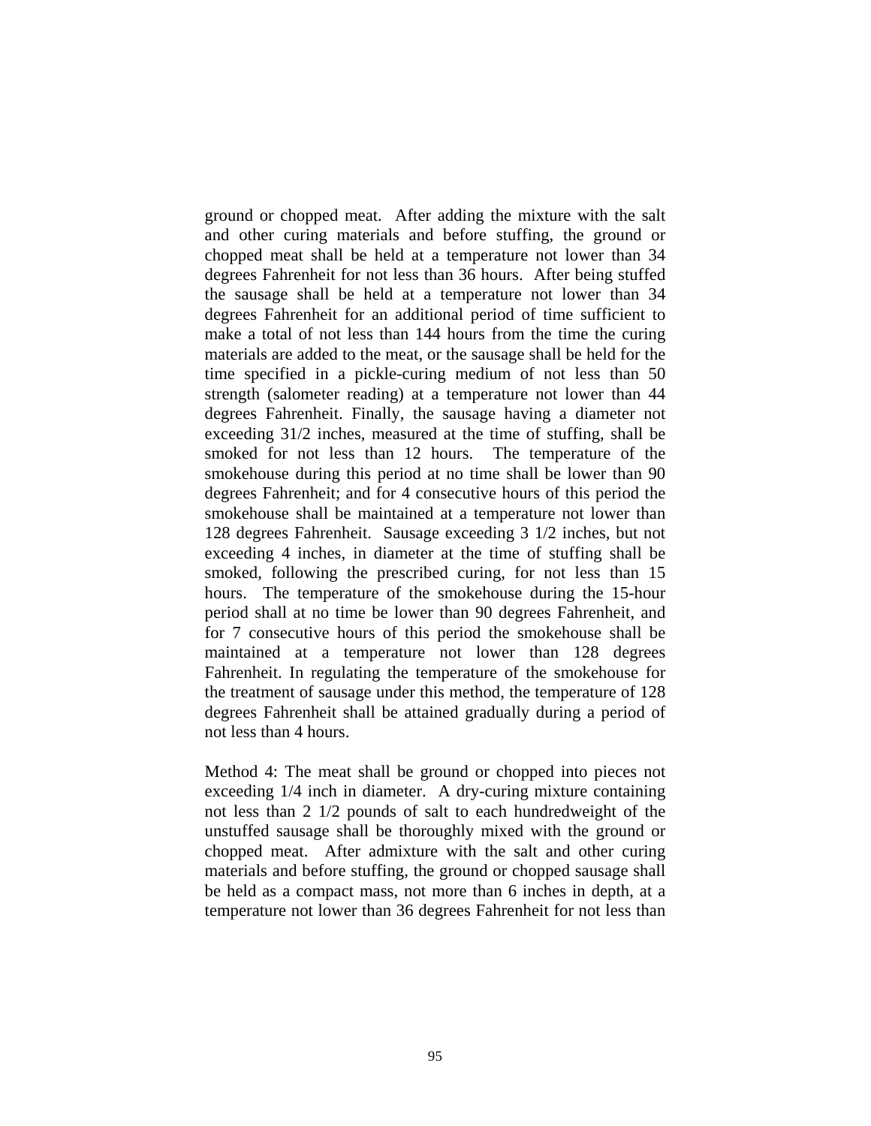ground or chopped meat. After adding the mixture with the salt and other curing materials and before stuffing, the ground or chopped meat shall be held at a temperature not lower than 34 degrees Fahrenheit for not less than 36 hours. After being stuffed the sausage shall be held at a temperature not lower than 34 degrees Fahrenheit for an additional period of time sufficient to make a total of not less than 144 hours from the time the curing materials are added to the meat, or the sausage shall be held for the time specified in a pickle-curing medium of not less than 50 strength (salometer reading) at a temperature not lower than 44 degrees Fahrenheit. Finally, the sausage having a diameter not exceeding 31/2 inches, measured at the time of stuffing, shall be smoked for not less than 12 hours. The temperature of the smokehouse during this period at no time shall be lower than 90 degrees Fahrenheit; and for 4 consecutive hours of this period the smokehouse shall be maintained at a temperature not lower than 128 degrees Fahrenheit. Sausage exceeding 3 1/2 inches, but not exceeding 4 inches, in diameter at the time of stuffing shall be smoked, following the prescribed curing, for not less than 15 hours. The temperature of the smokehouse during the 15-hour period shall at no time be lower than 90 degrees Fahrenheit, and for 7 consecutive hours of this period the smokehouse shall be maintained at a temperature not lower than 128 degrees Fahrenheit. In regulating the temperature of the smokehouse for the treatment of sausage under this method, the temperature of 128 degrees Fahrenheit shall be attained gradually during a period of not less than 4 hours.

Method 4: The meat shall be ground or chopped into pieces not exceeding 1/4 inch in diameter. A dry-curing mixture containing not less than 2 1/2 pounds of salt to each hundredweight of the unstuffed sausage shall be thoroughly mixed with the ground or chopped meat. After admixture with the salt and other curing materials and before stuffing, the ground or chopped sausage shall be held as a compact mass, not more than 6 inches in depth, at a temperature not lower than 36 degrees Fahrenheit for not less than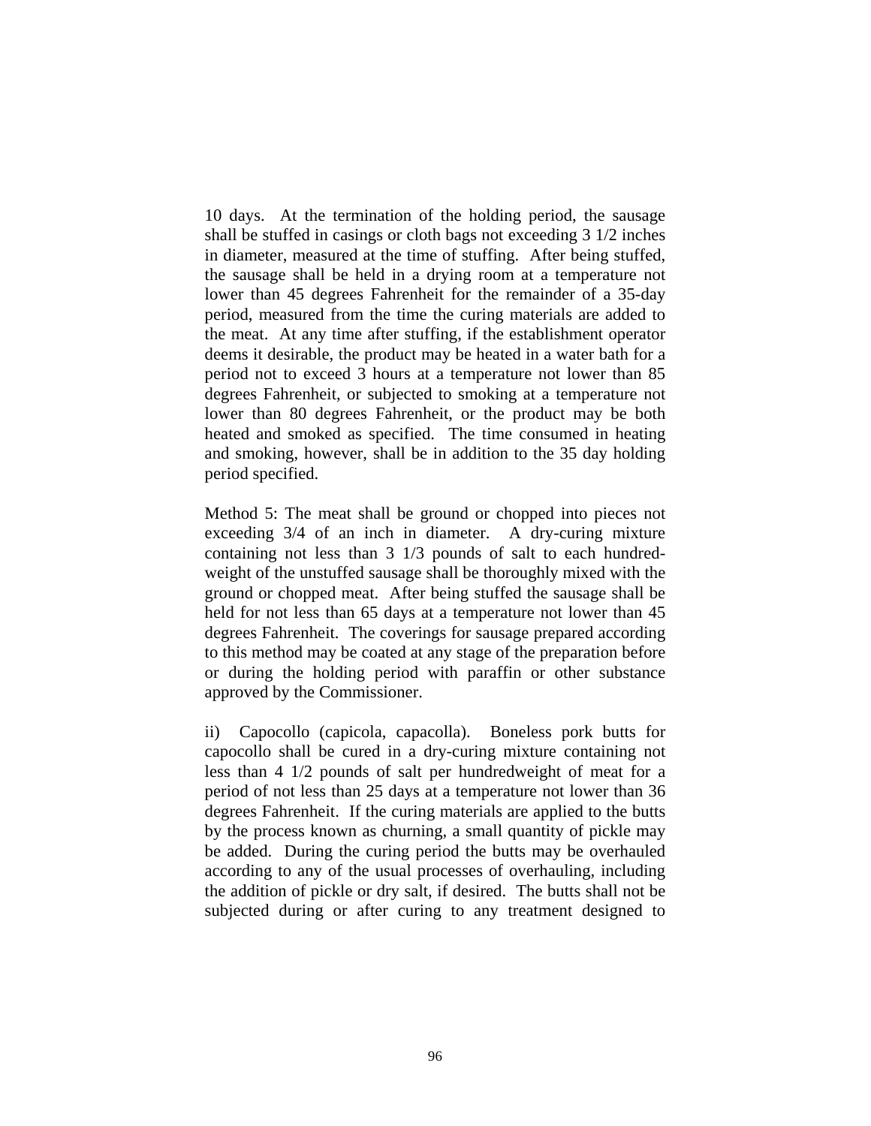10 days. At the termination of the holding period, the sausage shall be stuffed in casings or cloth bags not exceeding 3 1/2 inches in diameter, measured at the time of stuffing. After being stuffed, the sausage shall be held in a drying room at a temperature not lower than 45 degrees Fahrenheit for the remainder of a 35-day period, measured from the time the curing materials are added to the meat. At any time after stuffing, if the establishment operator deems it desirable, the product may be heated in a water bath for a period not to exceed 3 hours at a temperature not lower than 85 degrees Fahrenheit, or subjected to smoking at a temperature not lower than 80 degrees Fahrenheit, or the product may be both heated and smoked as specified. The time consumed in heating and smoking, however, shall be in addition to the 35 day holding period specified.

Method 5: The meat shall be ground or chopped into pieces not exceeding 3/4 of an inch in diameter. A dry-curing mixture containing not less than 3 1/3 pounds of salt to each hundredweight of the unstuffed sausage shall be thoroughly mixed with the ground or chopped meat. After being stuffed the sausage shall be held for not less than 65 days at a temperature not lower than 45 degrees Fahrenheit. The coverings for sausage prepared according to this method may be coated at any stage of the preparation before or during the holding period with paraffin or other substance approved by the Commissioner.

ii) Capocollo (capicola, capacolla). Boneless pork butts for capocollo shall be cured in a dry-curing mixture containing not less than 4 1/2 pounds of salt per hundredweight of meat for a period of not less than 25 days at a temperature not lower than 36 degrees Fahrenheit. If the curing materials are applied to the butts by the process known as churning, a small quantity of pickle may be added. During the curing period the butts may be overhauled according to any of the usual processes of overhauling, including the addition of pickle or dry salt, if desired. The butts shall not be subjected during or after curing to any treatment designed to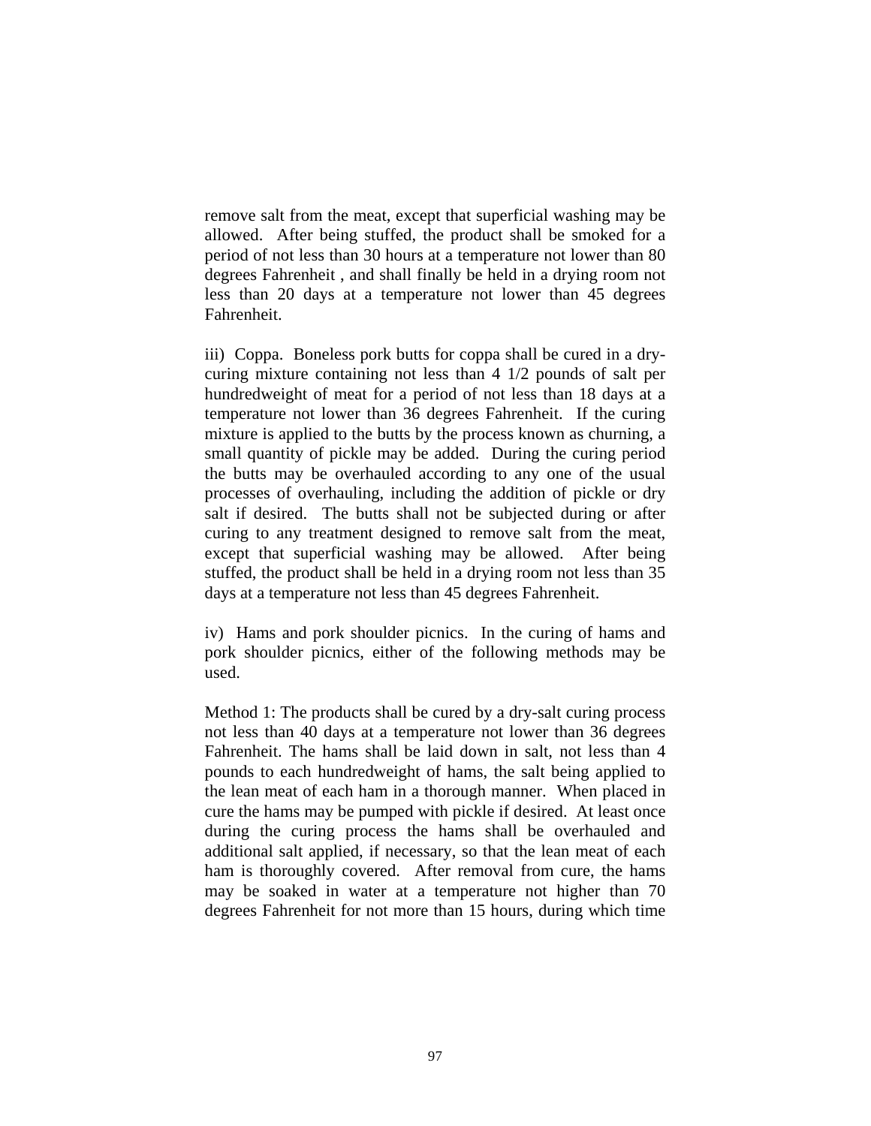remove salt from the meat, except that superficial washing may be allowed. After being stuffed, the product shall be smoked for a period of not less than 30 hours at a temperature not lower than 80 degrees Fahrenheit , and shall finally be held in a drying room not less than 20 days at a temperature not lower than 45 degrees Fahrenheit.

iii) Coppa. Boneless pork butts for coppa shall be cured in a drycuring mixture containing not less than 4 1/2 pounds of salt per hundredweight of meat for a period of not less than 18 days at a temperature not lower than 36 degrees Fahrenheit. If the curing mixture is applied to the butts by the process known as churning, a small quantity of pickle may be added. During the curing period the butts may be overhauled according to any one of the usual processes of overhauling, including the addition of pickle or dry salt if desired. The butts shall not be subjected during or after curing to any treatment designed to remove salt from the meat, except that superficial washing may be allowed. After being stuffed, the product shall be held in a drying room not less than 35 days at a temperature not less than 45 degrees Fahrenheit.

iv) Hams and pork shoulder picnics. In the curing of hams and pork shoulder picnics, either of the following methods may be used.

Method 1: The products shall be cured by a dry-salt curing process not less than 40 days at a temperature not lower than 36 degrees Fahrenheit. The hams shall be laid down in salt, not less than 4 pounds to each hundredweight of hams, the salt being applied to the lean meat of each ham in a thorough manner. When placed in cure the hams may be pumped with pickle if desired. At least once during the curing process the hams shall be overhauled and additional salt applied, if necessary, so that the lean meat of each ham is thoroughly covered. After removal from cure, the hams may be soaked in water at a temperature not higher than 70 degrees Fahrenheit for not more than 15 hours, during which time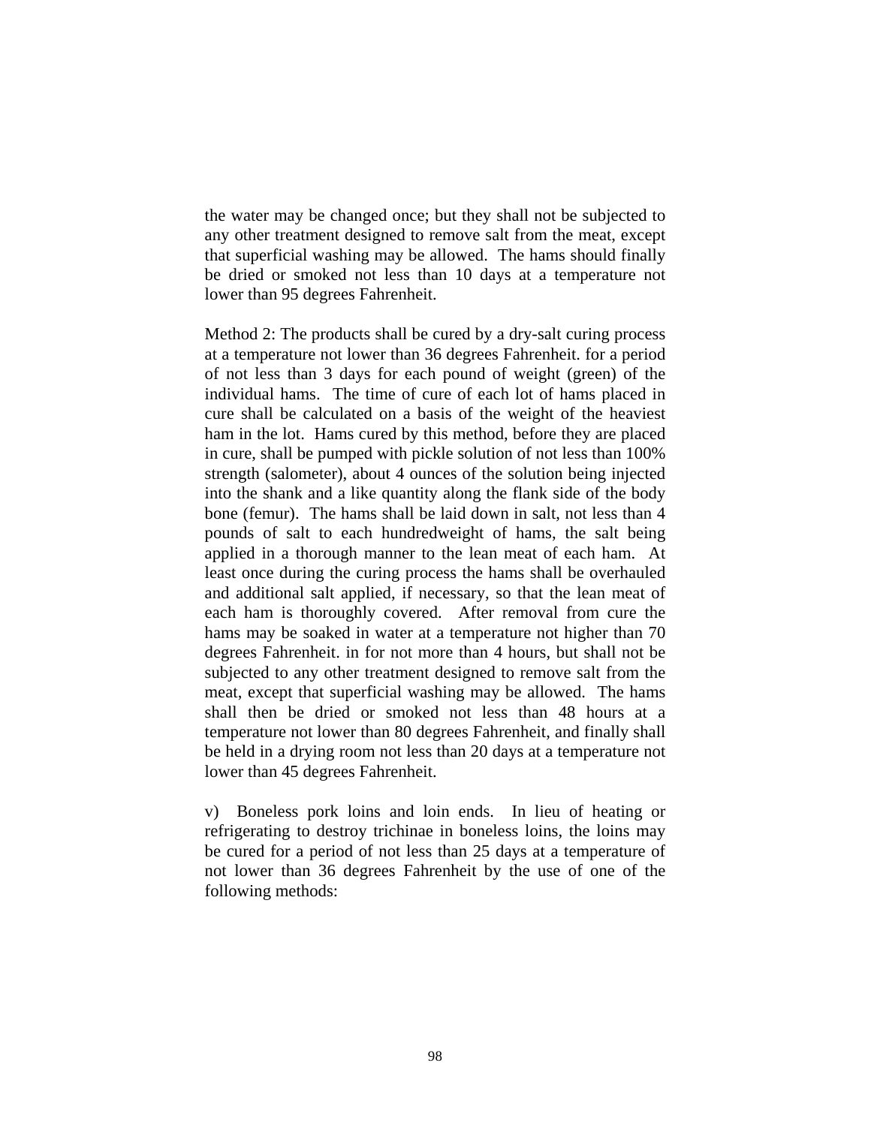the water may be changed once; but they shall not be subjected to any other treatment designed to remove salt from the meat, except that superficial washing may be allowed. The hams should finally be dried or smoked not less than 10 days at a temperature not lower than 95 degrees Fahrenheit.

Method 2: The products shall be cured by a dry-salt curing process at a temperature not lower than 36 degrees Fahrenheit. for a period of not less than 3 days for each pound of weight (green) of the individual hams. The time of cure of each lot of hams placed in cure shall be calculated on a basis of the weight of the heaviest ham in the lot. Hams cured by this method, before they are placed in cure, shall be pumped with pickle solution of not less than 100% strength (salometer), about 4 ounces of the solution being injected into the shank and a like quantity along the flank side of the body bone (femur). The hams shall be laid down in salt, not less than 4 pounds of salt to each hundredweight of hams, the salt being applied in a thorough manner to the lean meat of each ham. At least once during the curing process the hams shall be overhauled and additional salt applied, if necessary, so that the lean meat of each ham is thoroughly covered. After removal from cure the hams may be soaked in water at a temperature not higher than 70 degrees Fahrenheit. in for not more than 4 hours, but shall not be subjected to any other treatment designed to remove salt from the meat, except that superficial washing may be allowed. The hams shall then be dried or smoked not less than 48 hours at a temperature not lower than 80 degrees Fahrenheit, and finally shall be held in a drying room not less than 20 days at a temperature not lower than 45 degrees Fahrenheit.

v) Boneless pork loins and loin ends. In lieu of heating or refrigerating to destroy trichinae in boneless loins, the loins may be cured for a period of not less than 25 days at a temperature of not lower than 36 degrees Fahrenheit by the use of one of the following methods: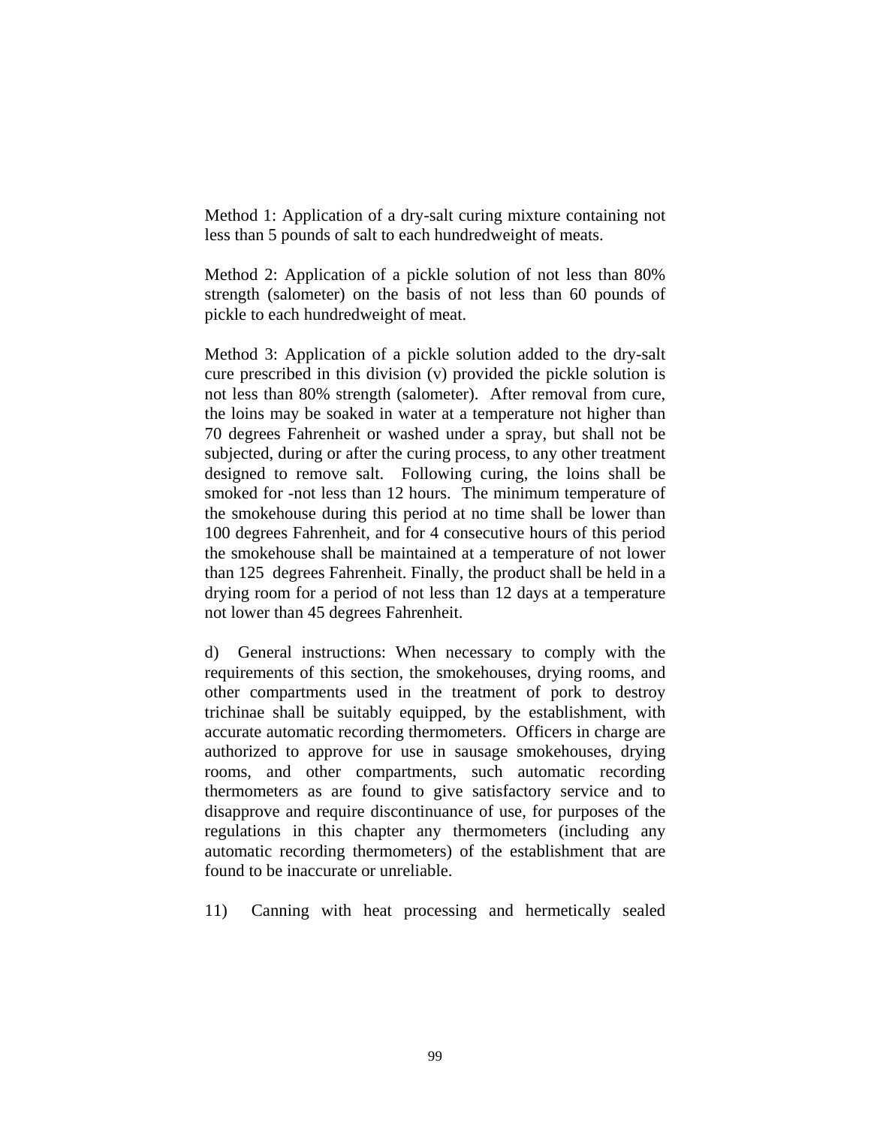Method 1: Application of a dry-salt curing mixture containing not less than 5 pounds of salt to each hundredweight of meats.

Method 2: Application of a pickle solution of not less than 80% strength (salometer) on the basis of not less than 60 pounds of pickle to each hundredweight of meat.

Method 3: Application of a pickle solution added to the dry-salt cure prescribed in this division (v) provided the pickle solution is not less than 80% strength (salometer). After removal from cure, the loins may be soaked in water at a temperature not higher than 70 degrees Fahrenheit or washed under a spray, but shall not be subjected, during or after the curing process, to any other treatment designed to remove salt. Following curing, the loins shall be smoked for -not less than 12 hours. The minimum temperature of the smokehouse during this period at no time shall be lower than 100 degrees Fahrenheit, and for 4 consecutive hours of this period the smokehouse shall be maintained at a temperature of not lower than 125 degrees Fahrenheit. Finally, the product shall be held in a drying room for a period of not less than 12 days at a temperature not lower than 45 degrees Fahrenheit.

d) General instructions: When necessary to comply with the requirements of this section, the smokehouses, drying rooms, and other compartments used in the treatment of pork to destroy trichinae shall be suitably equipped, by the establishment, with accurate automatic recording thermometers. Officers in charge are authorized to approve for use in sausage smokehouses, drying rooms, and other compartments, such automatic recording thermometers as are found to give satisfactory service and to disapprove and require discontinuance of use, for purposes of the regulations in this chapter any thermometers (including any automatic recording thermometers) of the establishment that are found to be inaccurate or unreliable.

11) Canning with heat processing and hermetically sealed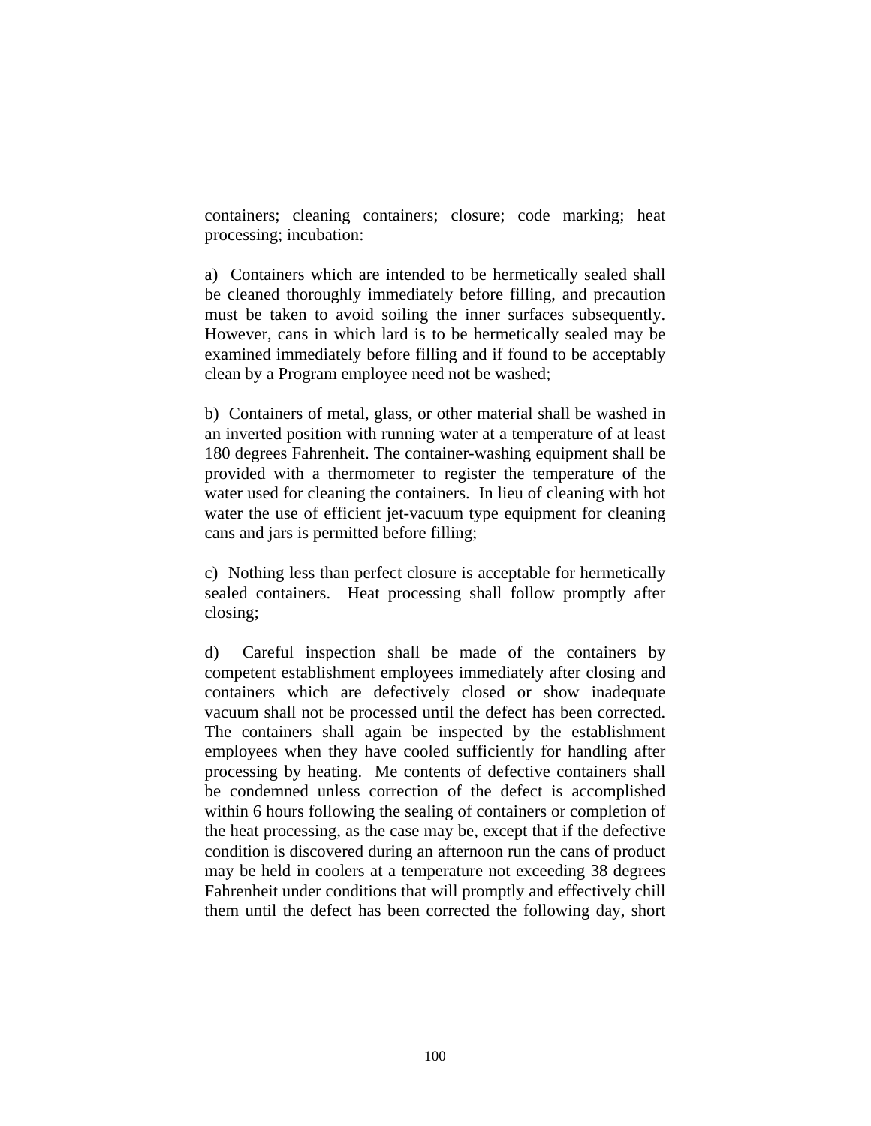containers; cleaning containers; closure; code marking; heat processing; incubation:

a) Containers which are intended to be hermetically sealed shall be cleaned thoroughly immediately before filling, and precaution must be taken to avoid soiling the inner surfaces subsequently. However, cans in which lard is to be hermetically sealed may be examined immediately before filling and if found to be acceptably clean by a Program employee need not be washed;

b) Containers of metal, glass, or other material shall be washed in an inverted position with running water at a temperature of at least 180 degrees Fahrenheit. The container-washing equipment shall be provided with a thermometer to register the temperature of the water used for cleaning the containers. In lieu of cleaning with hot water the use of efficient jet-vacuum type equipment for cleaning cans and jars is permitted before filling;

c) Nothing less than perfect closure is acceptable for hermetically sealed containers. Heat processing shall follow promptly after closing;

d) Careful inspection shall be made of the containers by competent establishment employees immediately after closing and containers which are defectively closed or show inadequate vacuum shall not be processed until the defect has been corrected. The containers shall again be inspected by the establishment employees when they have cooled sufficiently for handling after processing by heating. Me contents of defective containers shall be condemned unless correction of the defect is accomplished within 6 hours following the sealing of containers or completion of the heat processing, as the case may be, except that if the defective condition is discovered during an afternoon run the cans of product may be held in coolers at a temperature not exceeding 38 degrees Fahrenheit under conditions that will promptly and effectively chill them until the defect has been corrected the following day, short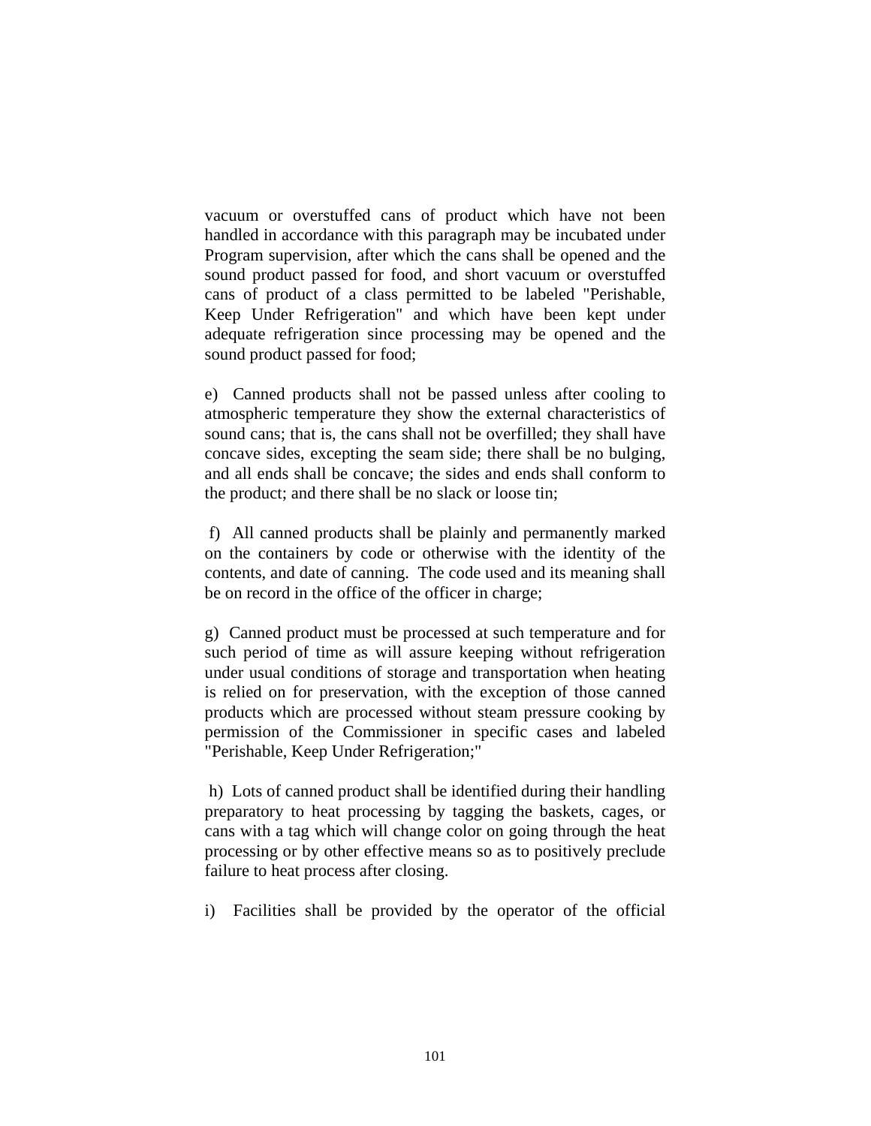vacuum or overstuffed cans of product which have not been handled in accordance with this paragraph may be incubated under Program supervision, after which the cans shall be opened and the sound product passed for food, and short vacuum or overstuffed cans of product of a class permitted to be labeled "Perishable, Keep Under Refrigeration" and which have been kept under adequate refrigeration since processing may be opened and the sound product passed for food;

e) Canned products shall not be passed unless after cooling to atmospheric temperature they show the external characteristics of sound cans; that is, the cans shall not be overfilled; they shall have concave sides, excepting the seam side; there shall be no bulging, and all ends shall be concave; the sides and ends shall conform to the product; and there shall be no slack or loose tin;

 f) All canned products shall be plainly and permanently marked on the containers by code or otherwise with the identity of the contents, and date of canning. The code used and its meaning shall be on record in the office of the officer in charge;

g) Canned product must be processed at such temperature and for such period of time as will assure keeping without refrigeration under usual conditions of storage and transportation when heating is relied on for preservation, with the exception of those canned products which are processed without steam pressure cooking by permission of the Commissioner in specific cases and labeled "Perishable, Keep Under Refrigeration;"

 h) Lots of canned product shall be identified during their handling preparatory to heat processing by tagging the baskets, cages, or cans with a tag which will change color on going through the heat processing or by other effective means so as to positively preclude failure to heat process after closing.

i) Facilities shall be provided by the operator of the official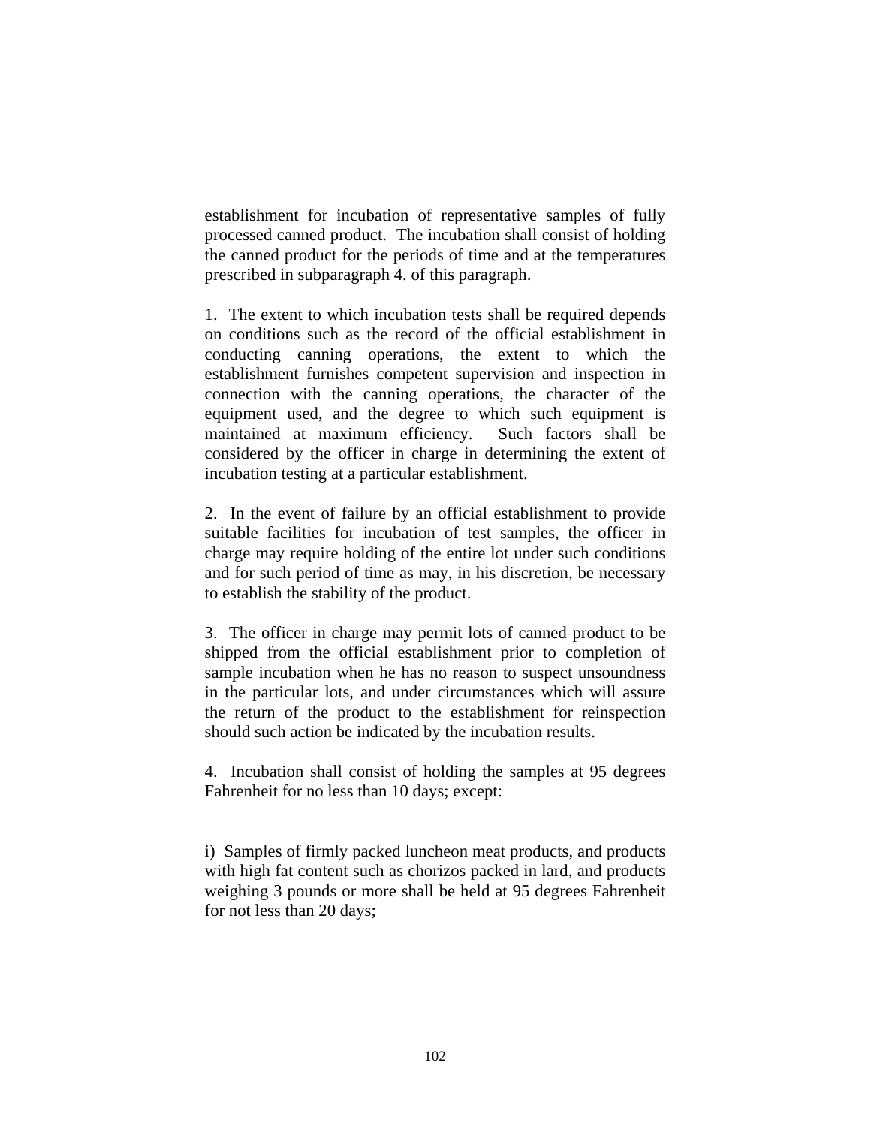establishment for incubation of representative samples of fully processed canned product. The incubation shall consist of holding the canned product for the periods of time and at the temperatures prescribed in subparagraph 4. of this paragraph.

1. The extent to which incubation tests shall be required depends on conditions such as the record of the official establishment in conducting canning operations, the extent to which the establishment furnishes competent supervision and inspection in connection with the canning operations, the character of the equipment used, and the degree to which such equipment is maintained at maximum efficiency. Such factors shall be considered by the officer in charge in determining the extent of incubation testing at a particular establishment.

2. In the event of failure by an official establishment to provide suitable facilities for incubation of test samples, the officer in charge may require holding of the entire lot under such conditions and for such period of time as may, in his discretion, be necessary to establish the stability of the product.

3. The officer in charge may permit lots of canned product to be shipped from the official establishment prior to completion of sample incubation when he has no reason to suspect unsoundness in the particular lots, and under circumstances which will assure the return of the product to the establishment for reinspection should such action be indicated by the incubation results.

4. Incubation shall consist of holding the samples at 95 degrees Fahrenheit for no less than 10 days; except:

i) Samples of firmly packed luncheon meat products, and products with high fat content such as chorizos packed in lard, and products weighing 3 pounds or more shall be held at 95 degrees Fahrenheit for not less than 20 days;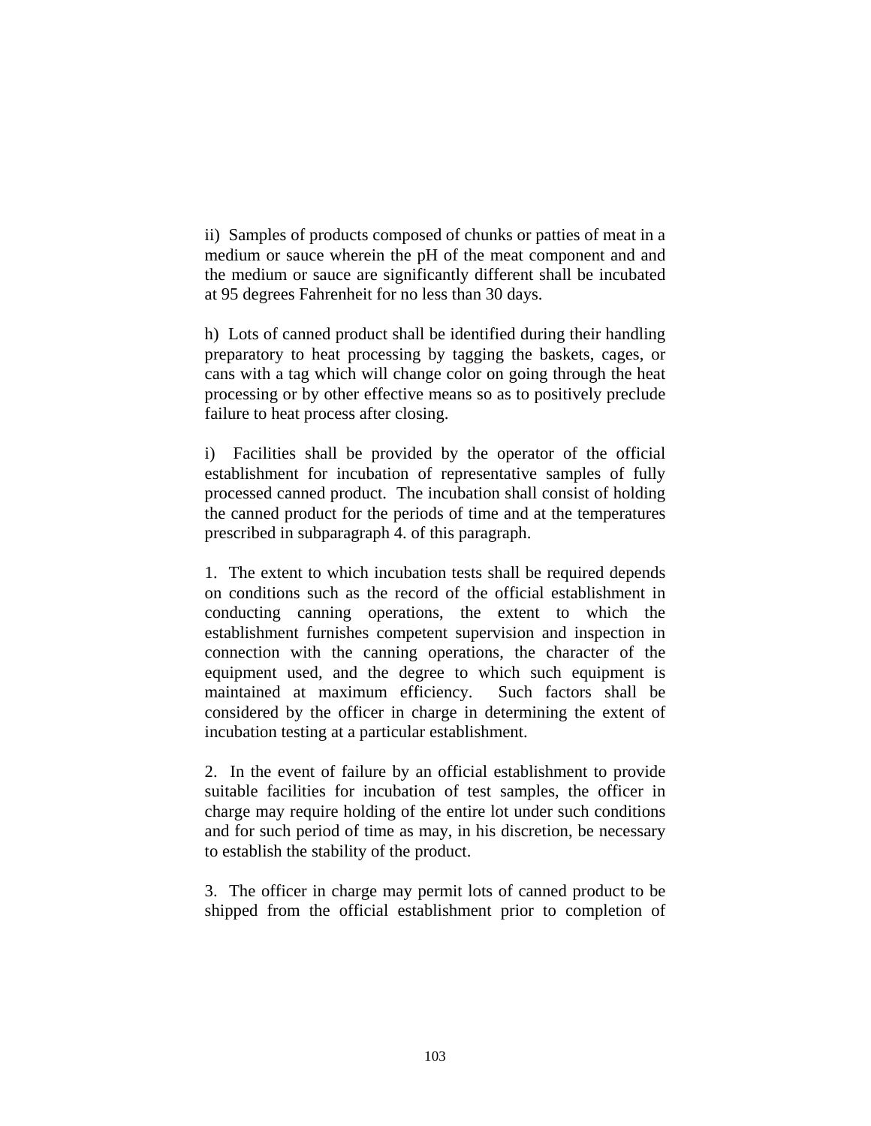ii) Samples of products composed of chunks or patties of meat in a medium or sauce wherein the pH of the meat component and and the medium or sauce are significantly different shall be incubated at 95 degrees Fahrenheit for no less than 30 days.

h) Lots of canned product shall be identified during their handling preparatory to heat processing by tagging the baskets, cages, or cans with a tag which will change color on going through the heat processing or by other effective means so as to positively preclude failure to heat process after closing.

i) Facilities shall be provided by the operator of the official establishment for incubation of representative samples of fully processed canned product. The incubation shall consist of holding the canned product for the periods of time and at the temperatures prescribed in subparagraph 4. of this paragraph.

1. The extent to which incubation tests shall be required depends on conditions such as the record of the official establishment in conducting canning operations, the extent to which the establishment furnishes competent supervision and inspection in connection with the canning operations, the character of the equipment used, and the degree to which such equipment is maintained at maximum efficiency. Such factors shall be considered by the officer in charge in determining the extent of incubation testing at a particular establishment.

2. In the event of failure by an official establishment to provide suitable facilities for incubation of test samples, the officer in charge may require holding of the entire lot under such conditions and for such period of time as may, in his discretion, be necessary to establish the stability of the product.

3. The officer in charge may permit lots of canned product to be shipped from the official establishment prior to completion of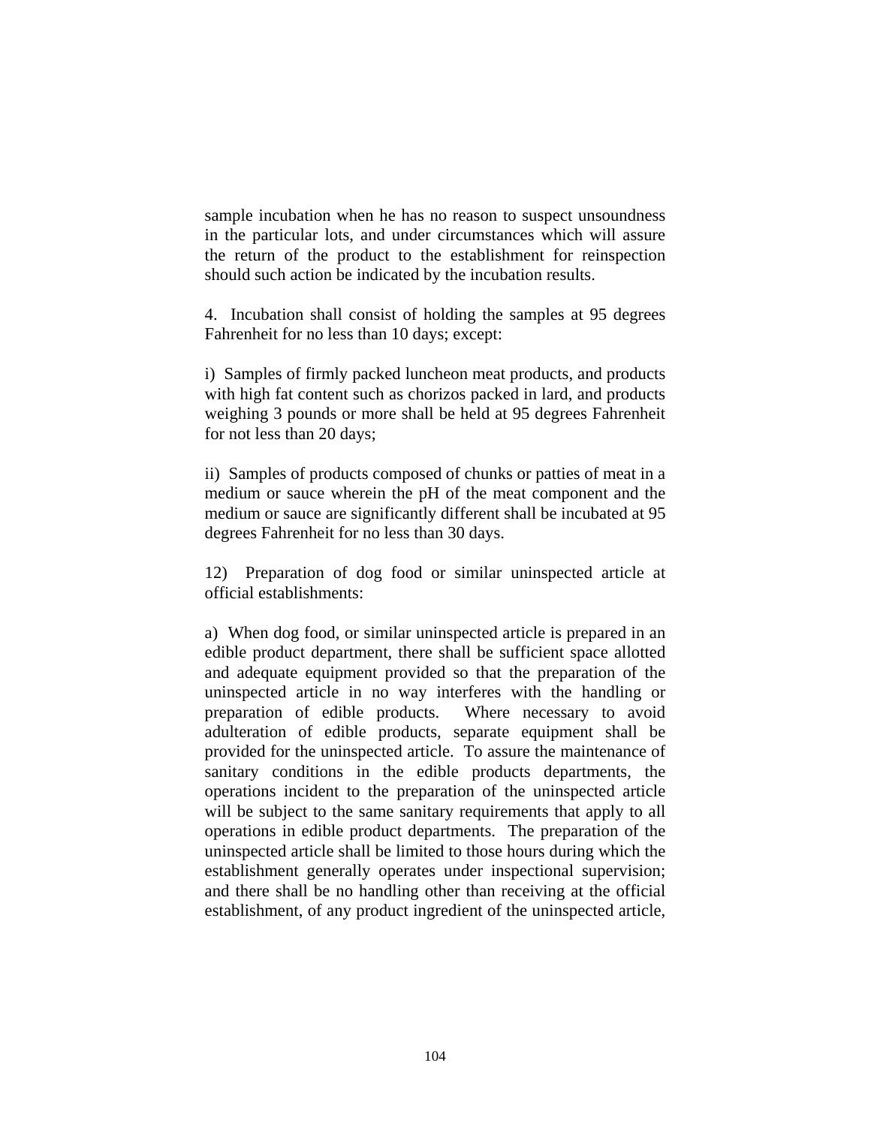sample incubation when he has no reason to suspect unsoundness in the particular lots, and under circumstances which will assure the return of the product to the establishment for reinspection should such action be indicated by the incubation results.

4. Incubation shall consist of holding the samples at 95 degrees Fahrenheit for no less than 10 days; except:

i) Samples of firmly packed luncheon meat products, and products with high fat content such as chorizos packed in lard, and products weighing 3 pounds or more shall be held at 95 degrees Fahrenheit for not less than 20 days;

ii) Samples of products composed of chunks or patties of meat in a medium or sauce wherein the pH of the meat component and the medium or sauce are significantly different shall be incubated at 95 degrees Fahrenheit for no less than 30 days.

12) Preparation of dog food or similar uninspected article at official establishments:

a) When dog food, or similar uninspected article is prepared in an edible product department, there shall be sufficient space allotted and adequate equipment provided so that the preparation of the uninspected article in no way interferes with the handling or preparation of edible products. Where necessary to avoid adulteration of edible products, separate equipment shall be provided for the uninspected article. To assure the maintenance of sanitary conditions in the edible products departments, the operations incident to the preparation of the uninspected article will be subject to the same sanitary requirements that apply to all operations in edible product departments. The preparation of the uninspected article shall be limited to those hours during which the establishment generally operates under inspectional supervision; and there shall be no handling other than receiving at the official establishment, of any product ingredient of the uninspected article,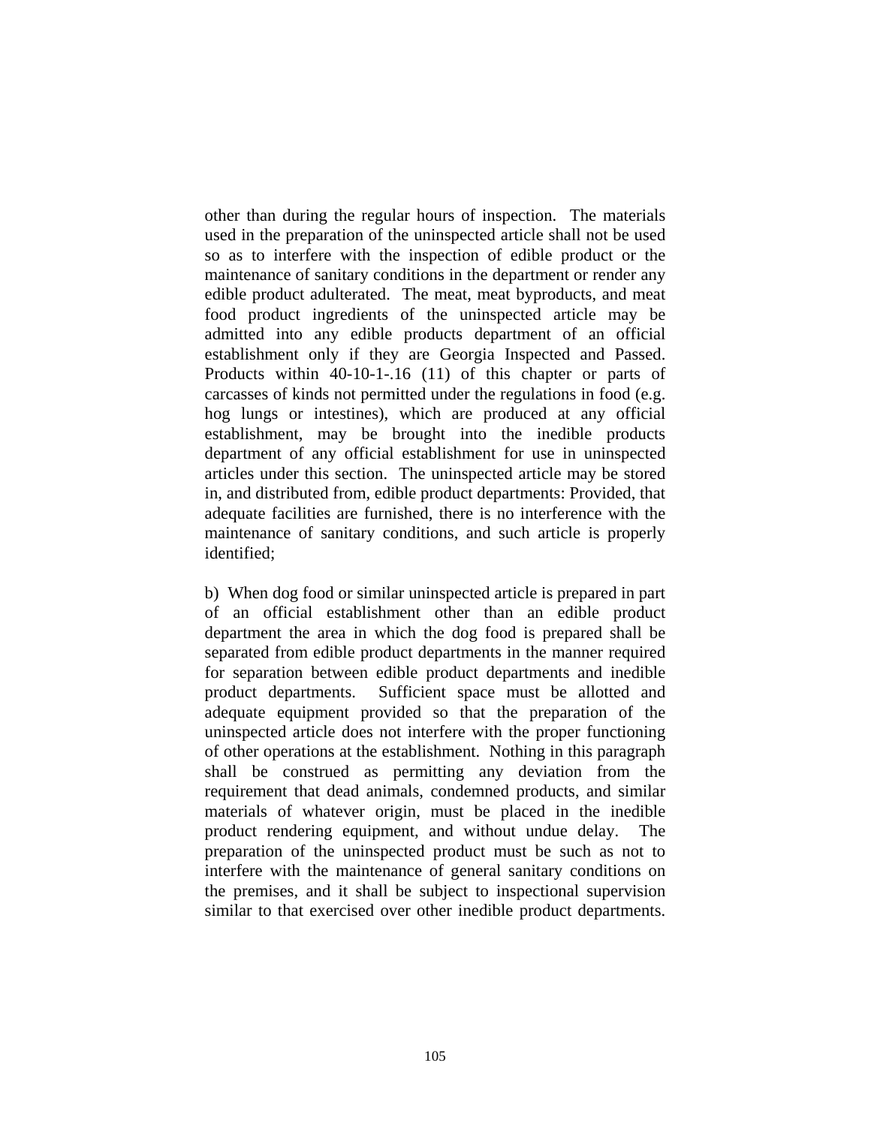other than during the regular hours of inspection. The materials used in the preparation of the uninspected article shall not be used so as to interfere with the inspection of edible product or the maintenance of sanitary conditions in the department or render any edible product adulterated. The meat, meat byproducts, and meat food product ingredients of the uninspected article may be admitted into any edible products department of an official establishment only if they are Georgia Inspected and Passed. Products within 40-10-1-.16 (11) of this chapter or parts of carcasses of kinds not permitted under the regulations in food (e.g. hog lungs or intestines), which are produced at any official establishment, may be brought into the inedible products department of any official establishment for use in uninspected articles under this section. The uninspected article may be stored in, and distributed from, edible product departments: Provided, that adequate facilities are furnished, there is no interference with the maintenance of sanitary conditions, and such article is properly identified;

b) When dog food or similar uninspected article is prepared in part of an official establishment other than an edible product department the area in which the dog food is prepared shall be separated from edible product departments in the manner required for separation between edible product departments and inedible product departments. Sufficient space must be allotted and adequate equipment provided so that the preparation of the uninspected article does not interfere with the proper functioning of other operations at the establishment. Nothing in this paragraph shall be construed as permitting any deviation from the requirement that dead animals, condemned products, and similar materials of whatever origin, must be placed in the inedible product rendering equipment, and without undue delay. The preparation of the uninspected product must be such as not to interfere with the maintenance of general sanitary conditions on the premises, and it shall be subject to inspectional supervision similar to that exercised over other inedible product departments.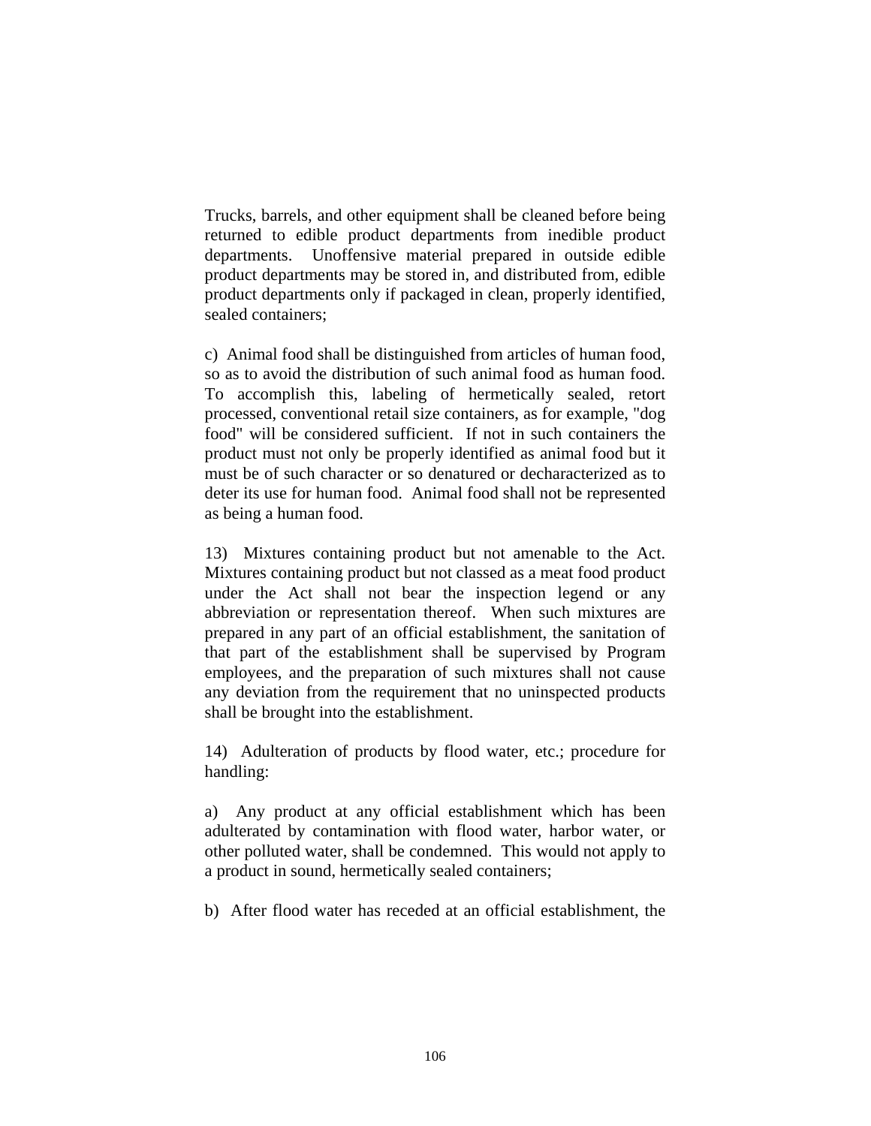Trucks, barrels, and other equipment shall be cleaned before being returned to edible product departments from inedible product departments. Unoffensive material prepared in outside edible product departments may be stored in, and distributed from, edible product departments only if packaged in clean, properly identified, sealed containers;

c) Animal food shall be distinguished from articles of human food, so as to avoid the distribution of such animal food as human food. To accomplish this, labeling of hermetically sealed, retort processed, conventional retail size containers, as for example, "dog food" will be considered sufficient. If not in such containers the product must not only be properly identified as animal food but it must be of such character or so denatured or decharacterized as to deter its use for human food. Animal food shall not be represented as being a human food.

13) Mixtures containing product but not amenable to the Act. Mixtures containing product but not classed as a meat food product under the Act shall not bear the inspection legend or any abbreviation or representation thereof. When such mixtures are prepared in any part of an official establishment, the sanitation of that part of the establishment shall be supervised by Program employees, and the preparation of such mixtures shall not cause any deviation from the requirement that no uninspected products shall be brought into the establishment.

14) Adulteration of products by flood water, etc.; procedure for handling:

a) Any product at any official establishment which has been adulterated by contamination with flood water, harbor water, or other polluted water, shall be condemned. This would not apply to a product in sound, hermetically sealed containers;

b) After flood water has receded at an official establishment, the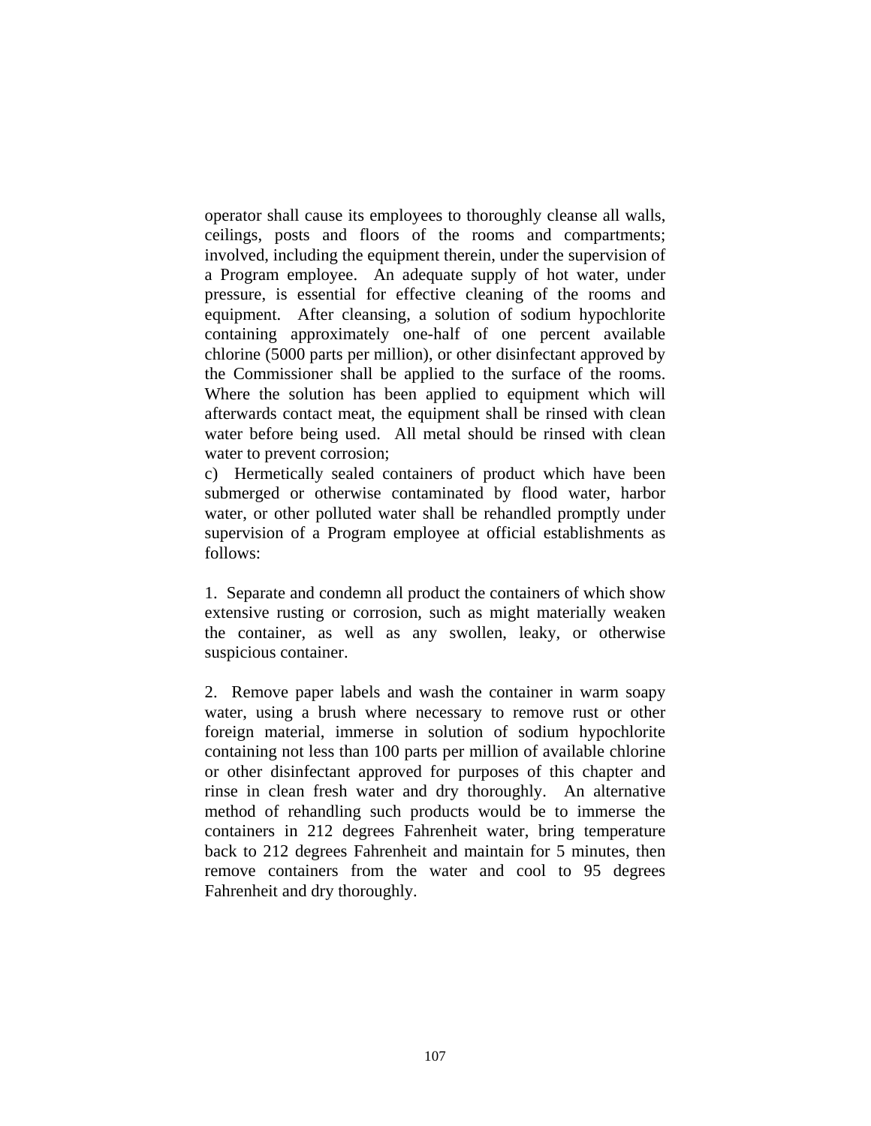operator shall cause its employees to thoroughly cleanse all walls, ceilings, posts and floors of the rooms and compartments; involved, including the equipment therein, under the supervision of a Program employee. An adequate supply of hot water, under pressure, is essential for effective cleaning of the rooms and equipment. After cleansing, a solution of sodium hypochlorite containing approximately one-half of one percent available chlorine (5000 parts per million), or other disinfectant approved by the Commissioner shall be applied to the surface of the rooms. Where the solution has been applied to equipment which will afterwards contact meat, the equipment shall be rinsed with clean water before being used. All metal should be rinsed with clean water to prevent corrosion;

c) Hermetically sealed containers of product which have been submerged or otherwise contaminated by flood water, harbor water, or other polluted water shall be rehandled promptly under supervision of a Program employee at official establishments as follows:

1. Separate and condemn all product the containers of which show extensive rusting or corrosion, such as might materially weaken the container, as well as any swollen, leaky, or otherwise suspicious container.

2. Remove paper labels and wash the container in warm soapy water, using a brush where necessary to remove rust or other foreign material, immerse in solution of sodium hypochlorite containing not less than 100 parts per million of available chlorine or other disinfectant approved for purposes of this chapter and rinse in clean fresh water and dry thoroughly. An alternative method of rehandling such products would be to immerse the containers in 212 degrees Fahrenheit water, bring temperature back to 212 degrees Fahrenheit and maintain for 5 minutes, then remove containers from the water and cool to 95 degrees Fahrenheit and dry thoroughly.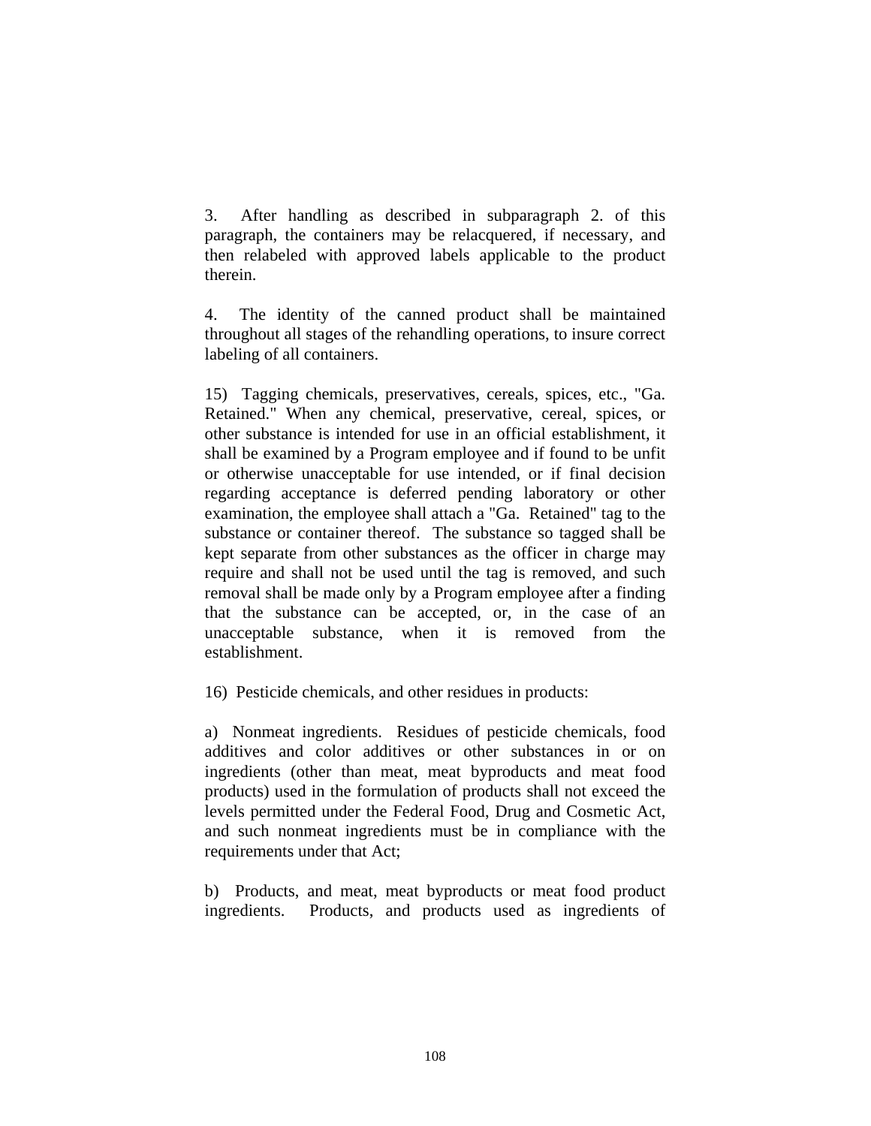3. After handling as described in subparagraph 2. of this paragraph, the containers may be relacquered, if necessary, and then relabeled with approved labels applicable to the product therein.

4. The identity of the canned product shall be maintained throughout all stages of the rehandling operations, to insure correct labeling of all containers.

15) Tagging chemicals, preservatives, cereals, spices, etc., "Ga. Retained." When any chemical, preservative, cereal, spices, or other substance is intended for use in an official establishment, it shall be examined by a Program employee and if found to be unfit or otherwise unacceptable for use intended, or if final decision regarding acceptance is deferred pending laboratory or other examination, the employee shall attach a "Ga. Retained" tag to the substance or container thereof. The substance so tagged shall be kept separate from other substances as the officer in charge may require and shall not be used until the tag is removed, and such removal shall be made only by a Program employee after a finding that the substance can be accepted, or, in the case of an unacceptable substance, when it is removed from the establishment.

16) Pesticide chemicals, and other residues in products:

a) Nonmeat ingredients. Residues of pesticide chemicals, food additives and color additives or other substances in or on ingredients (other than meat, meat byproducts and meat food products) used in the formulation of products shall not exceed the levels permitted under the Federal Food, Drug and Cosmetic Act, and such nonmeat ingredients must be in compliance with the requirements under that Act;

b) Products, and meat, meat byproducts or meat food product ingredients. Products, and products used as ingredients of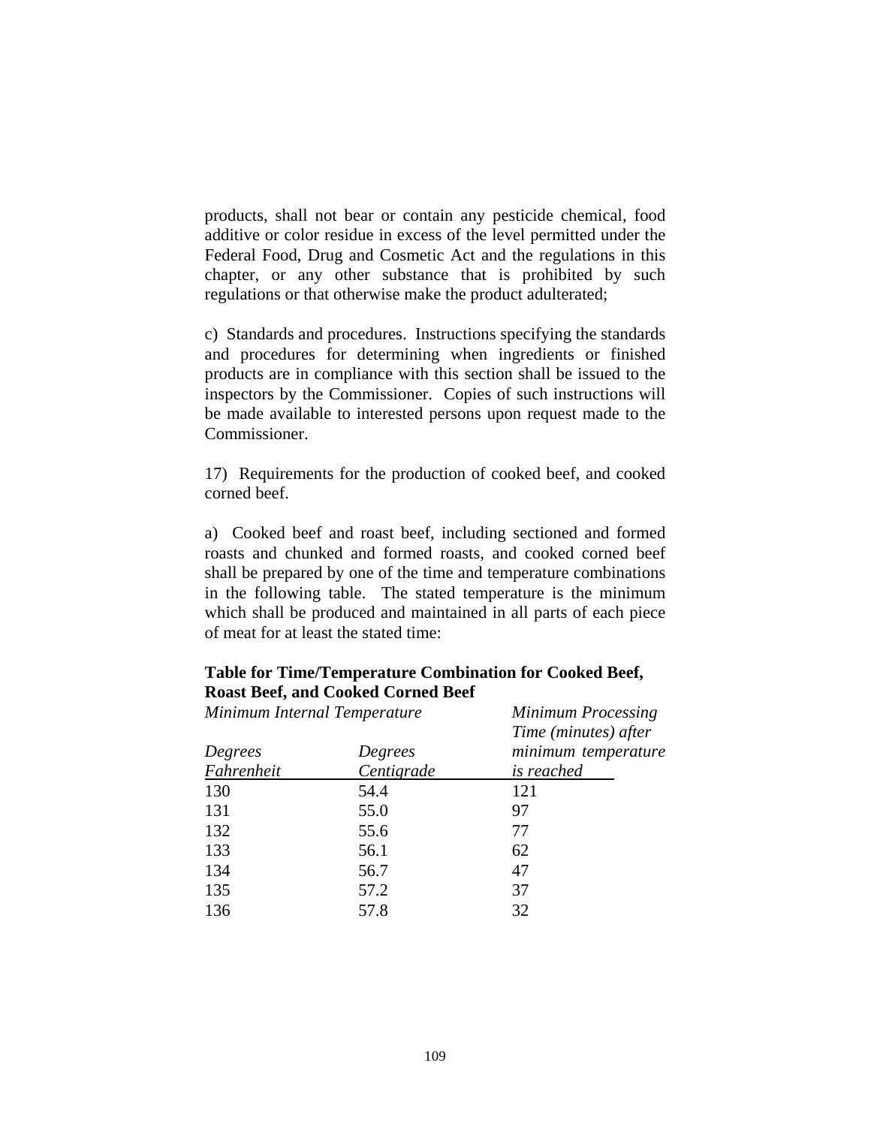products, shall not bear or contain any pesticide chemical, food additive or color residue in excess of the level permitted under the Federal Food, Drug and Cosmetic Act and the regulations in this chapter, or any other substance that is prohibited by such regulations or that otherwise make the product adulterated;

c) Standards and procedures. Instructions specifying the standards and procedures for determining when ingredients or finished products are in compliance with this section shall be issued to the inspectors by the Commissioner. Copies of such instructions will be made available to interested persons upon request made to the Commissioner.

17) Requirements for the production of cooked beef, and cooked corned beef.

a) Cooked beef and roast beef, including sectioned and formed roasts and chunked and formed roasts, and cooked corned beef shall be prepared by one of the time and temperature combinations in the following table. The stated temperature is the minimum which shall be produced and maintained in all parts of each piece of meat for at least the stated time:

# **Table for Time/Temperature Combination for Cooked Beef, Roast Beef, and Cooked Corned Beef**

| Minimum Internal Temperature |            | <b>Minimum Processing</b> |
|------------------------------|------------|---------------------------|
|                              |            | Time (minutes) after      |
| Degrees                      | Degrees    | minimum temperature       |
| Fahrenheit                   | Centigrade | is reached                |
| 130                          | 54.4       | 121                       |
| 131                          | 55.0       | 97                        |
| 132                          | 55.6       | 77                        |
| 133                          | 56.1       | 62                        |
| 134                          | 56.7       | 47                        |
| 135                          | 57.2       | 37                        |
| 136                          | 57.8       | 32                        |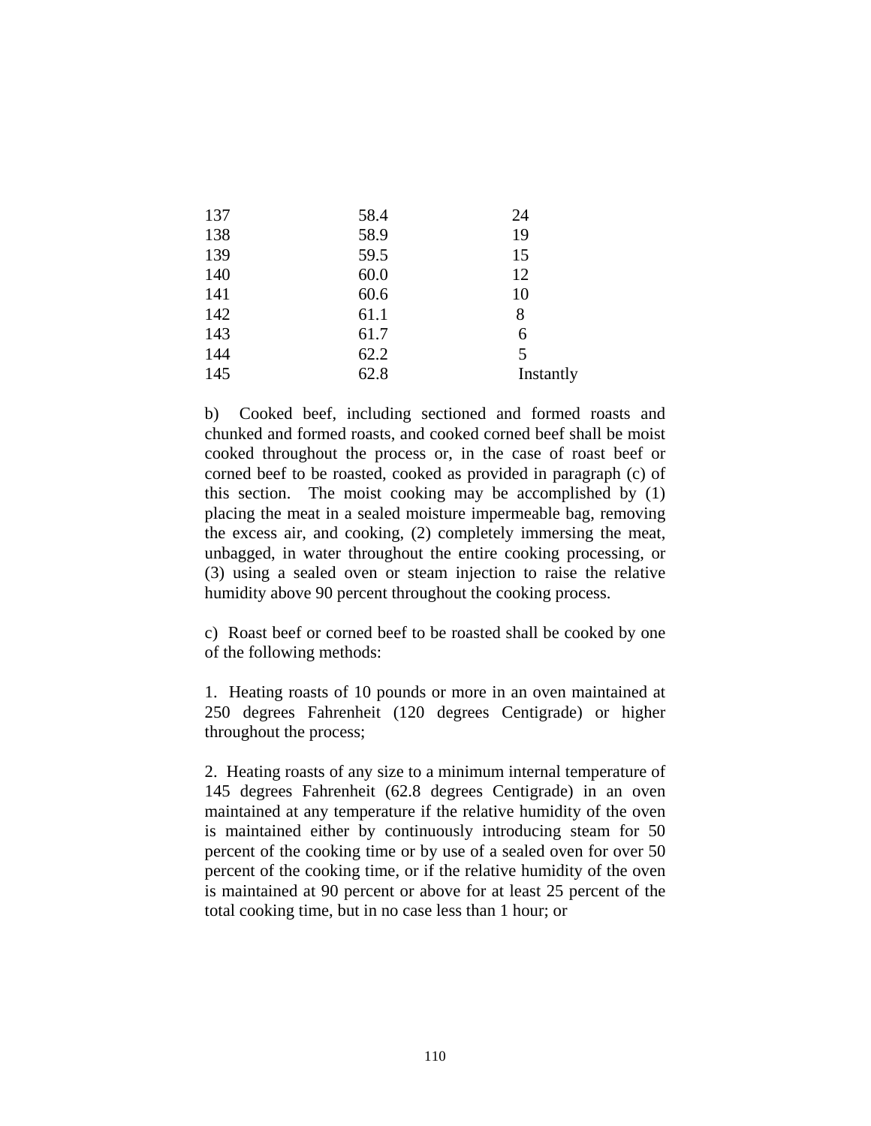| 137 | 58.4 | 24        |
|-----|------|-----------|
| 138 | 58.9 | 19        |
| 139 | 59.5 | 15        |
| 140 | 60.0 | 12        |
| 141 | 60.6 | 10        |
| 142 | 61.1 | 8         |
| 143 | 61.7 | 6         |
| 144 | 62.2 | 5         |
| 145 | 62.8 | Instantly |

b) Cooked beef, including sectioned and formed roasts and chunked and formed roasts, and cooked corned beef shall be moist cooked throughout the process or, in the case of roast beef or corned beef to be roasted, cooked as provided in paragraph (c) of this section. The moist cooking may be accomplished by (1) placing the meat in a sealed moisture impermeable bag, removing the excess air, and cooking, (2) completely immersing the meat, unbagged, in water throughout the entire cooking processing, or (3) using a sealed oven or steam injection to raise the relative humidity above 90 percent throughout the cooking process.

c) Roast beef or corned beef to be roasted shall be cooked by one of the following methods:

1. Heating roasts of 10 pounds or more in an oven maintained at 250 degrees Fahrenheit (120 degrees Centigrade) or higher throughout the process;

2. Heating roasts of any size to a minimum internal temperature of 145 degrees Fahrenheit (62.8 degrees Centigrade) in an oven maintained at any temperature if the relative humidity of the oven is maintained either by continuously introducing steam for 50 percent of the cooking time or by use of a sealed oven for over 50 percent of the cooking time, or if the relative humidity of the oven is maintained at 90 percent or above for at least 25 percent of the total cooking time, but in no case less than 1 hour; or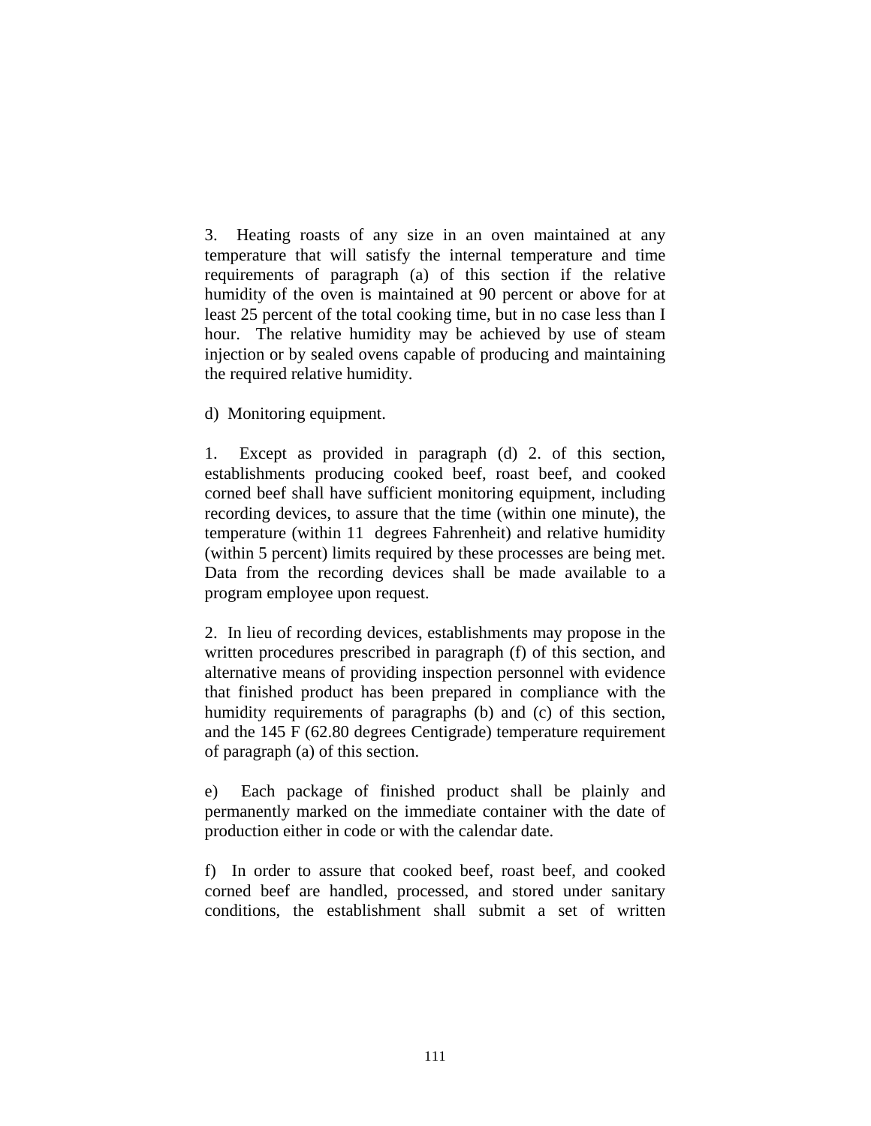3. Heating roasts of any size in an oven maintained at any temperature that will satisfy the internal temperature and time requirements of paragraph (a) of this section if the relative humidity of the oven is maintained at 90 percent or above for at least 25 percent of the total cooking time, but in no case less than I hour. The relative humidity may be achieved by use of steam injection or by sealed ovens capable of producing and maintaining the required relative humidity.

d) Monitoring equipment.

1. Except as provided in paragraph (d) 2. of this section, establishments producing cooked beef, roast beef, and cooked corned beef shall have sufficient monitoring equipment, including recording devices, to assure that the time (within one minute), the temperature (within 11 degrees Fahrenheit) and relative humidity (within 5 percent) limits required by these processes are being met. Data from the recording devices shall be made available to a program employee upon request.

2. In lieu of recording devices, establishments may propose in the written procedures prescribed in paragraph (f) of this section, and alternative means of providing inspection personnel with evidence that finished product has been prepared in compliance with the humidity requirements of paragraphs (b) and (c) of this section, and the 145 F (62.80 degrees Centigrade) temperature requirement of paragraph (a) of this section.

e) Each package of finished product shall be plainly and permanently marked on the immediate container with the date of production either in code or with the calendar date.

f) In order to assure that cooked beef, roast beef, and cooked corned beef are handled, processed, and stored under sanitary conditions, the establishment shall submit a set of written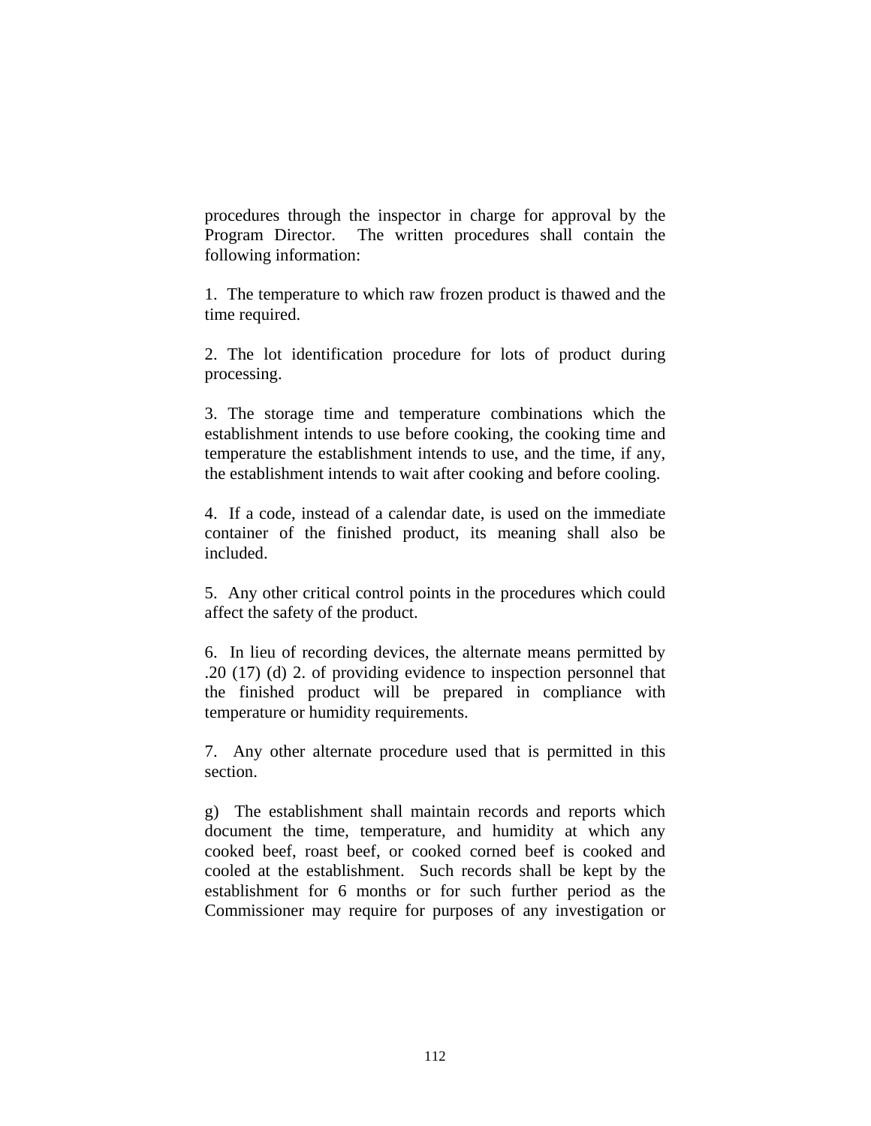procedures through the inspector in charge for approval by the Program Director. The written procedures shall contain the following information:

1. The temperature to which raw frozen product is thawed and the time required.

2. The lot identification procedure for lots of product during processing.

3. The storage time and temperature combinations which the establishment intends to use before cooking, the cooking time and temperature the establishment intends to use, and the time, if any, the establishment intends to wait after cooking and before cooling.

4. If a code, instead of a calendar date, is used on the immediate container of the finished product, its meaning shall also be included.

5. Any other critical control points in the procedures which could affect the safety of the product.

6. In lieu of recording devices, the alternate means permitted by .20 (17) (d) 2. of providing evidence to inspection personnel that the finished product will be prepared in compliance with temperature or humidity requirements.

7. Any other alternate procedure used that is permitted in this section.

g) The establishment shall maintain records and reports which document the time, temperature, and humidity at which any cooked beef, roast beef, or cooked corned beef is cooked and cooled at the establishment. Such records shall be kept by the establishment for 6 months or for such further period as the Commissioner may require for purposes of any investigation or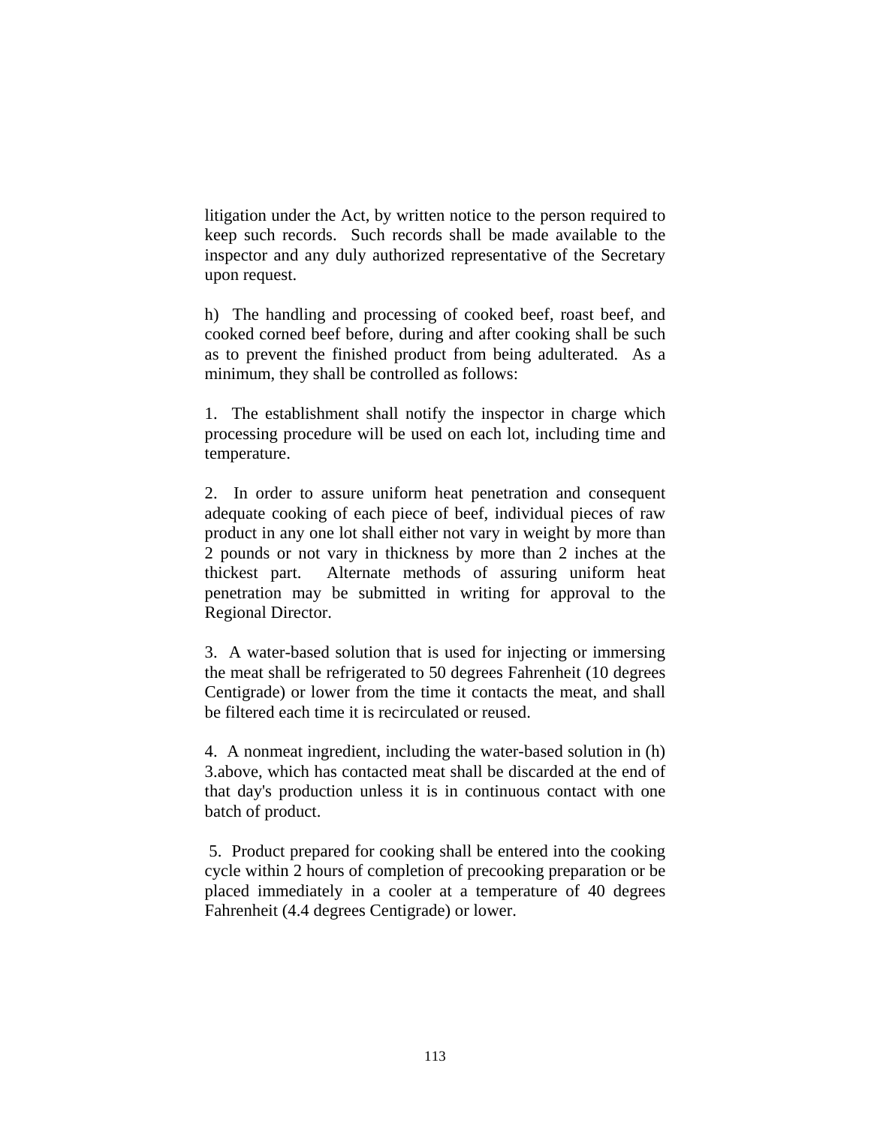litigation under the Act, by written notice to the person required to keep such records. Such records shall be made available to the inspector and any duly authorized representative of the Secretary upon request.

h) The handling and processing of cooked beef, roast beef, and cooked corned beef before, during and after cooking shall be such as to prevent the finished product from being adulterated. As a minimum, they shall be controlled as follows:

1. The establishment shall notify the inspector in charge which processing procedure will be used on each lot, including time and temperature.

2. In order to assure uniform heat penetration and consequent adequate cooking of each piece of beef, individual pieces of raw product in any one lot shall either not vary in weight by more than 2 pounds or not vary in thickness by more than 2 inches at the thickest part. Alternate methods of assuring uniform heat penetration may be submitted in writing for approval to the Regional Director.

3. A water-based solution that is used for injecting or immersing the meat shall be refrigerated to 50 degrees Fahrenheit (10 degrees Centigrade) or lower from the time it contacts the meat, and shall be filtered each time it is recirculated or reused.

4. A nonmeat ingredient, including the water-based solution in (h) 3.above, which has contacted meat shall be discarded at the end of that day's production unless it is in continuous contact with one batch of product.

 5. Product prepared for cooking shall be entered into the cooking cycle within 2 hours of completion of precooking preparation or be placed immediately in a cooler at a temperature of 40 degrees Fahrenheit (4.4 degrees Centigrade) or lower.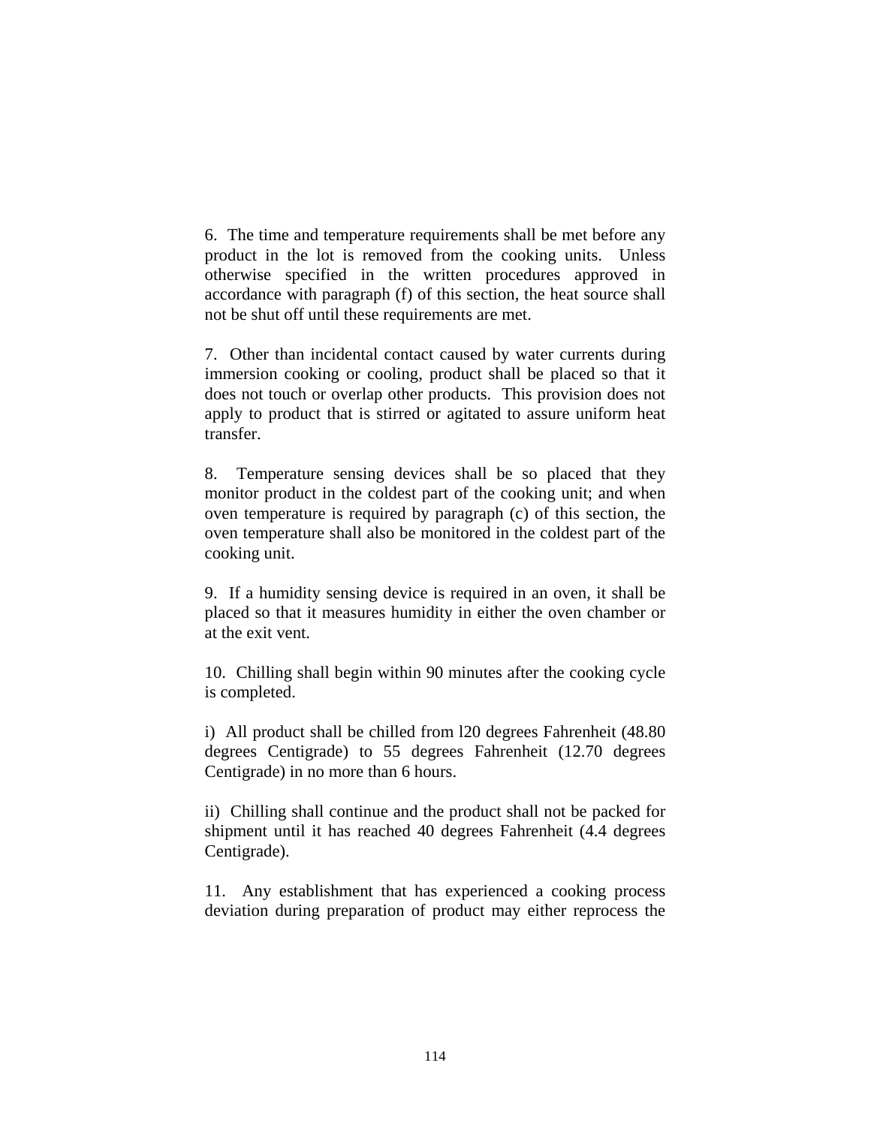6. The time and temperature requirements shall be met before any product in the lot is removed from the cooking units. Unless otherwise specified in the written procedures approved in accordance with paragraph (f) of this section, the heat source shall not be shut off until these requirements are met.

7. Other than incidental contact caused by water currents during immersion cooking or cooling, product shall be placed so that it does not touch or overlap other products. This provision does not apply to product that is stirred or agitated to assure uniform heat transfer.

8. Temperature sensing devices shall be so placed that they monitor product in the coldest part of the cooking unit; and when oven temperature is required by paragraph (c) of this section, the oven temperature shall also be monitored in the coldest part of the cooking unit.

9. If a humidity sensing device is required in an oven, it shall be placed so that it measures humidity in either the oven chamber or at the exit vent.

10. Chilling shall begin within 90 minutes after the cooking cycle is completed.

i) All product shall be chilled from l20 degrees Fahrenheit (48.80 degrees Centigrade) to 55 degrees Fahrenheit (12.70 degrees Centigrade) in no more than 6 hours.

ii) Chilling shall continue and the product shall not be packed for shipment until it has reached 40 degrees Fahrenheit (4.4 degrees Centigrade).

11. Any establishment that has experienced a cooking process deviation during preparation of product may either reprocess the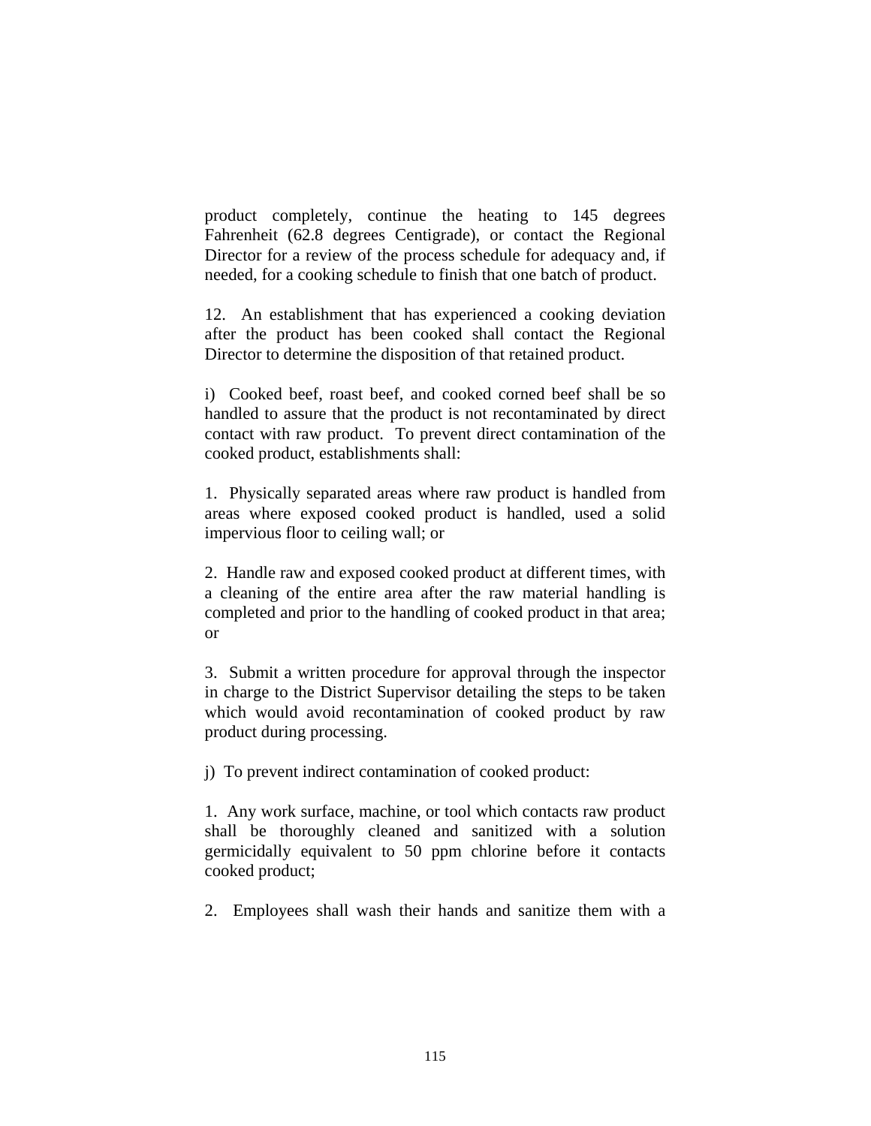product completely, continue the heating to 145 degrees Fahrenheit (62.8 degrees Centigrade), or contact the Regional Director for a review of the process schedule for adequacy and, if needed, for a cooking schedule to finish that one batch of product.

12. An establishment that has experienced a cooking deviation after the product has been cooked shall contact the Regional Director to determine the disposition of that retained product.

i) Cooked beef, roast beef, and cooked corned beef shall be so handled to assure that the product is not recontaminated by direct contact with raw product. To prevent direct contamination of the cooked product, establishments shall:

1. Physically separated areas where raw product is handled from areas where exposed cooked product is handled, used a solid impervious floor to ceiling wall; or

2. Handle raw and exposed cooked product at different times, with a cleaning of the entire area after the raw material handling is completed and prior to the handling of cooked product in that area; or

3. Submit a written procedure for approval through the inspector in charge to the District Supervisor detailing the steps to be taken which would avoid recontamination of cooked product by raw product during processing.

j) To prevent indirect contamination of cooked product:

1. Any work surface, machine, or tool which contacts raw product shall be thoroughly cleaned and sanitized with a solution germicidally equivalent to 50 ppm chlorine before it contacts cooked product;

2. Employees shall wash their hands and sanitize them with a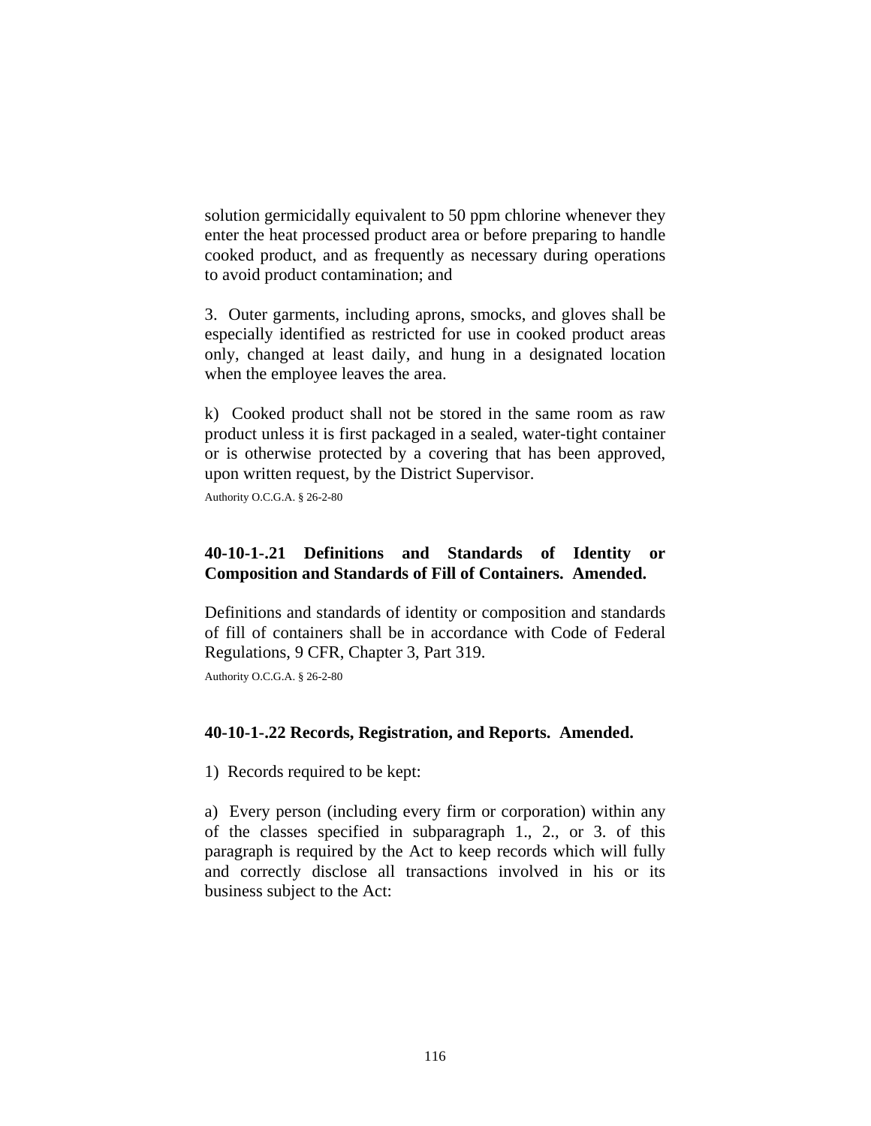solution germicidally equivalent to 50 ppm chlorine whenever they enter the heat processed product area or before preparing to handle cooked product, and as frequently as necessary during operations to avoid product contamination; and

3. Outer garments, including aprons, smocks, and gloves shall be especially identified as restricted for use in cooked product areas only, changed at least daily, and hung in a designated location when the employee leaves the area.

k) Cooked product shall not be stored in the same room as raw product unless it is first packaged in a sealed, water-tight container or is otherwise protected by a covering that has been approved, upon written request, by the District Supervisor.

Authority O.C.G.A. § 26-2-80

## **40-10-1-.21 Definitions and Standards of Identity or Composition and Standards of Fill of Containers. Amended.**

Definitions and standards of identity or composition and standards of fill of containers shall be in accordance with Code of Federal Regulations, 9 CFR, Chapter 3, Part 319.

Authority O.C.G.A. § 26-2-80

### **40-10-1-.22 Records, Registration, and Reports. Amended.**

1) Records required to be kept:

a) Every person (including every firm or corporation) within any of the classes specified in subparagraph 1., 2., or 3. of this paragraph is required by the Act to keep records which will fully and correctly disclose all transactions involved in his or its business subject to the Act: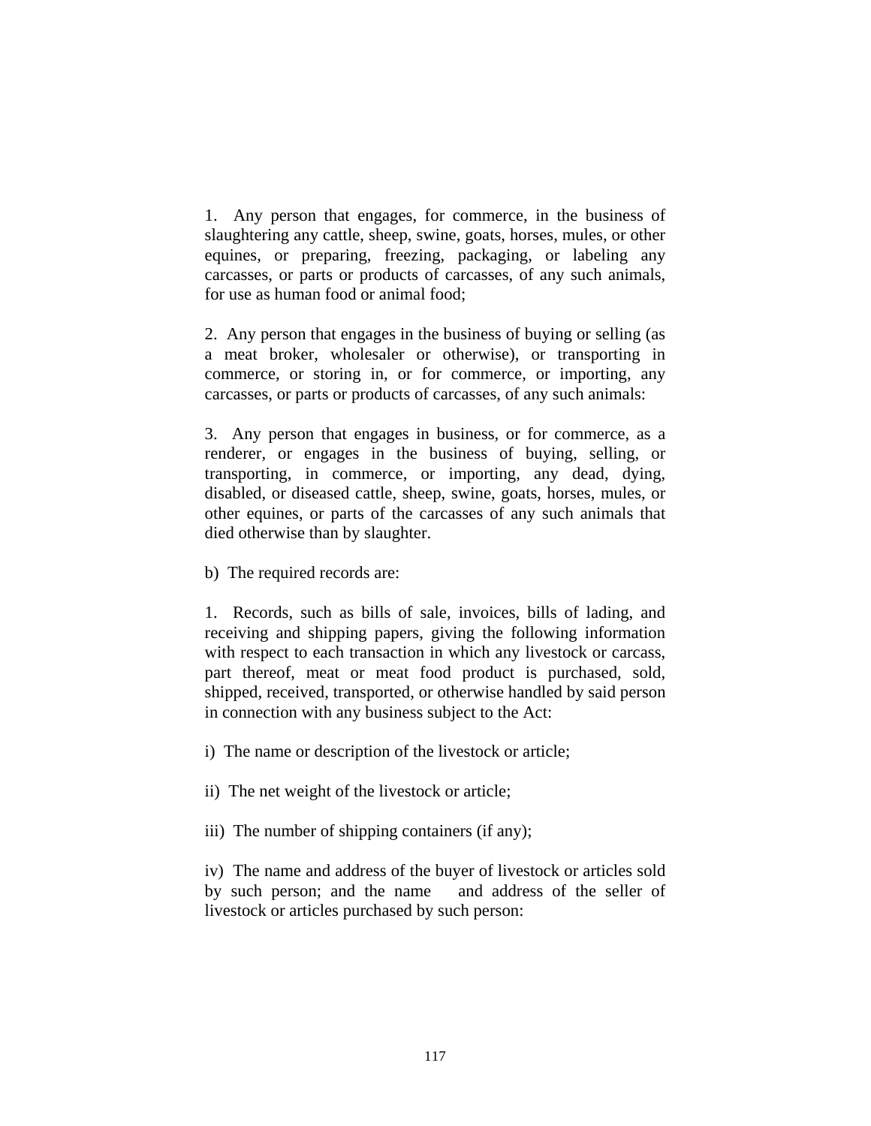1. Any person that engages, for commerce, in the business of slaughtering any cattle, sheep, swine, goats, horses, mules, or other equines, or preparing, freezing, packaging, or labeling any carcasses, or parts or products of carcasses, of any such animals, for use as human food or animal food;

2. Any person that engages in the business of buying or selling (as a meat broker, wholesaler or otherwise), or transporting in commerce, or storing in, or for commerce, or importing, any carcasses, or parts or products of carcasses, of any such animals:

3. Any person that engages in business, or for commerce, as a renderer, or engages in the business of buying, selling, or transporting, in commerce, or importing, any dead, dying, disabled, or diseased cattle, sheep, swine, goats, horses, mules, or other equines, or parts of the carcasses of any such animals that died otherwise than by slaughter.

b) The required records are:

1. Records, such as bills of sale, invoices, bills of lading, and receiving and shipping papers, giving the following information with respect to each transaction in which any livestock or carcass, part thereof, meat or meat food product is purchased, sold, shipped, received, transported, or otherwise handled by said person in connection with any business subject to the Act:

i) The name or description of the livestock or article;

ii) The net weight of the livestock or article;

iii) The number of shipping containers (if any);

iv) The name and address of the buyer of livestock or articles sold by such person; and the name and address of the seller of livestock or articles purchased by such person: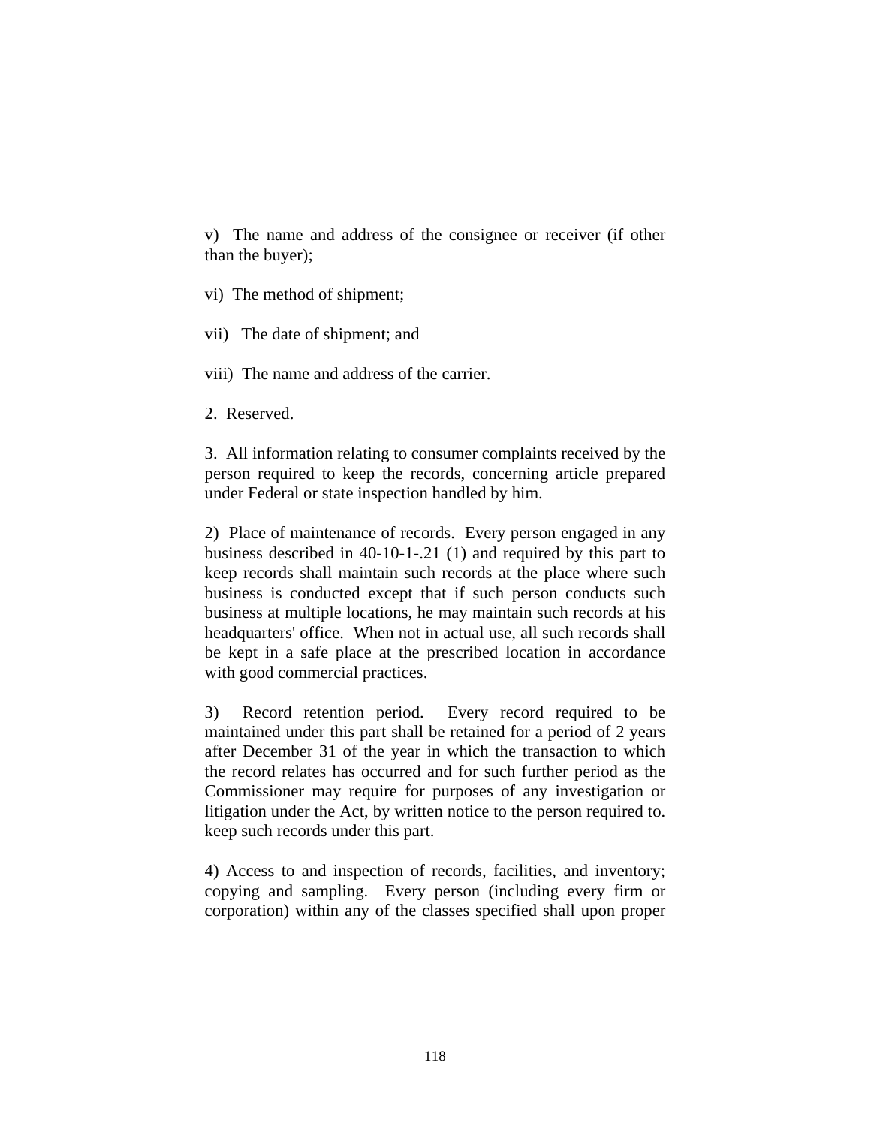v) The name and address of the consignee or receiver (if other than the buyer);

vi) The method of shipment;

- vii) The date of shipment; and
- viii) The name and address of the carrier.
- 2. Reserved.

3. All information relating to consumer complaints received by the person required to keep the records, concerning article prepared under Federal or state inspection handled by him.

2) Place of maintenance of records. Every person engaged in any business described in 40-10-1-.21 (1) and required by this part to keep records shall maintain such records at the place where such business is conducted except that if such person conducts such business at multiple locations, he may maintain such records at his headquarters' office. When not in actual use, all such records shall be kept in a safe place at the prescribed location in accordance with good commercial practices.

3) Record retention period. Every record required to be maintained under this part shall be retained for a period of 2 years after December 31 of the year in which the transaction to which the record relates has occurred and for such further period as the Commissioner may require for purposes of any investigation or litigation under the Act, by written notice to the person required to. keep such records under this part.

4) Access to and inspection of records, facilities, and inventory; copying and sampling. Every person (including every firm or corporation) within any of the classes specified shall upon proper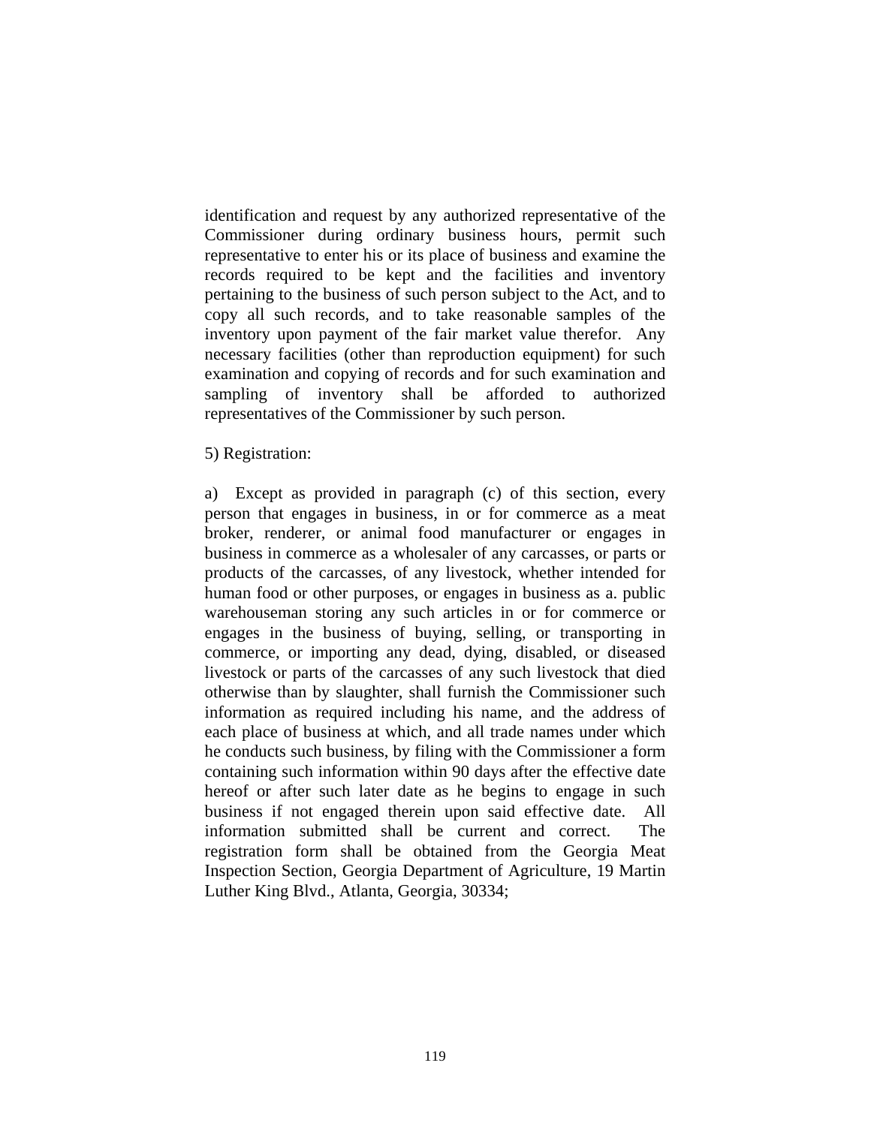identification and request by any authorized representative of the Commissioner during ordinary business hours, permit such representative to enter his or its place of business and examine the records required to be kept and the facilities and inventory pertaining to the business of such person subject to the Act, and to copy all such records, and to take reasonable samples of the inventory upon payment of the fair market value therefor. Any necessary facilities (other than reproduction equipment) for such examination and copying of records and for such examination and sampling of inventory shall be afforded to authorized representatives of the Commissioner by such person.

5) Registration:

a) Except as provided in paragraph (c) of this section, every person that engages in business, in or for commerce as a meat broker, renderer, or animal food manufacturer or engages in business in commerce as a wholesaler of any carcasses, or parts or products of the carcasses, of any livestock, whether intended for human food or other purposes, or engages in business as a. public warehouseman storing any such articles in or for commerce or engages in the business of buying, selling, or transporting in commerce, or importing any dead, dying, disabled, or diseased livestock or parts of the carcasses of any such livestock that died otherwise than by slaughter, shall furnish the Commissioner such information as required including his name, and the address of each place of business at which, and all trade names under which he conducts such business, by filing with the Commissioner a form containing such information within 90 days after the effective date hereof or after such later date as he begins to engage in such business if not engaged therein upon said effective date. All information submitted shall be current and correct. The registration form shall be obtained from the Georgia Meat Inspection Section, Georgia Department of Agriculture, 19 Martin Luther King Blvd., Atlanta, Georgia, 30334;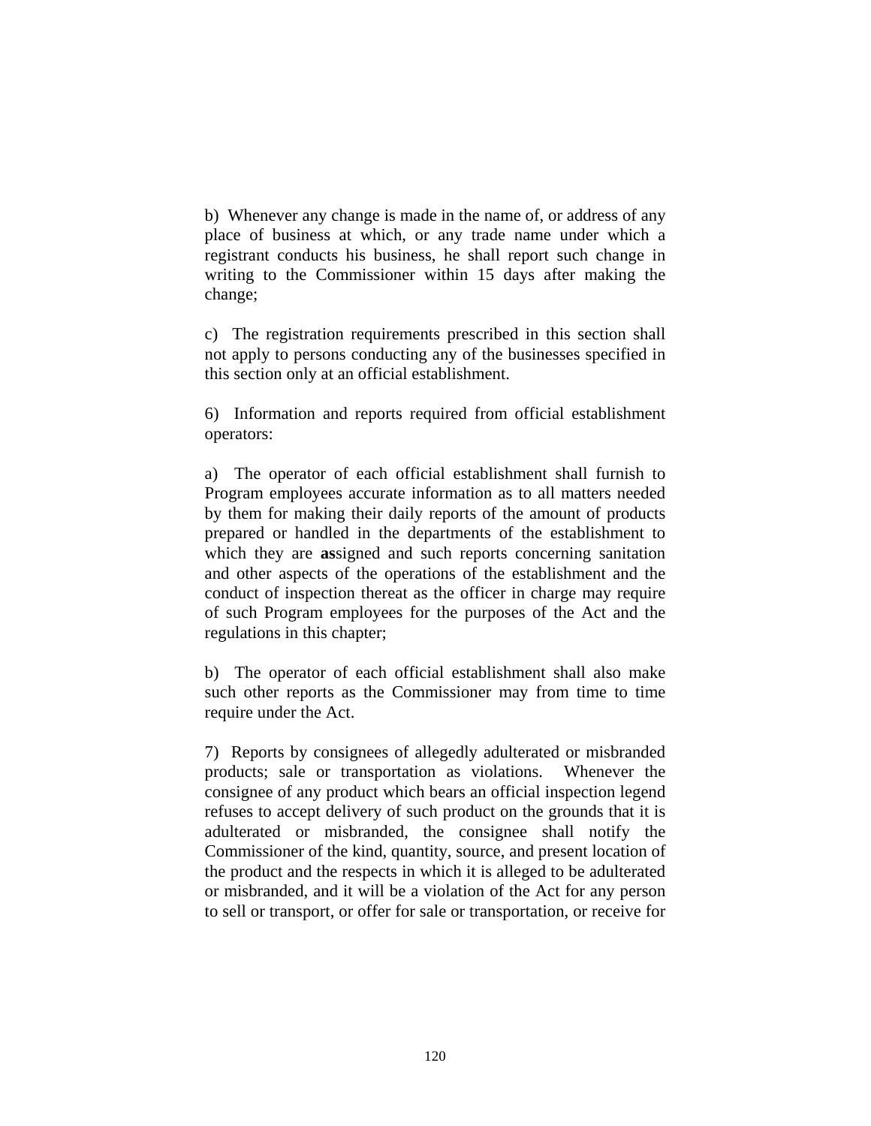b) Whenever any change is made in the name of, or address of any place of business at which, or any trade name under which a registrant conducts his business, he shall report such change in writing to the Commissioner within 15 days after making the change;

c) The registration requirements prescribed in this section shall not apply to persons conducting any of the businesses specified in this section only at an official establishment.

6) Information and reports required from official establishment operators:

a) The operator of each official establishment shall furnish to Program employees accurate information as to all matters needed by them for making their daily reports of the amount of products prepared or handled in the departments of the establishment to which they are **as**signed and such reports concerning sanitation and other aspects of the operations of the establishment and the conduct of inspection thereat as the officer in charge may require of such Program employees for the purposes of the Act and the regulations in this chapter;

b) The operator of each official establishment shall also make such other reports as the Commissioner may from time to time require under the Act.

7) Reports by consignees of allegedly adulterated or misbranded products; sale or transportation as violations. Whenever the consignee of any product which bears an official inspection legend refuses to accept delivery of such product on the grounds that it is adulterated or misbranded, the consignee shall notify the Commissioner of the kind, quantity, source, and present location of the product and the respects in which it is alleged to be adulterated or misbranded, and it will be a violation of the Act for any person to sell or transport, or offer for sale or transportation, or receive for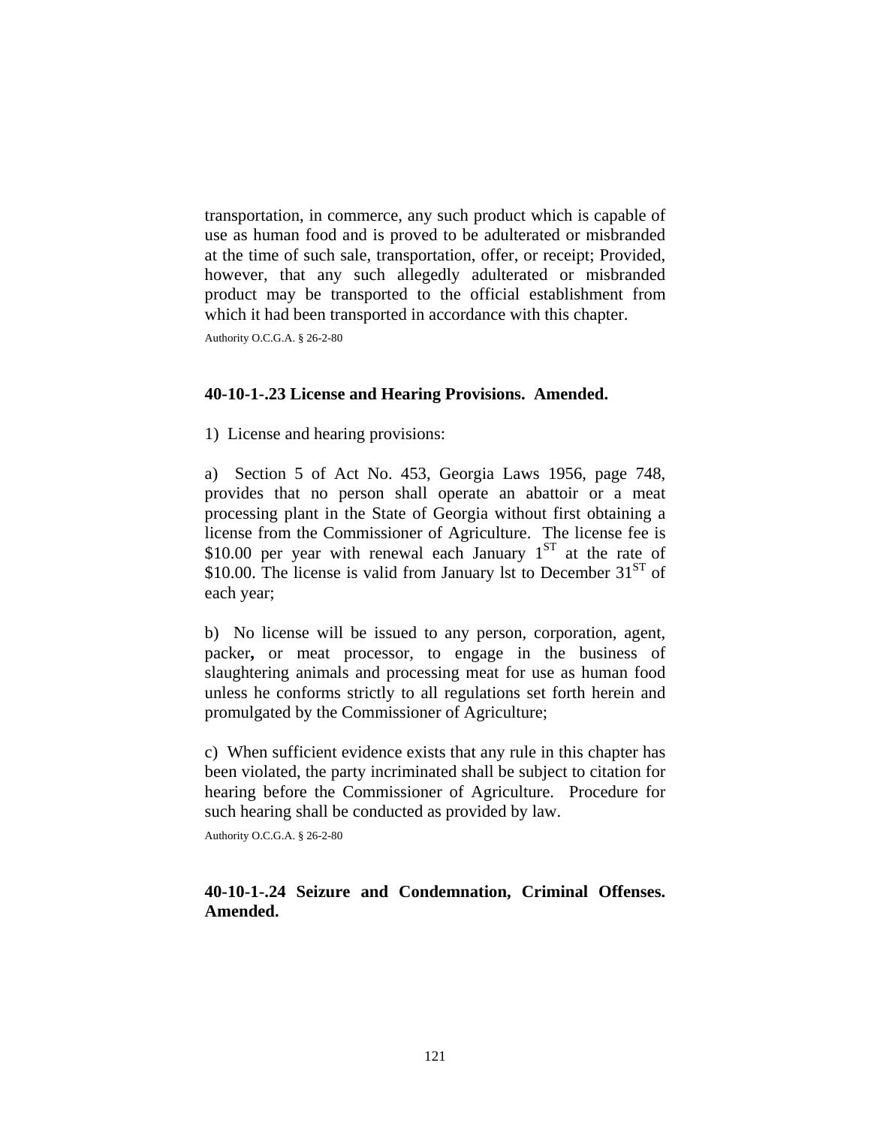transportation, in commerce, any such product which is capable of use as human food and is proved to be adulterated or misbranded at the time of such sale, transportation, offer, or receipt; Provided, however, that any such allegedly adulterated or misbranded product may be transported to the official establishment from which it had been transported in accordance with this chapter.

Authority O.C.G.A. § 26-2-80

#### **40-10-1-.23 License and Hearing Provisions. Amended.**

1) License and hearing provisions:

a) Section 5 of Act No. 453, Georgia Laws 1956, page 748, provides that no person shall operate an abattoir or a meat processing plant in the State of Georgia without first obtaining a license from the Commissioner of Agriculture. The license fee is \$10.00 per year with renewal each January  $1<sup>ST</sup>$  at the rate of \$10.00. The license is valid from January lst to December  $31<sup>ST</sup>$  of each year;

b) No license will be issued to any person, corporation, agent, packer**,** or meat processor, to engage in the business of slaughtering animals and processing meat for use as human food unless he conforms strictly to all regulations set forth herein and promulgated by the Commissioner of Agriculture;

c) When sufficient evidence exists that any rule in this chapter has been violated, the party incriminated shall be subject to citation for hearing before the Commissioner of Agriculture. Procedure for such hearing shall be conducted as provided by law.

Authority O.C.G.A. § 26-2-80

### **40-10-1-.24 Seizure and Condemnation, Criminal Offenses. Amended.**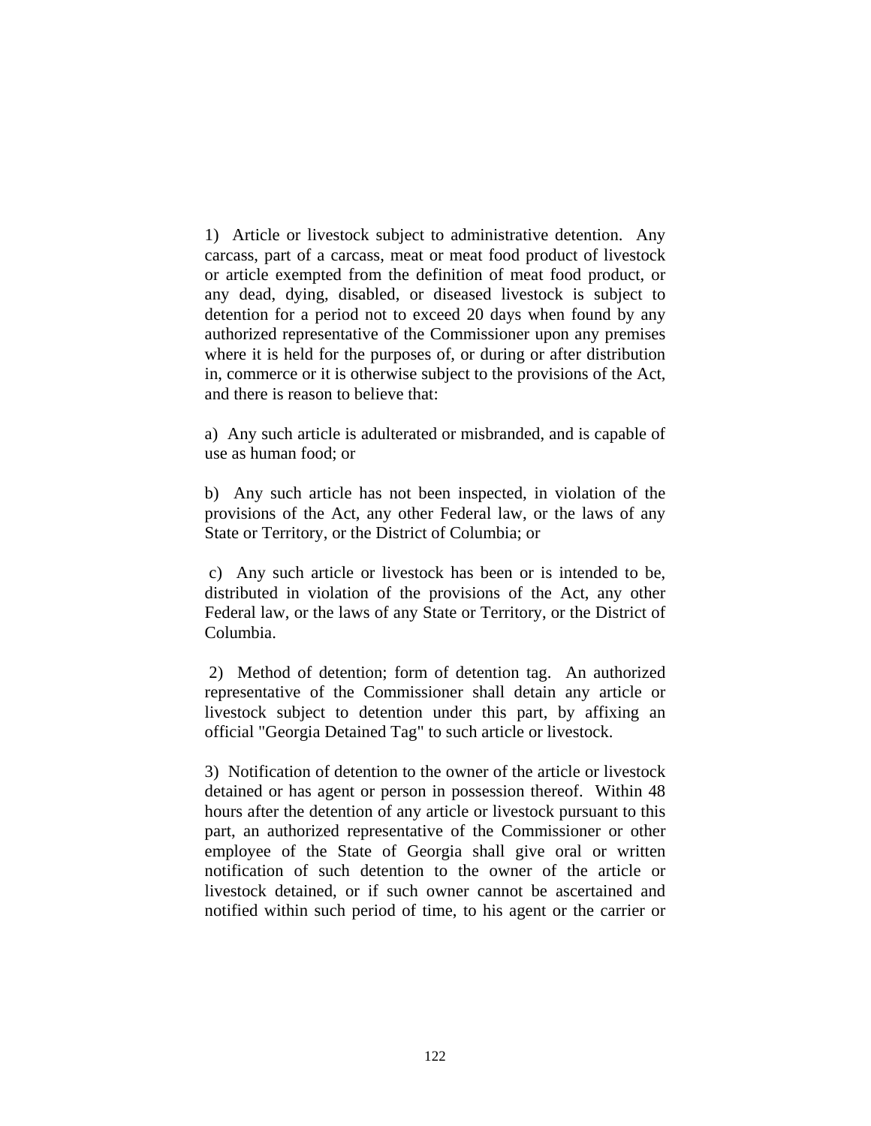1) Article or livestock subject to administrative detention. Any carcass, part of a carcass, meat or meat food product of livestock or article exempted from the definition of meat food product, or any dead, dying, disabled, or diseased livestock is subject to detention for a period not to exceed 20 days when found by any authorized representative of the Commissioner upon any premises where it is held for the purposes of, or during or after distribution in, commerce or it is otherwise subject to the provisions of the Act, and there is reason to believe that:

a) Any such article is adulterated or misbranded, and is capable of use as human food; or

b) Any such article has not been inspected, in violation of the provisions of the Act, any other Federal law, or the laws of any State or Territory, or the District of Columbia; or

 c) Any such article or livestock has been or is intended to be, distributed in violation of the provisions of the Act, any other Federal law, or the laws of any State or Territory, or the District of Columbia.

 2) Method of detention; form of detention tag. An authorized representative of the Commissioner shall detain any article or livestock subject to detention under this part, by affixing an official "Georgia Detained Tag" to such article or livestock.

3) Notification of detention to the owner of the article or livestock detained or has agent or person in possession thereof. Within 48 hours after the detention of any article or livestock pursuant to this part, an authorized representative of the Commissioner or other employee of the State of Georgia shall give oral or written notification of such detention to the owner of the article or livestock detained, or if such owner cannot be ascertained and notified within such period of time, to his agent or the carrier or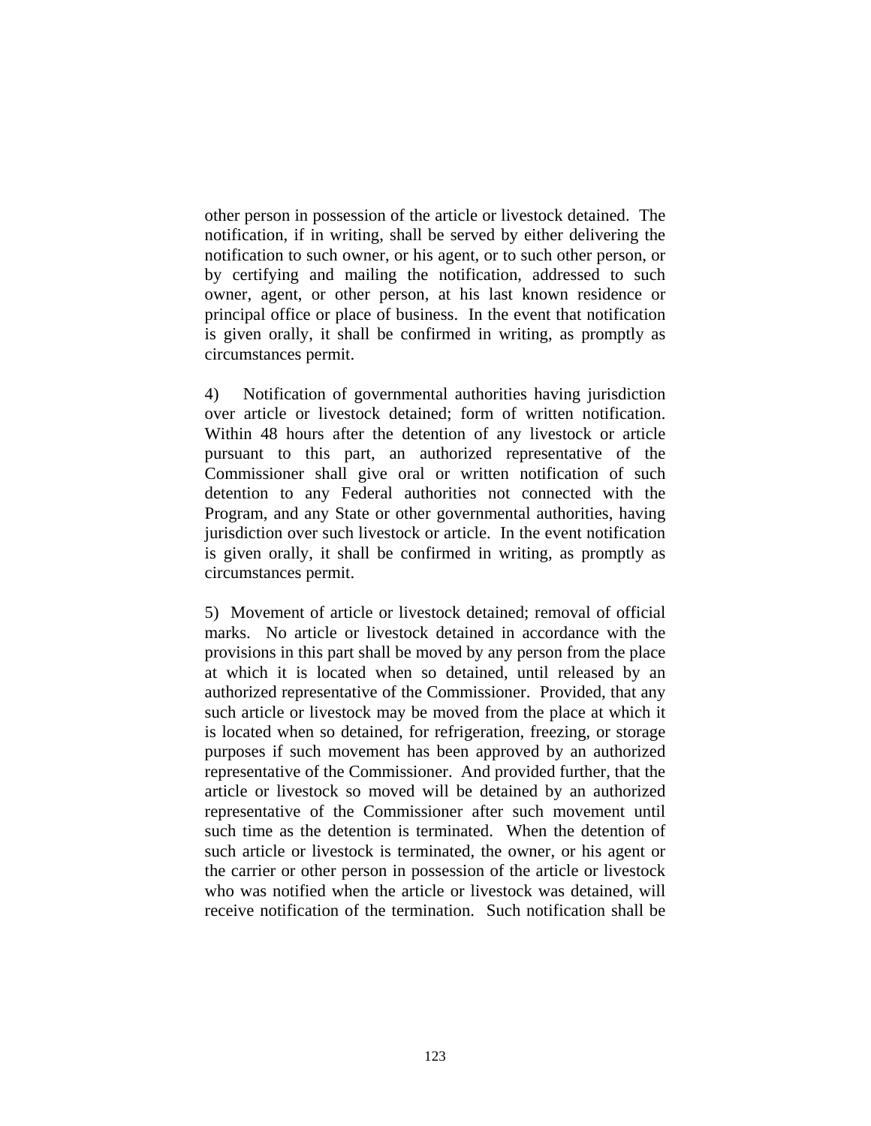other person in possession of the article or livestock detained. The notification, if in writing, shall be served by either delivering the notification to such owner, or his agent, or to such other person, or by certifying and mailing the notification, addressed to such owner, agent, or other person, at his last known residence or principal office or place of business. In the event that notification is given orally, it shall be confirmed in writing, as promptly as circumstances permit.

4) Notification of governmental authorities having jurisdiction over article or livestock detained; form of written notification. Within 48 hours after the detention of any livestock or article pursuant to this part, an authorized representative of the Commissioner shall give oral or written notification of such detention to any Federal authorities not connected with the Program, and any State or other governmental authorities, having jurisdiction over such livestock or article. In the event notification is given orally, it shall be confirmed in writing, as promptly as circumstances permit.

5) Movement of article or livestock detained; removal of official marks. No article or livestock detained in accordance with the provisions in this part shall be moved by any person from the place at which it is located when so detained, until released by an authorized representative of the Commissioner. Provided, that any such article or livestock may be moved from the place at which it is located when so detained, for refrigeration, freezing, or storage purposes if such movement has been approved by an authorized representative of the Commissioner. And provided further, that the article or livestock so moved will be detained by an authorized representative of the Commissioner after such movement until such time as the detention is terminated. When the detention of such article or livestock is terminated, the owner, or his agent or the carrier or other person in possession of the article or livestock who was notified when the article or livestock was detained, will receive notification of the termination. Such notification shall be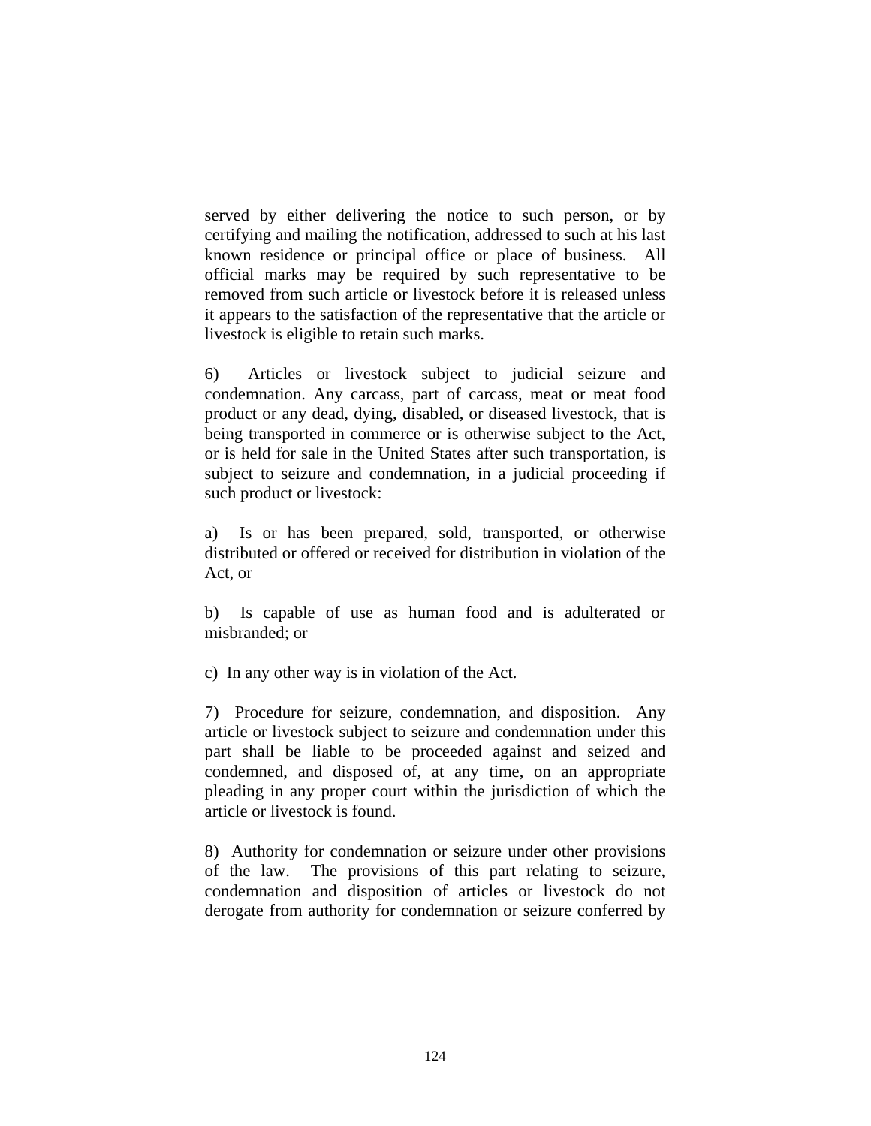served by either delivering the notice to such person, or by certifying and mailing the notification, addressed to such at his last known residence or principal office or place of business. All official marks may be required by such representative to be removed from such article or livestock before it is released unless it appears to the satisfaction of the representative that the article or livestock is eligible to retain such marks.

6) Articles or livestock subject to judicial seizure and condemnation. Any carcass, part of carcass, meat or meat food product or any dead, dying, disabled, or diseased livestock, that is being transported in commerce or is otherwise subject to the Act, or is held for sale in the United States after such transportation, is subject to seizure and condemnation, in a judicial proceeding if such product or livestock:

a) Is or has been prepared, sold, transported, or otherwise distributed or offered or received for distribution in violation of the Act, or

b) Is capable of use as human food and is adulterated or misbranded; or

c) In any other way is in violation of the Act.

7) Procedure for seizure, condemnation, and disposition. Any article or livestock subject to seizure and condemnation under this part shall be liable to be proceeded against and seized and condemned, and disposed of, at any time, on an appropriate pleading in any proper court within the jurisdiction of which the article or livestock is found.

8) Authority for condemnation or seizure under other provisions of the law. The provisions of this part relating to seizure, condemnation and disposition of articles or livestock do not derogate from authority for condemnation or seizure conferred by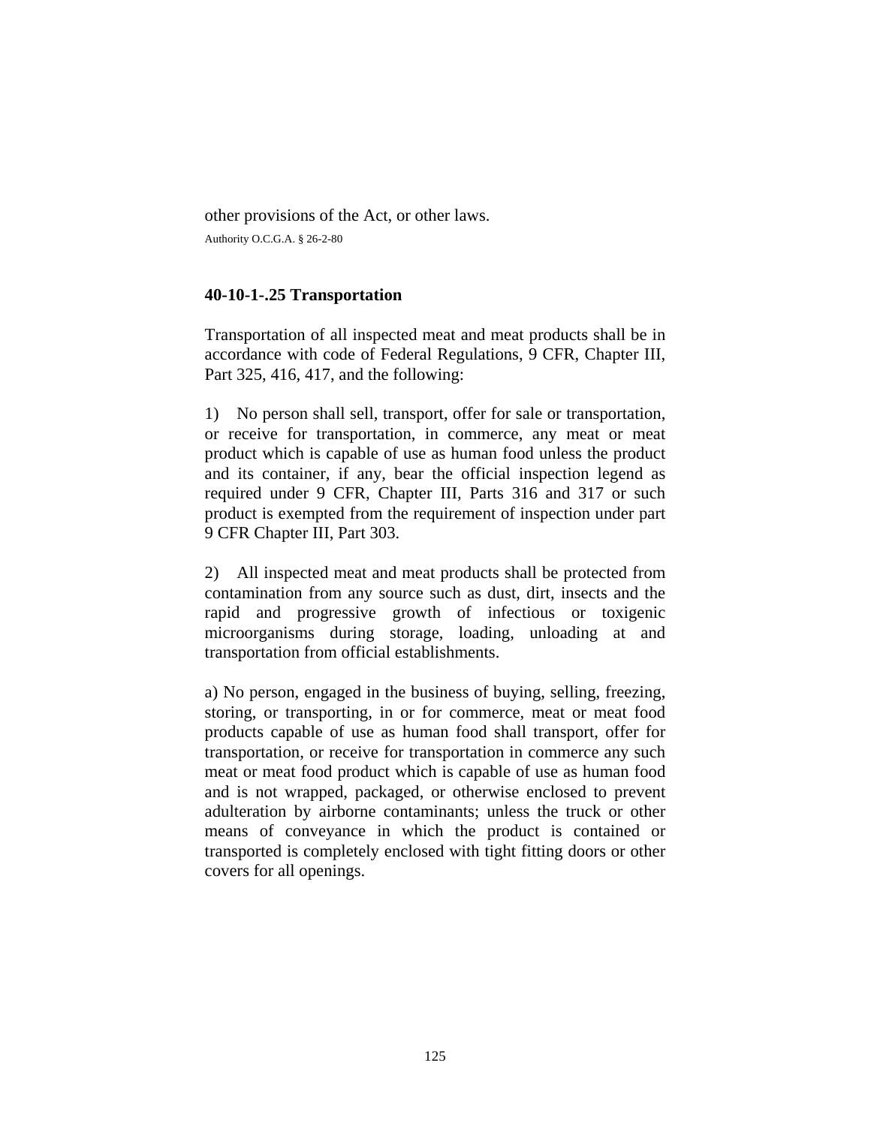other provisions of the Act, or other laws.

Authority O.C.G.A. § 26-2-80

### **40-10-1-.25 Transportation**

Transportation of all inspected meat and meat products shall be in accordance with code of Federal Regulations, 9 CFR, Chapter III, Part 325, 416, 417, and the following:

1) No person shall sell, transport, offer for sale or transportation, or receive for transportation, in commerce, any meat or meat product which is capable of use as human food unless the product and its container, if any, bear the official inspection legend as required under 9 CFR, Chapter III, Parts 316 and 317 or such product is exempted from the requirement of inspection under part 9 CFR Chapter III, Part 303.

2) All inspected meat and meat products shall be protected from contamination from any source such as dust, dirt, insects and the rapid and progressive growth of infectious or toxigenic microorganisms during storage, loading, unloading at and transportation from official establishments.

a) No person, engaged in the business of buying, selling, freezing, storing, or transporting, in or for commerce, meat or meat food products capable of use as human food shall transport, offer for transportation, or receive for transportation in commerce any such meat or meat food product which is capable of use as human food and is not wrapped, packaged, or otherwise enclosed to prevent adulteration by airborne contaminants; unless the truck or other means of conveyance in which the product is contained or transported is completely enclosed with tight fitting doors or other covers for all openings.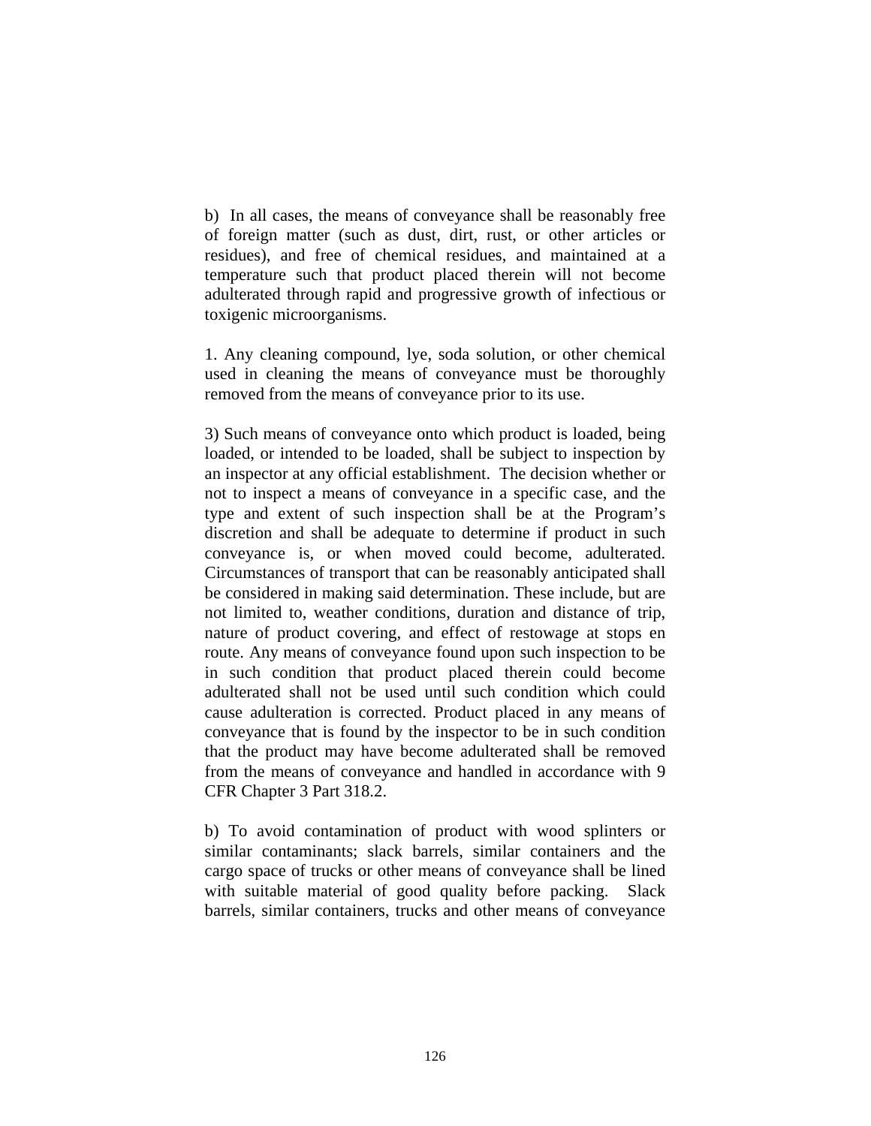b) In all cases, the means of conveyance shall be reasonably free of foreign matter (such as dust, dirt, rust, or other articles or residues), and free of chemical residues, and maintained at a temperature such that product placed therein will not become adulterated through rapid and progressive growth of infectious or toxigenic microorganisms.

1. Any cleaning compound, lye, soda solution, or other chemical used in cleaning the means of conveyance must be thoroughly removed from the means of conveyance prior to its use.

3) Such means of conveyance onto which product is loaded, being loaded, or intended to be loaded, shall be subject to inspection by an inspector at any official establishment. The decision whether or not to inspect a means of conveyance in a specific case, and the type and extent of such inspection shall be at the Program's discretion and shall be adequate to determine if product in such conveyance is, or when moved could become, adulterated. Circumstances of transport that can be reasonably anticipated shall be considered in making said determination. These include, but are not limited to, weather conditions, duration and distance of trip, nature of product covering, and effect of restowage at stops en route. Any means of conveyance found upon such inspection to be in such condition that product placed therein could become adulterated shall not be used until such condition which could cause adulteration is corrected. Product placed in any means of conveyance that is found by the inspector to be in such condition that the product may have become adulterated shall be removed from the means of conveyance and handled in accordance with 9 CFR Chapter 3 Part 318.2.

b) To avoid contamination of product with wood splinters or similar contaminants; slack barrels, similar containers and the cargo space of trucks or other means of conveyance shall be lined with suitable material of good quality before packing. Slack barrels, similar containers, trucks and other means of conveyance